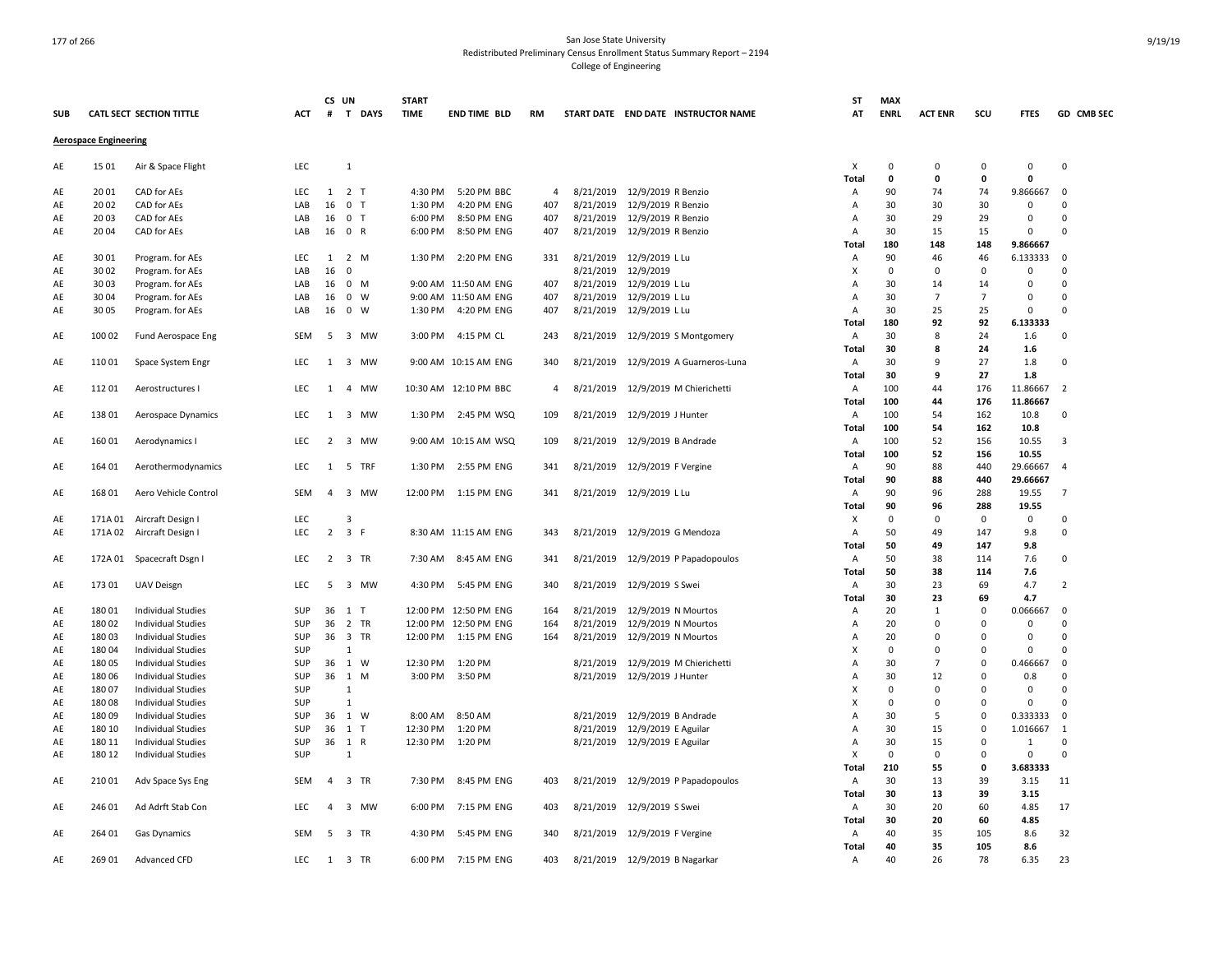|            |                              |                           |            | CS UN           |                | <b>START</b> |                          |                |           |                                |                                     | ST             | <b>MAX</b>  |                |                |              |                |
|------------|------------------------------|---------------------------|------------|-----------------|----------------|--------------|--------------------------|----------------|-----------|--------------------------------|-------------------------------------|----------------|-------------|----------------|----------------|--------------|----------------|
| <b>SUB</b> |                              | CATL SECT SECTION TITTLE  | ACT        | #               | T DAYS         | <b>TIME</b>  | <b>END TIME BLD</b>      | RM             |           |                                | START DATE END DATE INSTRUCTOR NAME | AT             | <b>ENRL</b> | <b>ACT ENR</b> | scu            | <b>FTES</b>  | GD CMB SEC     |
|            | <b>Aerospace Engineering</b> |                           |            |                 |                |              |                          |                |           |                                |                                     |                |             |                |                |              |                |
| AE         | 15 01                        | Air & Space Flight        | LEC        |                 | $\mathbf{1}$   |              |                          |                |           |                                |                                     | X              | 0           | $\mathbf 0$    | 0              | 0            | $\Omega$       |
|            |                              |                           |            |                 |                |              |                          |                |           |                                |                                     | <b>Total</b>   | $\mathbf 0$ | $\mathbf{0}$   | $\mathbf{0}$   | $\mathbf 0$  |                |
| AE         | 20 01                        | CAD for AEs               | LEC        | 1               | 2 <sub>T</sub> | 4:30 PM      | 5:20 PM BBC              | 4              | 8/21/2019 | 12/9/2019 R Benzio             |                                     | Α              | 90          | 74             | 74             | 9.866667     | $\Omega$       |
| AE         | 20 02                        | CAD for AEs               | LAB        | 16              | 0 <sub>T</sub> | 1:30 PM      | 4:20 PM ENG              | 407            | 8/21/2019 | 12/9/2019 R Benzio             |                                     | Α              | 30          | 30             | 30             | 0            | $\Omega$       |
| AE         | 20 03                        | CAD for AEs               | LAB        | 16              | 0 <sub>T</sub> | 6:00 PM      | 8:50 PM ENG              | 407            | 8/21/2019 | 12/9/2019 R Benzio             |                                     | Α              | 30          | 29             | 29             | $\mathbf 0$  | $\Omega$       |
| AE         | 20 04                        | CAD for AEs               | LAB        |                 | 16 0 R         | 6:00 PM      | 8:50 PM ENG              | 407            | 8/21/2019 | 12/9/2019 R Benzio             |                                     | Α              | 30          | 15             | 15             | 0            | $\Omega$       |
|            |                              |                           |            |                 |                |              |                          |                |           |                                |                                     | Total          | 180         | 148            | 148            | 9.866667     |                |
| AE         | 3001                         | Program. for AEs          | LEC        | 1               | 2 M            | 1:30 PM      | 2:20 PM ENG              | 331            | 8/21/2019 | 12/9/2019 L Lu                 |                                     | A              | 90          | 46             | 46             | 6.133333     | $\Omega$       |
| AE         | 30 02                        | Program. for AEs          | LAB        | 16              | $\mathsf 0$    |              |                          |                | 8/21/2019 | 12/9/2019                      |                                     | X              | $\mathbf 0$ | $\mathbf 0$    | $\mathbf 0$    | $\mathbf 0$  | $\Omega$       |
| AE         | 30 03                        | Program. for AEs          | LAB        |                 | 16 0 M         |              | 9:00 AM 11:50 AM ENG     | 407            | 8/21/2019 | 12/9/2019 L Lu                 |                                     | $\overline{A}$ | 30          | 14             | 14             | $\mathbf 0$  | $\Omega$       |
| AE         | 30 04                        | Program. for AEs          | LAB        | 16              | $0 \quad W$    |              | 9:00 AM 11:50 AM ENG     | 407            | 8/21/2019 | 12/9/2019 L Lu                 |                                     | Α              | 30          | $\overline{7}$ | $\overline{7}$ | $\mathbf 0$  | $\Omega$       |
| AE         | 30 05                        | Program. for AEs          | LAB        | 16              | 0 W            | 1:30 PM      | 4:20 PM ENG              | 407            | 8/21/2019 | 12/9/2019 L Lu                 |                                     | Α              | 30          | 25             | 25             | 0            | $\Omega$       |
|            |                              |                           |            |                 |                |              |                          |                |           |                                |                                     | <b>Total</b>   | 180         | 92             | 92             | 6.133333     |                |
| AE         | 10002                        | Fund Aerospace Eng        | SEM        | 5               | 3 MW           | 3:00 PM      | 4:15 PM CL               | 243            | 8/21/2019 | 12/9/2019 S Montgomery         |                                     | Α              | 30          | 8              | 24             | 1.6          | 0              |
|            |                              |                           |            |                 |                |              |                          |                |           |                                |                                     | Total          | 30          | 8              | 24             | 1.6          |                |
| AE         | 11001                        | Space System Engr         | LEC        | 1               | 3 MW           |              | 9:00 AM 10:15 AM ENG     | 340            | 8/21/2019 |                                | 12/9/2019 A Guarneros-Luna          | Α              | 30          | 9              | 27             | 1.8          | $\Omega$       |
|            |                              |                           |            |                 |                |              |                          |                |           |                                |                                     | Total          | 30          | 9              | 27             | 1.8          |                |
|            | 11201                        | Aerostructures I          | LEC        | 1               | 4 MW           |              | 10:30 AM 12:10 PM BBC    | $\overline{4}$ | 8/21/2019 | 12/9/2019 M Chierichetti       |                                     | Α              | 100         | 44             | 176            | 11.86667     | $\overline{2}$ |
| AE         |                              |                           |            |                 |                |              |                          |                |           |                                |                                     | Total          | 100         | 44             | 176            | 11.86667     |                |
|            |                              |                           |            |                 |                |              |                          |                |           |                                |                                     |                |             |                | 162            |              | $\Omega$       |
| AE         | 13801                        | Aerospace Dynamics        | <b>LEC</b> | 1               | 3 MW           |              | 1:30 PM 2:45 PM WSQ      | 109            | 8/21/2019 | 12/9/2019 J Hunter             |                                     | Α              | 100         | 54             |                | 10.8         |                |
|            |                              |                           |            |                 |                |              |                          |                |           |                                |                                     | <b>Total</b>   | 100         | 54             | 162            | 10.8         |                |
| AE         | 16001                        | Aerodynamics I            | LEC        | $\overline{2}$  | 3 MW           |              | 9:00 AM 10:15 AM WSQ     | 109            | 8/21/2019 | 12/9/2019 B Andrade            |                                     | Α              | 100         | 52             | 156            | 10.55        | $\overline{3}$ |
|            |                              |                           |            |                 |                |              |                          |                |           |                                |                                     | Total          | 100         | 52             | 156            | 10.55        |                |
| AE         | 164 01                       | Aerothermodynamics        | <b>LEC</b> | 1               | 5 TRF          | 1:30 PM      | 2:55 PM ENG              | 341            | 8/21/2019 | 12/9/2019 F Vergine            |                                     | Α              | 90          | 88             | 440            | 29.66667     | $\overline{4}$ |
|            |                              |                           |            |                 |                |              |                          |                |           |                                |                                     | Total          | 90          | 88             | 440            | 29.66667     |                |
| AE         | 168 01                       | Aero Vehicle Control      | SEM        | $\overline{4}$  | 3 MW           |              | 12:00 PM   1:15 PM   ENG | 341            |           | 8/21/2019 12/9/2019 L Lu       |                                     | Α              | 90          | 96             | 288            | 19.55        | $\overline{7}$ |
|            |                              |                           |            |                 |                |              |                          |                |           |                                |                                     | Total          | 90          | 96             | 288            | 19.55        |                |
| AE         | 171A 01                      | Aircraft Design I         | LEC        |                 | 3              |              |                          |                |           |                                |                                     | х              | $\mathbf 0$ | 0              | $\mathbf 0$    | 0            | $\mathbf 0$    |
| AE         |                              | 171A 02 Aircraft Design I | LEC        | $\overline{2}$  | 3 F            |              | 8:30 AM 11:15 AM ENG     | 343            | 8/21/2019 | 12/9/2019 G Mendoza            |                                     | Α              | 50          | 49             | 147            | 9.8          | $\mathbf 0$    |
|            |                              |                           |            |                 |                |              |                          |                |           |                                |                                     | Total          | 50          | 49             | 147            | 9.8          |                |
| AE         |                              | 172A 01 Spacecraft Dsgn I | LEC        |                 | 2 3 TR         | 7:30 AM      | 8:45 AM ENG              | 341            | 8/21/2019 |                                | 12/9/2019 P Papadopoulos            | Α              | 50          | 38             | 114            | 7.6          | $\Omega$       |
|            |                              |                           |            |                 |                |              |                          |                |           |                                |                                     | Total          | 50          | 38             | 114            | 7.6          |                |
| AE         | 17301                        | <b>UAV Deisgn</b>         | LEC        | 5               | 3 MW           | 4:30 PM      | 5:45 PM ENG              | 340            | 8/21/2019 | 12/9/2019 S Swei               |                                     | Α              | 30          | 23             | 69             | 4.7          | $\overline{2}$ |
|            |                              |                           |            |                 |                |              |                          |                |           |                                |                                     | Total          | 30          | 23             | 69             | 4.7          |                |
| AE         | 18001                        | <b>Individual Studies</b> | SUP        | 36              | $1$ T          |              | 12:00 PM 12:50 PM ENG    | 164            | 8/21/2019 | 12/9/2019 N Mourtos            |                                     | Α              | 20          | 1              | $\mathbf 0$    | 0.066667     | $\Omega$       |
| AE         | 18002                        | <b>Individual Studies</b> | SUP        | 36              | 2 TR           |              | 12:00 PM 12:50 PM ENG    | 164            | 8/21/2019 | 12/9/2019 N Mourtos            |                                     | Α              | 20          | $\mathbf 0$    | $\mathbf 0$    | $\mathbf 0$  | $\Omega$       |
| AE         | 18003                        | <b>Individual Studies</b> | SUP        |                 | 36 3 TR        | 12:00 PM     | 1:15 PM ENG              | 164            | 8/21/2019 | 12/9/2019 N Mourtos            |                                     | Α              | 20          | 0              | 0              | 0            | $\Omega$       |
| AE         | 18004                        | <b>Individual Studies</b> | SUP        |                 | $\mathbf{1}$   |              |                          |                |           |                                |                                     | X              | $\mathbf 0$ | $\Omega$       | $\Omega$       | 0            | $\Omega$       |
| AE         | 18005                        | <b>Individual Studies</b> | <b>SUP</b> |                 | 36 1 W         | 12:30 PM     | 1:20 PM                  |                | 8/21/2019 | 12/9/2019 M Chierichetti       |                                     | Α              | 30          | $\overline{7}$ | $\mathbf 0$    | 0.466667     | $\Omega$       |
| AE         | 18006                        | <b>Individual Studies</b> | SUP        |                 | 36 1 M         |              | 3:00 PM 3:50 PM          |                | 8/21/2019 | 12/9/2019 J Hunter             |                                     | Α              | 30          | 12             | $\Omega$       | 0.8          | $\Omega$       |
| AE         | 18007                        | <b>Individual Studies</b> | SUP        |                 | 1              |              |                          |                |           |                                |                                     | х              | 0           | $\mathbf 0$    | $\mathbf 0$    | $\mathbf 0$  | $\Omega$       |
| AE         | 18008                        | <b>Individual Studies</b> | SUP        |                 | $\mathbf{1}$   |              |                          |                |           |                                |                                     | X              | $\mathbf 0$ | $\Omega$       | $\Omega$       | 0            | $\Omega$       |
| AE         | 18009                        | <b>Individual Studies</b> | SUP        |                 | 36 1 W         | 8:00 AM      | 8:50 AM                  |                | 8/21/2019 | 12/9/2019 B Andrade            |                                     | Α              | 30          | .5             | $\Omega$       | 0.333333     | $\mathbf 0$    |
| AE         | 180 10                       | <b>Individual Studies</b> | SUP        |                 | 36 1 T         | 12:30 PM     | 1:20 PM                  |                | 8/21/2019 | 12/9/2019 E Aguilar            |                                     | Α              | 30          | 15             | $\Omega$       | 1.016667     | $\overline{1}$ |
| AE         | 180 11                       | <b>Individual Studies</b> | SUP        |                 | 36 1 R         | 12:30 PM     | 1:20 PM                  |                | 8/21/2019 | 12/9/2019 E Aguilar            |                                     | A              | 30          | 15             | $\overline{0}$ | $\mathbf{1}$ | $\Omega$       |
| AE         | 180 12                       | <b>Individual Studies</b> | SUP        |                 | 1              |              |                          |                |           |                                |                                     | X              | $\mathbf 0$ | $\mathbf 0$    | $\Omega$       | $\mathbf 0$  | $\Omega$       |
|            |                              |                           |            |                 |                |              |                          |                |           |                                |                                     | Total          | 210         | 55             | $\mathbf{0}$   | 3.683333     |                |
| AE         | 21001                        | Adv Space Sys Eng         | <b>SEM</b> |                 | 4 3 TR         | 7:30 PM      | 8:45 PM ENG              | 403            | 8/21/2019 |                                | 12/9/2019 P Papadopoulos            | Α              | 30          | 13             | 39             | 3.15         | 11             |
|            |                              |                           |            |                 |                |              |                          |                |           |                                |                                     | <b>Total</b>   | 30          | 13             | 39             | 3.15         |                |
| AE         | 246 01                       | Ad Adrft Stab Con         | LEC        | $\overline{a}$  | 3 MW           | 6:00 PM      | 7:15 PM ENG              | 403            | 8/21/2019 | 12/9/2019 S Swei               |                                     | Α              | 30          | 20             | 60             | 4.85         | 17             |
|            |                              |                           |            |                 |                |              |                          |                |           |                                |                                     |                | 30          | 20             | 60             | 4.85         |                |
|            |                              |                           | <b>SEM</b> |                 |                |              |                          | 340            |           |                                |                                     | Total          | 40          |                | 105            |              |                |
| AE         | 264 01                       | <b>Gas Dynamics</b>       |            | $5\phantom{.0}$ | 3 TR           | 4:30 PM      | 5:45 PM ENG              |                | 8/21/2019 | 12/9/2019 F Vergine            |                                     | Α              | 40          | 35             |                | 8.6          | 32             |
|            |                              |                           |            |                 |                |              |                          |                |           |                                |                                     | Total          |             | 35             | 105            | 8.6          |                |
| AE         | 269 01                       | Advanced CFD              | LEC        |                 | 1 3 TR         |              | 6:00 PM 7:15 PM ENG      | 403            |           | 8/21/2019 12/9/2019 B Nagarkar |                                     | Α              | 40          | 26             | 78             | 6.35         | 23             |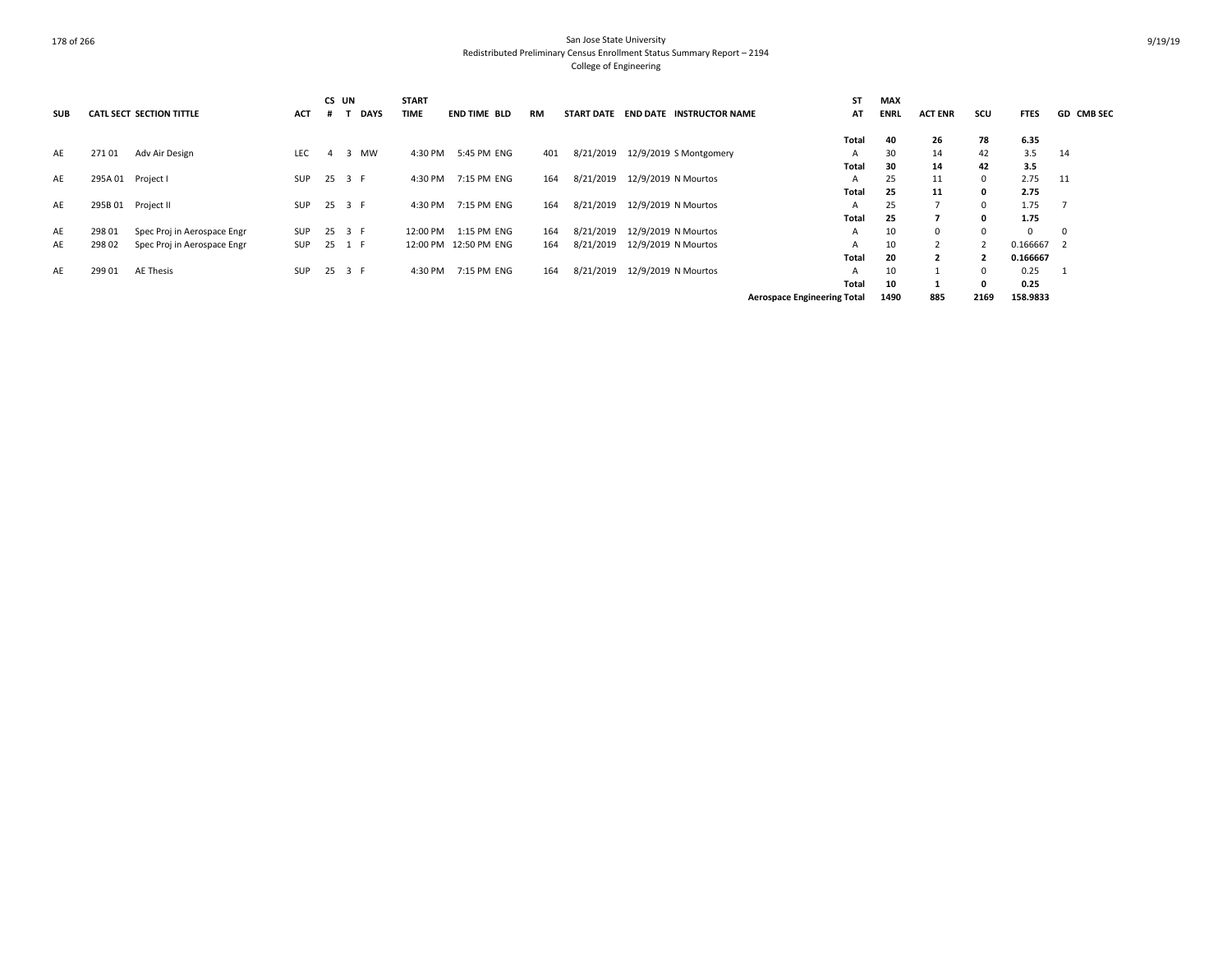| <b>SUB</b> |                   | <b>CATL SECT SECTION TITTLE</b> | <b>ACT</b> |   | CS UN<br><b>DAYS</b> | <b>START</b><br><b>TIME</b> | <b>END TIME BLD</b>   | RM  | <b>START DATE</b> | <b>END DATE INSTRUCTOR NAME</b> | <b>ST</b><br>AT                    | <b>MAX</b><br><b>ENRL</b> | <b>ACT ENR</b>          | scu         | <b>FTES</b> | <b>GD CMB SEC</b> |
|------------|-------------------|---------------------------------|------------|---|----------------------|-----------------------------|-----------------------|-----|-------------------|---------------------------------|------------------------------------|---------------------------|-------------------------|-------------|-------------|-------------------|
|            |                   |                                 |            |   |                      |                             |                       |     |                   |                                 | Total                              | 40                        | 26                      | 78          | 6.35        |                   |
| AE         | 27101             | Adv Air Design                  | <b>LEC</b> | 4 | <b>MW</b><br>3       | 4:30 PM                     | 5:45 PM ENG           | 401 | 8/21/2019         | 12/9/2019 S Montgomery          | A                                  | 30                        | 14                      | 42          | 3.5         | 14                |
|            |                   |                                 |            |   |                      |                             |                       |     |                   |                                 | Total                              | 30                        | 14                      | 42          | 3.5         |                   |
| AE         | 295A 01 Project I |                                 | SUP        |   | 25 3 F               | 4:30 PM                     | 7:15 PM ENG           | 164 | 8/21/2019         | 12/9/2019 N Mourtos             | A                                  | 25                        | 11                      | $\mathbf 0$ | 2.75        | 11                |
|            |                   |                                 |            |   |                      |                             |                       |     |                   |                                 | Total                              | 25                        | 11                      | 0           | 2.75        |                   |
| AE         |                   | 295B 01 Project II              | SUP        |   | 25 3 F               | 4:30 PM                     | 7:15 PM ENG           | 164 | 8/21/2019         | 12/9/2019 N Mourtos             | A                                  | 25                        |                         | $^{\circ}$  | 1.75        |                   |
|            |                   |                                 |            |   |                      |                             |                       |     |                   |                                 | Total                              | 25                        |                         | 0           | 1.75        |                   |
| AE         | 298 01            | Spec Proj in Aerospace Engr     | SUP        |   | 25 3 F               | 12:00 PM                    | 1:15 PM ENG           | 164 | 8/21/2019         | 12/9/2019 N Mourtos             | $\mathsf{A}$                       | 10                        | 0                       | 0           | $\Omega$    | 0                 |
| AE         | 298 02            | Spec Proj in Aerospace Engr     | SUP        |   | 25 1 F               |                             | 12:00 PM 12:50 PM ENG | 164 | 8/21/2019         | 12/9/2019 N Mourtos             | A                                  | 10                        |                         |             | 0.166667 2  |                   |
|            |                   |                                 |            |   |                      |                             |                       |     |                   |                                 | <b>Total</b>                       | 20                        | $\overline{\mathbf{z}}$ |             | 0.166667    |                   |
| AE         | 299 01            | <b>AE Thesis</b>                | SUP        |   | 25 3 F               | 4:30 PM                     | 7:15 PM ENG           | 164 | 8/21/2019         | 12/9/2019 N Mourtos             | A                                  | 10                        |                         | $\Omega$    | 0.25        |                   |
|            |                   |                                 |            |   |                      |                             |                       |     |                   |                                 | <b>Total</b>                       | 10                        |                         | $\Omega$    | 0.25        |                   |
|            |                   |                                 |            |   |                      |                             |                       |     |                   |                                 | <b>Aerospace Engineering Total</b> | 1490                      | 885                     | 2169        | 158.9833    |                   |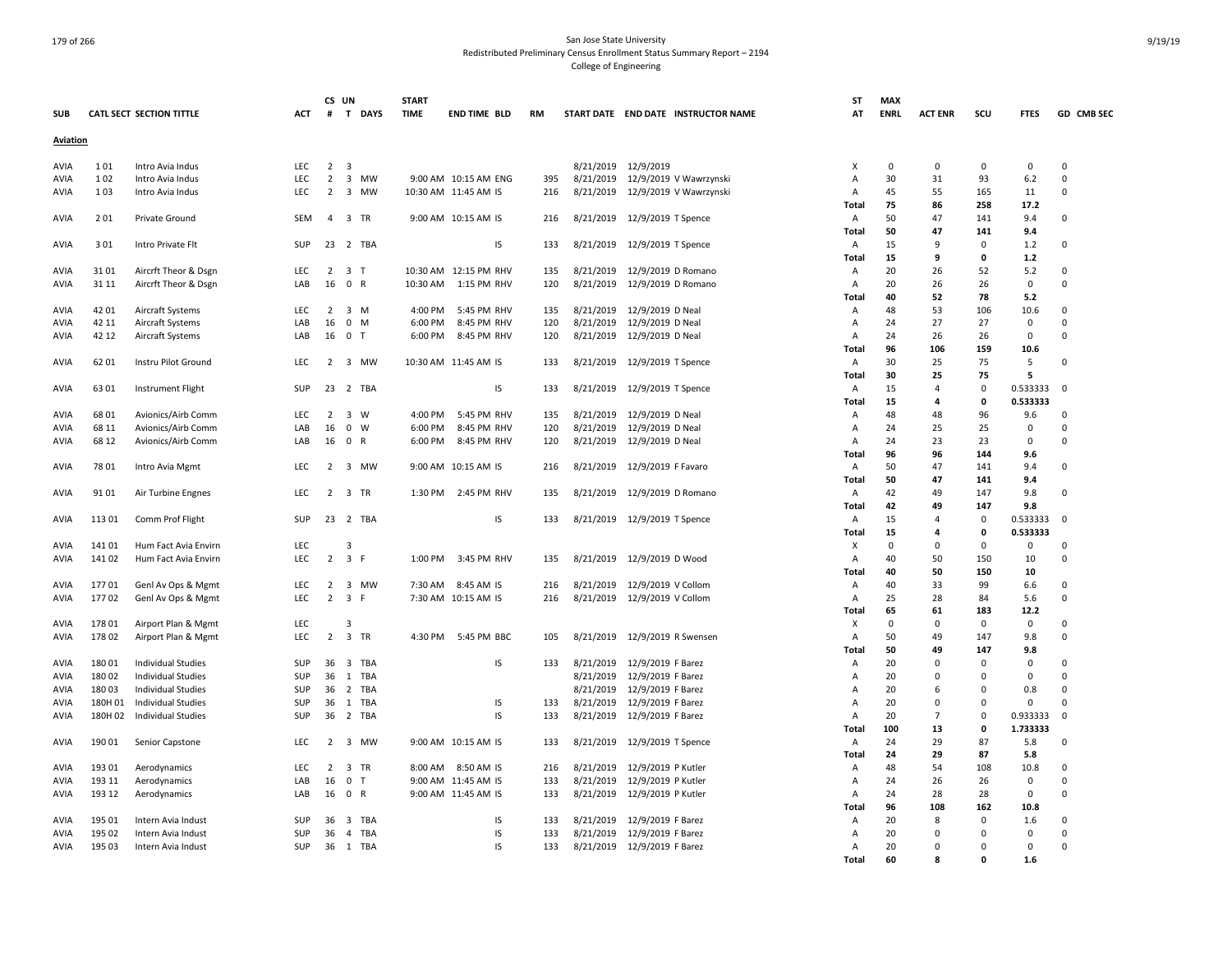|             |         |                           |            | CS UN          |                              | <b>START</b> |                       |     |           |                                     | SΤ             | MAX         |                |             |             |                         |
|-------------|---------|---------------------------|------------|----------------|------------------------------|--------------|-----------------------|-----|-----------|-------------------------------------|----------------|-------------|----------------|-------------|-------------|-------------------------|
| <b>SUB</b>  |         | CATL SECT SECTION TITTLE  | ACT        | #              | <b>DAYS</b><br>$\mathbf{T}$  | <b>TIME</b>  | <b>END TIME BLD</b>   | RM  |           | START DATE END DATE INSTRUCTOR NAME | AT             | <b>ENRL</b> | <b>ACT ENR</b> | scu         | <b>FTES</b> | GD CMB SEC              |
| Aviation    |         |                           |            |                |                              |              |                       |     |           |                                     |                |             |                |             |             |                         |
| AVIA        | 101     | Intro Avia Indus          | <b>LEC</b> | $\overline{2}$ | $\overline{\mathbf{3}}$      |              |                       |     |           | 8/21/2019 12/9/2019                 | X              | $\Omega$    | 0              | $\mathbf 0$ | $\mathbf 0$ | $\Omega$                |
| AVIA        | 102     | Intro Avia Indus          | LEC        | $\overline{2}$ | 3 MW                         |              | 9:00 AM 10:15 AM ENG  | 395 | 8/21/2019 | 12/9/2019 V Wawrzynski              | Α              | 30          | 31             | 93          | 6.2         | $\Omega$                |
| AVIA        | 103     | Intro Avia Indus          | <b>LEC</b> | $\overline{2}$ | 3 MW                         |              | 10:30 AM 11:45 AM IS  | 216 | 8/21/2019 | 12/9/2019 V Wawrzynski              | Α              | 45          | 55             | 165         | 11          | $\mathbf 0$             |
|             |         |                           |            |                |                              |              |                       |     |           |                                     | Total          | 75          | 86             | 258         | 17.2        |                         |
| AVIA        | 201     | Private Ground            | <b>SEM</b> |                | 4 3 TR                       |              | 9:00 AM 10:15 AM IS   | 216 | 8/21/2019 | 12/9/2019 T Spence                  | Α              | 50          | 47             | 141         | 9.4         | $\mathbf 0$             |
|             |         |                           |            |                |                              |              |                       |     |           |                                     | Total          | 50          | 47             | 141         | 9.4         |                         |
| AVIA        | 301     | Intro Private Flt         | SUP        | 23             | 2 TBA                        |              | IS                    | 133 | 8/21/2019 | 12/9/2019 T Spence                  | A              | 15          | 9              | 0           | 1.2         | $\mathbf 0$             |
|             |         |                           |            |                |                              |              |                       |     |           |                                     | Total          | 15          | 9              | 0           | 1.2         |                         |
| <b>AVIA</b> | 3101    | Aircrft Theor & Dsgn      | LEC        | $\overline{2}$ | 3 T                          |              | 10:30 AM 12:15 PM RHV | 135 | 8/21/2019 | 12/9/2019 D Romano                  | A              | 20          | 26             | 52          | 5.2         | $\Omega$                |
| AVIA        | 31 11   | Aircrft Theor & Dsgn      | LAB        | 16             | 0 R                          | 10:30 AM     | 1:15 PM RHV           | 120 | 8/21/2019 | 12/9/2019 D Romano                  | Α              | 20          | 26             | 26          | 0           | $\Omega$                |
|             |         |                           |            |                |                              |              |                       |     |           |                                     | <b>Total</b>   | 40          | 52             | 78          | 5.2         |                         |
| AVIA        | 42 01   | Aircraft Systems          | LEC        | $\overline{2}$ | 3 M                          | 4:00 PM      | 5:45 PM RHV           | 135 | 8/21/2019 | 12/9/2019 D Neal                    | A              | 48          | 53             | 106         | 10.6        | 0                       |
| AVIA        | 42 11   | Aircraft Systems          | LAB        | 16             | $\mathbf 0$<br>M             | 6:00 PM      | 8:45 PM RHV           | 120 | 8/21/2019 | 12/9/2019 D Neal                    | A              | 24          | 27             | 27          | 0           | $\mathbf 0$             |
| AVIA        | 42 12   | Aircraft Systems          | LAB        | 16             | 0 <sub>T</sub>               | 6:00 PM      | 8:45 PM RHV           | 120 | 8/21/2019 | 12/9/2019 D Neal                    | A              | 24          | 26             | 26          | $\Omega$    | $\mathbf 0$             |
|             |         |                           |            |                |                              |              |                       |     |           |                                     | <b>Total</b>   | 96          | 106            | 159         | 10.6        |                         |
| <b>AVIA</b> | 62 01   | Instru Pilot Ground       | LEC        | 2              | 3 MW                         |              | 10:30 AM 11:45 AM IS  | 133 |           | 8/21/2019 12/9/2019 T Spence        | $\mathsf{A}$   | 30          | 25             | 75          | 5           | $\Omega$                |
|             |         |                           |            |                |                              |              |                       |     |           |                                     |                | 30          | 25             | 75          | 5           |                         |
|             | 63 01   |                           | SUP        | 23             | 2 TBA                        |              | IS                    | 133 | 8/21/2019 |                                     | <b>Total</b>   | 15          | $\overline{4}$ | 0           | 0.533333    | $\mathbf 0$             |
| AVIA        |         | Instrument Flight         |            |                |                              |              |                       |     |           | 12/9/2019 T Spence                  | Α<br>Total     | 15          | 4              | 0           | 0.533333    |                         |
|             |         |                           |            |                |                              |              |                       |     |           |                                     |                |             |                |             |             |                         |
| AVIA        | 68 01   | Avionics/Airb Comm        | LEC        | $\overline{2}$ | $\overline{\mathbf{3}}$<br>W | 4:00 PM      | 5:45 PM RHV           | 135 | 8/21/2019 | 12/9/2019 D Neal                    | Α              | 48          | 48             | 96          | 9.6         | $\mathbf 0$<br>$\Omega$ |
| AVIA        | 68 11   | Avionics/Airb Comm        | LAB        | 16             | $\mathbf 0$<br>W             | 6:00 PM      | 8:45 PM RHV           | 120 | 8/21/2019 | 12/9/2019 D Neal                    | Α              | 24          | 25             | 25          | 0           |                         |
| AVIA        | 68 12   | Avionics/Airb Comm        | LAB        | 16             | 0 R                          | 6:00 PM      | 8:45 PM RHV           | 120 | 8/21/2019 | 12/9/2019 D Neal                    | A              | 24          | 23             | 23          | 0           | $\mathbf 0$             |
|             |         |                           |            |                |                              |              |                       |     |           |                                     | Total          | 96          | 96             | 144         | 9.6         |                         |
| AVIA        | 78 01   | Intro Avia Mgmt           | LEC        | 2              | 3 MW                         |              | 9:00 AM 10:15 AM IS   | 216 | 8/21/2019 | 12/9/2019 F Favaro                  | A              | 50          | 47             | 141         | 9.4         | $\mathbf 0$             |
|             |         |                           |            |                |                              |              |                       |     |           |                                     | <b>Total</b>   | 50          | 47             | 141         | 9.4         |                         |
| AVIA        | 9101    | Air Turbine Engnes        | LEC        | $\overline{2}$ | 3 TR                         | 1:30 PM      | 2:45 PM RHV           | 135 | 8/21/2019 | 12/9/2019 D Romano                  | A              | 42          | 49             | 147         | 9.8         | $\Omega$                |
|             |         |                           |            |                |                              |              |                       |     |           |                                     | Total          | 42          | 49             | 147         | 9.8         |                         |
| AVIA        | 11301   | Comm Prof Flight          | SUP        | 23             | 2 TBA                        |              | IS                    | 133 |           | 8/21/2019 12/9/2019 T Spence        | A              | 15          | 4              | $\mathbf 0$ | 0.533333    | $\mathbf 0$             |
|             |         |                           |            |                |                              |              |                       |     |           |                                     | Total          | 15          | 4              | 0           | 0.533333    |                         |
| AVIA        | 14101   | Hum Fact Avia Envirn      | LEC        |                | 3                            |              |                       |     |           |                                     | X              | $\Omega$    | $\Omega$       | 0           | $\mathbf 0$ | $\Omega$                |
| AVIA        | 14102   | Hum Fact Avia Envirn      | <b>LEC</b> |                | $2 \quad 3 \quad F$          | 1:00 PM      | 3:45 PM RHV           | 135 | 8/21/2019 | 12/9/2019 D Wood                    | Α              | 40          | 50             | 150         | 10          | $\Omega$                |
|             |         |                           |            |                |                              |              |                       |     |           |                                     | Total          | 40          | 50             | 150         | 10          |                         |
| AVIA        | 17701   | Genl Av Ops & Mgmt        | <b>LEC</b> | $\overline{2}$ | 3 MW                         | 7:30 AM      | 8:45 AM IS            | 216 | 8/21/2019 | 12/9/2019 V Collom                  | Α              | 40          | 33             | 99          | 6.6         | $\Omega$                |
| AVIA        | 17702   | Genl Av Ops & Mgmt        | <b>LEC</b> | $\overline{2}$ | 3 F                          |              | 7:30 AM 10:15 AM IS   | 216 |           | 8/21/2019 12/9/2019 V Collom        | Α              | 25          | 28             | 84          | 5.6         | $\Omega$                |
|             |         |                           |            |                |                              |              |                       |     |           |                                     | <b>Total</b>   | 65          | 61             | 183         | 12.2        |                         |
| AVIA        | 17801   | Airport Plan & Mgmt       | LEC        |                | 3                            |              |                       |     |           |                                     | х              | 0           | 0              | 0           | 0           | $\Omega$                |
| AVIA        | 17802   | Airport Plan & Mgmt       | LEC        | $\overline{2}$ | 3 TR                         | 4:30 PM      | 5:45 PM BBC           | 105 | 8/21/2019 | 12/9/2019 R Swensen                 | Α              | 50          | 49             | 147         | 9.8         | $\mathbf 0$             |
|             |         |                           |            |                |                              |              |                       |     |           |                                     | Total          | 50          | 49             | 147         | 9.8         |                         |
| AVIA        | 18001   | <b>Individual Studies</b> | SUP        | 36             | 3 TBA                        |              | IS                    | 133 | 8/21/2019 | 12/9/2019 F Barez                   | Α              | 20          | 0              | 0           | 0           | $\mathbf 0$             |
| AVIA        | 18002   | <b>Individual Studies</b> | <b>SUP</b> | 36             | 1 TBA                        |              |                       |     | 8/21/2019 | 12/9/2019 F Barez                   | Α              | 20          | $\Omega$       | $\Omega$    | $\Omega$    | $\Omega$                |
| AVIA        | 18003   | <b>Individual Studies</b> | SUP        | 36             | 2<br>TBA                     |              |                       |     | 8/21/2019 | 12/9/2019 F Barez                   | Α              | 20          | 6              | $\Omega$    | 0.8         | $\Omega$                |
| AVIA        | 180H 01 | Individual Studies        | SUP        | 36             | 1 TBA                        |              | IS                    | 133 | 8/21/2019 | 12/9/2019 F Barez                   | A              | 20          | 0              | 0           | 0           | $\mathbf 0$             |
| AVIA        | 180H 02 | Individual Studies        | SUP        | 36             | 2 TBA                        |              | IS                    | 133 | 8/21/2019 | 12/9/2019 F Barez                   | A              | 20          | $\overline{7}$ | $\mathbf 0$ | 0.933333    | 0                       |
|             |         |                           |            |                |                              |              |                       |     |           |                                     | Total          | 100         | 13             | 0           | 1.733333    |                         |
| <b>AVIA</b> | 190 01  | Senior Capstone           | <b>LEC</b> | 2              | 3 MW                         |              | 9:00 AM 10:15 AM IS   | 133 | 8/21/2019 | 12/9/2019 T Spence                  | $\overline{A}$ | 24          | 29             | 87          | 5.8         | $\Omega$                |
|             |         |                           |            |                |                              |              |                       |     |           |                                     | Total          | 24          | 29             | 87          | 5.8         |                         |
| AVIA        | 193 01  | Aerodynamics              | LEC        | $\overline{2}$ | 3 TR                         |              | 8:00 AM 8:50 AM IS    | 216 | 8/21/2019 | 12/9/2019 P Kutler                  | Α              | 48          | 54             | 108         | 10.8        | $\Omega$                |
| AVIA        | 193 11  | Aerodynamics              | LAB        | 16             | 0 <sub>T</sub>               |              | 9:00 AM 11:45 AM IS   | 133 | 8/21/2019 | 12/9/2019 P Kutler                  | Α              | 24          | 26             | 26          | $\mathbf 0$ | $\Omega$                |
| AVIA        | 193 12  | Aerodynamics              | LAB        | 16             | 0 R                          |              | 9:00 AM 11:45 AM IS   | 133 | 8/21/2019 | 12/9/2019 P Kutler                  | Α              | 24          | 28             | 28          | $\mathbf 0$ | $\Omega$                |
|             |         |                           |            |                |                              |              |                       |     |           |                                     | Total          | 96          | 108            | 162         | 10.8        |                         |
| AVIA        | 195 01  | Intern Avia Indust        | SUP        | 36             | 3 TBA                        |              | IS                    | 133 | 8/21/2019 | 12/9/2019 F Barez                   | Α              | 20          | 8              | 0           | 1.6         | $\Omega$                |
| AVIA        | 195 02  | Intern Avia Indust        | SUP        | 36             | $\overline{a}$<br>TBA        |              | IS                    | 133 | 8/21/2019 | 12/9/2019 F Barez                   | Α              | 20          | 0              | 0           | 0           | $\mathbf 0$             |
| AVIA        | 195 03  | Intern Avia Indust        | SUP        | 36             | 1 TBA                        |              | IS                    | 133 |           | 8/21/2019 12/9/2019 F Barez         | Α              | 20          | $\Omega$       | 0           | $\mathbf 0$ | $\Omega$                |
|             |         |                           |            |                |                              |              |                       |     |           |                                     | Total          | 60          | <b>R</b>       | $\Omega$    | 1.6         |                         |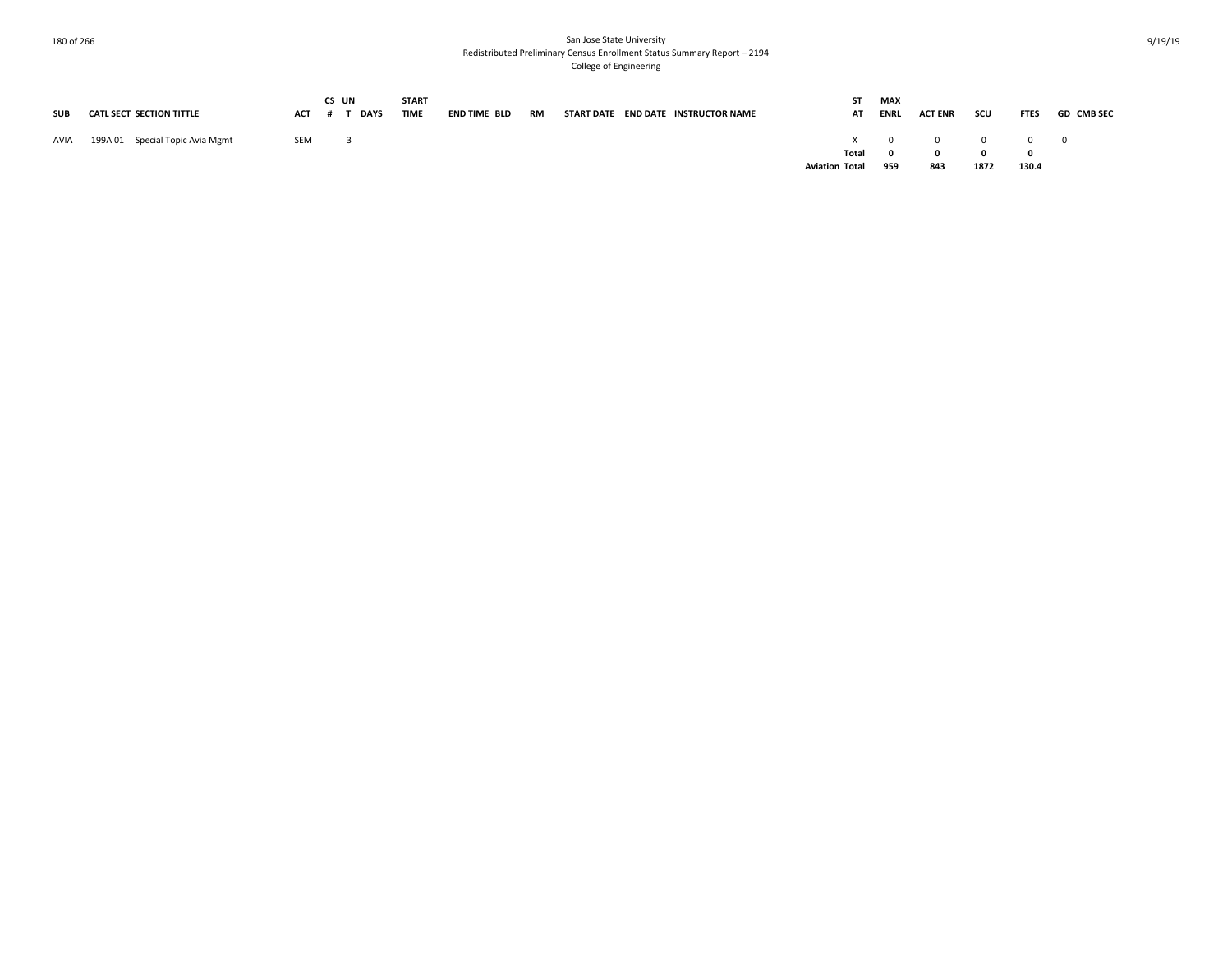|      |                                 |         | CS UN |      | <b>START</b> |              |           |  |                                     | ST                    | MAX         |                |                |             |                   |
|------|---------------------------------|---------|-------|------|--------------|--------------|-----------|--|-------------------------------------|-----------------------|-------------|----------------|----------------|-------------|-------------------|
| SUB  | CATL SECT SECTION TITTLE        | ACT # T |       | DAYS | TIME         | END TIME BLD | <b>RM</b> |  | START DATE END DATE INSTRUCTOR NAME | AT                    | <b>ENRL</b> | <b>ACT ENR</b> | scu            | <b>FTES</b> | <b>GD CMB SEC</b> |
|      |                                 |         |       |      |              |              |           |  |                                     |                       |             |                |                |             |                   |
| AVIA | 199A 01 Special Topic Avia Mgmt | SEM     |       |      |              |              |           |  |                                     |                       |             | $X$ 0 0 0 0 0  |                |             |                   |
|      |                                 |         |       |      |              |              |           |  |                                     |                       | Total 0     | $\mathbf{0}$   | $\overline{0}$ |             |                   |
|      |                                 |         |       |      |              |              |           |  |                                     | <b>Aviation Total</b> | 959         | 843            | 1872           | 130.4       |                   |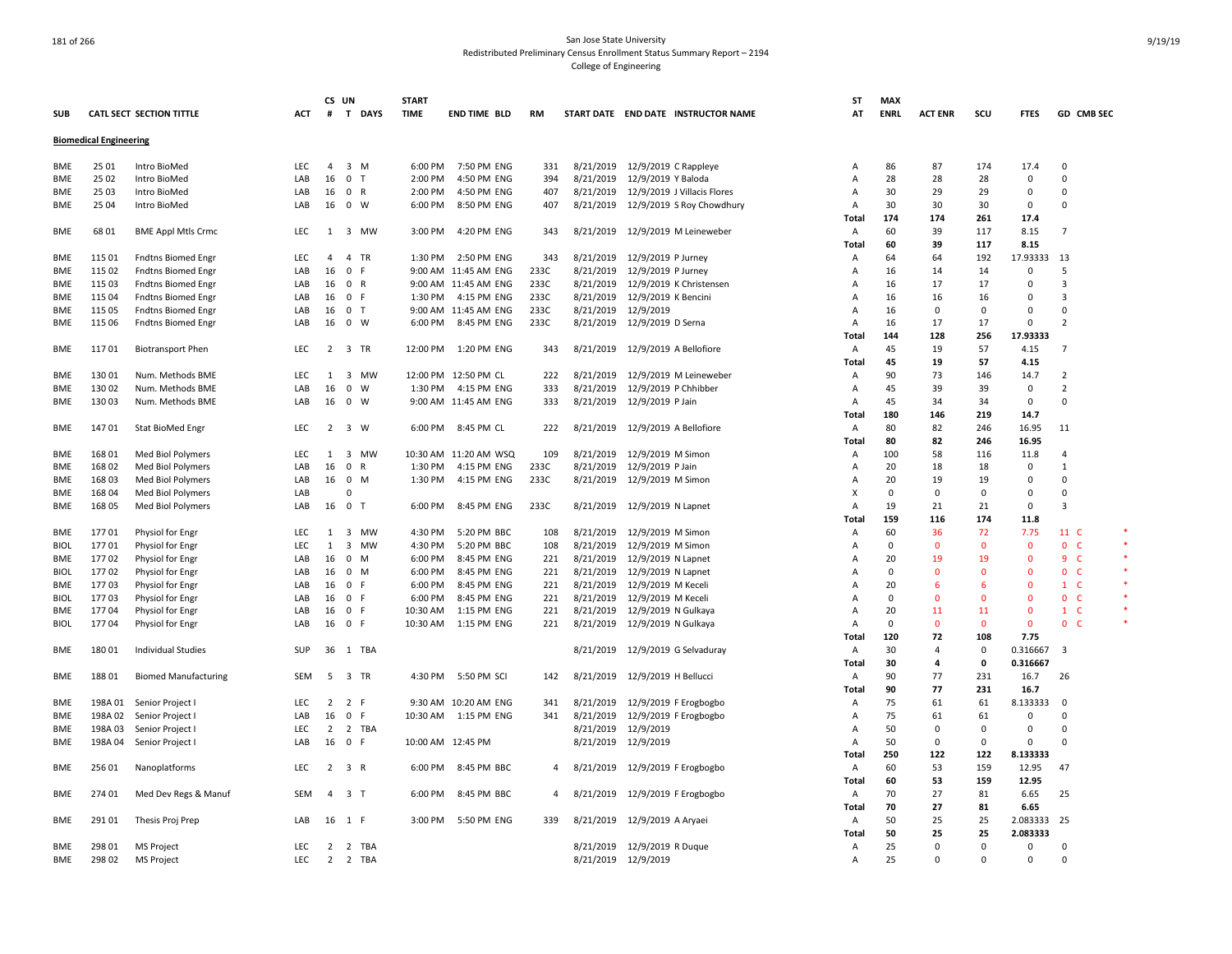|             |                               |                                 |            | CS UN          |                     | <b>START</b> |                       |      |           |                                       | ST           | <b>MAX</b>  |                |              |             |                       |  |
|-------------|-------------------------------|---------------------------------|------------|----------------|---------------------|--------------|-----------------------|------|-----------|---------------------------------------|--------------|-------------|----------------|--------------|-------------|-----------------------|--|
| SUB         |                               | <b>CATL SECT SECTION TITTLE</b> | ACT        | #              | T DAYS              | <b>TIME</b>  | <b>END TIME BLD</b>   | RM   |           | START DATE END DATE INSTRUCTOR NAME   | AT           | <b>ENRL</b> | <b>ACT ENR</b> | scu          | <b>FTES</b> | GD CMB SEC            |  |
|             | <b>Biomedical Engineering</b> |                                 |            |                |                     |              |                       |      |           |                                       |              |             |                |              |             |                       |  |
| <b>BME</b>  | 25 01                         | Intro BioMed                    | LEC        | $\overline{4}$ | $3 \, M$            | 6:00 PM      | 7:50 PM ENG           | 331  |           | 8/21/2019 12/9/2019 C Rappleye        | Α            | 86          | 87             | 174          | 17.4        | $\Omega$              |  |
| <b>BME</b>  | 25 02                         | Intro BioMed                    | LAB        | 16             | 0 <sub>T</sub>      | 2:00 PM      | 4:50 PM ENG           | 394  |           | 8/21/2019 12/9/2019 Y Baloda          | A            | 28          | 28             | 28           | 0           | 0                     |  |
| <b>BME</b>  | 25 03                         | Intro BioMed                    | LAB        | 16             | 0 R                 | 2:00 PM      | 4:50 PM ENG           | 407  |           | 8/21/2019 12/9/2019 J Villacis Flores | Α            | 30          | 29             | 29           | 0           | 0                     |  |
|             | 25 04                         | Intro BioMed                    | LAB        | 16             | 0 W                 | 6:00 PM      | 8:50 PM ENG           | 407  |           | 8/21/2019 12/9/2019 S Roy Chowdhury   | Α            | 30          | 30             | 30           | 0           | 0                     |  |
| BME         |                               |                                 |            |                |                     |              |                       |      |           |                                       |              |             |                |              |             |                       |  |
|             |                               |                                 |            |                |                     |              |                       |      |           |                                       | <b>Total</b> | 174         | 174            | 261          | 17.4        |                       |  |
| BME         | 68 01                         | <b>BME Appl Mtls Crmc</b>       | <b>LEC</b> | 1              | 3 MW                | 3:00 PM      | 4:20 PM ENG           | 343  |           | 8/21/2019 12/9/2019 M Leineweber      | A            | 60          | 39             | 117          | 8.15        | $\overline{7}$        |  |
|             |                               |                                 |            |                |                     |              |                       |      |           |                                       | Total        | 60          | 39             | 117          | 8.15        |                       |  |
| BME         | 115 01                        | <b>Fndtns Biomed Engr</b>       | LEC        | $\overline{a}$ | 4 TR                | 1:30 PM      | 2:50 PM ENG           | 343  |           | 8/21/2019 12/9/2019 P Jurney          | A            | 64          | 64             | 192          | 17.93333    | 13                    |  |
| BME         | 115 02                        | <b>Fndtns Biomed Engr</b>       | LAB        | 16             | 0 F                 |              | 9:00 AM 11:45 AM ENG  | 233C | 8/21/2019 | 12/9/2019 P Jurney                    | Α            | 16          | 14             | 14           | 0           | 5                     |  |
| BME         | 115 03                        | <b>Fndtns Biomed Engr</b>       | LAB        | 16             | 0 R                 |              | 9:00 AM 11:45 AM ENG  | 233C |           | 8/21/2019 12/9/2019 K Christensen     | A            | 16          | 17             | 17           | 0           | 3                     |  |
| BME         | 115 04                        | <b>Fndtns Biomed Engr</b>       | LAB        | 16             | 0 F                 | 1:30 PM      | 4:15 PM ENG           | 233C | 8/21/2019 | 12/9/2019 K Bencini                   | A            | 16          | 16             | 16           | 0           | 3                     |  |
| <b>BME</b>  | 115 05                        | <b>Fndtns Biomed Engr</b>       | LAB        | 16             | 0 <sub>T</sub>      |              | 9:00 AM 11:45 AM ENG  | 233C |           | 8/21/2019 12/9/2019                   | A            | 16          | $\Omega$       | $\Omega$     | $\Omega$    | $\Omega$              |  |
| BME         | 115 06                        | <b>Fndtns Biomed Engr</b>       | LAB        | 16             | 0 W                 | 6:00 PM      | 8:45 PM ENG           | 233C |           | 8/21/2019 12/9/2019 D Serna           | A            | 16          | 17             | 17           | 0           | $\mathcal{P}$         |  |
|             |                               |                                 |            |                |                     |              |                       |      |           |                                       | Total        | 144         | 128            | 256          | 17.93333    |                       |  |
| BME         | 117 01                        | <b>Biotransport Phen</b>        | LEC        | $\overline{2}$ | 3 TR                | 12:00 PM     | 1:20 PM ENG           | 343  |           | 8/21/2019 12/9/2019 A Bellofiore      | Α            | 45          | 19             | 57           | 4.15        | $\overline{7}$        |  |
|             |                               |                                 |            |                |                     |              |                       |      |           |                                       | Total        | 45          | 19             | 57           | 4.15        |                       |  |
| BME         | 13001                         | Num. Methods BME                | LEC        | 1              | 3 MW                |              | 12:00 PM 12:50 PM CL  | 222  |           | 8/21/2019 12/9/2019 M Leineweber      | Α            | 90          | 73             | 146          | 14.7        | $\overline{2}$        |  |
| BME         | 13002                         | Num. Methods BME                | LAB        | 16             | $\mathbf 0$<br>W    | 1:30 PM      | 4:15 PM ENG           | 333  | 8/21/2019 | 12/9/2019 P Chhibber                  | Α            | 45          | 39             | 39           | 0           | $\overline{2}$        |  |
| BME         | 13003                         | Num. Methods BME                | LAB        | 16             | $0 \quad W$         |              | 9:00 AM 11:45 AM ENG  | 333  |           | 8/21/2019 12/9/2019 P Jain            | Α            | 45          | 34             | 34           | $\mathbf 0$ | $\Omega$              |  |
|             |                               |                                 |            |                |                     |              |                       |      |           |                                       | <b>Total</b> | 180         | 146            | 219          | 14.7        |                       |  |
| BME         | 14701                         | Stat BioMed Engr                | LEC        | $\overline{2}$ | 3 W                 | 6:00 PM      | 8:45 PM CL            | 222  |           | 8/21/2019 12/9/2019 A Bellofiore      | Α            | 80          | 82             | 246          | 16.95       | 11                    |  |
|             |                               |                                 |            |                |                     |              |                       |      |           |                                       | Total        | 80          | 82             | 246          | 16.95       |                       |  |
| BME         | 168 01                        | Med Biol Polymers               | LEC        | 1              | 3 MW                |              | 10:30 AM 11:20 AM WSQ | 109  |           | 8/21/2019 12/9/2019 M Simon           | A            | 100         | 58             | 116          | 11.8        | $\overline{4}$        |  |
| BME         | 168 02                        | Med Biol Polymers               | LAB        | 16             | 0 R                 | 1:30 PM      | 4:15 PM ENG           | 233C | 8/21/2019 | 12/9/2019 P Jain                      | A            | 20          | 18             | 18           | 0           | 1                     |  |
| BME         | 16803                         | Med Biol Polymers               | LAB        | 16             | $0$ M               | 1:30 PM      | 4:15 PM ENG           | 233C |           | 8/21/2019 12/9/2019 M Simon           | A            | 20          | 19             | 19           | 0           | $\Omega$              |  |
|             | 16804                         |                                 | LAB        |                | $\Omega$            |              |                       |      |           |                                       | X            | $\Omega$    | $\Omega$       | $\mathbf 0$  | 0           | $\Omega$              |  |
| BME         |                               | Med Biol Polymers               |            |                |                     |              |                       |      |           |                                       |              |             |                |              |             |                       |  |
| BME         | 168 05                        | Med Biol Polymers               | LAB        | 16             | 0 <sub>T</sub>      | 6:00 PM      | 8:45 PM ENG           | 233C |           | 8/21/2019 12/9/2019 N Lapnet          | A            | 19          | 21             | 21           | $\mathsf 0$ | 3                     |  |
|             |                               |                                 |            |                |                     |              |                       |      |           |                                       | Total        | 159         | 116            | 174          | 11.8        |                       |  |
| BME         | 17701                         | Physiol for Engr                | <b>LEC</b> | 1              | 3 MW                | 4:30 PM      | 5:20 PM BBC           | 108  |           | 8/21/2019 12/9/2019 M Simon           | A            | 60          | 36             | 72           | 7.75        | 11 C                  |  |
| <b>BIOL</b> | 17701                         | Physiol for Engr                | LEC        | 1              | 3 MW                | 4:30 PM      | 5:20 PM BBC           | 108  | 8/21/2019 | 12/9/2019 M Simon                     | A            | $\mathbf 0$ | $\Omega$       | $\mathbf{0}$ | $\mathbf 0$ | $\mathbf{0}$<br>-C    |  |
| BME         | 17702                         | Physiol for Engr                | LAB        | 16             | 0 M                 | 6:00 PM      | 8:45 PM ENG           | 221  |           | 8/21/2019 12/9/2019 N Lapnet          | A            | 20          | 19             | 19           | $\Omega$    | 9<br>- C              |  |
| <b>BIOL</b> | 17702                         | Physiol for Engr                | LAB        | 16             | 0 M                 | 6:00 PM      | 8:45 PM ENG           | 221  | 8/21/2019 | 12/9/2019 N Lapnet                    | A            | $\mathbf 0$ | $\Omega$       | $\Omega$     | $\Omega$    | $\overline{0}$<br>- C |  |
| <b>BME</b>  | 17703                         | Physiol for Engr                | LAB        | 16             | 0 F                 | 6:00 PM      | 8:45 PM ENG           | 221  |           | 8/21/2019 12/9/2019 M Keceli          | A            | 20          | 6              | 6            | $\Omega$    | $1\quad$ C            |  |
| <b>BIOL</b> | 17703                         | Physiol for Engr                | LAB        | 16             | 0 F                 | 6:00 PM      | 8:45 PM ENG           | 221  | 8/21/2019 | 12/9/2019 M Keceli                    | A            | 0           | $\mathbf{0}$   | $\mathbf 0$  | $\mathbf 0$ | $\mathbf 0$<br>-C     |  |
| BME         | 17704                         | Physiol for Engr                | LAB        | 16             | 0 F                 | 10:30 AM     | 1:15 PM ENG           | 221  | 8/21/2019 | 12/9/2019 N Gulkaya                   | A            | 20          | 11             | 11           | $\mathbf 0$ | $1\quad C$            |  |
| <b>BIOL</b> | 17704                         | Physiol for Engr                | LAB        |                | 16 0 F              | 10:30 AM     | 1:15 PM ENG           | 221  |           | 8/21/2019 12/9/2019 N Gulkaya         | A            | $\mathbf 0$ | $\Omega$       | $\mathbf{0}$ | $\mathbf 0$ | $\overline{0}$<br>-C  |  |
|             |                               |                                 |            |                |                     |              |                       |      |           |                                       | <b>Total</b> | 120         | 72             | 108          | 7.75        |                       |  |
| BME         | 18001                         | <b>Individual Studies</b>       | SUP        | 36             | 1 TBA               |              |                       |      |           | 8/21/2019 12/9/2019 G Selvaduray      | A            | 30          | $\overline{4}$ | $\mathbf 0$  | 0.316667    | $\overline{3}$        |  |
|             |                               |                                 |            |                |                     |              |                       |      |           |                                       | <b>Total</b> | 30          | 4              | 0            | 0.316667    |                       |  |
| <b>BME</b>  | 18801                         | <b>Biomed Manufacturing</b>     | SEM        |                | 5 3 TR              | 4:30 PM      | 5:50 PM SCI           | 142  |           | 8/21/2019 12/9/2019 H Bellucci        | Α            | 90          | 77             | 231          | 16.7        | 26                    |  |
|             |                               |                                 |            |                |                     |              |                       |      |           |                                       | Total        | 90          | 77             | 231          | 16.7        |                       |  |
| BME         | 198A 01                       | Senior Project                  | LEC        | $\overline{2}$ | 2 F                 |              | 9:30 AM 10:20 AM ENG  | 341  |           | 8/21/2019 12/9/2019 F Erogbogbo       | A            | 75          | 61             | 61           | 8.133333    | $\Omega$              |  |
| BME         | 198A 02                       | Senior Project                  | LAB        | 16             | 0 F                 |              | 10:30 AM  1:15 PM ENG | 341  | 8/21/2019 | 12/9/2019 F Erogbogbo                 | A            | 75          | 61             | 61           | 0           | $\Omega$              |  |
| BME         | 198A 03                       | Senior Project                  | LEC        | $\overline{2}$ | 2 TBA               |              |                       |      |           | 8/21/2019 12/9/2019                   | A            | 50          | $\Omega$       | $\mathbf 0$  | 0           | $\Omega$              |  |
| BME         | 198A 04                       | Senior Project I                | LAB        | 16             | 0 F                 |              | 10:00 AM 12:45 PM     |      |           | 8/21/2019 12/9/2019                   | A            | 50          | $\Omega$       | $\Omega$     | 0           | $\mathbf 0$           |  |
|             |                               |                                 |            |                |                     |              |                       |      |           |                                       | Total        | 250         | 122            | 122          | 8.133333    |                       |  |
| BME         | 256 01                        | Nanoplatforms                   | LEC        |                | $2 \quad 3 \quad R$ | 6:00 PM      | 8:45 PM BBC           | 4    |           | 8/21/2019 12/9/2019 F Erogbogbo       | Α            | 60          | 53             | 159          | 12.95       | 47                    |  |
|             |                               |                                 |            |                |                     |              |                       |      |           |                                       | Total        | 60          | 53             | 159          | 12.95       |                       |  |
|             | 274 01                        |                                 | SEM        | $\overline{4}$ | 3 T                 | 6:00 PM      | 8:45 PM BBC           | 4    |           | 8/21/2019 12/9/2019 F Erogbogbo       | Α            | 70          | 27             | 81           | 6.65        | 25                    |  |
| BME         |                               | Med Dev Regs & Manuf            |            |                |                     |              |                       |      |           |                                       |              | 70          | 27             | 81           |             |                       |  |
|             |                               |                                 |            |                |                     |              |                       |      |           |                                       | Total        |             |                |              | 6.65        |                       |  |
| BME         | 29101                         | Thesis Proj Prep                | LAB        |                | 16 1 F              | 3:00 PM      | 5:50 PM ENG           | 339  |           | 8/21/2019 12/9/2019 A Aryaei          | Α            | 50          | 25             | 25           | 2.083333    | 25                    |  |
|             |                               |                                 |            |                |                     |              |                       |      |           |                                       | Total        | 50          | 25             | 25           | 2.083333    |                       |  |
| BME         | 298 01                        | <b>MS Project</b>               | LEC        | $\overline{2}$ | 2 TBA               |              |                       |      |           | 8/21/2019 12/9/2019 R Duque           | Α            | 25          | 0              | $\Omega$     | 0           | 0                     |  |
| BME         | 298 02                        | <b>MS Project</b>               | <b>LEC</b> | $\overline{2}$ | 2 TBA               |              |                       |      |           | 8/21/2019 12/9/2019                   | Α            | 25          | $\Omega$       | $\Omega$     | $\Omega$    | $\Omega$              |  |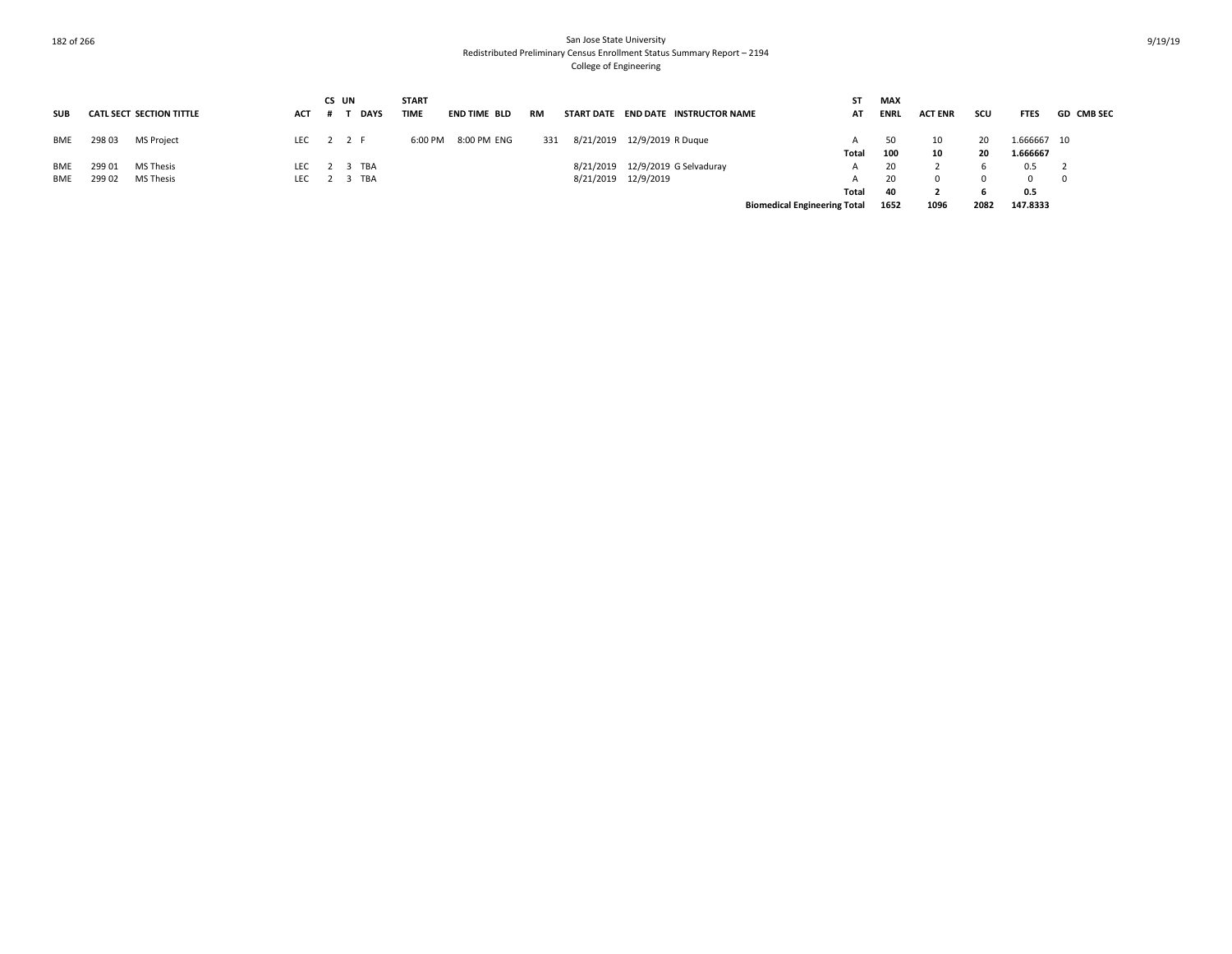|            |        |                                 |            |     | CS UN   | <b>START</b> |                     |     |                   |                                 | SΤ                                  | <b>MAX</b>  |                |      |             |                   |
|------------|--------|---------------------------------|------------|-----|---------|--------------|---------------------|-----|-------------------|---------------------------------|-------------------------------------|-------------|----------------|------|-------------|-------------------|
| <b>SUB</b> |        | <b>CATL SECT SECTION TITTLE</b> | <b>ACT</b> |     | DAYS    | TIME         | <b>END TIME BLD</b> | RM  | <b>START DATE</b> | <b>END DATE INSTRUCTOR NAME</b> | AT                                  | <b>ENRL</b> | <b>ACT ENR</b> | scu  | <b>FTES</b> | <b>GD CMB SEC</b> |
| BME        | 298 03 | MS Project                      | LEC 2 2 F  |     |         | 6:00 PM      | 8:00 PM ENG         | 331 |                   | 8/21/2019 12/9/2019 R Duque     |                                     | 50          | 10             | 20   | 1.666667 10 |                   |
|            |        |                                 |            |     |         |              |                     |     |                   |                                 | Total                               | 100         | 10             | 20   | 1.666667    |                   |
| <b>BME</b> | 299 01 | <b>MS Thesis</b>                | <b>LEC</b> |     | 2 3 TBA |              |                     |     | 8/21/2019         | 12/9/2019 G Selvaduray          | A                                   | 20          |                |      | 0.5         |                   |
| <b>BME</b> | 299 02 | <b>MS Thesis</b>                | LEC        | 2 3 | TBA     |              |                     |     |                   | 8/21/2019 12/9/2019             |                                     | 20          |                |      |             | - 0               |
|            |        |                                 |            |     |         |              |                     |     |                   |                                 | Total                               | 40          |                |      | 0.5         |                   |
|            |        |                                 |            |     |         |              |                     |     |                   |                                 | <b>Biomedical Engineering Total</b> | 1652        | 1096           | 2082 | 147.8333    |                   |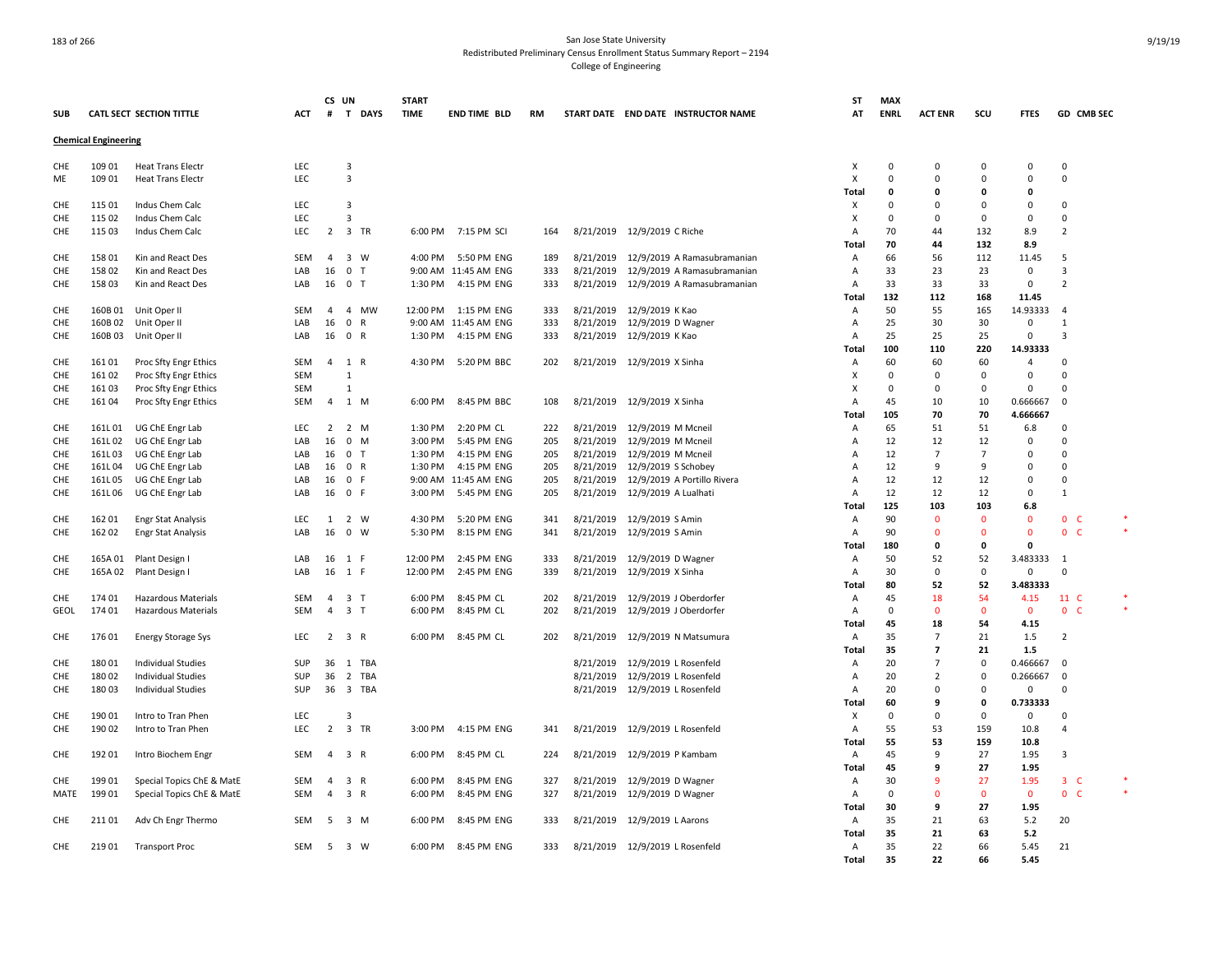|             |                             |                                        |            | CS UN          |                              | <b>START</b> |                      |           |           |                                       | ST                      | <b>MAX</b>    |                |                |               |                      |  |
|-------------|-----------------------------|----------------------------------------|------------|----------------|------------------------------|--------------|----------------------|-----------|-----------|---------------------------------------|-------------------------|---------------|----------------|----------------|---------------|----------------------|--|
| <b>SUB</b>  |                             | CATL SECT SECTION TITTLE               | ACT        | #              | T DAYS                       | <b>TIME</b>  | <b>END TIME BLD</b>  | <b>RM</b> |           | START DATE END DATE INSTRUCTOR NAME   | AT                      | <b>ENRL</b>   | <b>ACT ENR</b> | scu            | <b>FTES</b>   | GD CMB SEC           |  |
|             | <b>Chemical Engineering</b> |                                        |            |                |                              |              |                      |           |           |                                       |                         |               |                |                |               |                      |  |
|             |                             |                                        |            |                |                              |              |                      |           |           |                                       |                         |               |                |                |               |                      |  |
| CHE         | 109 01                      | <b>Heat Trans Electr</b>               | LEC        |                | 3                            |              |                      |           |           |                                       | X                       | 0             | $\mathbf 0$    | 0              | 0             | $\mathbf 0$          |  |
| ME          | 109 01                      | <b>Heat Trans Electr</b>               | LEC        |                | 3                            |              |                      |           |           |                                       | X                       | $\mathbf 0$   | $\Omega$       | $\Omega$       | $\Omega$      | $\mathsf 0$          |  |
|             |                             |                                        |            |                | $\overline{3}$               |              |                      |           |           |                                       | Total                   | 0<br>$\Omega$ | $\mathbf{0}$   | 0<br>$\Omega$  | 0<br>$\Omega$ |                      |  |
| CHE         | 115 01                      | Indus Chem Calc                        | <b>LEC</b> |                |                              |              |                      |           |           |                                       | X                       |               | $\Omega$       |                |               | $\Omega$             |  |
| CHE         | 115 02                      | Indus Chem Calc                        | LEC        |                | $\overline{3}$               |              |                      |           |           |                                       | Х                       | $\mathbf 0$   | $\Omega$       | 0              | 0             | 0                    |  |
| CHE         | 115 03                      | Indus Chem Calc                        | <b>LEC</b> | 2              | 3 TR                         |              | 6:00 PM 7:15 PM SCI  | 164       |           | 8/21/2019 12/9/2019 C Riche           | A                       | 70            | 44             | 132            | 8.9           | $\overline{2}$       |  |
|             | 158 01                      |                                        | <b>SEM</b> | $\overline{a}$ | 3 W                          | 4:00 PM      | 5:50 PM ENG          | 189       |           | 8/21/2019 12/9/2019 A Ramasubramanian | Total<br>$\overline{A}$ | 70<br>66      | 44<br>56       | 132<br>112     | 8.9<br>11.45  | 5                    |  |
| CHE<br>CHE  | 15802                       | Kin and React Des<br>Kin and React Des | LAB        | 16             | 0 <sub>T</sub>               |              | 9:00 AM 11:45 AM ENG | 333       | 8/21/2019 | 12/9/2019 A Ramasubramanian           | Α                       | 33            | 23             | 23             | $\mathsf 0$   | 3                    |  |
|             | 15803                       |                                        | LAB        | 16             | 0 <sub>T</sub>               | 1:30 PM      | 4:15 PM ENG          | 333       |           | 8/21/2019 12/9/2019 A Ramasubramanian | $\overline{A}$          | 33            | 33             | 33             | $\mathsf 0$   | $\overline{2}$       |  |
| CHE         |                             | Kin and React Des                      |            |                |                              |              |                      |           |           |                                       | Total                   | 132           | 112            | 168            | 11.45         |                      |  |
| CHE         | 160B01                      | Unit Oper II                           | <b>SEM</b> | $\overline{4}$ | 4 MW                         | 12:00 PM     | 1:15 PM ENG          | 333       |           | 8/21/2019 12/9/2019 K Kao             | Α                       | 50            | 55             | 165            | 14.93333      | $\overline{4}$       |  |
| CHE         | 160B 02                     | Unit Oper II                           | LAB        | 16             | $^{\circ}$<br>$\overline{R}$ |              | 9:00 AM 11:45 AM ENG | 333       |           | 8/21/2019 12/9/2019 D Wagner          | A                       | 25            | 30             | 30             | 0             | $\mathbf{1}$         |  |
| CHE         | 160B03                      | Unit Oper II                           | LAB        | 16             | 0 R                          | 1:30 PM      | 4:15 PM ENG          | 333       |           | 8/21/2019 12/9/2019 K Kao             | A                       | 25            | 25             | 25             | $\mathsf 0$   | 3                    |  |
|             |                             |                                        |            |                |                              |              |                      |           |           |                                       | Total                   | 100           | 110            | 220            | 14.93333      |                      |  |
| CHE         | 161 01                      | Proc Sfty Engr Ethics                  | SEM        | 4              | 1 R                          | 4:30 PM      | 5:20 PM BBC          | 202       |           | 8/21/2019 12/9/2019 X Sinha           | Α                       | 60            | 60             | 60             | 4             | 0                    |  |
| CHE         | 16102                       | Proc Sfty Engr Ethics                  | <b>SEM</b> |                | $\mathbf{1}$                 |              |                      |           |           |                                       | x                       | $\mathbf 0$   | $\Omega$       | $\mathbf 0$    | $\Omega$      | $\Omega$             |  |
| CHE         | 16103                       | Proc Sfty Engr Ethics                  | <b>SEM</b> |                | 1                            |              |                      |           |           |                                       | X                       | $\mathbf 0$   | $\Omega$       | $\Omega$       | $\Omega$      | $\Omega$             |  |
| CHE         | 16104                       | Proc Sfty Engr Ethics                  | SEM        | $\overline{4}$ | 1 M                          | 6:00 PM      | 8:45 PM BBC          | 108       |           | 8/21/2019 12/9/2019 X Sinha           | A                       | 45            | 10             | 10             | 0.666667      | $\Omega$             |  |
|             |                             |                                        |            |                |                              |              |                      |           |           |                                       | <b>Total</b>            | 105           | 70             | 70             | 4.666667      |                      |  |
| CHE         | 161L01                      | UG ChE Engr Lab                        | <b>LEC</b> | $\overline{2}$ | 2 M                          | 1:30 PM      | 2:20 PM CL           | 222       |           | 8/21/2019 12/9/2019 M Mcneil          | A                       | 65            | 51             | 51             | 6.8           | $\mathbf 0$          |  |
| CHE         | 161L02                      | UG ChE Engr Lab                        | LAB        | 16             | $0 \quad M$                  | 3:00 PM      | 5:45 PM ENG          | 205       | 8/21/2019 | 12/9/2019 M Mcneil                    | A                       | 12            | 12             | 12             | 0             | $\Omega$             |  |
| CHE         | 161L03                      | UG ChE Engr Lab                        | LAB        | 16             | 0 <sub>T</sub>               | 1:30 PM      | 4:15 PM ENG          | 205       |           | 8/21/2019 12/9/2019 M Mcneil          | A                       | 12            | $\overline{7}$ | $\overline{7}$ | $\Omega$      | $\Omega$             |  |
| CHE         | 161L04                      | UG ChE Engr Lab                        | LAB        | 16             | 0 R                          | 1:30 PM      | 4:15 PM ENG          | 205       | 8/21/2019 | 12/9/2019 S Schobey                   | A                       | 12            | q              | q              | $\Omega$      | $\Omega$             |  |
| CHE         | 161L05                      | UG ChE Engr Lab                        | LAB        | 16             | 0 F                          |              | 9:00 AM 11:45 AM ENG | 205       |           | 8/21/2019 12/9/2019 A Portillo Rivera | A                       | 12            | 12             | 12             | 0             | $\Omega$             |  |
| CHE         | 161L06                      | UG ChE Engr Lab                        | LAB        | 16             | 0 F                          | 3:00 PM      | 5:45 PM ENG          | 205       | 8/21/2019 | 12/9/2019 A Lualhati                  | A                       | 12            | 12             | 12             | 0             | 1                    |  |
|             |                             |                                        |            |                |                              |              |                      |           |           |                                       | Total                   | 125           | 103            | 103            | 6.8           |                      |  |
| CHE         | 162 01                      | <b>Engr Stat Analysis</b>              | <b>LEC</b> | 1              | 2 W                          | 4:30 PM      | 5:20 PM ENG          | 341       |           | 8/21/2019 12/9/2019 S Amin            | Α                       | 90            | $\Omega$       | $\mathbf{0}$   | $\mathbf 0$   | 0 <sub>c</sub>       |  |
| CHE         | 162 02                      | <b>Engr Stat Analysis</b>              | LAB        | 16             | $0 \quad W$                  | 5:30 PM      | 8:15 PM ENG          | 341       |           | 8/21/2019 12/9/2019 S Amin            | A                       | 90            | $\Omega$       | $\Omega$       | $\Omega$      | 0 <sub>c</sub>       |  |
|             |                             |                                        |            |                |                              |              |                      |           |           |                                       | Total                   | 180           | 0              | 0              | 0             |                      |  |
| CHE         | 165A 01                     | Plant Design I                         | LAB        | 16             | 1 F                          | 12:00 PM     | 2:45 PM ENG          | 333       |           | 8/21/2019 12/9/2019 D Wagner          | A                       | 50            | 52             | 52             | 3.483333      | -1                   |  |
| CHE         | 165A 02                     | Plant Design I                         | LAB        | 16             | 1 F                          | 12:00 PM     | 2:45 PM ENG          | 339       |           | 8/21/2019 12/9/2019 X Sinha           | Α                       | 30            | $\Omega$       | $\mathbf 0$    | $\Omega$      | $\Omega$             |  |
|             |                             |                                        |            |                |                              |              |                      |           |           |                                       | Total                   | 80            | 52             | 52             | 3.483333      |                      |  |
| CHE         | 174 01                      | Hazardous Materials                    | SEM        | $\overline{4}$ | 3 <sub>T</sub>               | 6:00 PM      | 8:45 PM CL           | 202       | 8/21/2019 | 12/9/2019 J Oberdorfer                | A                       | 45            | 18             | 54             | 4.15          | 11 C                 |  |
| <b>GEOL</b> | 174 01                      | <b>Hazardous Materials</b>             | SEM        | $\overline{4}$ | 3 <sub>T</sub>               | 6:00 PM      | 8:45 PM CL           | 202       | 8/21/2019 | 12/9/2019 J Oberdorfer                | Α                       | $\mathbf 0$   | $\Omega$       | $\mathbf{0}$   | $\mathbf{0}$  | $\mathbf{0}$<br>-C   |  |
|             |                             |                                        |            |                |                              |              |                      |           |           |                                       | Total                   | 45            | 18             | 54             | 4.15          |                      |  |
| CHE         | 17601                       | <b>Energy Storage Sys</b>              | <b>LEC</b> | 2              | 3 R                          | 6:00 PM      | 8:45 PM CL           | 202       |           | 8/21/2019 12/9/2019 N Matsumura       | $\overline{A}$          | 35            | $\overline{7}$ | 21             | 1.5           | 2                    |  |
|             |                             |                                        |            |                |                              |              |                      |           |           |                                       | <b>Total</b>            | 35            | $\overline{7}$ | 21             | 1.5           |                      |  |
| CHE         | 180 01                      | <b>Individual Studies</b>              | SUP        | 36             | 1 TBA                        |              |                      |           |           | 8/21/2019 12/9/2019 L Rosenfeld       | Α                       | 20            | $\overline{7}$ | 0              | 0.466667      | $\mathbf 0$          |  |
| CHE         | 180 02                      | <b>Individual Studies</b>              | SUP        | 36             | 2 TBA                        |              |                      |           |           | 8/21/2019 12/9/2019 L Rosenfeld       | Α                       | 20            | $\overline{2}$ | $\mathbf 0$    | 0.266667      | $\Omega$             |  |
| CHE         | 18003                       | <b>Individual Studies</b>              | SUP        | 36             | 3 TBA                        |              |                      |           |           | 8/21/2019 12/9/2019 L Rosenfeld       | $\overline{A}$          | 20            | $\Omega$       | $\mathbf 0$    | $\Omega$      | $\Omega$             |  |
|             |                             |                                        |            |                |                              |              |                      |           |           |                                       | <b>Total</b>            | 60            | 9              | 0              | 0.733333      |                      |  |
| CHE         | 190 01                      | Intro to Tran Phen                     | LEC        |                | 3                            |              |                      |           |           |                                       | X                       | $\Omega$      | $\Omega$       | $\Omega$       | $\mathsf 0$   | $\Omega$             |  |
| CHE         | 190 02                      | Intro to Tran Phen                     | LEC        |                | 2 3 TR                       |              | 3:00 PM 4:15 PM ENG  | 341       |           | 8/21/2019 12/9/2019 L Rosenfeld       | A                       | 55            | 53             | 159            | 10.8          | $\overline{a}$       |  |
|             |                             |                                        |            |                |                              |              |                      |           |           |                                       | Total                   | 55            | 53             | 159            | 10.8          |                      |  |
| CHE         | 192 01                      | Intro Biochem Engr                     | SEM        | $\overline{4}$ | 3 R                          | 6:00 PM      | 8:45 PM CL           | 224       |           | 8/21/2019 12/9/2019 P Kambam          | A                       | 45            | 9              | 27             | 1.95          | 3                    |  |
|             |                             |                                        |            |                |                              |              |                      |           |           |                                       | Total                   | 45            | 9              | 27             | 1.95          |                      |  |
| CHE         | 19901                       | Special Topics ChE & MatE              | SEM        | $\overline{4}$ | 3 R                          | 6:00 PM      | 8:45 PM ENG          | 327       |           | 8/21/2019 12/9/2019 D Wagner          | Α                       | 30            | $\mathbf{q}$   | 27             | 1.95          | 3 <sup>c</sup>       |  |
| MATE        | 199 01                      | Special Topics ChE & MatE              | SEM        | $\overline{4}$ | 3 R                          | 6:00 PM      | 8:45 PM ENG          | 327       |           | 8/21/2019 12/9/2019 D Wagner          | Α                       | $\Omega$      | $\mathbf 0$    | $\mathbf 0$    | $\mathbf 0$   | $\overline{0}$<br>-C |  |
|             |                             |                                        |            |                |                              |              |                      |           |           |                                       | Total                   | 30            | 9              | 27             | 1.95          |                      |  |
| CHE         | 21101                       | Adv Ch Engr Thermo                     | SEM        | -5             | 3 M                          | 6:00 PM      | 8:45 PM ENG          | 333       |           | 8/21/2019 12/9/2019 L Aarons          | A                       | 35            | 21             | 63             | 5.2           | 20                   |  |
|             |                             |                                        |            |                |                              |              |                      |           |           |                                       | Total<br>$\overline{A}$ | 35            | 21             | 63             | 5.2           |                      |  |
| CHE         | 21901                       | <b>Transport Proc</b>                  | SEM        | 5              | 3 W                          | 6:00 PM      | 8:45 PM ENG          | 333       |           | 8/21/2019 12/9/2019 L Rosenfeld       | Total                   | 35<br>35      | 22<br>22       | 66<br>66       | 5.45<br>5.45  | 21                   |  |
|             |                             |                                        |            |                |                              |              |                      |           |           |                                       |                         |               |                |                |               |                      |  |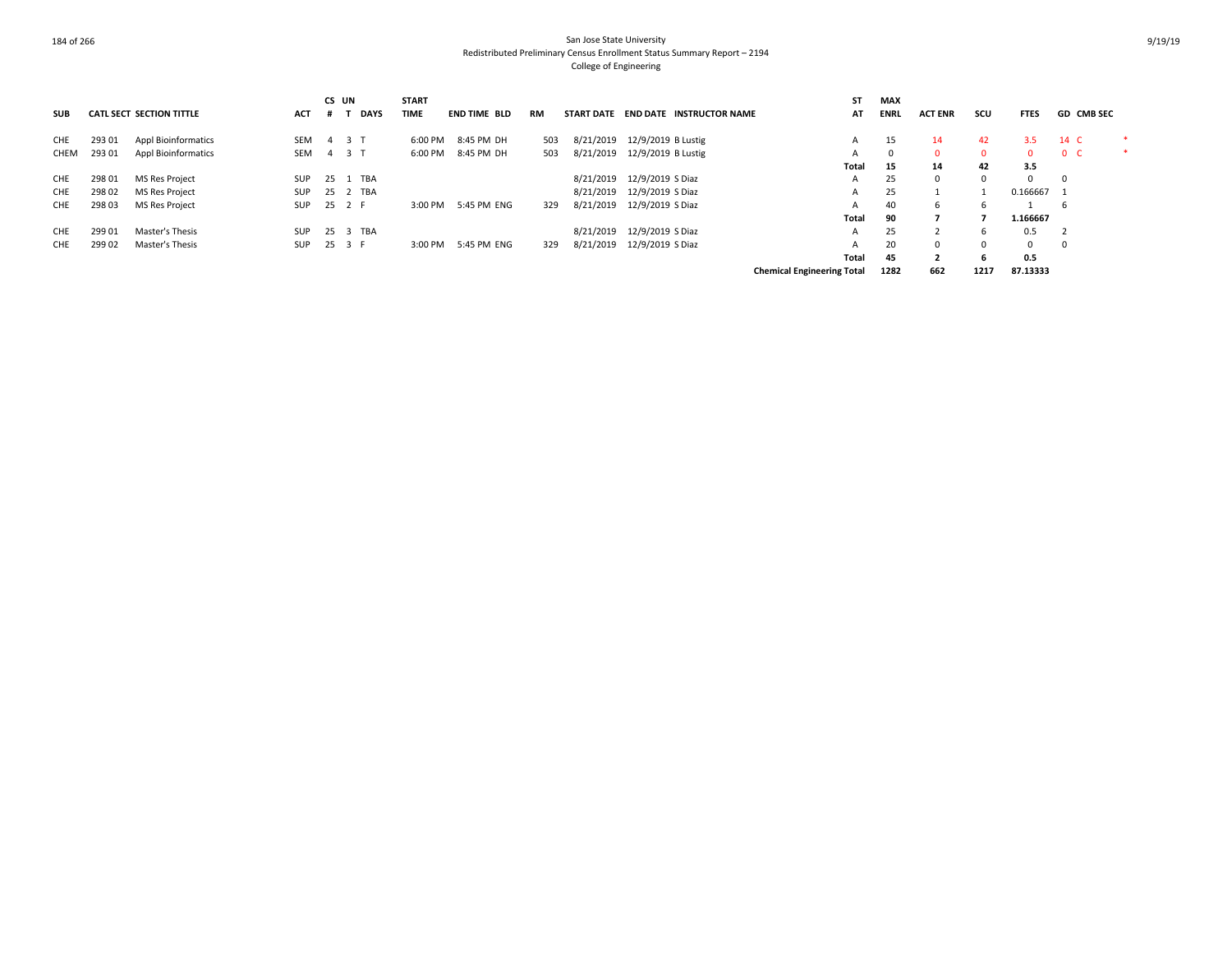|            |        |                                 |            | CS UN |             | <b>START</b> |                     |     |           |                                     | <b>ST</b>                         | <b>MAX</b>  |                |              |             |                   |   |
|------------|--------|---------------------------------|------------|-------|-------------|--------------|---------------------|-----|-----------|-------------------------------------|-----------------------------------|-------------|----------------|--------------|-------------|-------------------|---|
| <b>SUB</b> |        | <b>CATL SECT SECTION TITTLE</b> | <b>ACT</b> |       | <b>DAYS</b> | <b>TIME</b>  | <b>END TIME BLD</b> | RM  |           | START DATE END DATE INSTRUCTOR NAME | AT                                | <b>ENRL</b> | <b>ACT ENR</b> | scu          | <b>FTES</b> | <b>GD CMB SEC</b> |   |
| CHE        | 293 01 | <b>Appl Bioinformatics</b>      | SEM        |       | 4 3 T       | 6:00 PM      | 8:45 PM DH          | 503 | 8/21/2019 | 12/9/2019 B Lustig                  | А                                 | 15          | 14             | 42           | 3.5         | 14 C              | ∗ |
| CHEM       | 293 01 | <b>Appl Bioinformatics</b>      | SEM        |       | 4 3 T       |              | 6:00 PM 8:45 PM DH  | 503 | 8/21/2019 | 12/9/2019 B Lustig                  | $\mathbf{A}$                      |             | $\Omega$       | $\mathbf{0}$ | $\Omega$    | 0 <sup>o</sup>    | ∗ |
|            |        |                                 |            |       |             |              |                     |     |           |                                     | Total                             | 15          | 14             | 42           | 3.5         |                   |   |
| CHE        | 298 01 | <b>MS Res Project</b>           | SUP        |       | 25 1 TBA    |              |                     |     | 8/21/2019 | 12/9/2019 S Diaz                    | A                                 | 25          | $\Omega$       |              | $\Omega$    | $^{\circ}$        |   |
| CHE        | 298 02 | <b>MS Res Project</b>           | SUP        |       | 25 2 TBA    |              |                     |     |           | 8/21/2019 12/9/2019 S Diaz          | A                                 | 25          |                |              | 0.166667 1  |                   |   |
| CHE        | 298 03 | <b>MS Res Project</b>           | SUP        |       | 25 2 F      | 3:00 PM      | 5:45 PM ENG         | 329 |           | 8/21/2019 12/9/2019 S Diaz          | $\mathbf{A}$                      | 40          | 6              | b            |             | 6                 |   |
|            |        |                                 |            |       |             |              |                     |     |           |                                     | Total                             | 90          |                |              | 1.166667    |                   |   |
| CHE        | 299 01 | Master's Thesis                 | SUP        |       | 25 3 TBA    |              |                     |     |           | 8/21/2019 12/9/2019 S Diaz          | A                                 | 25          |                | 6            | 0.5         |                   |   |
| <b>CHE</b> | 299 02 | Master's Thesis                 | SUP        |       | 25 3 F      | 3:00 PM      | 5:45 PM ENG         | 329 | 8/21/2019 | 12/9/2019 S Diaz                    | $\overline{A}$                    | 20          | $\mathbf{0}$   |              | 0           | 0                 |   |
|            |        |                                 |            |       |             |              |                     |     |           |                                     | Total                             | 45          | $\mathbf{2}$   | 6            | 0.5         |                   |   |
|            |        |                                 |            |       |             |              |                     |     |           |                                     | <b>Chemical Engineering Total</b> | 1282        | 662            | 1217         | 87.13333    |                   |   |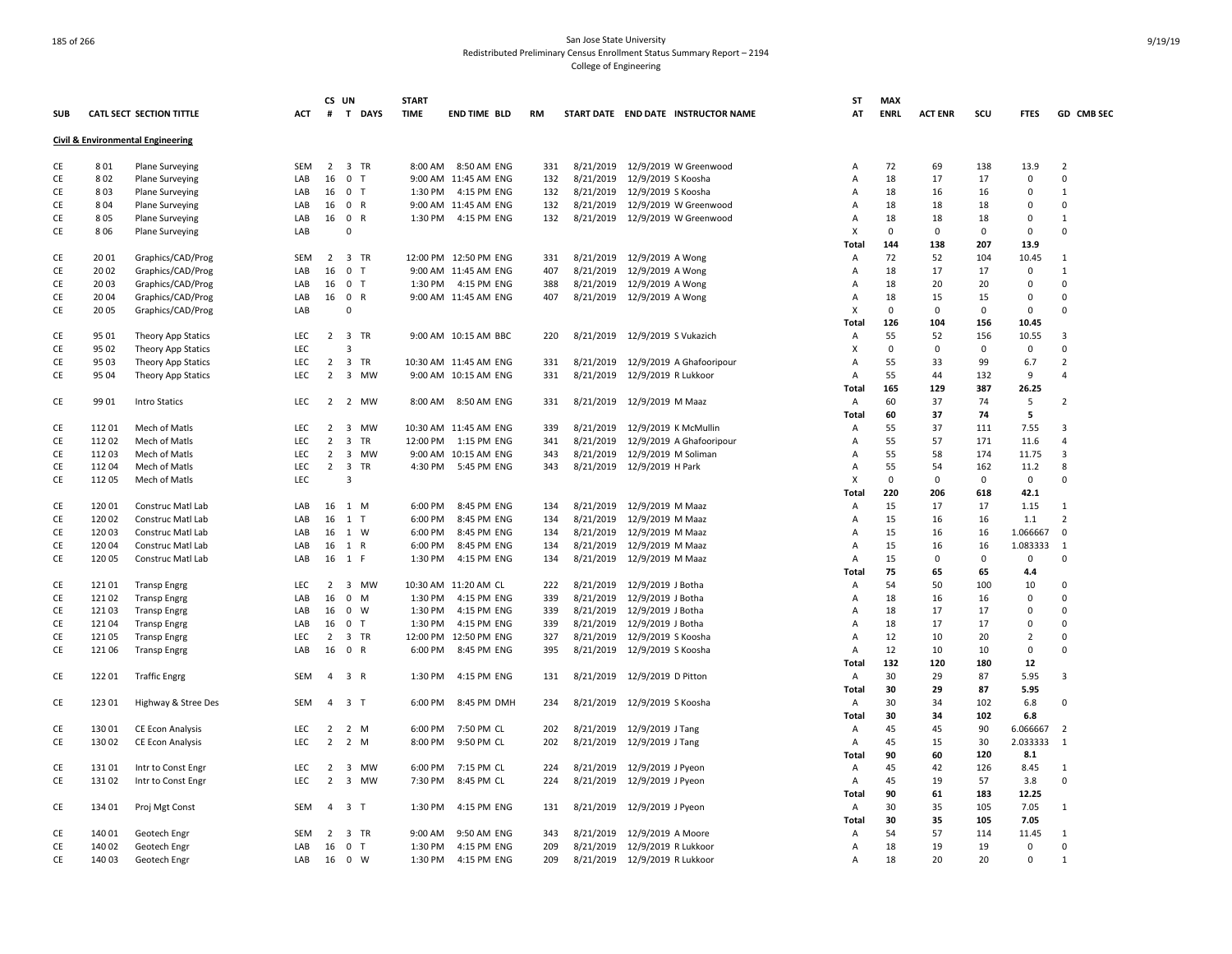|               |        |                                              |            | CS UN          |                                | <b>START</b> |                          |     |           |                                     | ST           | <b>MAX</b>  |                |             |                |                |
|---------------|--------|----------------------------------------------|------------|----------------|--------------------------------|--------------|--------------------------|-----|-----------|-------------------------------------|--------------|-------------|----------------|-------------|----------------|----------------|
| <b>SUB</b>    |        | <b>CATL SECT SECTION TITTLE</b>              | <b>ACT</b> | #              | T DAYS                         | <b>TIME</b>  | <b>END TIME BLD</b>      | RM  |           | START DATE END DATE INSTRUCTOR NAME | AT           | <b>ENRL</b> | <b>ACT ENR</b> | scu         | <b>FTES</b>    | GD CMB SEC     |
|               |        | <b>Civil &amp; Environmental Engineering</b> |            |                |                                |              |                          |     |           |                                     |              |             |                |             |                |                |
| CE            | 801    | Plane Surveying                              | SEM        | $\overline{2}$ | 3 TR                           | 8:00 AM      | 8:50 AM ENG              | 331 | 8/21/2019 | 12/9/2019 W Greenwood               | Α            | 72          | 69             | 138         | 13.9           | $\overline{2}$ |
| CE            | 802    | <b>Plane Surveying</b>                       | LAB        | 16             | 0 <sub>T</sub>                 |              | 9:00 AM 11:45 AM ENG     | 132 | 8/21/2019 | 12/9/2019 S Koosha                  | A            | 18          | 17             | 17          | 0              | 0              |
| CE            | 803    | <b>Plane Surveying</b>                       | LAB        | 16             | 0 <sub>T</sub>                 | 1:30 PM      | 4:15 PM ENG              | 132 | 8/21/2019 | 12/9/2019 S Koosha                  | A            | 18          | 16             | 16          | $\Omega$       | $\mathbf{1}$   |
| CE            | 804    | <b>Plane Surveying</b>                       | LAB        | 16             | 0 R                            |              | 9:00 AM 11:45 AM ENG     | 132 | 8/21/2019 | 12/9/2019 W Greenwood               | A            | 18          | 18             | 18          | $\mathbf 0$    | 0              |
| CE            | 805    | <b>Plane Surveying</b>                       | LAB        | 16             | 0 R                            | 1:30 PM      | 4:15 PM ENG              | 132 |           | 8/21/2019 12/9/2019 W Greenwood     | Α            | 18          | 18             | 18          | $\mathbf 0$    | $\mathbf{1}$   |
| CE            | 806    | <b>Plane Surveying</b>                       | LAB        |                | 0                              |              |                          |     |           |                                     | X            | $\mathbf 0$ | 0              | $\mathbf 0$ | 0              | 0              |
|               |        |                                              |            |                |                                |              |                          |     |           |                                     | Total        | 144         | 138            | 207         | 13.9           |                |
| CE            | 2001   | Graphics/CAD/Prog                            | SEM        | 2              | 3 TR                           |              | 12:00 PM 12:50 PM ENG    | 331 | 8/21/2019 | 12/9/2019 A Wong                    | Α            | 72          | 52             | 104         | 10.45          | $\mathbf{1}$   |
| CE            | 20 02  | Graphics/CAD/Prog                            | LAB        | 16             | $\mathbf{0}$<br>$\mathsf{T}$   |              | 9:00 AM 11:45 AM ENG     | 407 | 8/21/2019 | 12/9/2019 A Wong                    | Α            | 18          | 17             | 17          | $\mathbf 0$    | $\mathbf{1}$   |
| CE            | 20 03  | Graphics/CAD/Prog                            | LAB        | 16             | $0$ T                          |              | 1:30 PM 4:15 PM ENG      | 388 |           | 8/21/2019 12/9/2019 A Wong          | Α            | 18          | 20             | 20          | $\mathsf 0$    | $\mathbf 0$    |
| CE            | 20 04  | Graphics/CAD/Prog                            | LAB        |                | 16 0 R                         |              | 9:00 AM 11:45 AM ENG     | 407 |           | 8/21/2019 12/9/2019 A Wong          | Α            | 18          | 15             | 15          | $\mathbf 0$    | $\Omega$       |
| CE            | 20 05  | Graphics/CAD/Prog                            | LAB        |                | $\mathbf 0$                    |              |                          |     |           |                                     | X            | $\Omega$    | 0              | $\Omega$    | $\mathbf 0$    | $\Omega$       |
|               |        |                                              |            |                |                                |              |                          |     |           |                                     | Total        | 126         | 104            | 156         | 10.45          |                |
| CE            | 95 01  | Theory App Statics                           | <b>LEC</b> |                | 2 3 TR                         |              | 9:00 AM 10:15 AM BBC     | 220 |           | 8/21/2019 12/9/2019 S Vukazich      | Α            | 55          | 52             | 156         | 10.55          | 3              |
| CE            | 95 02  | Theory App Statics                           | <b>LEC</b> |                | 3                              |              |                          |     |           |                                     | х            | 0           | $\mathbf 0$    | $\Omega$    | $\mathbf 0$    | 0              |
| CE            | 95 03  | Theory App Statics                           | <b>LEC</b> | $\overline{2}$ | 3 TR                           |              | 10:30 AM 11:45 AM ENG    | 331 | 8/21/2019 | 12/9/2019 A Ghafooripour            | Α            | 55          | 33             | 99          | 6.7            | 2              |
| CE            | 95 04  | Theory App Statics                           | LEC        | $\overline{2}$ | 3 MW                           |              | 9:00 AM 10:15 AM ENG     | 331 |           | 8/21/2019 12/9/2019 R Lukkoor       | Α            | 55          | 44             | 132         | 9              | $\Delta$       |
|               |        |                                              |            |                |                                |              |                          |     |           |                                     | <b>Total</b> | 165         | 129            | 387         | 26.25          |                |
| CE            | 99 01  | Intro Statics                                | LEC        | $\overline{2}$ | 2 MW                           |              | 8:00 AM 8:50 AM ENG      | 331 |           | 8/21/2019 12/9/2019 M Maaz          | Α            | 60          | 37             | 74          | 5              | $\overline{2}$ |
|               |        |                                              |            |                |                                |              |                          |     |           |                                     | Total        | 60          | 37             | 74          | 5              |                |
| CE            | 11201  | Mech of Matls                                | LEC        | $\overline{2}$ | 3 MW                           |              | 10:30 AM 11:45 AM ENG    | 339 | 8/21/2019 | 12/9/2019 K McMullin                | Α            | 55          | 37             | 111         | 7.55           | 3              |
| CE            | 11202  | Mech of Matls                                | <b>LEC</b> | $\overline{2}$ | 3 TR                           |              | 12:00 PM   1:15 PM   ENG | 341 | 8/21/2019 | 12/9/2019 A Ghafooripour            | A            | 55          | 57             | 171         | 11.6           | $\overline{4}$ |
| CE            | 112 03 | Mech of Matls                                | LEC        | $\overline{2}$ | 3 MW                           |              | 9:00 AM 10:15 AM ENG     | 343 | 8/21/2019 | 12/9/2019 M Soliman                 | Α            | 55          | 58             | 174         | 11.75          | 3              |
| $\mathsf{CE}$ | 11204  | Mech of Matls                                | LEC        | $\overline{2}$ | 3 TR                           | 4:30 PM      | 5:45 PM ENG              | 343 |           | 8/21/2019 12/9/2019 H Park          | Α            | 55          | 54             | 162         | 11.2           | 8              |
| CE            | 11205  | Mech of Matls                                | LEC        |                | 3                              |              |                          |     |           |                                     | X            | $\mathbf 0$ | 0              | $\mathbf 0$ | 0              | 0              |
|               |        |                                              |            |                |                                |              |                          |     |           |                                     | Total        | 220         | 206            | 618         | 42.1           |                |
| CE            | 12001  | Construc Matl Lab                            | LAB        | 16             | 1 M                            | 6:00 PM      | 8:45 PM ENG              | 134 | 8/21/2019 | 12/9/2019 M Maaz                    | Α            | 15          | 17             | 17          | 1.15           | $\mathbf{1}$   |
| CE            | 120 02 | Construc Matl Lab                            | LAB        |                | 16 1 T                         | 6:00 PM      | 8:45 PM ENG              | 134 | 8/21/2019 | 12/9/2019 M Maaz                    | Α            | 15          | 16             | 16          | 1.1            | $\overline{2}$ |
| CE            | 12003  | Construc Matl Lab                            | LAB        |                | 16 1 W                         | 6:00 PM      | 8:45 PM ENG              | 134 | 8/21/2019 | 12/9/2019 M Maaz                    | Α            | 15          | 16             | 16          | 1.066667       | 0              |
| CE            | 120 04 | Construc Matl Lab                            | LAB        | 16             | 1 R                            | 6:00 PM      | 8:45 PM ENG              | 134 | 8/21/2019 | 12/9/2019 M Maaz                    | Α            | 15          | 16             | 16          | 1.083333       | $\mathbf{1}$   |
| CE            | 12005  | Construc Matl Lab                            | LAB        |                | 16 1 F                         | 1:30 PM      | 4:15 PM ENG              | 134 | 8/21/2019 | 12/9/2019 M Maaz                    | Α            | 15          | 0              | $\Omega$    | $\mathbf 0$    | 0              |
|               |        |                                              |            |                |                                |              |                          |     |           |                                     | <b>Total</b> | 75          | 65             | 65          | 4.4            |                |
| CE            | 12101  | <b>Transp Engrg</b>                          | <b>LEC</b> | $\overline{2}$ | 3 MW                           |              | 10:30 AM 11:20 AM CL     | 222 | 8/21/2019 | 12/9/2019 J Botha                   | Α            | 54          | 50             | 100         | 10             | 0              |
| CE            | 121 02 | <b>Transp Engrg</b>                          | LAB        | 16             | 0 M                            | 1:30 PM      | 4:15 PM ENG              | 339 | 8/21/2019 | 12/9/2019 J Botha                   | Α            | 18          | 16             | 16          | $\Omega$       | $\Omega$       |
| CE            | 12103  | <b>Transp Engrg</b>                          | LAB        | 16             | 0 W                            | 1:30 PM      | 4:15 PM ENG              | 339 | 8/21/2019 | 12/9/2019 J Botha                   | Α            | 18          | 17             | 17          | $\mathbf 0$    | $\Omega$       |
| CE            | 12104  | <b>Transp Engrg</b>                          | LAB        | 16             | 0 <sub>T</sub>                 | 1:30 PM      | 4:15 PM ENG              | 339 | 8/21/2019 | 12/9/2019 J Botha                   | Α            | 18          | 17             | 17          | $\mathbf 0$    | $\Omega$       |
| CE            | 12105  | <b>Transp Engrg</b>                          | <b>LEC</b> | $\overline{2}$ | 3 TR                           |              | 12:00 PM 12:50 PM ENG    | 327 |           | 8/21/2019 12/9/2019 S Koosha        | A            | 12          | 10             | 20          | $\overline{2}$ | $\Omega$       |
| CE            | 12106  | <b>Transp Engrg</b>                          | LAB        | 16             | $\overline{0}$<br>$\mathsf{R}$ | 6:00 PM      | 8:45 PM ENG              | 395 | 8/21/2019 | 12/9/2019 S Koosha                  | Α            | 12          | 10             | 10          | $\mathbf 0$    | $\Omega$       |
|               |        |                                              |            |                |                                |              |                          |     |           |                                     | Total        | 132         | 120            | 180         | 12             |                |
| CE            | 122 01 | <b>Traffic Engrg</b>                         | SEM        | $\overline{4}$ | 3 R                            | 1:30 PM      | 4:15 PM ENG              | 131 |           | 8/21/2019 12/9/2019 D Pitton        | Α            | 30          | 29             | 87          | 5.95           | 3              |
|               |        |                                              |            |                |                                |              |                          |     |           |                                     | <b>Total</b> | 30          | 29             | 87          | 5.95           |                |
| CE            | 123 01 | Highway & Stree Des                          | SEM        | $\overline{4}$ | 3 <sub>T</sub>                 | 6:00 PM      | 8:45 PM DMH              | 234 |           | 8/21/2019 12/9/2019 S Koosha        | Α            | 30          | 34             | 102         | 6.8            | 0              |
|               |        |                                              |            |                |                                |              |                          |     |           |                                     | Total        | 30          | 34             | 102         | 6.8            |                |
| CE            | 130 01 | <b>CE Econ Analysis</b>                      | <b>LEC</b> | $\overline{2}$ | 2 M                            | 6:00 PM      | 7:50 PM CL               | 202 |           | 8/21/2019 12/9/2019 J Tang          | Α            | 45          | 45             | 90          | 6.066667       | $\overline{2}$ |
| CE            | 130 02 | CE Econ Analysis                             | LEC        | $\overline{2}$ | 2 M                            | 8:00 PM      | 9:50 PM CL               | 202 |           | 8/21/2019 12/9/2019 J Tang          | Α            | 45          | 15             | 30          | 2.033333       | $\overline{1}$ |
|               |        |                                              |            |                |                                |              |                          |     |           |                                     | Total        | 90          | 60             | 120         | 8.1            |                |
| CE            | 13101  | Intr to Const Engr                           | LEC        | $\overline{2}$ | 3 MW                           | 6:00 PM      | 7:15 PM CL               | 224 |           | 8/21/2019 12/9/2019 J Pyeon         | Α            | 45          | 42             | 126         | 8.45           | $\mathbf{1}$   |
| CE            | 13102  | Intr to Const Engr                           | LEC        | 2              | 3 MW                           | 7:30 PM      | 8:45 PM CL               | 224 | 8/21/2019 | 12/9/2019 J Pyeon                   | Α            | 45          | 19             | 57          | 3.8            | 0              |
|               |        |                                              |            |                |                                |              |                          |     |           |                                     | Total        | 90          | 61             | 183         | 12.25          |                |
| CE            | 134 01 | Proj Mgt Const                               | SEM        | $\overline{4}$ | 3 <sub>T</sub>                 | 1:30 PM      | 4:15 PM ENG              | 131 |           | 8/21/2019 12/9/2019 J Pyeon         | Α            | 30          | 35             | 105         | 7.05           | $\mathbf{1}$   |
|               |        |                                              |            |                |                                |              |                          |     |           |                                     | <b>Total</b> | 30          | 35             | 105         | 7.05           |                |
| CE            | 140 01 | Geotech Engr                                 | SEM        | $\overline{2}$ | 3 TR                           | 9:00 AM      | 9:50 AM ENG              | 343 | 8/21/2019 | 12/9/2019 A Moore                   | Α            | 54          | 57             | 114         | 11.45          | 1              |
| CE            | 140 02 | Geotech Engr                                 | LAB        | 16             | 0 <sub>T</sub>                 | 1:30 PM      | 4:15 PM ENG              | 209 | 8/21/2019 | 12/9/2019 R Lukkoor                 | Α            | 18          | 19             | 19          | $\mathbf 0$    | $\Omega$       |
| CE            | 14003  | Geotech Engr                                 | LAB        |                | 16 0 W                         | 1:30 PM      | 4:15 PM ENG              | 209 |           | 8/21/2019 12/9/2019 R Lukkoor       | A            | 18          | 20             | 20          | $\mathbf 0$    | $\mathbf{1}$   |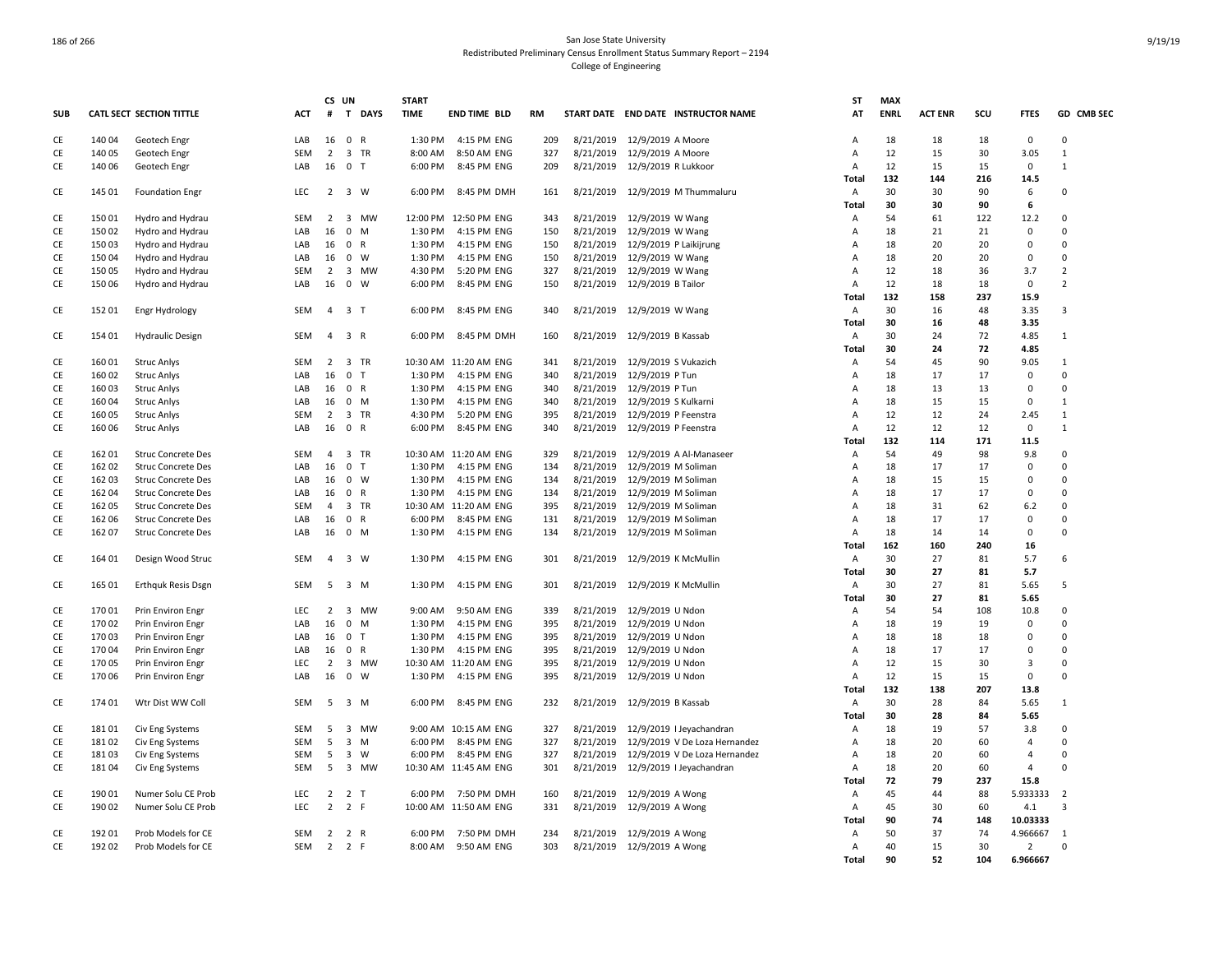|            |        |                           |            | CS UN          |                     |        | <b>START</b> |                       |           |           |                                     | ST             | <b>MAX</b>  |                |     |                |                |
|------------|--------|---------------------------|------------|----------------|---------------------|--------|--------------|-----------------------|-----------|-----------|-------------------------------------|----------------|-------------|----------------|-----|----------------|----------------|
| <b>SUB</b> |        | CATL SECT SECTION TITTLE  | <b>ACT</b> | #              |                     | T DAYS | <b>TIME</b>  | <b>END TIME BLD</b>   | <b>RM</b> |           | START DATE END DATE INSTRUCTOR NAME | AT             | <b>ENRL</b> | <b>ACT ENR</b> | SCU | <b>FTES</b>    | GD CMB SEC     |
| CE         | 140 04 | Geotech Engr              | LAB        | 16             | 0 R                 |        | 1:30 PM      | 4:15 PM ENG           | 209       | 8/21/2019 | 12/9/2019 A Moore                   | $\overline{A}$ | 18          | 18             | 18  | $\mathbf 0$    | $\Omega$       |
| CE         | 140 05 | Geotech Engr              | <b>SEM</b> | $\overline{2}$ | 3 TR                |        | 8:00 AM      | 8:50 AM ENG           | 327       | 8/21/2019 | 12/9/2019 A Moore                   | Α              | 12          | 15             | 30  | 3.05           | $\mathbf{1}$   |
| CE         | 140 06 | Geotech Engr              | LAB        | 16             | $0$ T               |        | 6:00 PM      | 8:45 PM ENG           | 209       | 8/21/2019 | 12/9/2019 R Lukkoor                 | Α              | 12          | 15             | 15  | $\mathbf 0$    | $\mathbf{1}$   |
|            |        |                           |            |                |                     |        |              |                       |           |           |                                     | Total          | 132         | 144            | 216 | 14.5           |                |
| CE         | 145 01 | <b>Foundation Engr</b>    | <b>LEC</b> |                | 2 3 W               |        | 6:00 PM      | 8:45 PM DMH           | 161       |           | 8/21/2019 12/9/2019 M Thummaluru    | A              | 30          | 30             | 90  | 6              | 0              |
|            |        |                           |            |                |                     |        |              |                       |           |           |                                     | Total          | 30          | 30             | 90  | 6              |                |
| CE         | 150 01 | Hydro and Hydrau          | SEM        | 2              | 3 MW                |        | 12:00 PM     | 12:50 PM ENG          | 343       | 8/21/2019 | 12/9/2019 W Wang                    | Α              | 54          | 61             | 122 | 12.2           | 0              |
| CE         | 150 02 | Hydro and Hydrau          | LAB        | 16             | $\mathbf{0}$        | M      | 1:30 PM      | 4:15 PM ENG           | 150       | 8/21/2019 | 12/9/2019 W Wang                    | A              | 18          | 21             | 21  | $\mathbf 0$    | 0              |
| CE         | 150 03 | Hydro and Hydrau          | LAB        | 16             | 0 R                 |        | 1:30 PM      | 4:15 PM ENG           | 150       | 8/21/2019 | 12/9/2019 P Laikijrung              | A              | 18          | 20             | 20  | $\mathbf 0$    | $\Omega$       |
| CE         | 15004  | Hydro and Hydrau          | LAB        | 16             | $0 \quad W$         |        | 1:30 PM      | 4:15 PM ENG           | 150       | 8/21/2019 | 12/9/2019 W Wang                    | Α              | 18          | 20             | 20  | 0              | $\Omega$       |
| CE         | 150 05 | Hydro and Hydrau          | <b>SEM</b> | 2              | 3 MW                |        | 4:30 PM      | 5:20 PM ENG           | 327       | 8/21/2019 | 12/9/2019 W Wang                    | Α              | 12          | 18             | 36  | 3.7            | $\overline{2}$ |
| CE         | 150 06 | Hydro and Hydrau          | LAB        | 16             | $0 \quad W$         |        | 6:00 PM      | 8:45 PM ENG           | 150       | 8/21/2019 | 12/9/2019 B Tailor                  | $\overline{A}$ | 12          | 18             | 18  | $\mathbf 0$    | $\overline{2}$ |
|            |        |                           |            |                |                     |        |              |                       |           |           |                                     | Total          | 132         | 158            | 237 | 15.9           |                |
|            |        |                           |            |                |                     |        |              |                       |           |           |                                     |                |             |                |     |                |                |
| CE         | 152 01 | Engr Hydrology            | <b>SEM</b> | $\overline{4}$ | 3 <sub>T</sub>      |        | 6:00 PM      | 8:45 PM ENG           | 340       | 8/21/2019 | 12/9/2019 W Wang                    | Α              | 30          | 16             | 48  | 3.35           | 3              |
|            |        |                           |            |                |                     |        |              |                       |           |           |                                     | Total          | 30          | 16             | 48  | 3.35           | $\mathbf{1}$   |
| CE         | 154 01 | <b>Hydraulic Design</b>   | SEM        |                | 4 3 R               |        | 6:00 PM      | 8:45 PM DMH           | 160       |           | 8/21/2019 12/9/2019 B Kassab        | Α              | 30          | 24             | 72  | 4.85           |                |
|            |        |                           |            |                |                     |        |              |                       |           |           |                                     | <b>Total</b>   | 30          | 24             | 72  | 4.85           |                |
| CE         | 160 01 | <b>Struc Anlys</b>        | SEM        | $\overline{2}$ | 3 TR                |        | 10:30 AM     | 11:20 AM ENG          | 341       | 8/21/2019 | 12/9/2019 S Vukazich                | A              | 54          | 45             | 90  | 9.05           | $\mathbf{1}$   |
| CE         | 16002  | <b>Struc Anlys</b>        | LAB        | 16             | 0 <sub>T</sub>      |        | 1:30 PM      | 4:15 PM ENG           | 340       | 8/21/2019 | 12/9/2019 P Tun                     | Α              | 18          | 17             | 17  | 0              | 0              |
| CE         | 16003  | <b>Struc Anlys</b>        | LAB        | 16             | 0 R                 |        | 1:30 PM      | 4:15 PM ENG           | 340       | 8/21/2019 | 12/9/2019 P Tun                     | A              | 18          | 13             | 13  | 0              | 0              |
| CE         | 16004  | <b>Struc Anlys</b>        | LAB        | 16             | 0 M                 |        | 1:30 PM      | 4:15 PM ENG           | 340       | 8/21/2019 | 12/9/2019 S Kulkarni                | A              | 18          | 15             | 15  | 0              | $\mathbf{1}$   |
| CE         | 160 05 | <b>Struc Anlys</b>        | <b>SEM</b> | $\overline{2}$ | 3 TR                |        | 4:30 PM      | 5:20 PM ENG           | 395       | 8/21/2019 | 12/9/2019 P Feenstra                | Α              | 12          | 12             | 24  | 2.45           | $\mathbf{1}$   |
| CE         | 160 06 | Struc Anlys               | LAB        | 16             | 0 R                 |        | 6:00 PM      | 8:45 PM ENG           | 340       | 8/21/2019 | 12/9/2019 P Feenstra                | Α              | 12          | 12             | 12  | 0              | $\mathbf{1}$   |
|            |        |                           |            |                |                     |        |              |                       |           |           |                                     | Total          | 132         | 114            | 171 | 11.5           |                |
| CE         | 162 01 | <b>Struc Concrete Des</b> | SEM        | $\overline{4}$ | 3 TR                |        |              | 10:30 AM 11:20 AM ENG | 329       | 8/21/2019 | 12/9/2019 A Al-Manaseer             | $\overline{A}$ | 54          | 49             | 98  | 9.8            | $\Omega$       |
| CE         | 162 02 | <b>Struc Concrete Des</b> | LAB        | 16             | 0 <sub>T</sub>      |        | 1:30 PM      | 4:15 PM ENG           | 134       | 8/21/2019 | 12/9/2019 M Soliman                 | Α              | 18          | 17             | 17  | $\mathbf 0$    | $\Omega$       |
| CE         | 162 03 | <b>Struc Concrete Des</b> | LAB        | 16             | $0 \quad W$         |        | 1:30 PM      | 4:15 PM ENG           | 134       | 8/21/2019 | 12/9/2019 M Soliman                 | $\overline{A}$ | 18          | 15             | 15  | $\mathbf 0$    | $\Omega$       |
| CE         | 16204  | <b>Struc Concrete Des</b> | LAB        | 16             | 0 R                 |        | 1:30 PM      | 4:15 PM ENG           | 134       | 8/21/2019 | 12/9/2019 M Soliman                 | Α              | 18          | 17             | 17  | $\mathbf 0$    | $\Omega$       |
| CE         | 162 05 | <b>Struc Concrete Des</b> | SEM        | $\overline{4}$ | 3 TR                |        |              | 10:30 AM 11:20 AM ENG | 395       | 8/21/2019 | 12/9/2019 M Soliman                 | A              | 18          | 31             | 62  | 6.2            | $\mathbf 0$    |
| CE         | 162 06 | <b>Struc Concrete Des</b> | LAB        | 16             | 0 R                 |        | 6:00 PM      | 8:45 PM ENG           | 131       | 8/21/2019 | 12/9/2019 M Soliman                 | A              | 18          | 17             | 17  | $\pmb{0}$      | 0              |
| CE         | 162 07 | <b>Struc Concrete Des</b> | LAB        |                | 16 0 M              |        | 1:30 PM      | 4:15 PM ENG           | 134       | 8/21/2019 | 12/9/2019 M Soliman                 | A              | 18          | 14             | 14  | $\mathbf 0$    | $\Omega$       |
|            |        |                           |            |                |                     |        |              |                       |           |           |                                     | <b>Total</b>   | 162         | 160            | 240 | 16             |                |
| CE         | 164 01 | Design Wood Struc         | SEM        | $\overline{4}$ | 3 W                 |        | 1:30 PM      | 4:15 PM ENG           | 301       | 8/21/2019 | 12/9/2019 K McMullin                | Α              | 30          | 27             | 81  | 5.7            | 6              |
|            |        |                           |            |                |                     |        |              |                       |           |           |                                     | Total          | 30          | 27             | 81  | 5.7            |                |
| CE         | 165 01 | <b>Erthquk Resis Dsgn</b> | SEM        | 5              | 3 M                 |        | 1:30 PM      | 4:15 PM ENG           | 301       | 8/21/2019 | 12/9/2019 K McMullin                | Α              | 30          | 27             | 81  | 5.65           | 5              |
|            |        |                           |            |                |                     |        |              |                       |           |           |                                     | Total          | 30          | 27             | 81  | 5.65           |                |
| CE         | 17001  | Prin Environ Engr         | <b>LEC</b> | $\overline{2}$ | 3 MW                |        | 9:00 AM      | 9:50 AM ENG           | 339       | 8/21/2019 | 12/9/2019 U Ndon                    | A              | 54          | 54             | 108 | 10.8           | 0              |
| CE         | 170 02 | Prin Environ Engr         | LAB        | 16             | $0$ M               |        | 1:30 PM      | 4:15 PM ENG           | 395       | 8/21/2019 | 12/9/2019 U Ndon                    | Α              | 18          | 19             | 19  | 0              | $\Omega$       |
| CE         | 170 03 | Prin Environ Engr         | LAB        | 16             | 0 <sub>T</sub>      |        | 1:30 PM      | 4:15 PM ENG           | 395       | 8/21/2019 | 12/9/2019 U Ndon                    | A              | 18          | 18             | 18  | $\mathbf 0$    | $\Omega$       |
| CE         | 17004  | Prin Environ Engr         | LAB        | 16             | 0 R                 |        | 1:30 PM      | 4:15 PM ENG           | 395       | 8/21/2019 | 12/9/2019 U Ndon                    | A              | 18          | 17             | 17  | $\mathbf 0$    | $\Omega$       |
| CE         | 17005  | Prin Environ Engr         | <b>LEC</b> | $\overline{2}$ | 3 MW                |        |              | 10:30 AM 11:20 AM ENG | 395       | 8/21/2019 | 12/9/2019 U Ndon                    | Α              | 12          | 15             | 30  | 3              | 0              |
| CE         | 170 06 | Prin Environ Engr         | LAB        | 16             | $0 \quad W$         |        | 1:30 PM      | 4:15 PM ENG           | 395       |           | 8/21/2019 12/9/2019 U Ndon          | $\overline{A}$ | 12          | 15             | 15  | $\mathbf 0$    | $\Omega$       |
|            |        |                           |            |                |                     |        |              |                       |           |           |                                     | Total          | 132         | 138            | 207 | 13.8           |                |
| CE         | 174 01 | Wtr Dist WW Coll          | SEM        | 5              | 3 M                 |        | 6:00 PM      | 8:45 PM ENG           | 232       |           | 8/21/2019 12/9/2019 B Kassab        | Α              | 30          | 28             | 84  | 5.65           | $\mathbf{1}$   |
|            |        |                           |            |                |                     |        |              |                       |           |           |                                     | <b>Total</b>   | 30          | 28             | 84  | 5.65           |                |
| CE         | 18101  | Civ Eng Systems           | <b>SEM</b> | 5              | 3 MW                |        |              | 9:00 AM 10:15 AM ENG  | 327       | 8/21/2019 | 12/9/2019   Jeyachandran            | Α              | 18          | 19             | 57  | 3.8            | $\Omega$       |
| CE         | 18102  | Civ Eng Systems           | SEM        | 5              | $\overline{3}$      | M      | 6:00 PM      | 8:45 PM ENG           | 327       | 8/21/2019 | 12/9/2019 V De Loza Hernandez       | Α              | 18          | 20             | 60  | $\overline{4}$ | $\Omega$       |
| CE         | 18103  | Civ Eng Systems           | SEM        | 5              | 3 W                 |        | 6:00 PM      | 8:45 PM ENG           | 327       | 8/21/2019 | 12/9/2019 V De Loza Hernandez       | Α              | 18          | 20             | 60  | $\overline{4}$ | 0              |
| CE         | 18104  | Civ Eng Systems           | SEM        |                | 5 3 MW              |        |              | 10:30 AM 11:45 AM ENG | 301       |           | 8/21/2019 12/9/2019 I Jeyachandran  | Α              | 18          | 20             | 60  | $\overline{4}$ | $\Omega$       |
|            |        |                           |            |                |                     |        |              |                       |           |           |                                     |                | 72          | 79             | 237 | 15.8           |                |
| CE         | 190 01 | Numer Solu CE Prob        | <b>LEC</b> | $\overline{2}$ | 2 T                 |        | 6:00 PM      | 7:50 PM DMH           | 160       | 8/21/2019 |                                     | Total<br>Α     | 45          | 44             | 88  | 5.933333       | $\overline{2}$ |
|            |        |                           |            |                |                     |        |              |                       |           |           | 12/9/2019 A Wong                    |                |             |                |     |                |                |
| CE         | 190 02 | Numer Solu CE Prob        | LEC        |                | 2 2 F               |        |              | 10:00 AM 11:50 AM ENG | 331       | 8/21/2019 | 12/9/2019 A Wong                    | Α              | 45          | 30             | 60  | 4.1            | 3              |
|            |        |                           |            |                |                     |        |              |                       |           |           |                                     | Total          | 90          | 74             | 148 | 10.03333       |                |
| CE         | 192 01 | Prob Models for CE        | SEM        | $\overline{2}$ | 2 R                 |        | 6:00 PM      | 7:50 PM DMH           | 234       | 8/21/2019 | 12/9/2019 A Wong                    | A              | 50          | 37             | 74  | 4.966667       | $\overline{1}$ |
| CE         | 192 02 | Prob Models for CE        | SEM        |                | $2 \quad 2 \quad F$ |        | 8:00 AM      | 9:50 AM ENG           | 303       |           | 8/21/2019 12/9/2019 A Wong          | Α              | 40          | 15             | 30  | $\overline{2}$ | $\Omega$       |
|            |        |                           |            |                |                     |        |              |                       |           |           |                                     | Total          | 90          | 52             | 104 | 6.966667       |                |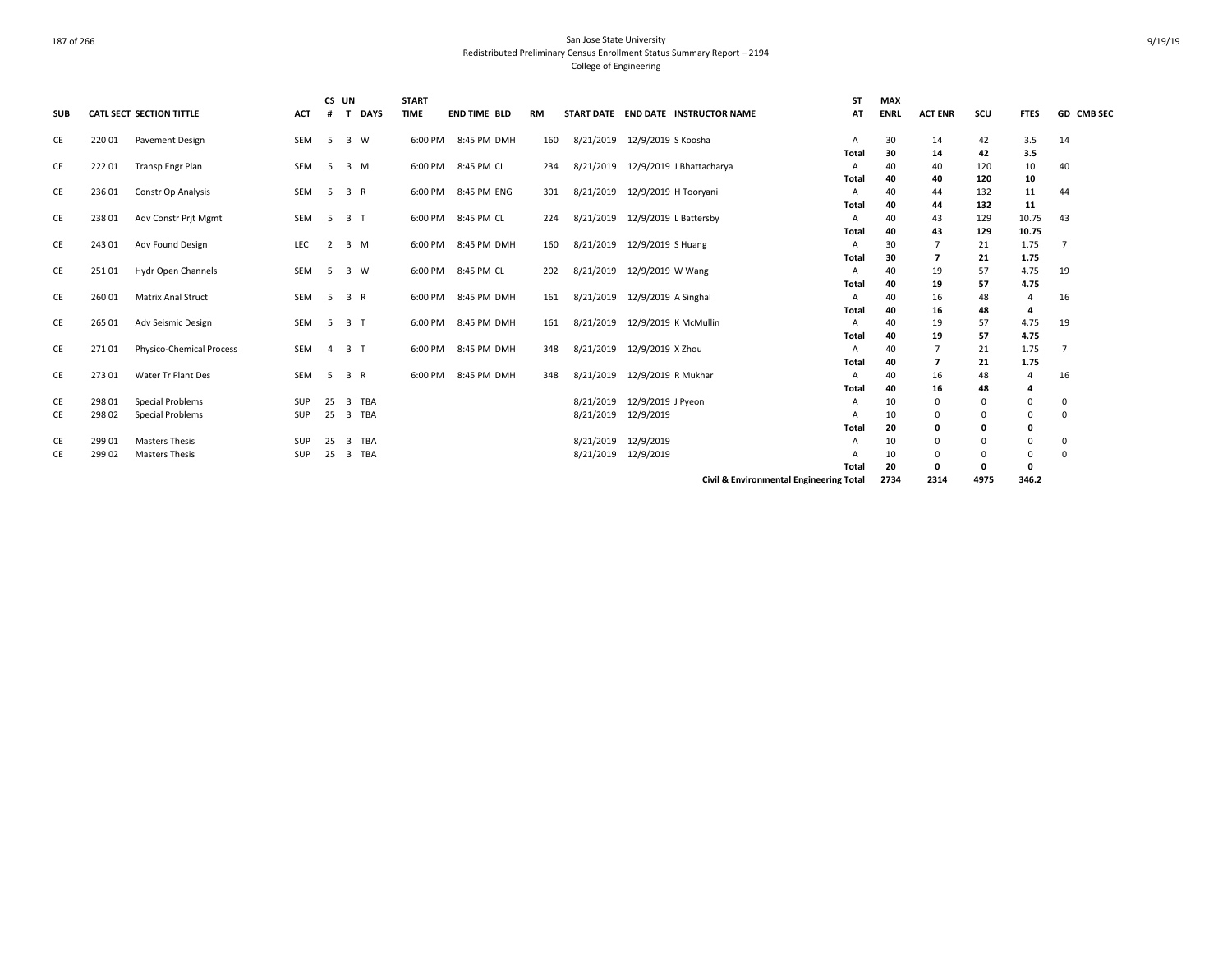| <b>SUB</b> |                  | <b>CATL SECT SECTION TITTLE</b>      | <b>ACT</b> | CS UN<br># | T DAYS                       | <b>START</b><br>TIME | <b>END TIME BLD</b> | <b>RM</b> |           |                       | START DATE END DATE INSTRUCTOR NAME     | <b>ST</b><br>AT | <b>MAX</b><br><b>ENRL</b> | <b>ACT ENR</b> | scu            | <b>FTES</b>  | GD CMB SEC     |
|------------|------------------|--------------------------------------|------------|------------|------------------------------|----------------------|---------------------|-----------|-----------|-----------------------|-----------------------------------------|-----------------|---------------------------|----------------|----------------|--------------|----------------|
|            |                  |                                      |            |            |                              |                      |                     |           |           |                       |                                         |                 |                           |                |                |              |                |
| CE         | 22001            | Pavement Design                      | SEM        | 5          | 3 W                          | 6:00 PM              | 8:45 PM DMH         | 160       | 8/21/2019 | 12/9/2019 S Koosha    |                                         | Α<br>Total      | 30<br>30                  | 14<br>14       | 42<br>42       | 3.5<br>3.5   | 14             |
| CE         | 22201            | <b>Transp Engr Plan</b>              | SEM        | - 5        | 3 M                          | 6:00 PM              | 8:45 PM CL          | 234       | 8/21/2019 |                       | 12/9/2019 J Bhattacharya                | Α               | 40                        | 40             | 120            | 10           | 40             |
|            |                  |                                      |            |            |                              |                      |                     |           |           |                       |                                         | Total           | 40                        | 40             | 120            | 10           |                |
| CE         | 23601            | Constr Op Analysis                   | SEM        | 5          | 3 R                          | 6:00 PM              | 8:45 PM ENG         | 301       | 8/21/2019 | 12/9/2019 H Tooryani  |                                         | A               | 40                        | 44             | 132            | 11           | 44             |
|            |                  |                                      |            |            |                              |                      |                     |           |           |                       |                                         | Total           | 40                        | 44             | 132            | 11           |                |
| CE         | 23801            | Adv Constr Prit Mgmt                 | SEM        |            | 5 3 T                        | 6:00 PM              | 8:45 PM CL          | 224       | 8/21/2019 | 12/9/2019 L Battersby |                                         | A               | 40                        | 43             | 129            | 10.75        | 43             |
|            |                  |                                      |            |            |                              |                      |                     |           |           |                       |                                         | <b>Total</b>    | 40                        | 43             | 129            | 10.75        |                |
| CE         | 243 01           | Adv Found Design                     | LEC        |            | 2 3 M                        | 6:00 PM              | 8:45 PM DMH         | 160       | 8/21/2019 | 12/9/2019 S Huang     |                                         | Α               | 30                        | 7              | 21             | 1.75         | $\overline{7}$ |
| CE         | 25101            | Hydr Open Channels                   | SEM        | - 5        | 3 W                          |                      | 6:00 PM 8:45 PM CL  | 202       | 8/21/2019 | 12/9/2019 W Wang      |                                         | Total<br>Α      | 30<br>40                  | 7<br>19        | 21<br>57       | 1.75<br>4.75 | 19             |
|            |                  |                                      |            |            |                              |                      |                     |           |           |                       |                                         | Total           | 40                        | 19             | 57             | 4.75         |                |
| CE         | 26001            | <b>Matrix Anal Struct</b>            | SEM        |            | 5 3 R                        | 6:00 PM              | 8:45 PM DMH         | 161       | 8/21/2019 | 12/9/2019 A Singhal   |                                         | Α               | 40                        | 16             | 48             | 4            | 16             |
|            |                  |                                      |            |            |                              |                      |                     |           |           |                       |                                         | Total           | 40                        | 16             | 48             | 4            |                |
| CE         | 265 01           | Adv Seismic Design                   | SEM        |            | 5 3 T                        | 6:00 PM              | 8:45 PM DMH         | 161       | 8/21/2019 | 12/9/2019 K McMullin  |                                         | A               | 40                        | 19             | 57             | 4.75         | 19             |
|            |                  |                                      |            |            |                              |                      |                     |           |           |                       |                                         | Total           | 40                        | 19             | 57             | 4.75         |                |
| CE         | 27101            | <b>Physico-Chemical Process</b>      | SEM        |            | 4 3 T                        | 6:00 PM              | 8:45 PM DMH         | 348       | 8/21/2019 | 12/9/2019 X Zhou      |                                         | Α               | 40                        | $\overline{7}$ | 21             | 1.75         |                |
|            |                  |                                      |            |            |                              |                      |                     |           |           |                       |                                         | Total           | 40                        | 7              | 21             | 1.75         |                |
| CE         | 273 01           | Water Tr Plant Des                   | SEM        | - 5        | 3 R                          | 6:00 PM              | 8:45 PM DMH         | 348       | 8/21/2019 | 12/9/2019 R Mukhar    |                                         | A               | 40                        | 16             | 48             | 4            | 16             |
|            |                  |                                      |            |            | 3 TBA                        |                      |                     |           | 8/21/2019 | 12/9/2019 J Pyeon     |                                         | Total           | 40                        | 16             | 48<br>$\Omega$ | 4            |                |
| CE<br>CE   | 298 01<br>298 02 | Special Problems<br>Special Problems | SUP<br>SUP | 25<br>25   | 3 TBA                        |                      |                     |           | 8/21/2019 | 12/9/2019             |                                         | A<br>А          | 10<br>10                  | 0<br>0         | $\Omega$       | 0<br>0       | 0<br>0         |
|            |                  |                                      |            |            |                              |                      |                     |           |           |                       |                                         | Total           | 20                        | 0              | 0              | 0            |                |
| CE         | 299 01           | <b>Masters Thesis</b>                | SUP        | 25         | <b>TBA</b><br>$\overline{3}$ |                      |                     |           | 8/21/2019 | 12/9/2019             |                                         | A               | 10                        | $\Omega$       |                | $\mathbf 0$  | $\Omega$       |
| CE         | 299 02           | <b>Masters Thesis</b>                | SUP        |            | 25 3 TBA                     |                      |                     |           | 8/21/2019 | 12/9/2019             |                                         | A               | 10                        | 0              | 0              | 0            | 0              |
|            |                  |                                      |            |            |                              |                      |                     |           |           |                       |                                         | Total           | 20                        | 0              | 0              | 0            |                |
|            |                  |                                      |            |            |                              |                      |                     |           |           |                       | Civil & Environmental Engineering Total |                 | 2734                      | 2314           | 4975           | 346.2        |                |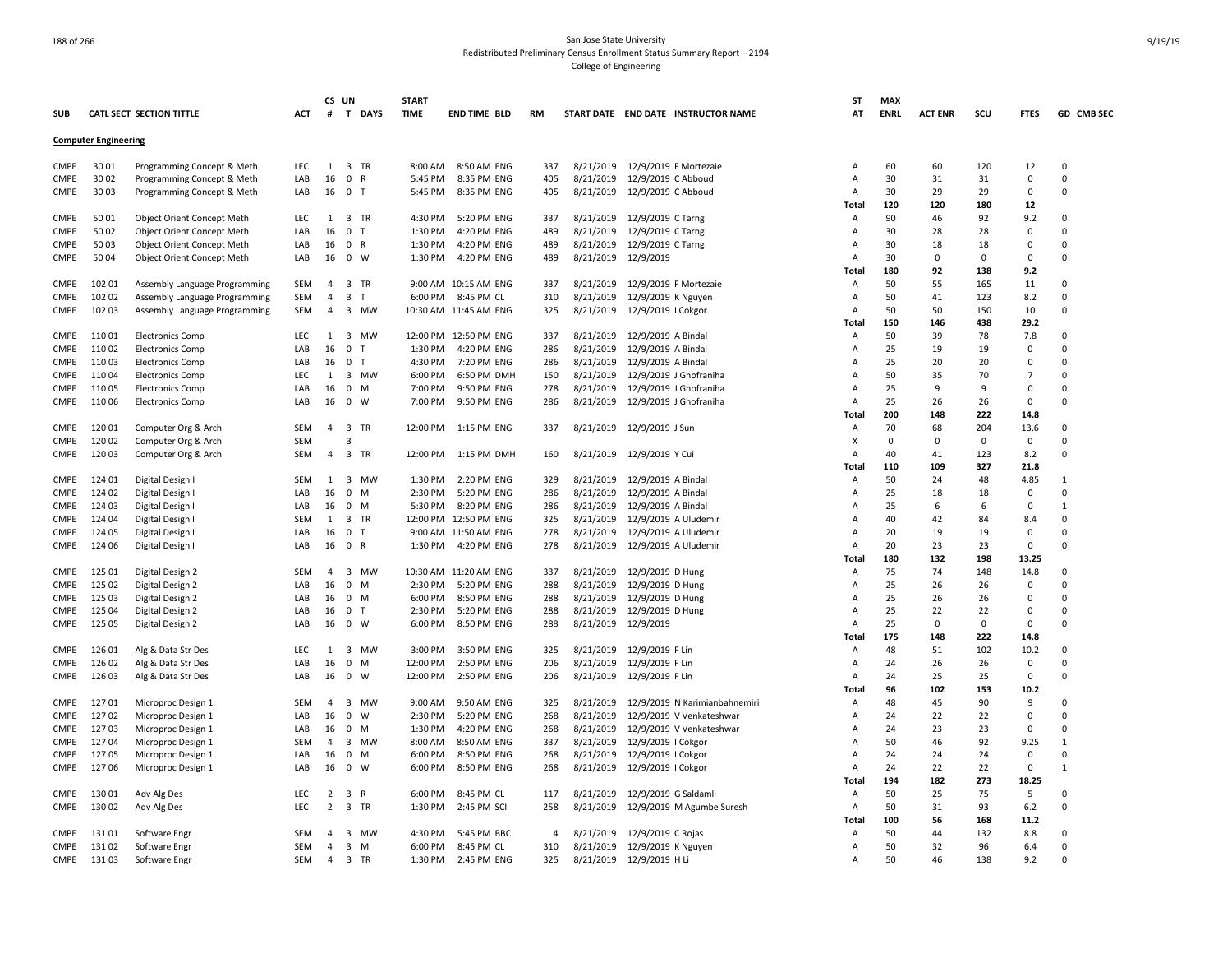|             |                             |                                   |            |                | CS UN                       | <b>START</b> |                       |     |           |                                     |                               | ST             | <b>MAX</b>  |                |             |                  |              |
|-------------|-----------------------------|-----------------------------------|------------|----------------|-----------------------------|--------------|-----------------------|-----|-----------|-------------------------------------|-------------------------------|----------------|-------------|----------------|-------------|------------------|--------------|
| <b>SUB</b>  |                             | <b>CATL SECT SECTION TITTLE</b>   | ACT        | #              | T DAYS                      | <b>TIME</b>  | <b>END TIME BLD</b>   | RM  |           | START DATE END DATE INSTRUCTOR NAME |                               | AT             | <b>ENRL</b> | <b>ACT ENR</b> | scu         | <b>FTES</b>      | GD CMB SEC   |
|             | <b>Computer Engineering</b> |                                   |            |                |                             |              |                       |     |           |                                     |                               |                |             |                |             |                  |              |
| <b>CMPE</b> | 30 01                       | Programming Concept & Meth        | <b>LEC</b> | 1              | 3 TR                        | 8:00 AM      | 8:50 AM ENG           | 337 | 8/21/2019 | 12/9/2019 F Mortezaie               |                               | Α              | 60          | 60             | 120         | 12               | $\Omega$     |
| <b>CMPE</b> | 30 02                       | Programming Concept & Meth        | LAB        | 16             | 0<br>R                      | 5:45 PM      | 8:35 PM ENG           | 405 | 8/21/2019 | 12/9/2019 C Abboud                  |                               | A              | 30          | 31             | 31          | $\mathbf 0$      | $\Omega$     |
| <b>CMPE</b> | 30 03                       | Programming Concept & Meth        | LAB        | 16             | 0 <sub>T</sub>              | 5:45 PM      | 8:35 PM ENG           | 405 | 8/21/2019 | 12/9/2019 C Abboud                  |                               | A              | 30          | 29             | 29          | $\Omega$         | $\Omega$     |
|             |                             |                                   |            |                |                             |              |                       |     |           |                                     |                               | <b>Total</b>   | 120         | 120            | 180         | 12               |              |
| <b>CMPE</b> | 5001                        | <b>Object Orient Concept Meth</b> | <b>LEC</b> | 1              | 3 TR                        | 4:30 PM      | 5:20 PM ENG           | 337 | 8/21/2019 | 12/9/2019 C Tarng                   |                               | A              | 90          | 46             | 92          | 9.2              | $\Omega$     |
| <b>CMPE</b> | 5002                        | Object Orient Concept Meth        | LAB        | 16             | 0<br>ਾ                      | 1:30 PM      | 4:20 PM ENG           | 489 | 8/21/2019 | 12/9/2019 C Tarng                   |                               | A              | 30          | 28             | 28          | 0                | $\Omega$     |
| <b>CMPE</b> | 5003                        | Object Orient Concept Meth        | LAB        | 16             | 0 R                         | 1:30 PM      | 4:20 PM ENG           | 489 | 8/21/2019 | 12/9/2019 C Tarng                   |                               | $\overline{A}$ | 30          | 18             | 18          | $\Omega$         | $\Omega$     |
| <b>CMPE</b> | 50 04                       | Object Orient Concept Meth        | LAB        | 16             | $\mathbf 0$<br><b>W</b>     | 1:30 PM      | 4:20 PM ENG           | 489 | 8/21/2019 | 12/9/2019                           |                               | $\overline{A}$ | 30          | 0              | $\mathbf 0$ | $\mathbf 0$      | $\Omega$     |
|             |                             |                                   |            |                |                             |              |                       |     |           |                                     |                               | <b>Total</b>   | 180         | 92             | 138         | 9.2              |              |
| <b>CMPE</b> | 102 01                      | Assembly Language Programming     | SEM        | $\overline{4}$ | 3 TR                        |              | 9:00 AM 10:15 AM ENG  | 337 | 8/21/2019 | 12/9/2019 F Mortezaie               |                               | A              | 50          | 55             | 165         | 11               | $\Omega$     |
| <b>CMPE</b> | 102 02                      | Assembly Language Programming     | <b>SEM</b> | $\overline{4}$ | 3 <sub>T</sub>              | 6:00 PM      | 8:45 PM CL            | 310 | 8/21/2019 | 12/9/2019 K Nguyen                  |                               | Α              | 50          | 41             | 123         | 8.2              | $\Omega$     |
| <b>CMPE</b> | 102 03                      |                                   | <b>SEM</b> | $\overline{4}$ | 3 MW                        |              | 10:30 AM 11:45 AM ENG | 325 | 8/21/2019 | 12/9/2019   Cokgor                  |                               | $\overline{A}$ | 50          | 50             | 150         | 10               | $\Omega$     |
|             |                             | Assembly Language Programming     |            |                |                             |              |                       |     |           |                                     |                               | Total          | 150         | 146            | 438         | 29.2             |              |
| CMPE        | 110 01                      | <b>Electronics Comp</b>           | LEC        | 1              | 3 MW                        |              | 12:00 PM 12:50 PM ENG | 337 | 8/21/2019 | 12/9/2019 A Bindal                  |                               | A              | 50          | 39             | 78          | 7.8              | $\Omega$     |
|             |                             |                                   | LAB        |                | 0<br>T                      | 1:30 PM      |                       | 286 |           |                                     |                               |                |             |                |             |                  | $\Omega$     |
| <b>CMPE</b> | 110 02                      | <b>Electronics Comp</b>           |            | 16             |                             |              | 4:20 PM ENG           |     | 8/21/2019 | 12/9/2019 A Bindal                  |                               | Α              | 25          | 19             | 19          | 0<br>$\mathbf 0$ | $\Omega$     |
| <b>CMPE</b> | 11003                       | <b>Electronics Comp</b>           | LAB        | 16             | 0<br>T                      | 4:30 PM      | 7:20 PM ENG           | 286 | 8/21/2019 | 12/9/2019 A Bindal                  |                               | A              | 25          | 20             | 20          |                  |              |
| <b>CMPE</b> | 11004                       | <b>Electronics Comp</b>           | LEC        | 1              | 3 MW                        | 6:00 PM      | 6:50 PM DMH           | 150 | 8/21/2019 | 12/9/2019 J Ghofraniha              |                               | A              | 50          | 35             | 70          | $\overline{7}$   | $\Omega$     |
| <b>CMPE</b> | 11005                       | <b>Electronics Comp</b>           | LAB        | 16             | $\mathbf 0$<br>- M          | 7:00 PM      | 9:50 PM ENG           | 278 | 8/21/2019 | 12/9/2019 J Ghofraniha              |                               | A              | 25          | 9              | q           | $\mathbf 0$      | $\Omega$     |
| <b>CMPE</b> | 110 06                      | <b>Electronics Comp</b>           | LAB        | 16             | 0<br>W                      | 7:00 PM      | 9:50 PM ENG           | 286 | 8/21/2019 | 12/9/2019 J Ghofraniha              |                               | Α              | 25          | 26             | 26          | $\mathbf 0$      | $\mathbf 0$  |
|             |                             |                                   |            |                |                             |              |                       |     |           |                                     |                               | Total          | 200         | 148            | 222         | 14.8             |              |
| <b>CMPE</b> | 120 01                      | Computer Org & Arch               | SEM        | 4              | 3 TR                        | 12:00 PM     | 1:15 PM ENG           | 337 | 8/21/2019 | 12/9/2019 J Sun                     |                               | A              | 70          | 68             | 204         | 13.6             | $\Omega$     |
| <b>CMPE</b> | 120 02                      | Computer Org & Arch               | <b>SEM</b> |                | $\overline{3}$              |              |                       |     |           |                                     |                               | X              | $\Omega$    | 0              | $\Omega$    | $\mathbf 0$      | $\Omega$     |
| <b>CMPE</b> | 120 03                      | Computer Org & Arch               | <b>SEM</b> | 4              | 3<br>TR                     | 12:00 PM     | 1:15 PM DMH           | 160 | 8/21/2019 | 12/9/2019 Y Cui                     |                               | Α              | 40          | 41             | 123         | 8.2              | 0            |
|             |                             |                                   |            |                |                             |              |                       |     |           |                                     |                               | Total          | 110         | 109            | 327         | 21.8             |              |
| CMPE        | 124 01                      | Digital Design I                  | SEM        | 1              | 3 MW                        | 1:30 PM      | 2:20 PM ENG           | 329 | 8/21/2019 | 12/9/2019 A Bindal                  |                               | Α              | 50          | 24             | 48          | 4.85             | $\mathbf{1}$ |
| <b>CMPE</b> | 124 02                      | Digital Design I                  | LAB        | 16             | $\mathbf{0}$<br>M           | 2:30 PM      | 5:20 PM ENG           | 286 | 8/21/2019 | 12/9/2019 A Bindal                  |                               | A              | 25          | 18             | 18          | $\mathbf 0$      | $\Omega$     |
| CMPE        | 124 03                      | Digital Design I                  | LAB        | 16             | 0<br>M                      | 5:30 PM      | 8:20 PM ENG           | 286 | 8/21/2019 | 12/9/2019 A Bindal                  |                               | $\overline{A}$ | 25          | 6              | 6           | $\mathbf 0$      | $\mathbf{1}$ |
| <b>CMPE</b> | 124 04                      | Digital Design I                  | <b>SEM</b> | 1              | 3<br>TR                     | 12:00 PM     | 12:50 PM ENG          | 325 | 8/21/2019 | 12/9/2019 A Uludemir                |                               | A              | 40          | 42             | 84          | 8.4              | $\Omega$     |
| CMPE        | 124 05                      | Digital Design I                  | LAB        | 16             | $\mathbf 0$<br>$\top$       |              | 9:00 AM 11:50 AM ENG  | 278 | 8/21/2019 | 12/9/2019 A Uludemir                |                               | A              | 20          | 19             | 19          | 0                | $\Omega$     |
| <b>CMPE</b> | 124 06                      | Digital Design I                  | LAB        | 16             | $^{\circ}$<br>$\mathsf{R}$  | 1:30 PM      | 4:20 PM ENG           | 278 | 8/21/2019 | 12/9/2019 A Uludemir                |                               | $\overline{A}$ | 20          | 23             | 23          | $\mathbf 0$      | $\Omega$     |
|             |                             |                                   |            |                |                             |              |                       |     |           |                                     |                               | <b>Total</b>   | 180         | 132            | 198         | 13.25            |              |
| <b>CMPE</b> | 125 01                      | Digital Design 2                  | <b>SEM</b> | 4              | 3<br><b>MW</b>              |              | 10:30 AM 11:20 AM ENG | 337 | 8/21/2019 | 12/9/2019 D Hung                    |                               | A              | 75          | 74             | 148         | 14.8             | $\Omega$     |
| <b>CMPE</b> | 125 02                      | Digital Design 2                  | LAB        | 16             | $^{\circ}$<br>M             | 2:30 PM      | 5:20 PM ENG           | 288 | 8/21/2019 | 12/9/2019 D Hung                    |                               | Α              | 25          | 26             | 26          | $\mathbf 0$      | $\Omega$     |
| <b>CMPE</b> | 125 03                      | Digital Design 2                  | LAB        | 16             | $\mathbf 0$<br>M            | 6:00 PM      | 8:50 PM ENG           | 288 | 8/21/2019 | 12/9/2019 D Hung                    |                               | $\overline{A}$ | 25          | 26             | 26          | $\mathbf 0$      | $\Omega$     |
| <b>CMPE</b> | 125 04                      | Digital Design 2                  | LAB        | 16             | $\mathbf 0$<br>$\mathsf{T}$ | 2:30 PM      | 5:20 PM ENG           | 288 | 8/21/2019 | 12/9/2019 D Hung                    |                               | A              | 25          | 22             | 22          | $\mathbf 0$      | $\Omega$     |
| CMPE        | 125 05                      | Digital Design 2                  | LAB        | 16             | $0 \quad W$                 | 6:00 PM      | 8:50 PM ENG           | 288 | 8/21/2019 | 12/9/2019                           |                               | $\overline{A}$ | 25          | $\Omega$       | $\mathbf 0$ | $\mathbf 0$      | $\Omega$     |
|             |                             |                                   |            |                |                             |              |                       |     |           |                                     |                               | Total          | 175         | 148            | 222         | 14.8             |              |
| <b>CMPE</b> | 126 01                      | Alg & Data Str Des                | LEC        | 1              | 3 MW                        | 3:00 PM      | 3:50 PM ENG           | 325 | 8/21/2019 | 12/9/2019 F Lin                     |                               | A              | 48          | 51             | 102         | 10.2             | $\Omega$     |
| <b>CMPE</b> | 126 02                      | Alg & Data Str Des                | LAB        | 16             | 0<br>M                      | 12:00 PM     | 2:50 PM ENG           | 206 | 8/21/2019 | 12/9/2019 F Lin                     |                               | A              | 24          | 26             | 26          | $\mathbf 0$      | $\Omega$     |
| CMPE        | 126 03                      | Alg & Data Str Des                | LAB        | 16             | $0 \quad W$                 | 12:00 PM     | 2:50 PM ENG           | 206 | 8/21/2019 | 12/9/2019 F Lin                     |                               | A              | 24          | 25             | 25          | $\mathbf 0$      | $\Omega$     |
|             |                             |                                   |            |                |                             |              |                       |     |           |                                     |                               | Total          | 96          | 102            | 153         | 10.2             |              |
| <b>CMPE</b> | 12701                       | Microproc Design 1                | SEM        | 4              | 3<br>MW                     | 9:00 AM      | 9:50 AM ENG           | 325 | 8/21/2019 |                                     | 12/9/2019 N Karimianbahnemiri | A              | 48          | 45             | 90          | 9                | 0            |
| <b>CMPE</b> | 12702                       | Microproc Design 1                | LAB        | 16             | $\mathbf 0$<br>W            | 2:30 PM      | 5:20 PM ENG           | 268 | 8/21/2019 | 12/9/2019 V Venkateshwar            |                               | A              | 24          | 22             | 22          | $\mathbf 0$      | $\Omega$     |
| <b>CMPE</b> | 12703                       | Microproc Design 1                | LAB        | 16             | 0<br>M                      | 1:30 PM      | 4:20 PM ENG           | 268 | 8/21/2019 | 12/9/2019 V Venkateshwar            |                               | A              | 24          | 23             | 23          | 0                | $\Omega$     |
| <b>CMPE</b> | 12704                       | Microproc Design 1                | <b>SEM</b> | $\overline{4}$ | 3 MW                        | 8:00 AM      | 8:50 AM ENG           | 337 | 8/21/2019 | 12/9/2019   Cokgor                  |                               | A              | 50          | 46             | 92          | 9.25             | $\mathbf{1}$ |
| CMPE        | 12705                       | Microproc Design 1                | LAB        | 16             | 0<br>M                      | 6:00 PM      | 8:50 PM ENG           | 268 | 8/21/2019 | 12/9/2019   Cokgor                  |                               | A              | 24          | 24             | 24          | 0                | 0            |
|             |                             |                                   |            |                |                             |              |                       |     |           |                                     |                               |                |             |                |             |                  |              |
| CMPE        | 12706                       | Microproc Design 1                | LAB        | 16             | 0 W                         | 6:00 PM      | 8:50 PM ENG           | 268 | 8/21/2019 | 12/9/2019   Cokgor                  |                               | A              | 24          | 22             | 22          | $\mathbf 0$      | $\mathbf{1}$ |
|             |                             |                                   |            |                |                             |              |                       |     |           |                                     |                               | Total          | 194         | 182            | 273         | 18.25            |              |
| <b>CMPE</b> | 13001                       | Adv Alg Des                       | LEC        | $\overline{2}$ | 3 R                         | 6:00 PM      | 8:45 PM CL            | 117 | 8/21/2019 | 12/9/2019 G Saldamli                |                               | A              | 50          | 25             | 75          | -5               | $\Omega$     |
| CMPE        | 130 02                      | Adv Alg Des                       | LEC        | $\overline{2}$ | $\overline{3}$<br>TR        | 1:30 PM      | 2:45 PM SCI           | 258 | 8/21/2019 | 12/9/2019 M Agumbe Suresh           |                               | Α              | 50          | 31             | 93          | 6.2              | $\Omega$     |
|             |                             |                                   |            |                |                             |              |                       |     |           |                                     |                               | Total          | 100         | 56             | 168         | 11.2             |              |
| <b>CMPE</b> | 13101                       | Software Engr I                   | SEM        | $\overline{a}$ | 3 MW                        | 4:30 PM      | 5:45 PM BBC           | 4   | 8/21/2019 | 12/9/2019 C Rojas                   |                               | A              | 50          | 44             | 132         | 8.8              | $\Omega$     |
| <b>CMPE</b> | 13102                       | Software Engr I                   | <b>SEM</b> | $\overline{4}$ | $3 \, M$                    | 6:00 PM      | 8:45 PM CL            | 310 | 8/21/2019 | 12/9/2019 K Nguyen                  |                               | Α              | 50          | 32             | 96          | 6.4              | $\Omega$     |
| <b>CMPE</b> | 13103                       | Software Engr I                   | SEM        | $\overline{4}$ | 3 TR                        | 1:30 PM      | 2:45 PM ENG           | 325 | 8/21/2019 | 12/9/2019 H Li                      |                               | A              | 50          | 46             | 138         | 9.2              | $\Omega$     |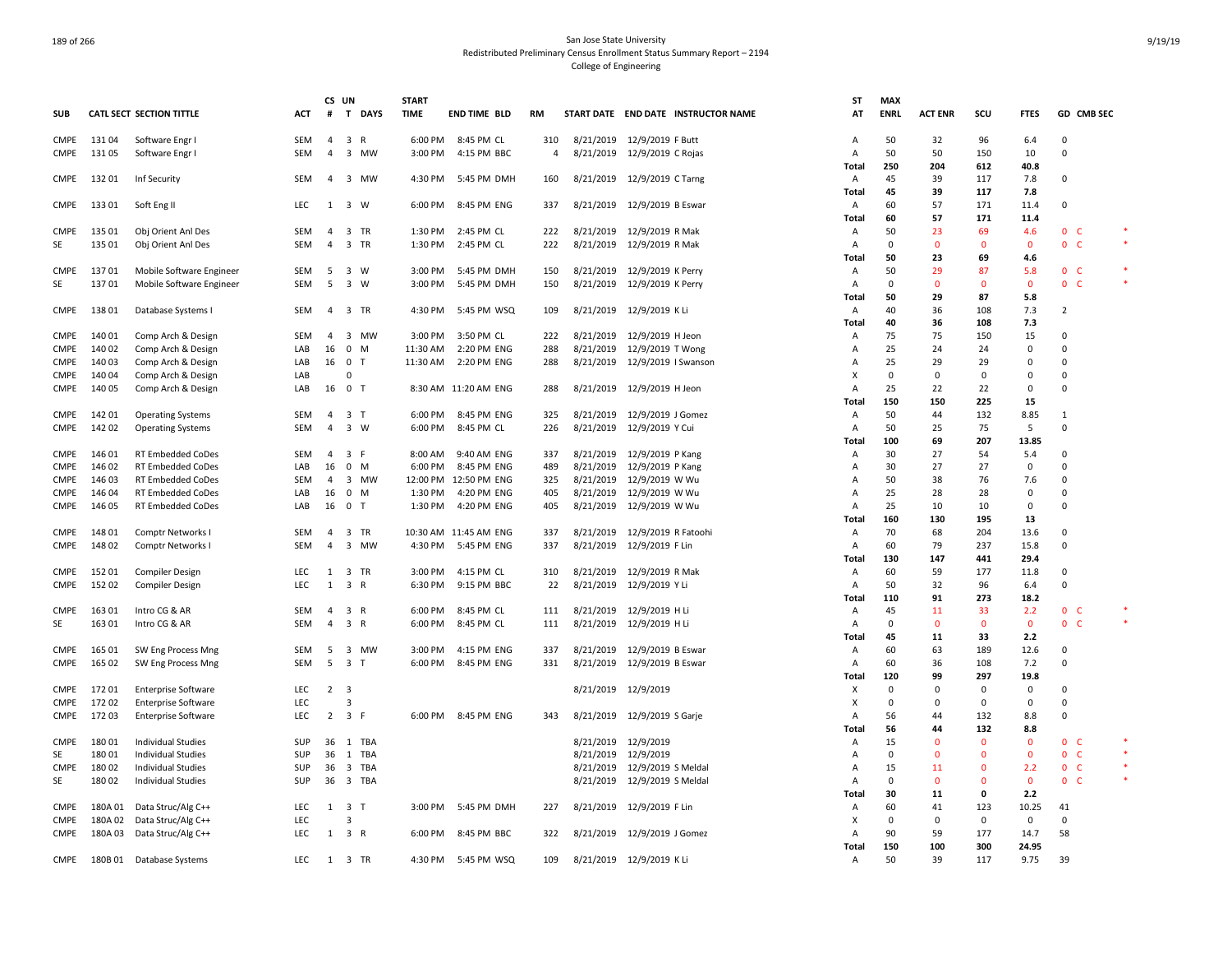|                     |                  |                                                      |                          | CS UN          |                                   | <b>START</b>       |                           |                |                     |                                                          | <b>ST</b>               | <b>MAX</b>        |                |                             |                    |                                                |        |
|---------------------|------------------|------------------------------------------------------|--------------------------|----------------|-----------------------------------|--------------------|---------------------------|----------------|---------------------|----------------------------------------------------------|-------------------------|-------------------|----------------|-----------------------------|--------------------|------------------------------------------------|--------|
| <b>SUB</b>          |                  | <b>CATL SECT SECTION TITTLE</b>                      | ACT                      | #              | T DAYS                            | <b>TIME</b>        | END TIME BLD              | RM             |                     | START DATE END DATE INSTRUCTOR NAME                      | AT                      | <b>ENRL</b>       | <b>ACT ENR</b> | SCU                         | <b>FTES</b>        | GD CMB SEC                                     |        |
| <b>CMPE</b>         | 13104            | Software Engr I                                      | SEM                      | $\overline{4}$ | 3 R                               | 6:00 PM            | 8:45 PM CL                | 310            |                     | 8/21/2019 12/9/2019 F Butt                               | $\overline{A}$          | 50                | 32             | 96                          | 6.4                | $\Omega$                                       |        |
| CMPE                | 13105            | Software Engr I                                      | <b>SEM</b>               | $\overline{4}$ | 3 MW                              | 3:00 PM            | 4:15 PM BBC               | $\overline{4}$ |                     | 8/21/2019 12/9/2019 C Rojas                              | $\overline{A}$          | 50                | 50             | 150                         | 10                 | $\Omega$                                       |        |
|                     |                  |                                                      |                          |                |                                   |                    |                           |                |                     |                                                          | Total                   | 250               | 204            | 612                         | 40.8               |                                                |        |
| CMPE                | 13201            | Inf Security                                         | <b>SEM</b>               | 4              | 3 MW                              | 4:30 PM            | 5:45 PM DMH               | 160            |                     | 8/21/2019 12/9/2019 C Tarng                              | Α                       | 45                | 39             | 117                         | 7.8                | $\Omega$                                       |        |
|                     |                  |                                                      |                          |                |                                   |                    |                           |                |                     |                                                          | Total                   | 45                | 39             | 117                         | 7.8                |                                                |        |
| <b>CMPE</b>         | 13301            | Soft Eng II                                          | <b>LEC</b>               | -1             | $3 \quad W$                       | 6:00 PM            | 8:45 PM ENG               | 337            |                     | 8/21/2019 12/9/2019 B Eswar                              | Α                       | 60                | 57             | 171                         | 11.4               | $\Omega$                                       |        |
|                     | 135 01           |                                                      |                          | 4              | 3 TR                              |                    |                           |                |                     | 8/21/2019 12/9/2019 R Mak                                | Total                   | 60<br>50          | 57<br>23       | 171<br>69                   | 11.4               | 0 <sub>c</sub>                                 |        |
| <b>CMPE</b><br>SE   | 135 01           | Obj Orient Anl Des<br>Obj Orient Anl Des             | <b>SEM</b><br><b>SEM</b> | 4              | 3 TR                              | 1:30 PM<br>1:30 PM | 2:45 PM CL<br>2:45 PM CL  | 222<br>222     |                     | 8/21/2019 12/9/2019 R Mak                                | Α<br>$\overline{A}$     | $\Omega$          | 0              | $\mathbf 0$                 | 4.6<br>0           | 0 <sub>c</sub>                                 |        |
|                     |                  |                                                      |                          |                |                                   |                    |                           |                |                     |                                                          | Total                   | 50                | 23             | 69                          | 4.6                |                                                |        |
| CMPE                | 13701            | Mobile Software Engineer                             | <b>SEM</b>               | - 5            | 3 W                               | 3:00 PM            | 5:45 PM DMH               | 150            |                     | 8/21/2019 12/9/2019 K Perry                              | Α                       | 50                | 29             | 87                          | 5.8                | 0 <sub>c</sub>                                 |        |
| SE                  | 13701            | Mobile Software Engineer                             | <b>SEM</b>               | 5              | $3 \quad W$                       | 3:00 PM            | 5:45 PM DMH               | 150            |                     | 8/21/2019 12/9/2019 K Perry                              | Α                       | $\mathbf 0$       | $\Omega$       | $\mathbf{0}$                | $\mathbf{0}$       | 0 <sub>c</sub>                                 |        |
|                     |                  |                                                      |                          |                |                                   |                    |                           |                |                     |                                                          | <b>Total</b>            | 50                | 29             | 87                          | 5.8                |                                                |        |
| <b>CMPE</b>         | 13801            | Database Systems I                                   | <b>SEM</b>               | $\overline{4}$ | 3 TR                              | 4:30 PM            | 5:45 PM WSQ               | 109            |                     | 8/21/2019 12/9/2019 KLi                                  | Α                       | 40                | 36             | 108                         | 7.3                | 2                                              |        |
|                     |                  |                                                      |                          |                |                                   |                    |                           |                |                     |                                                          | Total                   | 40                | 36             | 108                         | 7.3                |                                                |        |
| <b>CMPE</b>         | 140 01           | Comp Arch & Design                                   | <b>SEM</b>               | $\overline{4}$ | 3 MW                              | 3:00 PM            | 3:50 PM CL                | 222            |                     | 8/21/2019 12/9/2019 H Jeon                               | Α                       | 75                | 75             | 150                         | 15                 | $\Omega$                                       |        |
| <b>CMPE</b>         | 140 02           | Comp Arch & Design                                   | LAB                      | 16             | $\mathbf{0}$<br>M                 | 11:30 AM           | 2:20 PM ENG               | 288            |                     | 8/21/2019 12/9/2019 T Wong                               | Α                       | 25                | 24             | 24                          | $\Omega$           | $\Omega$                                       |        |
| CMPE                | 140 03           | Comp Arch & Design                                   | LAB                      | 16             | 0 <sub>T</sub>                    | 11:30 AM           | 2:20 PM ENG               | 288            |                     | 8/21/2019 12/9/2019   Swanson                            | Α                       | 25                | 29             | 29                          | $\Omega$           | $\Omega$                                       |        |
| CMPE                | 140 04           | Comp Arch & Design                                   | LAB                      |                | $\Omega$                          |                    |                           |                |                     |                                                          | $\times$                | $\Omega$          | $\Omega$       | $\mathbf 0$                 | $\Omega$           | $\Omega$                                       |        |
| <b>CMPE</b>         | 140 05           | Comp Arch & Design                                   | LAB                      |                | 16 0 T                            |                    | 8:30 AM 11:20 AM ENG      | 288            |                     | 8/21/2019 12/9/2019 H Jeon                               | $\overline{A}$          | 25                | 22             | 22                          | $\mathbf 0$        | $\Omega$                                       |        |
|                     |                  |                                                      | <b>SEM</b>               | $\overline{a}$ | 3 <sub>T</sub>                    |                    |                           |                |                     |                                                          | Total                   | 150<br>50         | 150<br>44      | 225<br>132                  | 15<br>8.85         |                                                |        |
| <b>CMPE</b><br>CMPE | 142 01<br>142 02 | <b>Operating Systems</b><br><b>Operating Systems</b> | <b>SEM</b>               | $\overline{4}$ | $3 \quad W$                       | 6:00 PM<br>6:00 PM | 8:45 PM ENG<br>8:45 PM CL | 325<br>226     |                     | 8/21/2019 12/9/2019 J Gomez<br>8/21/2019 12/9/2019 Y Cui | Α<br>A                  | 50                | 25             | 75                          | 5                  | $\mathbf{1}$<br>$\Omega$                       |        |
|                     |                  |                                                      |                          |                |                                   |                    |                           |                |                     |                                                          | Total                   | 100               | 69             | 207                         | 13.85              |                                                |        |
| <b>CMPE</b>         | 146 01           | RT Embedded CoDes                                    | <b>SEM</b>               | $\overline{a}$ | 3 F                               | 8:00 AM            | 9:40 AM ENG               | 337            | 8/21/2019           | 12/9/2019 P Kang                                         | Α                       | 30                | 27             | 54                          | 5.4                | $\Omega$                                       |        |
| <b>CMPE</b>         | 146 02           | <b>RT Embedded CoDes</b>                             | LAB                      | 16             | $\mathbf{0}$<br>M                 | 6:00 PM            | 8:45 PM ENG               | 489            |                     | 8/21/2019 12/9/2019 P Kang                               | $\overline{A}$          | 30                | 27             | 27                          | $\mathbf 0$        | $\Omega$                                       |        |
| <b>CMPE</b>         | 146 03           | RT Embedded CoDes                                    | <b>SEM</b>               | 4              | 3 MW                              |                    | 12:00 PM 12:50 PM ENG     | 325            |                     | 8/21/2019 12/9/2019 W Wu                                 | $\overline{A}$          | 50                | 38             | 76                          | 7.6                | $\Omega$                                       |        |
| <b>CMPE</b>         | 146 04           | RT Embedded CoDes                                    | LAB                      | 16             | $\mathbf 0$<br>M                  | 1:30 PM            | 4:20 PM ENG               | 405            |                     | 8/21/2019 12/9/2019 W Wu                                 | A                       | 25                | 28             | 28                          | 0                  | $\Omega$                                       |        |
| <b>CMPE</b>         | 146 05           | RT Embedded CoDes                                    | LAB                      | 16             | $\mathbf 0$<br>$\top$             | 1:30 PM            | 4:20 PM ENG               | 405            | 8/21/2019           | 12/9/2019 W Wu                                           | Α                       | 25                | 10             | 10                          | 0                  | $\Omega$                                       |        |
|                     |                  |                                                      |                          |                |                                   |                    |                           |                |                     |                                                          | Total                   | 160               | 130            | 195                         | 13                 |                                                |        |
| <b>CMPE</b>         | 148 01           | Comptr Networks I                                    | <b>SEM</b>               | 4              | 3 TR                              |                    | 10:30 AM 11:45 AM ENG     | 337            |                     | 8/21/2019 12/9/2019 R Fatoohi                            | Α                       | 70                | 68             | 204                         | 13.6               | $\Omega$                                       |        |
| <b>CMPE</b>         | 148 02           | Comptr Networks I                                    | <b>SEM</b>               | $\overline{4}$ | $\overline{3}$<br><b>MW</b>       | 4:30 PM            | 5:45 PM ENG               | 337            |                     | 8/21/2019 12/9/2019 F Lin                                | $\overline{A}$          | 60                | 79             | 237                         | 15.8               | $\Omega$                                       |        |
|                     |                  |                                                      |                          |                |                                   |                    |                           |                |                     |                                                          | <b>Total</b>            | 130               | 147            | 441                         | 29.4               |                                                |        |
| <b>CMPE</b>         | 152 01           | <b>Compiler Design</b>                               | LEC                      | 1              | 3 TR                              | 3:00 PM            | 4:15 PM CL                | 310            |                     | 8/21/2019 12/9/2019 R Mak                                | Α                       | 60                | 59             | 177                         | 11.8               | $\Omega$                                       |        |
| <b>CMPE</b>         | 152 02           | <b>Compiler Design</b>                               | <b>LEC</b>               | $\mathbf{1}$   | 3 R                               | 6:30 PM            | 9:15 PM BBC               | 22             |                     | 8/21/2019 12/9/2019 Y Li                                 | Α                       | 50<br>110         | 32<br>91       | 96<br>273                   | 6.4<br>18.2        | $\Omega$                                       |        |
| <b>CMPE</b>         | 16301            | Intro CG & AR                                        | <b>SEM</b>               | $\overline{4}$ | 3 R                               | 6:00 PM            | 8:45 PM CL                | 111            |                     | 8/21/2019 12/9/2019 H Li                                 | Total<br>$\overline{A}$ | 45                | 11             | 33                          | 2.2                | $\mathbf{0}$<br>-C                             |        |
| SE                  | 163 01           | Intro CG & AR                                        | <b>SEM</b>               | 4              | 3 R                               | 6:00 PM            | 8:45 PM CL                | 111            |                     | 8/21/2019 12/9/2019 H Li                                 | Α                       | $\Omega$          | $\Omega$       | $\mathbf{0}$                | $\mathbf 0$        | $\mathbf{0}$<br><b>C</b>                       |        |
|                     |                  |                                                      |                          |                |                                   |                    |                           |                |                     |                                                          | Total                   | 45                | 11             | 33                          | 2.2                |                                                |        |
| <b>CMPE</b>         | 165 01           | SW Eng Process Mng                                   | <b>SEM</b>               | -5             | 3 MW                              | 3:00 PM            | 4:15 PM ENG               | 337            |                     | 8/21/2019 12/9/2019 B Eswar                              | Α                       | 60                | 63             | 189                         | 12.6               | $\Omega$                                       |        |
| <b>CMPE</b>         | 165 02           | SW Eng Process Mng                                   | <b>SEM</b>               | 5              | 3 <sub>T</sub>                    | 6:00 PM            | 8:45 PM ENG               | 331            |                     | 8/21/2019 12/9/2019 B Eswar                              | $\overline{A}$          | 60                | 36             | 108                         | 7.2                | $\Omega$                                       |        |
|                     |                  |                                                      |                          |                |                                   |                    |                           |                |                     |                                                          | Total                   | 120               | 99             | 297                         | 19.8               |                                                |        |
| CMPE                | 172 01           | <b>Enterprise Software</b>                           | <b>LEC</b>               | $\overline{2}$ | $\overline{\mathbf{3}}$           |                    |                           |                |                     | 8/21/2019 12/9/2019                                      | X                       | $\mathbf 0$       | $\Omega$       | 0                           | $\mathsf 0$        | $\Omega$                                       |        |
| <b>CMPE</b>         | 17202            | <b>Enterprise Software</b>                           | <b>LEC</b>               |                | 3                                 |                    |                           |                |                     |                                                          | х                       | $\Omega$          | $\Omega$       | 0                           | $\Omega$           | $\Omega$                                       |        |
| <b>CMPE</b>         | 17203            | <b>Enterprise Software</b>                           | <b>LEC</b>               | $\overline{2}$ | 3 F                               |                    | 6:00 PM 8:45 PM ENG       | 343            |                     | 8/21/2019 12/9/2019 S Garje                              | A                       | 56                | 44             | 132                         | 8.8                | $\Omega$                                       |        |
|                     |                  |                                                      |                          |                |                                   |                    |                           |                |                     |                                                          | Total                   | 56                | 44             | 132                         | 8.8                |                                                |        |
| CMPE                | 18001            | <b>Individual Studies</b>                            | <b>SUP</b>               |                | 36 1 TBA                          |                    |                           |                | 8/21/2019 12/9/2019 |                                                          | Α                       | 15                | $\Omega$       | $\mathbf 0$                 | $\Omega$           | 0 <sub>c</sub>                                 | $\ast$ |
| SE                  | 18001            | Individual Studies                                   | SUP                      | 36             | 1 TBA                             |                    |                           |                | 8/21/2019 12/9/2019 |                                                          | Α                       | $\Omega$          | $\Omega$       | $\mathbf 0$                 | $\mathbf{0}$       | $\mathbf 0$<br>$\mathsf{C}$                    |        |
| <b>CMPE</b>         | 18002            | Individual Studies                                   | SUP                      | 36             | 3 TBA                             |                    |                           |                |                     | 8/21/2019 12/9/2019 S Meldal                             | $\overline{A}$          | 15<br>$\mathbf 0$ | 11<br>$\Omega$ | $\mathbf 0$<br>$\mathbf{0}$ | 2.2                | <b>C</b><br>$\mathbf{0}$<br>$\mathbf{0}$<br>-C |        |
| SE                  | 18002            | <b>Individual Studies</b>                            | SUP                      | 36             | 3 TBA                             |                    |                           |                |                     | 8/21/2019 12/9/2019 S Meldal                             | Α<br>Total              | 30                | 11             | $\mathbf 0$                 | $\mathbf 0$<br>2.2 |                                                |        |
| <b>CMPE</b>         | 180A01           | Data Struc/Alg C++                                   | LEC                      | $\mathbf{1}$   | $\overline{\mathbf{3}}$<br>$\top$ | 3:00 PM            | 5:45 PM DMH               | 227            |                     | 8/21/2019 12/9/2019 F Lin                                | Α                       | 60                | 41             | 123                         | 10.25              | 41                                             |        |
| <b>CMPE</b>         | 180A 02          | Data Struc/Alg C++                                   | LEC                      |                | 3                                 |                    |                           |                |                     |                                                          | X                       | $\Omega$          | 0              | 0                           | 0                  | 0                                              |        |
| <b>CMPE</b>         | 180A03           | Data Struc/Alg C++                                   | LEC                      | 1              | 3 R                               | 6:00 PM            | 8:45 PM BBC               | 322            |                     | 8/21/2019 12/9/2019 J Gomez                              | Α                       | 90                | 59             | 177                         | 14.7               | 58                                             |        |
|                     |                  |                                                      |                          |                |                                   |                    |                           |                |                     |                                                          | Total                   | 150               | 100            | 300                         | 24.95              |                                                |        |
| <b>CMPE</b>         |                  | 180B 01 Database Systems                             | <b>LEC</b>               | 1              | 3 TR                              | 4:30 PM            | 5:45 PM WSQ               | 109            |                     | 8/21/2019 12/9/2019 K Li                                 | Α                       | 50                | 39             | 117                         | 9.75               | 39                                             |        |
|                     |                  |                                                      |                          |                |                                   |                    |                           |                |                     |                                                          |                         |                   |                |                             |                    |                                                |        |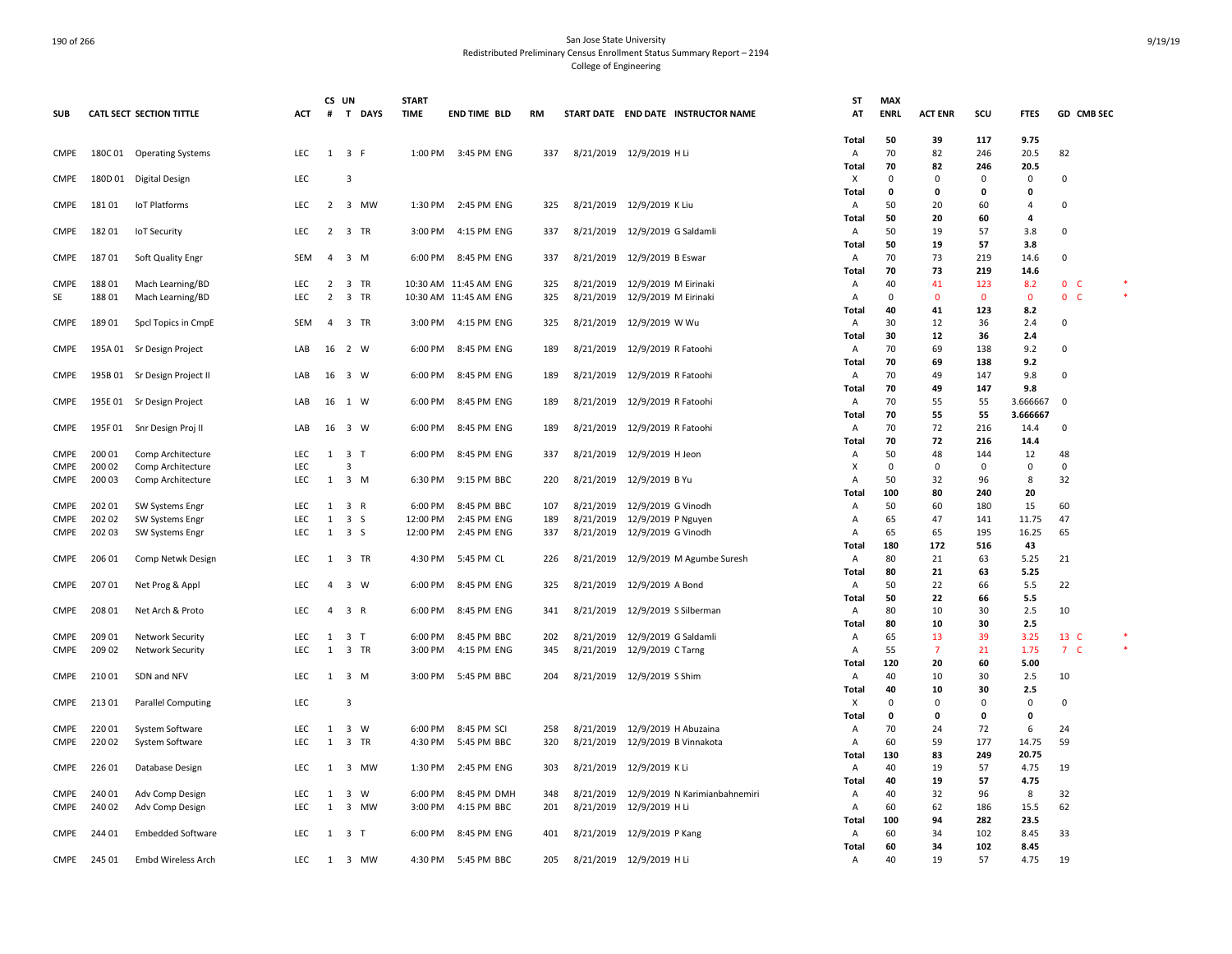|                            |                  |                                                    |                   | CS UN          |                              | <b>START</b>       |                            |            |           |                                                               | ST                | <b>MAX</b>  |                      |              |              |                          |  |
|----------------------------|------------------|----------------------------------------------------|-------------------|----------------|------------------------------|--------------------|----------------------------|------------|-----------|---------------------------------------------------------------|-------------------|-------------|----------------------|--------------|--------------|--------------------------|--|
| <b>SUB</b>                 |                  | <b>CATL SECT SECTION TITTLE</b>                    | ACT               | $\#$           | T DAYS                       | <b>TIME</b>        | <b>END TIME BLD</b>        | <b>RM</b>  |           | START DATE END DATE INSTRUCTOR NAME                           | AT                | <b>ENRL</b> | <b>ACT ENR</b>       | SCU          | <b>FTES</b>  | GD CMB SEC               |  |
|                            |                  |                                                    |                   |                |                              |                    |                            |            |           |                                                               | Total             | 50          | 39                   | 117          | 9.75         |                          |  |
| <b>CMPE</b>                |                  | 180C 01 Operating Systems                          | LEC               |                | $1 \quad 3 \quad F$          |                    | 1:00 PM 3:45 PM ENG        | 337        |           | 8/21/2019 12/9/2019 H Li                                      | A                 | 70          | 82                   | 246          | 20.5         | 82                       |  |
|                            |                  |                                                    |                   |                |                              |                    |                            |            |           |                                                               | Total             | 70          | 82                   | 246          | 20.5         |                          |  |
| <b>CMPE</b>                |                  | 180D 01 Digital Design                             | LEC               |                | $\overline{3}$               |                    |                            |            |           |                                                               | x                 | $\Omega$    | $\Omega$             | $\Omega$     | 0            | $\Omega$                 |  |
|                            |                  |                                                    |                   |                |                              |                    |                            |            |           |                                                               | Total             | $\Omega$    | $\Omega$             | $\mathbf{0}$ | 0            |                          |  |
| CMPE                       | 18101            | IoT Platforms                                      | <b>LEC</b>        | $\overline{2}$ | 3 MW                         | 1:30 PM            | 2:45 PM ENG                | 325        |           | 8/21/2019 12/9/2019 K Liu                                     | Α                 | 50          | 20                   | 60           | 4            | $\mathbf 0$              |  |
|                            |                  |                                                    |                   |                |                              |                    |                            |            |           |                                                               | Total             | 50          | 20                   | 60           | 4            |                          |  |
| CMPE                       | 18201            | <b>IoT Security</b>                                | LEC               | $\overline{2}$ | 3 TR                         | 3:00 PM            | 4:15 PM ENG                | 337        |           | 8/21/2019 12/9/2019 G Saldamli                                | A                 | 50<br>50    | 19<br>19             | 57<br>57     | 3.8          | $\mathbf 0$              |  |
| <b>CMPE</b>                | 18701            | Soft Quality Engr                                  | SEM               | $\overline{a}$ | 3 M                          | 6:00 PM            | 8:45 PM ENG                | 337        |           | 8/21/2019 12/9/2019 B Eswar                                   | Total<br>Α        | 70          | 73                   | 219          | 3.8<br>14.6  | $\mathbf 0$              |  |
|                            |                  |                                                    |                   |                |                              |                    |                            |            |           |                                                               | Total             | 70          | 73                   | 219          | 14.6         |                          |  |
| <b>CMPE</b>                | 188 01           | Mach Learning/BD                                   | <b>LEC</b>        | 2              | 3 TR                         |                    | 10:30 AM 11:45 AM ENG      | 325        |           | 8/21/2019 12/9/2019 M Eirinaki                                | $\overline{A}$    | 40          | 41                   | 123          | 8.2          | $\mathbf{0}$<br>- C      |  |
| SE                         | 18801            | Mach Learning/BD                                   | LEC               | $\overline{2}$ | 3 TR                         |                    | 10:30 AM 11:45 AM ENG      | 325        |           | 8/21/2019 12/9/2019 M Eirinaki                                | A                 | $\Omega$    | $\Omega$             | $\mathbf 0$  | $\mathbf 0$  | $\mathbf{0}$<br><b>C</b> |  |
|                            |                  |                                                    |                   |                |                              |                    |                            |            |           |                                                               | Total             | 40          | 41                   | 123          | 8.2          |                          |  |
| <b>CMPE</b>                | 18901            | Spcl Topics in CmpE                                | SEM               | $\overline{a}$ | 3 TR                         | 3:00 PM            | 4:15 PM ENG                | 325        |           | 8/21/2019 12/9/2019 W Wu                                      | A                 | 30          | 12                   | 36           | 2.4          | 0                        |  |
|                            |                  |                                                    |                   |                |                              |                    |                            |            |           |                                                               | Total             | 30          | 12                   | 36           | 2.4          |                          |  |
| <b>CMPE</b>                |                  | 195A 01 Sr Design Project                          | LAB               | 16             | 2 W                          | 6:00 PM            | 8:45 PM ENG                | 189        |           | 8/21/2019 12/9/2019 R Fatoohi                                 | $\overline{A}$    | 70          | 69                   | 138          | 9.2          | 0                        |  |
|                            |                  |                                                    |                   |                |                              |                    |                            |            |           |                                                               | Total             | 70          | 69                   | 138          | 9.2          |                          |  |
| <b>CMPE</b>                |                  | 195B 01 Sr Design Project II                       | LAB               | 16             | 3 W                          | 6:00 PM            | 8:45 PM ENG                | 189        |           | 8/21/2019 12/9/2019 R Fatoohi                                 | Α                 | 70          | 49                   | 147          | 9.8          | $\mathbf 0$              |  |
|                            |                  |                                                    |                   |                |                              |                    |                            |            |           |                                                               | Total             | 70          | 49                   | 147          | 9.8          |                          |  |
| <b>CMPE</b>                |                  | 195E 01 Sr Design Project                          | LAB               | 16             | 1 W                          | 6:00 PM            | 8:45 PM ENG                | 189        |           | 8/21/2019 12/9/2019 R Fatoohi                                 | A                 | 70          | 55                   | 55           | 3.666667     | $\circ$                  |  |
|                            |                  |                                                    |                   |                |                              |                    |                            |            |           |                                                               | Total             | 70          | 55                   | 55           | 3.666667     |                          |  |
| <b>CMPE</b>                | 195F01           | Snr Design Proj II                                 | LAB               | 16             | 3 W                          | 6:00 PM            | 8:45 PM ENG                | 189        |           | 8/21/2019 12/9/2019 R Fatoohi                                 | Α                 | 70          | 72                   | 216          | 14.4         | $\mathbf 0$              |  |
| <b>CMPE</b>                | 200 01           |                                                    | LEC               | $\mathbf{1}$   | 3 <sub>1</sub>               | 6:00 PM            | 8:45 PM ENG                | 337        | 8/21/2019 | 12/9/2019 H Jeon                                              | Total<br>A        | 70<br>50    | 72<br>48             | 216<br>144   | 14.4<br>12   | 48                       |  |
| <b>CMPE</b>                | 200 02           | Comp Architecture<br>Comp Architecture             | LEC               |                | 3                            |                    |                            |            |           |                                                               | X                 | $\Omega$    | $\Omega$             | 0            | 0            | 0                        |  |
| <b>CMPE</b>                | 200 03           | Comp Architecture                                  | <b>LEC</b>        |                | $1 \quad 3 \quad M$          | 6:30 PM            | 9:15 PM BBC                | 220        |           | 8/21/2019 12/9/2019 B Yu                                      | $\overline{A}$    | 50          | 32                   | 96           | 8            | 32                       |  |
|                            |                  |                                                    |                   |                |                              |                    |                            |            |           |                                                               | <b>Total</b>      | 100         | 80                   | 240          | 20           |                          |  |
| <b>CMPE</b>                | 202 01           | SW Systems Engr                                    | LEC               | 1              | 3 R                          | 6:00 PM            | 8:45 PM BBC                | 107        | 8/21/2019 | 12/9/2019 G Vinodh                                            | Α                 | 50          | 60                   | 180          | 15           | 60                       |  |
| <b>CMPE</b>                | 202 02           | SW Systems Engr                                    | <b>LEC</b>        | 1              | 3 S                          | 12:00 PM           | 2:45 PM ENG                | 189        |           | 8/21/2019 12/9/2019 P Nguyen                                  | $\overline{A}$    | 65          | 47                   | 141          | 11.75        | 47                       |  |
| <b>CMPE</b>                | 202 03           | SW Systems Engr                                    | <b>LEC</b>        | 1              | 3 S                          | 12:00 PM           | 2:45 PM ENG                | 337        |           | 8/21/2019 12/9/2019 G Vinodh                                  | $\overline{A}$    | 65          | 65                   | 195          | 16.25        | 65                       |  |
|                            |                  |                                                    |                   |                |                              |                    |                            |            |           |                                                               | Total             | 180         | 172                  | 516          | 43           |                          |  |
| CMPE                       | 206 01           | Comp Netwk Design                                  | LEC               | 1              | 3 TR                         | 4:30 PM            | 5:45 PM CL                 | 226        |           | 8/21/2019 12/9/2019 M Agumbe Suresh                           | Α                 | 80          | 21                   | 63           | 5.25         | 21                       |  |
|                            |                  |                                                    |                   |                |                              |                    |                            |            |           |                                                               | Total             | 80          | 21                   | 63           | 5.25         |                          |  |
| CMPE                       | 207 01           | Net Prog & Appl                                    | <b>LEC</b>        | $\overline{a}$ | 3 W                          | 6:00 PM            | 8:45 PM ENG                | 325        |           | 8/21/2019 12/9/2019 A Bond                                    | Α                 | 50          | 22                   | 66           | 5.5          | 22                       |  |
|                            |                  |                                                    |                   |                |                              |                    |                            |            |           |                                                               | Total             | 50          | 22                   | 66           | 5.5          |                          |  |
| CMPE                       | 208 01           | Net Arch & Proto                                   | <b>LEC</b>        | $\overline{a}$ | 3 R                          | 6:00 PM            | 8:45 PM ENG                | 341        |           | 8/21/2019 12/9/2019 S Silberman                               | Α                 | 80          | 10                   | 30           | 2.5          | 10                       |  |
|                            |                  |                                                    |                   |                |                              |                    |                            |            |           |                                                               | Total             | 80          | 10                   | 30           | 2.5          |                          |  |
| <b>CMPE</b><br><b>CMPE</b> | 209 01<br>209 02 | <b>Network Security</b><br><b>Network Security</b> | <b>LEC</b><br>LEC | 1<br>1         | 3 T<br>3 TR                  | 6:00 PM<br>3:00 PM | 8:45 PM BBC<br>4:15 PM ENG | 202<br>345 |           | 8/21/2019 12/9/2019 G Saldamli<br>8/21/2019 12/9/2019 C Tarng | Α<br>A            | 65<br>55    | 13<br>$\overline{7}$ | 39<br>21     | 3.25<br>1.75 | 13 C<br>7 <sup>C</sup>   |  |
|                            |                  |                                                    |                   |                |                              |                    |                            |            |           |                                                               | Total             | 120         | 20                   | 60           | 5.00         |                          |  |
| CMPE                       | 21001            | SDN and NFV                                        | <b>LEC</b>        | 1              | 3 M                          | 3:00 PM            | 5:45 PM BBC                | 204        |           | 8/21/2019 12/9/2019 S Shim                                    | $\overline{A}$    | 40          | 10                   | 30           | 2.5          | 10                       |  |
|                            |                  |                                                    |                   |                |                              |                    |                            |            |           |                                                               | Total             | 40          | 10                   | 30           | 2.5          |                          |  |
| CMPE                       | 21301            | <b>Parallel Computing</b>                          | LEC               |                | $\overline{3}$               |                    |                            |            |           |                                                               | X                 | $\Omega$    | 0                    | $\mathsf 0$  | 0            | 0                        |  |
|                            |                  |                                                    |                   |                |                              |                    |                            |            |           |                                                               | Total             | $\Omega$    | 0                    | 0            | 0            |                          |  |
| CMPE                       | 22001            | System Software                                    | LEC               | 1              | 3 W                          | 6:00 PM            | 8:45 PM SCI                | 258        |           | 8/21/2019 12/9/2019 H Abuzaina                                | A                 | 70          | 24                   | 72           | 6            | 24                       |  |
| <b>CMPE</b>                | 22002            | System Software                                    | LEC               | $\mathbf{1}$   | 3 TR                         | 4:30 PM            | 5:45 PM BBC                | 320        |           | 8/21/2019 12/9/2019 B Vinnakota                               | A                 | 60          | 59                   | 177          | 14.75        | 59                       |  |
|                            |                  |                                                    |                   |                |                              |                    |                            |            |           |                                                               | Total             | 130         | 83                   | 249          | 20.75        |                          |  |
| <b>CMPE</b>                | 22601            | Database Design                                    | LEC               | 1              | 3 MW                         | 1:30 PM            | 2:45 PM ENG                | 303        |           | 8/21/2019 12/9/2019 KLi                                       | Α                 | 40          | 19                   | 57           | 4.75         | 19                       |  |
|                            |                  |                                                    |                   |                |                              |                    |                            |            |           |                                                               | Total             | 40          | 19                   | 57           | 4.75         |                          |  |
| CMPE                       | 240 01           | Adv Comp Design                                    | <b>LEC</b>        | 1              | $\overline{\mathbf{3}}$<br>W | 6:00 PM            | 8:45 PM DMH                | 348        |           | 8/21/2019 12/9/2019 N Karimianbahnemiri                       | Α                 | 40          | 32                   | 96           | 8            | 32                       |  |
| <b>CMPE</b>                | 240 02           | Adv Comp Design                                    | LEC               | 1              | 3 MW                         | 3:00 PM            | 4:15 PM BBC                | 201        | 8/21/2019 | 12/9/2019 H Li                                                | A                 | 60          | 62                   | 186          | 15.5         | 62                       |  |
|                            |                  |                                                    |                   |                |                              |                    |                            |            |           |                                                               | Total             | 100         | 94                   | 282          | 23.5         |                          |  |
| <b>CMPE</b>                | 244 01           | <b>Embedded Software</b>                           | <b>LEC</b>        | 1              | 3 T                          | 6:00 PM            | 8:45 PM ENG                | 401        |           | 8/21/2019 12/9/2019 P Kang                                    | A<br><b>Total</b> | 60<br>60    | 34<br>34             | 102<br>102   | 8.45<br>8.45 | 33                       |  |
| CMPE                       | 245 01           | Embd Wireless Arch                                 | <b>LEC</b>        |                | 1 3 MW                       | 4:30 PM            | 5:45 PM BBC                | 205        |           | 8/21/2019 12/9/2019 H Li                                      | Α                 | 40          | 19                   | 57           | 4.75         | 19                       |  |
|                            |                  |                                                    |                   |                |                              |                    |                            |            |           |                                                               |                   |             |                      |              |              |                          |  |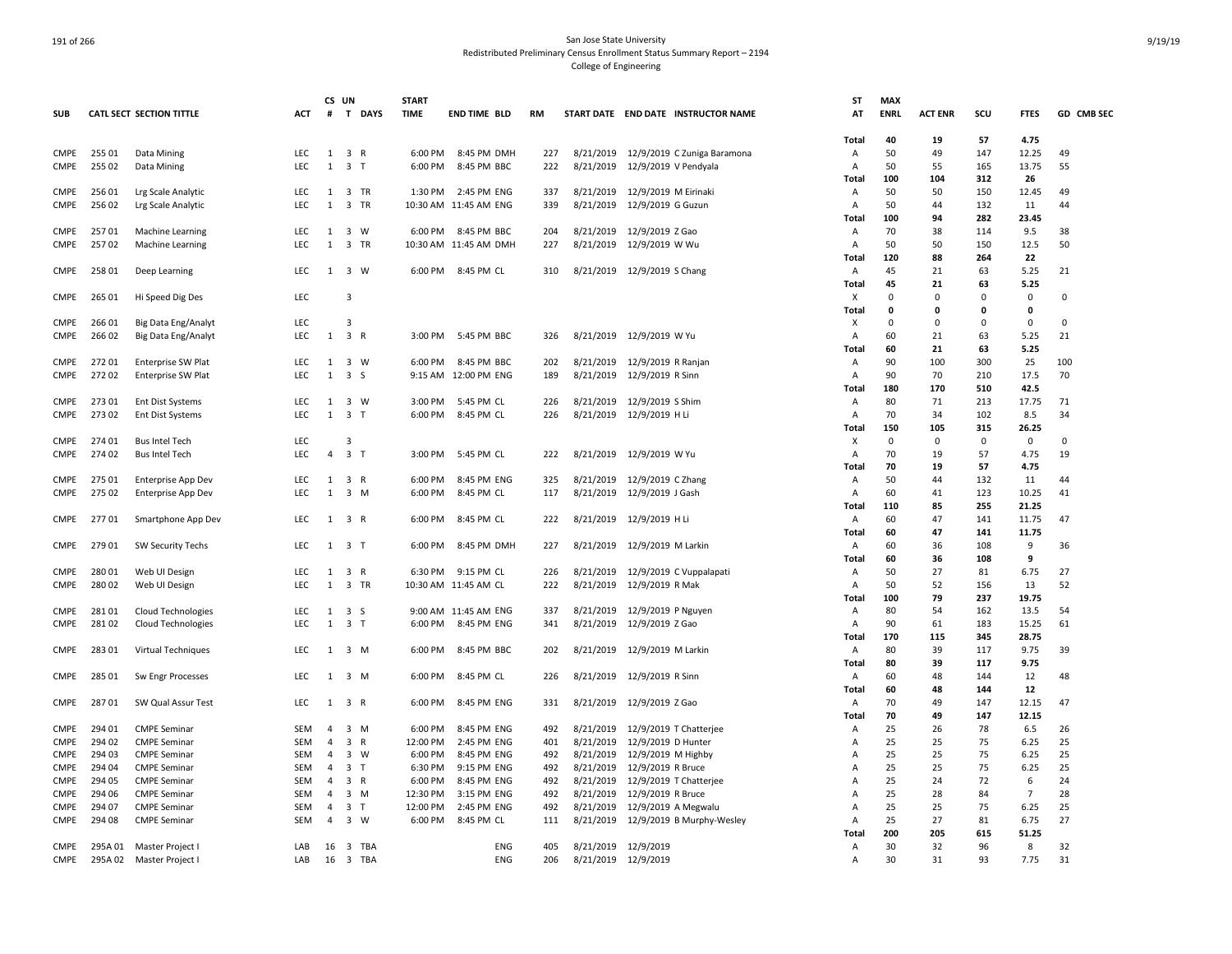|             |         |                           |            | CS UN          |                                | <b>START</b> |                       |           |           |                                       | <b>ST</b>      | <b>MAX</b>  |                |             |                |            |
|-------------|---------|---------------------------|------------|----------------|--------------------------------|--------------|-----------------------|-----------|-----------|---------------------------------------|----------------|-------------|----------------|-------------|----------------|------------|
| <b>SUB</b>  |         | CATL SECT SECTION TITTLE  | <b>ACT</b> | #              | T DAYS                         | <b>TIME</b>  | <b>END TIME BLD</b>   | <b>RM</b> |           | START DATE END DATE INSTRUCTOR NAME   | AT             | <b>ENRL</b> | <b>ACT ENR</b> | scu         | <b>FTES</b>    | GD CMB SEC |
|             |         |                           |            |                |                                |              |                       |           |           |                                       |                |             |                |             |                |            |
|             |         |                           |            |                |                                |              |                       |           |           |                                       | Total          | 40          | 19             | 57          | 4.75           |            |
| CMPE        | 255 01  | Data Mining               | LEC.       |                | $1 \quad 3 \quad R$            | 6:00 PM      | 8:45 PM DMH           | 227       |           | 8/21/2019 12/9/2019 C Zuniga Baramona | Α              | 50          | 49             | 147         | 12.25          | 49         |
| <b>CMPE</b> | 255 02  | Data Mining               | LEC.       | 1              | 3 <sub>T</sub>                 | 6:00 PM      | 8:45 PM BBC           | 222       | 8/21/2019 | 12/9/2019 V Pendyala                  | $\overline{A}$ | 50          | 55             | 165         | 13.75          | 55         |
|             |         |                           |            |                |                                |              |                       |           |           |                                       | Total          | 100         | 104            | 312         | 26             |            |
| CMPE        | 25601   | Lrg Scale Analytic        | LEC        |                | 1 3 TR                         | 1:30 PM      | 2:45 PM ENG           | 337       |           | 8/21/2019 12/9/2019 M Eirinaki        | A              | 50          | 50             | 150         | 12.45          | 49         |
| CMPE        | 256 02  | Lrg Scale Analytic        | LEC        | $\mathbf{1}$   | 3 TR                           |              | 10:30 AM 11:45 AM ENG | 339       | 8/21/2019 | 12/9/2019 G Guzun                     | A              | 50          | 44             | 132         | 11             | 44         |
|             |         |                           |            |                |                                |              |                       |           |           |                                       | Total          | 100         | 94             | 282         | 23.45          |            |
| CMPE        | 25701   | <b>Machine Learning</b>   | LEC        | 1              | 3 W                            | 6:00 PM      | 8:45 PM BBC           | 204       |           | 8/21/2019 12/9/2019 Z Gao             | А              | 70          | 38             | 114         | 9.5            | 38         |
| CMPE        | 25702   |                           | LEC        | 1              | 3 TR                           |              | 10:30 AM 11:45 AM DMH | 227       |           | 8/21/2019 12/9/2019 W Wu              | A              | 50          | 50             | 150         | 12.5           | 50         |
|             |         | Machine Learning          |            |                |                                |              |                       |           |           |                                       |                | 120         | 88             | 264         | 22             |            |
|             |         |                           |            |                |                                |              |                       |           |           |                                       | Total          | 45          | 21             |             |                |            |
| CMPE        | 258 01  | Deep Learning             | LEC        |                | 1 3 W                          | 6:00 PM      | 8:45 PM CL            | 310       |           | 8/21/2019 12/9/2019 S Chang           | Α              |             |                | 63          | 5.25           | 21         |
|             |         |                           |            |                |                                |              |                       |           |           |                                       | Total          | 45          | 21             | 63          | 5.25           |            |
| CMPE        | 265 01  | Hi Speed Dig Des          | LEC        |                | 3                              |              |                       |           |           |                                       | X              | $\Omega$    | $\Omega$       | $\Omega$    | 0              | 0          |
|             |         |                           |            |                |                                |              |                       |           |           |                                       | Total          | 0           | $\mathbf{0}$   | 0           | $\mathbf{0}$   |            |
| <b>CMPE</b> | 26601   | Big Data Eng/Analyt       | LEC        |                | $\overline{3}$                 |              |                       |           |           |                                       | х              | $\Omega$    | $\Omega$       | $\Omega$    | $\Omega$       | 0          |
| <b>CMPE</b> | 26602   | Big Data Eng/Analyt       | <b>LEC</b> | 1              | 3 R                            | 3:00 PM      | 5:45 PM BBC           | 326       |           | 8/21/2019 12/9/2019 W Yu              | Α              | 60          | 21             | 63          | 5.25           | 21         |
|             |         |                           |            |                |                                |              |                       |           |           |                                       | Total          | 60          | 21             | 63          | 5.25           |            |
| CMPE        | 27201   | <b>Enterprise SW Plat</b> | LEC        | 1              | $\overline{\mathbf{3}}$<br>W   | 6:00 PM      | 8:45 PM BBC           | 202       | 8/21/2019 | 12/9/2019 R Ranjan                    | Α              | 90          | 100            | 300         | 25             | 100        |
| CMPE        | 27202   | <b>Enterprise SW Plat</b> | <b>LEC</b> | 1              | 3 S                            |              | 9:15 AM 12:00 PM ENG  | 189       |           | 8/21/2019 12/9/2019 R Sinn            | Α              | 90          | 70             | 210         | 17.5           | 70         |
|             |         |                           |            |                |                                |              |                       |           |           |                                       | Total          | 180         | 170            | 510         | 42.5           |            |
| <b>CMPE</b> | 27301   | <b>Ent Dist Systems</b>   | <b>LEC</b> | 1              | 3 W                            | 3:00 PM      | 5:45 PM CL            | 226       |           | 8/21/2019 12/9/2019 S Shim            | Α              | 80          | 71             | 213         | 17.75          | 71         |
| <b>CMPE</b> | 27302   | Ent Dist Systems          | LEC        | 1              | 3 <sub>1</sub>                 | 6:00 PM      | 8:45 PM CL            | 226       |           | 8/21/2019 12/9/2019 H Li              | Α              | 70          | 34             | 102         | 8.5            | 34         |
|             |         |                           |            |                |                                |              |                       |           |           |                                       | Total          | 150         | 105            | 315         | 26.25          |            |
| <b>CMPE</b> | 274 01  | <b>Bus Intel Tech</b>     | <b>LEC</b> |                | 3                              |              |                       |           |           |                                       | х              | $\mathbf 0$ | 0              | $\mathbf 0$ | 0              | $\Omega$   |
| <b>CMPE</b> | 274 02  | <b>Bus Intel Tech</b>     | <b>LEC</b> | $\overline{4}$ | 3 <sub>7</sub>                 | 3:00 PM      | 5:45 PM CL            | 222       |           | 8/21/2019 12/9/2019 W Yu              | Α              | 70          | 19             | 57          | 4.75           | 19         |
|             |         |                           |            |                |                                |              |                       |           |           |                                       | Total          | 70          | 19             | 57          | 4.75           |            |
| <b>CMPE</b> | 275 01  | <b>Enterprise App Dev</b> | LEC        | 1              | 3 R                            | 6:00 PM      | 8:45 PM ENG           | 325       |           | 8/21/2019 12/9/2019 C Zhang           | A              | 50          | 44             | 132         | 11             | 44         |
| CMPE        | 275 02  |                           | LEC        | 1              | $3 \, M$                       | 6:00 PM      | 8:45 PM CL            | 117       |           | 8/21/2019 12/9/2019 J Gash            |                | 60          | 41             | 123         | 10.25          | 41         |
|             |         | Enterprise App Dev        |            |                |                                |              |                       |           |           |                                       | Α              |             |                |             |                |            |
|             |         |                           |            |                |                                |              |                       |           |           |                                       | Total          | 110         | 85             | 255         | 21.25          |            |
| CMPE        | 27701   | Smartphone App Dev        | LEC        |                | 1 3 R                          | 6:00 PM      | 8:45 PM CL            | 222       |           | 8/21/2019 12/9/2019 H Li              | Α              | 60          | 47             | 141         | 11.75          | 47         |
|             |         |                           |            |                |                                |              |                       |           |           |                                       | Total          | 60          | 47             | 141         | 11.75          |            |
| <b>CMPE</b> | 279 01  | <b>SW Security Techs</b>  | LEC        |                | $1 \quad 3 \quad T$            | 6:00 PM      | 8:45 PM DMH           | 227       |           | 8/21/2019 12/9/2019 M Larkin          | A              | 60          | 36             | 108         | 9              | 36         |
|             |         |                           |            |                |                                |              |                       |           |           |                                       | <b>Total</b>   | 60          | 36             | 108         | 9              |            |
| CMPE        | 28001   | Web UI Design             | LEC        | 1              | 3 R                            | 6:30 PM      | 9:15 PM CL            | 226       |           | 8/21/2019 12/9/2019 C Vuppalapati     | Α              | 50          | 27             | 81          | 6.75           | 27         |
| CMPE        | 280 02  | Web UI Design             | LEC        | 1              | 3 TR                           |              | 10:30 AM 11:45 AM CL  | 222       |           | 8/21/2019 12/9/2019 R Mak             | A              | 50          | 52             | 156         | 13             | 52         |
|             |         |                           |            |                |                                |              |                       |           |           |                                       | Total          | 100         | 79             | 237         | 19.75          |            |
| <b>CMPE</b> | 281 01  | <b>Cloud Technologies</b> | LEC        | 1              | 3 <sub>5</sub>                 |              | 9:00 AM 11:45 AM ENG  | 337       | 8/21/2019 | 12/9/2019 P Nguyen                    | $\overline{A}$ | 80          | 54             | 162         | 13.5           | 54         |
| CMPE        | 28102   | <b>Cloud Technologies</b> | <b>LEC</b> | 1              | 3 T                            | 6:00 PM      | 8:45 PM ENG           | 341       |           | 8/21/2019 12/9/2019 Z Gao             | Α              | 90          | 61             | 183         | 15.25          | 61         |
|             |         |                           |            |                |                                |              |                       |           |           |                                       | Total          | 170         | 115            | 345         | 28.75          |            |
| CMPE        | 283 01  | Virtual Techniques        | LEC        | 1              | $3 \, M$                       | 6:00 PM      | 8:45 PM BBC           | 202       |           | 8/21/2019 12/9/2019 M Larkin          | Α              | 80          | 39             | 117         | 9.75           | 39         |
|             |         |                           |            |                |                                |              |                       |           |           |                                       | Total          | 80          | 39             | 117         | 9.75           |            |
| CMPE        | 285 01  | Sw Engr Processes         | LEC        | 1              | 3 M                            | 6:00 PM      | 8:45 PM CL            | 226       |           | 8/21/2019 12/9/2019 R Sinn            | Α              | 60          | 48             | 144         | 12             | 48         |
|             |         |                           |            |                |                                |              |                       |           |           |                                       | Total          | 60          | 48             | 144         | 12             |            |
| CMPE        | 28701   | SW Qual Assur Test        | LEC        | 1              | 3 R                            | 6:00 PM      | 8:45 PM ENG           | 331       |           | 8/21/2019 12/9/2019 Z Gao             | Α              | 70          | 49             | 147         | 12.15          | 47         |
|             |         |                           |            |                |                                |              |                       |           |           |                                       | Total          | 70          | 49             | 147         | 12.15          |            |
| CMPE        | 294 01  | <b>CMPE Seminar</b>       | SEM        | 4              | $3 \, M$                       | 6:00 PM      | 8:45 PM ENG           | 492       |           | 8/21/2019 12/9/2019 T Chatterjee      | Α              | 25          | 26             | 78          | 6.5            | 26         |
|             |         |                           |            |                |                                |              |                       |           |           |                                       |                |             |                |             |                |            |
| <b>CMPE</b> | 294 02  | <b>CMPE Seminar</b>       | <b>SEM</b> | 4              | 3 R                            | 12:00 PM     | 2:45 PM ENG           | 401       | 8/21/2019 | 12/9/2019 D Hunter                    | A              | 25          | 25             | 75          | 6.25           | 25         |
| <b>CMPE</b> | 294 03  | <b>CMPE Seminar</b>       | <b>SEM</b> | 4              | $\overline{\mathbf{3}}$<br>W   | 6:00 PM      | 8:45 PM ENG           | 492       | 8/21/2019 | 12/9/2019 M Highby                    | A              | 25          | 25             | 75          | 6.25           | 25         |
| <b>CMPE</b> | 294 04  | <b>CMPE Seminar</b>       | <b>SEM</b> | $\overline{4}$ | 3 <sub>1</sub>                 | 6:30 PM      | 9:15 PM ENG           | 492       | 8/21/2019 | 12/9/2019 R Bruce                     | A              | 25          | 25             | 75          | 6.25           | 25         |
| CMPE        | 294 05  | <b>CMPE Seminar</b>       | SEM        | $\overline{4}$ | 3 R                            | 6:00 PM      | 8:45 PM ENG           | 492       | 8/21/2019 | 12/9/2019 T Chatterjee                | A              | 25          | 24             | 72          | 6              | 24         |
| <b>CMPE</b> | 294 06  | <b>CMPE Seminar</b>       | <b>SEM</b> | 4              | 3 M                            | 12:30 PM     | 3:15 PM ENG           | 492       |           | 8/21/2019 12/9/2019 R Bruce           | A              | 25          | 28             | 84          | $\overline{7}$ | 28         |
| CMPE        | 294 07  | <b>CMPE Seminar</b>       | SEM        | 4              | $\overline{3}$<br>$\top$       | 12:00 PM     | 2:45 PM ENG           | 492       | 8/21/2019 | 12/9/2019 A Megwalu                   | A              | 25          | 25             | 75          | 6.25           | 25         |
| CMPE        | 294 08  | <b>CMPE Seminar</b>       | <b>SEM</b> | $\overline{4}$ | $\overline{\mathbf{3}}$<br>W   | 6:00 PM      | 8:45 PM CL            | 111       | 8/21/2019 | 12/9/2019 B Murphy-Wesley             | Α              | 25          | 27             | 81          | 6.75           | 27         |
|             |         |                           |            |                |                                |              |                       |           |           |                                       | Total          | 200         | 205            | 615         | 51.25          |            |
| <b>CMPE</b> |         | 295A 01 Master Project    | LAB        | 16             | 3 TBA                          |              | ENG                   | 405       |           | 8/21/2019 12/9/2019                   | Α              | 30          | 32             | 96          | 8              | 32         |
| CMPE        | 295A 02 | Master Project            | LAB        | 16             | $\overline{\mathbf{3}}$<br>TBA |              | <b>ENG</b>            | 206       |           | 8/21/2019 12/9/2019                   | A              | 30          | 31             | 93          | 7.75           | 31         |
|             |         |                           |            |                |                                |              |                       |           |           |                                       |                |             |                |             |                |            |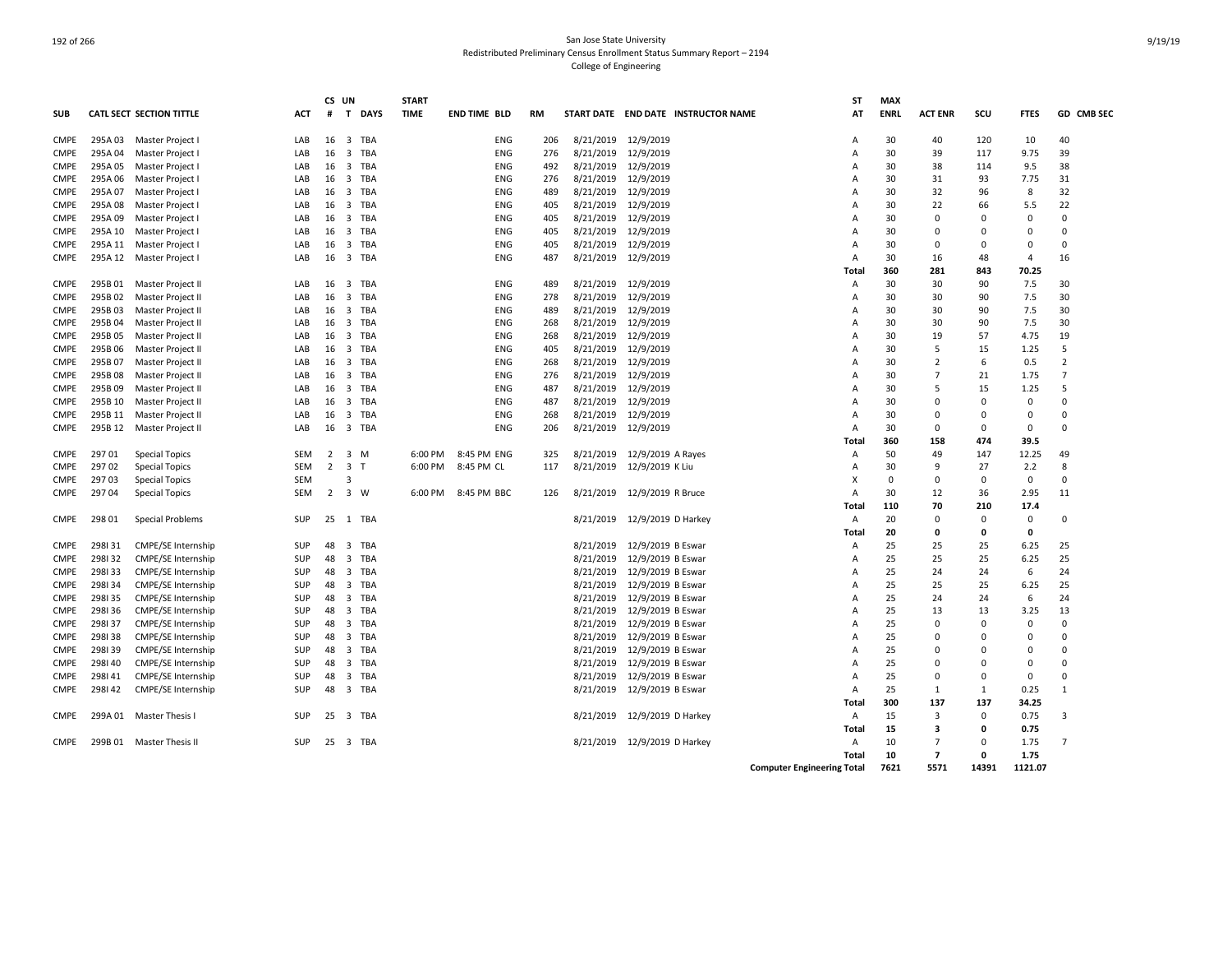|             |         |                                 |            | CS UN |                                | <b>START</b> |                     |           |           |                                     | ST                                | <b>MAX</b>  |                |             |                |                   |
|-------------|---------|---------------------------------|------------|-------|--------------------------------|--------------|---------------------|-----------|-----------|-------------------------------------|-----------------------------------|-------------|----------------|-------------|----------------|-------------------|
| <b>SUB</b>  |         | <b>CATL SECT SECTION TITTLE</b> | <b>ACT</b> | #     | $\mathbf{T}$<br><b>DAYS</b>    | <b>TIME</b>  | <b>END TIME BLD</b> | <b>RM</b> |           | START DATE END DATE INSTRUCTOR NAME | AT                                | <b>ENRL</b> | <b>ACT ENR</b> | scu         | <b>FTES</b>    | <b>GD CMB SEC</b> |
| <b>CMPE</b> |         | 295A 03 Master Project I        | LAB        | 16    | $\overline{3}$<br>TBA          |              | <b>ENG</b>          | 206       |           | 8/21/2019 12/9/2019                 | Α                                 | 30          | 40             | 120         | 10             | 40                |
| <b>CMPE</b> | 295A 04 | Master Project I                | LAB        | 16    | $\overline{\mathbf{3}}$<br>TBA |              | <b>ENG</b>          | 276       |           | 8/21/2019 12/9/2019                 | Α                                 | 30          | 39             | 117         | 9.75           | 39                |
| <b>CMPE</b> | 295A 05 | Master Project I                | LAB        | 16    | $\overline{\mathbf{3}}$<br>TBA |              | <b>ENG</b>          | 492       | 8/21/2019 | 12/9/2019                           | $\mathsf{A}$                      | 30          | 38             | 114         | 9.5            | 38                |
| <b>CMPE</b> | 295A 06 | Master Project I                | LAB        | 16    | $\overline{\mathbf{3}}$<br>TBA |              | <b>ENG</b>          | 276       |           | 8/21/2019 12/9/2019                 | $\overline{A}$                    | 30          | 31             | 93          | 7.75           | 31                |
| <b>CMPE</b> | 295A 07 | Master Project I                | LAB        | 16    | TBA<br>$\overline{\mathbf{3}}$ |              | ENG                 | 489       | 8/21/2019 | 12/9/2019                           | А                                 | 30          | 32             | 96          | 8              | 32                |
| <b>CMPE</b> | 295A 08 | Master Project I                | LAB        | 16    | $\overline{\mathbf{3}}$<br>TBA |              | <b>ENG</b>          | 405       | 8/21/2019 | 12/9/2019                           | A                                 | 30          | 22             | 66          | 5.5            | 22                |
| <b>CMPE</b> | 295A 09 | Master Project I                | LAB        | 16    | 3 TBA                          |              | <b>ENG</b>          | 405       | 8/21/2019 | 12/9/2019                           | A                                 | 30          | $\Omega$       | $\Omega$    | $\mathbf 0$    | $\Omega$          |
| <b>CMPE</b> | 295A 10 | Master Project I                | LAB        | 16    | 3 TBA                          |              | <b>ENG</b>          | 405       |           | 8/21/2019 12/9/2019                 | A                                 | 30          | $\Omega$       | n           | $\Omega$       | $\Omega$          |
| <b>CMPE</b> |         | 295A 11 Master Project I        | LAB        | 16    | 3 TBA                          |              | ENG                 | 405       | 8/21/2019 | 12/9/2019                           | Α                                 | 30          | $\Omega$       | $\Omega$    | $\mathbf 0$    | 0                 |
| <b>CMPE</b> |         | 295A 12 Master Project I        | LAB        | 16    | 3 TBA                          |              | <b>ENG</b>          | 487       |           | 8/21/2019 12/9/2019                 | Α                                 | 30          | 16             | 48          | $\overline{4}$ | 16                |
|             |         |                                 |            |       |                                |              |                     |           |           |                                     | Total                             | 360         | 281            | 843         | 70.25          |                   |
| CMPE        | 295B01  | Master Project II               | LAB        | 16    | $\overline{3}$<br>TBA          |              | <b>ENG</b>          | 489       |           | 8/21/2019 12/9/2019                 | Α                                 | 30          | 30             | 90          | 7.5            | 30                |
| <b>CMPE</b> | 295B02  | Master Project II               | LAB        | 16    | TBA<br>$\overline{\mathbf{3}}$ |              | <b>ENG</b>          | 278       | 8/21/2019 | 12/9/2019                           | Α                                 | 30          | 30             | 90          | 7.5            | 30                |
| <b>CMPE</b> | 295B03  | Master Project II               | LAB        | 16    | $\overline{3}$<br>TBA          |              | <b>ENG</b>          | 489       | 8/21/2019 | 12/9/2019                           | Α                                 | 30          | 30             | 90          | 7.5            | 30                |
| <b>CMPE</b> | 295B 04 | Master Project II               | LAB        | 16    | $\overline{\mathbf{3}}$<br>TBA |              | <b>ENG</b>          | 268       | 8/21/2019 | 12/9/2019                           | A                                 | 30          | 30             | 90          | 7.5            | 30                |
| <b>CMPE</b> | 295B 05 | Master Project II               | LAB        | 16    | 3 TBA                          |              | <b>ENG</b>          | 268       |           | 8/21/2019 12/9/2019                 | A                                 | 30          | 19             | 57          | 4.75           | 19                |
| <b>CMPE</b> | 295B06  | Master Project II               | LAB        | 16    | 3 TBA                          |              | ENG                 | 405       |           | 8/21/2019 12/9/2019                 | Α                                 | 30          | 5              | 15          | 1.25           | 5                 |
| <b>CMPE</b> | 295B07  | Master Project II               | LAB        | 16    | 3 TBA                          |              | <b>ENG</b>          | 268       |           | 8/21/2019 12/9/2019                 | A                                 | 30          | $\overline{2}$ | 6           | 0.5            | $\overline{2}$    |
| <b>CMPE</b> | 295B08  | Master Project II               | LAB        | 16    | $\overline{\mathbf{3}}$<br>TBA |              | <b>ENG</b>          | 276       |           | 8/21/2019 12/9/2019                 | Α                                 | 30          | $\overline{7}$ | 21          | 1.75           | $\overline{7}$    |
| <b>CMPE</b> | 295B09  | Master Project II               | LAB        | 16    | $\overline{\mathbf{3}}$<br>TBA |              | <b>ENG</b>          | 487       |           | 8/21/2019 12/9/2019                 | A                                 | 30          | 5              | 15          | 1.25           | 5                 |
| <b>CMPE</b> | 295B 10 | Master Project II               | LAB        | 16    | $\overline{\mathbf{3}}$<br>TBA |              | <b>ENG</b>          | 487       | 8/21/2019 | 12/9/2019                           | A                                 | 30          | $\Omega$       | $\Omega$    | $\mathbf 0$    | $\Omega$          |
| <b>CMPE</b> | 295B 11 | Master Project II               | LAB        | 16    | $\overline{\mathbf{3}}$<br>TBA |              | ENG                 | 268       | 8/21/2019 | 12/9/2019                           | A                                 | 30          | $\Omega$       | $\Omega$    | $\Omega$       | $\Omega$          |
| <b>CMPE</b> | 295B 12 | Master Project II               | LAB        | 16    | 3 TBA                          |              | <b>ENG</b>          | 206       | 8/21/2019 | 12/9/2019                           | Α                                 | 30          | $\Omega$       | $\Omega$    | 0              | 0                 |
|             |         |                                 |            |       |                                |              |                     |           |           |                                     | Total                             | 360         | 158            | 474         | 39.5           |                   |
| <b>CMPE</b> | 29701   | <b>Special Topics</b>           | <b>SEM</b> | 2     | 3 M                            | 6:00 PM      | 8:45 PM ENG         | 325       | 8/21/2019 | 12/9/2019 A Rayes                   | Α                                 | 50          | 49             | 147         | 12.25          | 49                |
| <b>CMPE</b> | 29702   | <b>Special Topics</b>           | <b>SEM</b> | 2     | 3 <sub>T</sub>                 | 6:00 PM      | 8:45 PM CL          | 117       | 8/21/2019 | 12/9/2019 K Liu                     | Α                                 | 30          | 9              | 27          | 2.2            | 8                 |
| <b>CMPE</b> | 29703   | <b>Special Topics</b>           | SEM        |       | $\overline{3}$                 |              |                     |           |           |                                     | X                                 | $\Omega$    | $\mathbf 0$    | $\mathbf 0$ | $\mathbf 0$    | 0                 |
| CMPE        | 29704   | <b>Special Topics</b>           | <b>SEM</b> | 2     | $\overline{3}$<br>W            | 6:00 PM      | 8:45 PM BBC         | 126       |           | 8/21/2019 12/9/2019 R Bruce         | $\overline{A}$                    | 30          | 12             | 36          | 2.95           | 11                |
|             |         |                                 |            |       |                                |              |                     |           |           |                                     | Total                             | 110         | 70             | 210         | 17.4           |                   |
| <b>CMPE</b> | 298 01  | Special Problems                | SUP        | 25    | TBA<br>1                       |              |                     |           | 8/21/2019 | 12/9/2019 D Harkey                  | Α                                 | 20          | $\Omega$       | $\Omega$    | $\Omega$       | $\Omega$          |
|             |         |                                 |            |       |                                |              |                     |           |           |                                     | Total                             | 20          | $\Omega$       | $\Omega$    | $\mathbf{0}$   |                   |
| CMPE        | 298131  | CMPE/SE Internship              | SUP        | 48    | $\overline{\mathbf{3}}$<br>TBA |              |                     |           | 8/21/2019 | 12/9/2019 B Eswar                   | Α                                 | 25          | 25             | 25          | 6.25           | 25                |
| <b>CMPE</b> | 298132  | CMPE/SE Internship              | SUP        | 48    | 3 TBA                          |              |                     |           | 8/21/2019 | 12/9/2019 B Eswar                   | Α                                 | 25          | 25             | 25          | 6.25           | 25                |
| <b>CMPE</b> | 298133  | <b>CMPE/SE Internship</b>       | <b>SUP</b> | 48    | 3 TBA                          |              |                     |           | 8/21/2019 | 12/9/2019 B Eswar                   | A                                 | 25          | 24             | 24          | 6              | 24                |
| <b>CMPE</b> | 298134  | CMPE/SE Internship              | SUP        | 48    | 3 TBA                          |              |                     |           | 8/21/2019 | 12/9/2019 B Eswar                   | Α                                 | 25          | 25             | 25          | 6.25           | 25                |
| <b>CMPE</b> | 298135  | CMPE/SE Internship              | SUP        | 48    | 3 TBA                          |              |                     |           | 8/21/2019 | 12/9/2019 B Eswar                   | A                                 | 25          | 24             | 24          | 6              | 24                |
| <b>CMPE</b> | 298136  | CMPE/SE Internship              | <b>SUP</b> | 48    | $\overline{3}$<br>TBA          |              |                     |           | 8/21/2019 | 12/9/2019 B Eswar                   | $\overline{A}$                    | 25          | 13             | 13          | 3.25           | 13                |
| <b>CMPE</b> | 298137  | CMPE/SE Internship              | SUP        | 48    | $\overline{\mathbf{3}}$<br>TBA |              |                     |           | 8/21/2019 | 12/9/2019 B Eswar                   | A                                 | 25          | $\Omega$       | $\Omega$    | $\mathbf 0$    | $\Omega$          |
| <b>CMPE</b> | 298138  | <b>CMPE/SE Internship</b>       | SUP        | 48    | $\overline{\mathbf{3}}$<br>TBA |              |                     |           | 8/21/2019 | 12/9/2019 B Eswar                   | A                                 | 25          | $\Omega$       |             | $\Omega$       | $\Omega$          |
| <b>CMPE</b> | 298139  | CMPE/SE Internship              | SUP        | 48    | $\overline{\mathbf{3}}$<br>TBA |              |                     |           | 8/21/2019 | 12/9/2019 B Eswar                   | A                                 | 25          | $\Omega$       | n           | $\mathbf 0$    | 0                 |
| <b>CMPE</b> | 298140  | CMPE/SE Internship              | SUP        | 48    | 3 TBA                          |              |                     |           | 8/21/2019 | 12/9/2019 B Eswar                   | $\overline{A}$                    | 25          | $\Omega$       | $\Omega$    | $\Omega$       | $\Omega$          |
| <b>CMPE</b> | 298141  | <b>CMPE/SE Internship</b>       | <b>SUP</b> | 48    | 3 TBA                          |              |                     |           | 8/21/2019 | 12/9/2019 B Eswar                   | A                                 | 25          | $\Omega$       | n           | $\Omega$       | $\Omega$          |
| <b>CMPE</b> | 298142  | CMPE/SE Internship              | SUP        | 48    | 3 TBA                          |              |                     |           |           | 8/21/2019 12/9/2019 B Eswar         | Α                                 | 25          | 1              | 1           | 0.25           | $\mathbf{1}$      |
|             |         |                                 |            |       |                                |              |                     |           |           |                                     | Total                             | 300         | 137            | 137         | 34.25          |                   |
| CMPE        |         | 299A 01 Master Thesis I         | <b>SUP</b> | 25    | 3 TBA                          |              |                     |           |           | 8/21/2019 12/9/2019 D Harkey        | Α                                 | 15          | 3              | $\mathbf 0$ | 0.75           | 3                 |
|             |         |                                 |            |       |                                |              |                     |           |           |                                     | Total                             | 15          | 3              | 0           | 0.75           |                   |
| <b>CMPE</b> |         | 299B 01 Master Thesis II        | <b>SUP</b> | 25    | 3 TBA                          |              |                     |           |           | 8/21/2019 12/9/2019 D Harkey        | Α                                 | 10          | $\overline{7}$ | $\Omega$    | 1.75           | $\overline{7}$    |
|             |         |                                 |            |       |                                |              |                     |           |           |                                     | Total                             | 10          | $\overline{7}$ | n           | 1.75           |                   |
|             |         |                                 |            |       |                                |              |                     |           |           |                                     | <b>Computer Engineering Total</b> | 7621        | 5571           | 14391       | 1121.07        |                   |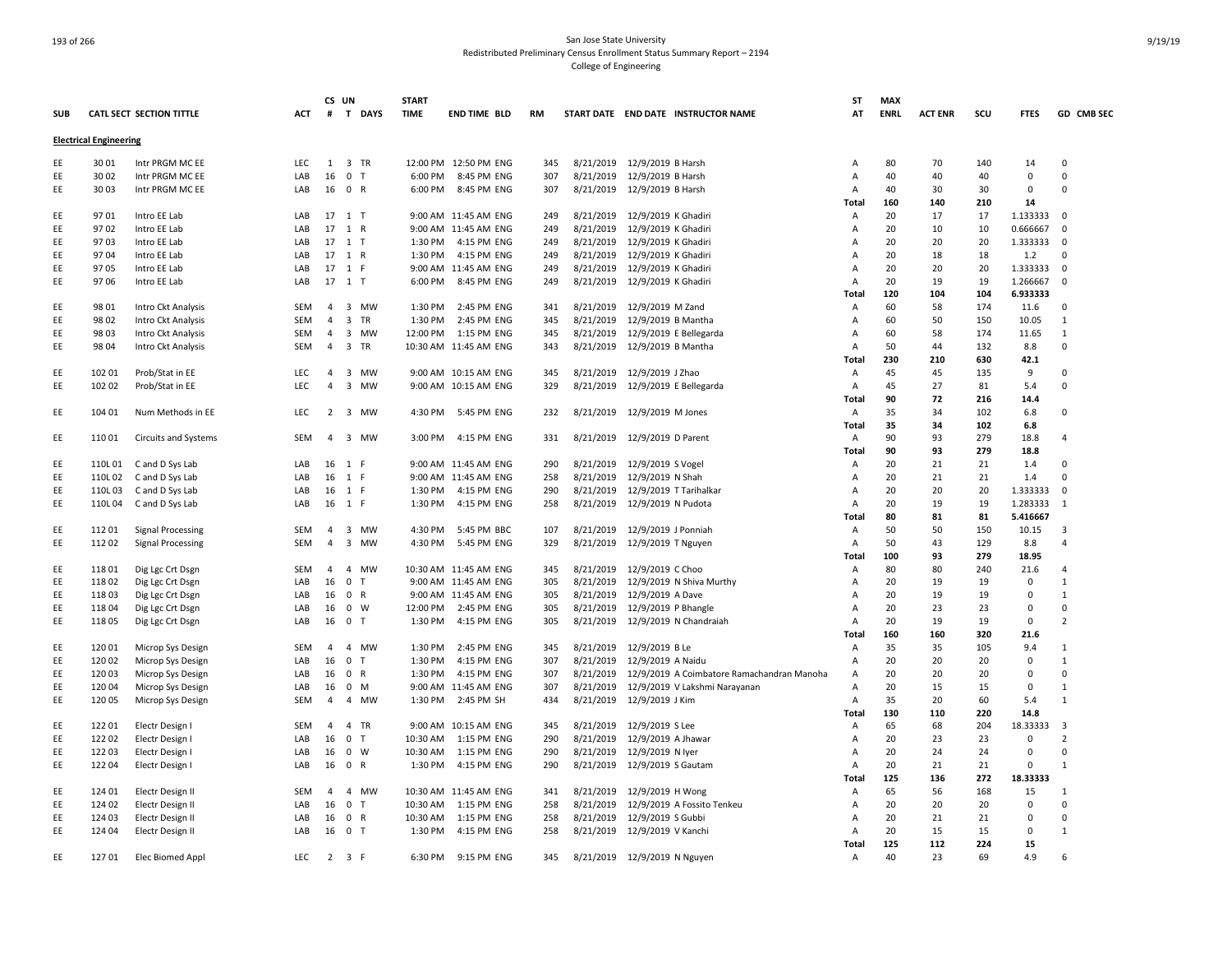|            |                               |                          |            | CS UN          |                       | <b>START</b> |                       |     |           |                              |                                            | ST             | <b>MAX</b>  |                |     |                   |                |
|------------|-------------------------------|--------------------------|------------|----------------|-----------------------|--------------|-----------------------|-----|-----------|------------------------------|--------------------------------------------|----------------|-------------|----------------|-----|-------------------|----------------|
| <b>SUB</b> |                               | CATL SECT SECTION TITTLE | ACT        |                | # T DAYS              | <b>TIME</b>  | <b>END TIME BLD</b>   | RM  |           |                              | START DATE END DATE INSTRUCTOR NAME        | AT             | <b>ENRL</b> | <b>ACT ENR</b> | scu | <b>FTES</b>       | GD CMB SEC     |
|            | <b>Electrical Engineering</b> |                          |            |                |                       |              |                       |     |           |                              |                                            |                |             |                |     |                   |                |
| EE         | 30 01                         | Intr PRGM MC EE          | LEC        | 1              | 3 TR                  |              | 12:00 PM 12:50 PM ENG | 345 | 8/21/2019 | 12/9/2019 B Harsh            |                                            | Α              | 80          | 70             | 140 | 14                | $\Omega$       |
| EE         | 30 02                         | Intr PRGM MC EE          | LAB        | 16             | 0 <sub>T</sub>        | 6:00 PM      | 8:45 PM ENG           | 307 | 8/21/2019 | 12/9/2019 B Harsh            |                                            | Α              | 40          | 40             | 40  | $\mathbf 0$       | $\Omega$       |
| EE         | 30 03                         | Intr PRGM MC EE          | LAB        |                | 16 0 R                | 6:00 PM      | 8:45 PM ENG           | 307 | 8/21/2019 | 12/9/2019 B Harsh            |                                            | Α              | 40          | 30             | 30  | $\Omega$          | $\Omega$       |
|            |                               |                          |            |                |                       |              |                       |     |           |                              |                                            | Total          | 160         | 140            | 210 | 14                |                |
| EE         | 9701                          | Intro EE Lab             | LAB        | 17             | $1$ T                 |              | 9:00 AM 11:45 AM ENG  | 249 | 8/21/2019 | 12/9/2019 K Ghadiri          |                                            | Α              | 20          | 17             | 17  | 1.133333          | $\Omega$       |
| EE         | 9702                          | Intro EE Lab             | LAB        |                | 17 1 R                |              | 9:00 AM 11:45 AM ENG  | 249 | 8/21/2019 | 12/9/2019 K Ghadiri          |                                            | A              | 20          | 10             | 10  | 0.666667          | $\Omega$       |
| EE         | 9703                          | Intro EE Lab             | LAB        | 17             | $1$ T                 | 1:30 PM      | 4:15 PM ENG           | 249 | 8/21/2019 | 12/9/2019 K Ghadiri          |                                            | Α              | 20          | 20             | 20  | 1.333333          | 0              |
| EE         | 9704                          | Intro EE Lab             | LAB        |                | 17 1 R                | 1:30 PM      | 4:15 PM ENG           | 249 | 8/21/2019 | 12/9/2019 K Ghadiri          |                                            | Α              | 20          | 18             | 18  | 1.2               | 0              |
| EE         | 9705                          | Intro EE Lab             | LAB        |                | 17 1 F                |              | 9:00 AM 11:45 AM ENG  | 249 | 8/21/2019 | 12/9/2019 K Ghadiri          |                                            | Α              | 20          | 20             | 20  | 1.333333          | $\Omega$       |
| EE         | 97 06                         | Intro EE Lab             | LAB        |                | 17 1 T                | 6:00 PM      | 8:45 PM ENG           | 249 | 8/21/2019 | 12/9/2019 K Ghadiri          |                                            | A              | 20          | 19             | 19  | 1.266667          | $\Omega$       |
|            |                               |                          |            |                |                       |              |                       |     |           |                              |                                            | <b>Total</b>   | 120         | 104            | 104 | 6.933333          |                |
| EE         | 98 01                         |                          | <b>SEM</b> | $\overline{4}$ | 3 MW                  | 1:30 PM      | 2:45 PM ENG           | 341 |           |                              |                                            |                | 60          | 58             | 174 | 11.6              | $\Omega$       |
| EE         |                               | Intro Ckt Analysis       | <b>SEM</b> | $\overline{4}$ |                       | 1:30 PM      | 2:45 PM ENG           | 345 | 8/21/2019 | 12/9/2019 M Zand             |                                            | Α              | 60          |                | 150 |                   | 1              |
|            | 98 02                         | Intro Ckt Analysis       |            |                | 3 TR                  |              |                       |     | 8/21/2019 | 12/9/2019 B Mantha           |                                            | Α              |             | 50             |     | 10.05             |                |
| EE         | 98 03                         | Intro Ckt Analysis       | SEM        | $\overline{4}$ | 3 MW                  | 12:00 PM     | 1:15 PM ENG           | 345 | 8/21/2019 |                              | 12/9/2019 E Bellegarda                     | A              | 60          | 58             | 174 | 11.65             | $\mathbf{1}$   |
| EE         | 98 04                         | Intro Ckt Analysis       | SEM        | $\overline{4}$ | 3 TR                  |              | 10:30 AM 11:45 AM ENG | 343 | 8/21/2019 | 12/9/2019 B Mantha           |                                            | A              | 50          | 44             | 132 | 8.8               | $\mathbf 0$    |
|            |                               |                          |            |                |                       |              |                       |     |           |                              |                                            | Total          | 230         | 210            | 630 | 42.1              |                |
| EE         | 102 01                        | Prob/Stat in EE          | <b>LEC</b> | $\overline{4}$ | 3 MW                  |              | 9:00 AM 10:15 AM ENG  | 345 | 8/21/2019 | 12/9/2019 J Zhao             |                                            | Α              | 45          | 45             | 135 | 9                 | $\Omega$       |
| EE         | 102 02                        | Prob/Stat in EE          | LEC        | $\overline{4}$ | 3 MW                  |              | 9:00 AM 10:15 AM ENG  | 329 | 8/21/2019 |                              | 12/9/2019 E Bellegarda                     | Α              | 45          | 27             | 81  | 5.4               | $\Omega$       |
|            |                               |                          |            |                |                       |              |                       |     |           |                              |                                            | <b>Total</b>   | 90          | 72             | 216 | 14.4              |                |
| EE         | 104 01                        | Num Methods in EE        | <b>LEC</b> | 2              | 3 MW                  | 4:30 PM      | 5:45 PM ENG           | 232 | 8/21/2019 | 12/9/2019 M Jones            |                                            | Α              | 35          | 34             | 102 | 6.8               | $\Omega$       |
|            |                               |                          |            |                |                       |              |                       |     |           |                              |                                            | Total          | 35          | 34             | 102 | 6.8               |                |
| EE         | 11001                         | Circuits and Systems     | SEM        |                | 4 3 MW                | 3:00 PM      | 4:15 PM ENG           | 331 | 8/21/2019 | 12/9/2019 D Parent           |                                            | Α              | 90          | 93             | 279 | 18.8              | $\overline{a}$ |
|            |                               |                          |            |                |                       |              |                       |     |           |                              |                                            | Total          | 90          | 93             | 279 | 18.8              |                |
| EE         | 110L01                        | C and D Sys Lab          | LAB        | 16             | 1 F                   |              | 9:00 AM 11:45 AM ENG  | 290 | 8/21/2019 | 12/9/2019 S Vogel            |                                            | Α              | 20          | 21             | 21  | 1.4               | $\Omega$       |
| EE         | 110L02                        | C and D Sys Lab          | LAB        | 16             | 1 F                   |              | 9:00 AM 11:45 AM ENG  | 258 | 8/21/2019 | 12/9/2019 N Shah             |                                            | Α              | 20          | 21             | 21  | 1.4               | $\Omega$       |
| EE         | 110L03                        | C and D Sys Lab          | LAB        |                | 16 1 F                | 1:30 PM      | 4:15 PM ENG           | 290 | 8/21/2019 |                              | 12/9/2019 T Tarihalkar                     | A              | 20          | 20             | 20  | 1.333333          | $\mathbf 0$    |
| EE         | 110L04                        | C and D Sys Lab          | LAB        | 16             | 1 F                   | 1:30 PM      | 4:15 PM ENG           | 258 | 8/21/2019 | 12/9/2019 N Pudota           |                                            | Α              | 20          | 19             | 19  | 1.283333          | 1              |
|            |                               |                          |            |                |                       |              |                       |     |           |                              |                                            | Total          | 80          | 81             | 81  | 5.416667          |                |
| EE         | 11201                         | <b>Signal Processing</b> | SEM        | $\overline{4}$ | 3 MW                  | 4:30 PM      | 5:45 PM BBC           | 107 | 8/21/2019 | 12/9/2019 J Ponniah          |                                            | Α              | 50          | 50             | 150 | 10.15             | 3              |
| EE         | 112 02                        | <b>Signal Processing</b> | SEM        | $\overline{4}$ | 3 MW                  | 4:30 PM      | 5:45 PM ENG           | 329 | 8/21/2019 | 12/9/2019 T Nguyen           |                                            | $\overline{A}$ | 50          | 43             | 129 | 8.8               | 4              |
|            |                               |                          |            |                |                       |              |                       |     |           |                              |                                            | Total          | 100         | 93             | 279 | 18.95             |                |
| EE         | 118 01                        | Dig Lgc Crt Dsgn         | <b>SEM</b> | $\overline{4}$ | 4 MW                  |              | 10:30 AM 11:45 AM ENG | 345 | 8/21/2019 | 12/9/2019 C Choo             |                                            | A              | 80          | 80             | 240 | 21.6              | 4              |
| EE         | 11802                         | Dig Lgc Crt Dsgn         | LAB        | 16             | 0 <sub>T</sub>        |              | 9:00 AM 11:45 AM ENG  | 305 | 8/21/2019 |                              | 12/9/2019 N Shiva Murthy                   | Α              | 20          | 19             | 19  | $\mathbf 0$       | $\mathbf{1}$   |
| EE         | 11803                         | Dig Lgc Crt Dsgn         | LAB        | 16             | 0 R                   |              | 9:00 AM 11:45 AM ENG  | 305 | 8/21/2019 | 12/9/2019 A Dave             |                                            | Α              | 20          | 19             | 19  | $\Omega$          | $\mathbf{1}$   |
| EE         | 11804                         | Dig Lgc Crt Dsgn         | LAB        | 16             | 0 W                   | 12:00 PM     | 2:45 PM ENG           | 305 | 8/21/2019 | 12/9/2019 P Bhangle          |                                            | Α              | 20          | 23             | 23  | $\Omega$          | $\Omega$       |
| EE         | 11805                         | Dig Lgc Crt Dsgn         | LAB        |                | 16 0 T                | 1:30 PM      | 4:15 PM ENG           | 305 | 8/21/2019 |                              | 12/9/2019 N Chandraiah                     | Α              | 20          | 19             | 19  | $\mathsf 0$       | $\overline{z}$ |
|            |                               |                          |            |                |                       |              |                       |     |           |                              |                                            | <b>Total</b>   | 160         | 160            | 320 | 21.6              |                |
| EE         | 12001                         | Microp Sys Design        | SEM        | $\overline{4}$ | 4 MW                  | 1:30 PM      | 2:45 PM ENG           | 345 | 8/21/2019 | 12/9/2019 B Le               |                                            | Α              | 35          | 35             | 105 | 9.4               | $\mathbf{1}$   |
| EE         | 120 02                        | Microp Sys Design        | LAB        | 16             | $\mathbf 0$<br>$\top$ | 1:30 PM      | 4:15 PM ENG           | 307 | 8/21/2019 | 12/9/2019 A Naidu            |                                            | A              | 20          | 20             | 20  | $\mathbf 0$       | $\mathbf{1}$   |
| EE         | 120 03                        | Microp Sys Design        | LAB        | 16             | 0 R                   | 1:30 PM      | 4:15 PM ENG           | 307 | 8/21/2019 |                              | 12/9/2019 A Coimbatore Ramachandran Manoha | A              | 20          | 20             | 20  | 0                 | $\Omega$       |
| EE         | 12004                         | Microp Sys Design        | LAB        | 16             | 0 M                   |              | 9:00 AM 11:45 AM ENG  | 307 | 8/21/2019 |                              | 12/9/2019 V Lakshmi Narayanan              | Α              | 20          | 15             | 15  | $\mathbf 0$       | $\mathbf{1}$   |
| EE         | 12005                         | Microp Sys Design        | SEM        | $\overline{4}$ | 4 MW                  | 1:30 PM      | 2:45 PM SH            | 434 | 8/21/2019 | 12/9/2019 J Kim              |                                            | Α              | 35          | 20             | 60  | 5.4               | $\mathbf{1}$   |
|            |                               |                          |            |                |                       |              |                       |     |           |                              |                                            | Total          | 130         | 110            | 220 | 14.8              |                |
| EE         | 122 01                        | Electr Design I          | SEM        | $\overline{4}$ | 4 TR                  | 9:00 AM      | 10:15 AM ENG          | 345 | 8/21/2019 | 12/9/2019 S Lee              |                                            | Α              | 65          | 68             | 204 | 18.33333          | 3              |
| EE         | 12202                         | Electr Design I          | LAB        | 16             | 0 <sub>T</sub>        | 10:30 AM     | 1:15 PM ENG           | 290 | 8/21/2019 | 12/9/2019 A Jhawar           |                                            | A              | 20          | 23             | 23  | 0                 | $\overline{2}$ |
| EE         | 122 03                        | Electr Design I          | LAB        | 16             | 0 W                   | 10:30 AM     | 1:15 PM ENG           | 290 | 8/21/2019 | 12/9/2019 N lyer             |                                            | Α              | 20          | 24             | 24  | $\mathbf 0$       | $\Omega$       |
| EE         | 122 04                        | Electr Design I          | LAB        |                | 16 0 R                | 1:30 PM      | 4:15 PM ENG           | 290 | 8/21/2019 | 12/9/2019 S Gautam           |                                            | A              | 20          | 21             | 21  | $\Omega$          | $\mathbf{1}$   |
|            |                               |                          |            |                |                       |              |                       |     |           |                              |                                            | <b>Total</b>   | 125         | 136            | 272 | 18.33333          |                |
|            |                               |                          | <b>SEM</b> | $\overline{4}$ | 4 MW                  |              | 10:30 AM 11:45 AM ENG | 341 |           |                              |                                            |                | 65          |                | 168 |                   | $\mathbf{1}$   |
| EE         | 124 01                        | Electr Design II         | LAB        |                |                       | 10:30 AM     | 1:15 PM ENG           | 258 | 8/21/2019 | 12/9/2019 H Wong             |                                            | Α              | 20          | 56<br>20       | 20  | 15<br>$\mathbf 0$ | $\Omega$       |
| EE         | 124 02                        | Electr Design II         |            | 16             | 0 <sub>T</sub>        |              |                       |     | 8/21/2019 |                              | 12/9/2019 A Fossito Tenkeu                 | Α              |             |                |     | $\Omega$          |                |
| EE         | 124 03                        | Electr Design II         | LAB        | 16             | 0 R                   | 10:30 AM     | 1:15 PM ENG           | 258 | 8/21/2019 | 12/9/2019 S Gubbi            |                                            | Α              | 20          | 21             | 21  |                   | $\Omega$       |
| EE         | 124 04                        | Electr Design II         | LAB        |                | 16 0 T                | 1:30 PM      | 4:15 PM ENG           | 258 | 8/21/2019 | 12/9/2019 V Kanchi           |                                            | Α              | 20          | 15             | 15  | $\mathbf 0$       | 1              |
|            |                               |                          |            |                |                       |              |                       |     |           |                              |                                            | Total          | 125         | 112            | 224 | 15                |                |
| EE         | 12701                         | Elec Biomed Appl         | <b>LEC</b> |                | 2 3 F                 | 6:30 PM      | 9:15 PM ENG           | 345 |           | 8/21/2019 12/9/2019 N Nguyen |                                            | Α              | 40          | 23             | 69  | 4.9               | 6              |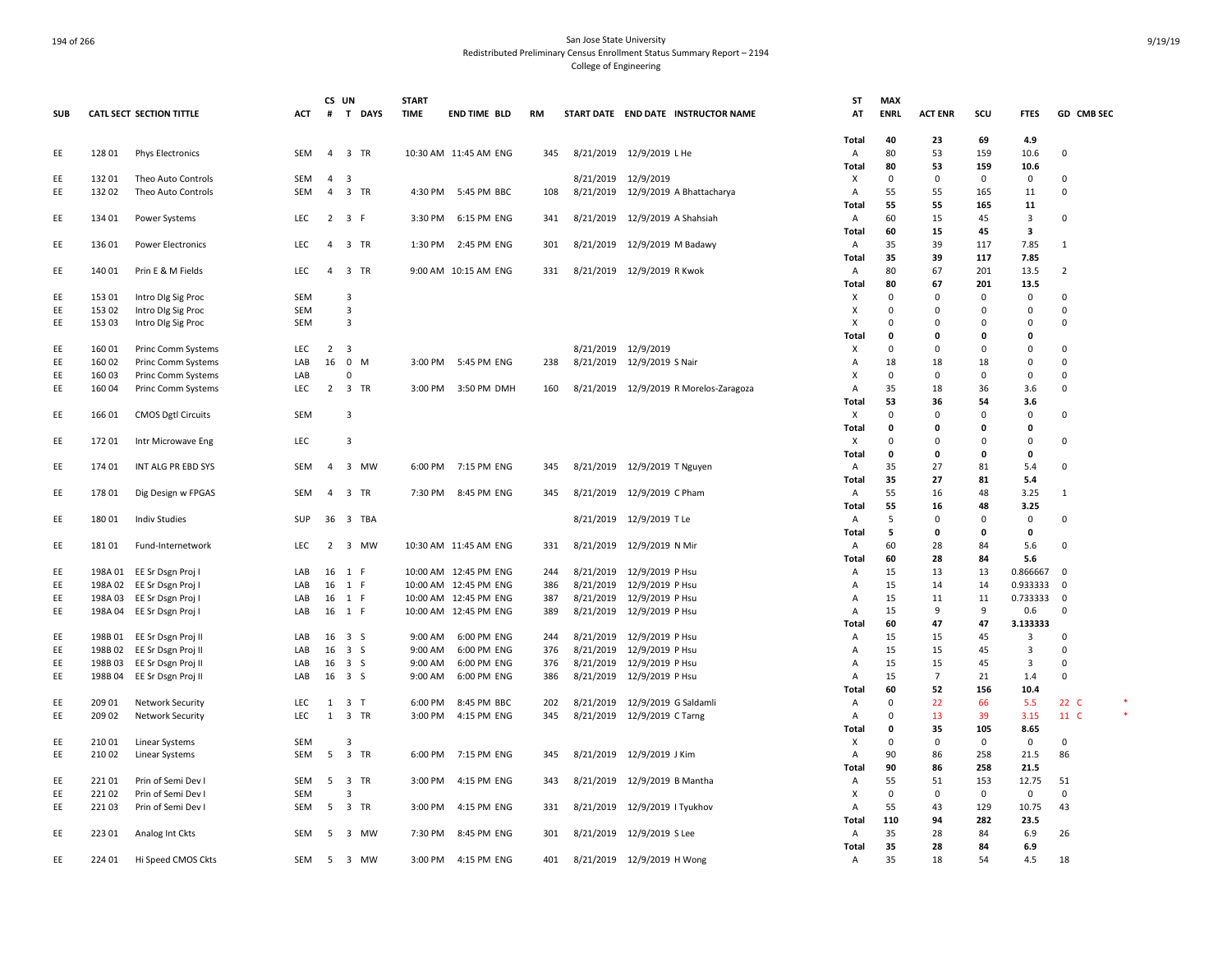|            |        |                            |            | CS UN          |                         | <b>START</b> |                            |           |                                        | ST                  | <b>MAX</b>   |                |              |                     |                      |
|------------|--------|----------------------------|------------|----------------|-------------------------|--------------|----------------------------|-----------|----------------------------------------|---------------------|--------------|----------------|--------------|---------------------|----------------------|
| <b>SUB</b> |        | CATL SECT SECTION TITTLE   | ACT        | #              | T DAYS                  | <b>TIME</b>  | <b>END TIME BLD</b>        | <b>RM</b> | START DATE END DATE INSTRUCTOR NAME    | AT                  | <b>ENRL</b>  | <b>ACT ENR</b> | SCU          | <b>FTES</b>         | GD CMB SEC           |
|            |        |                            |            |                |                         |              |                            |           |                                        |                     |              |                |              |                     |                      |
| EE         | 12801  | <b>Phys Electronics</b>    | SEM        |                | 4 3 TR                  |              | 10:30 AM 11:45 AM ENG      | 345       | 8/21/2019 12/9/2019 LHe                | <b>Total</b><br>Α   | 40<br>80     | 23<br>53       | 69<br>159    | 4.9<br>10.6         | $\mathbf 0$          |
|            |        |                            |            |                |                         |              |                            |           |                                        | <b>Total</b>        | 80           | 53             | 159          | 10.6                |                      |
| EE         | 13201  | Theo Auto Controls         | SEM        | $4 \quad 3$    |                         |              |                            |           | 8/21/2019 12/9/2019                    | X                   | $\mathsf 0$  | $\Omega$       | 0            | $\mathsf 0$         | 0                    |
| EE         | 13202  | Theo Auto Controls         | SEM        |                | 4 3 TR                  |              | 4:30 PM 5:45 PM BBC        | 108       | 8/21/2019 12/9/2019 A Bhattacharya     | A                   | 55           | 55             | 165          | 11                  | $\mathbf 0$          |
|            |        |                            |            |                |                         |              |                            |           |                                        | Total               | 55           | 55             | 165          | 11                  |                      |
| EE         | 134 01 | Power Systems              | <b>LEC</b> |                | $2 \quad 3 \quad F$     | 3:30 PM      | 6:15 PM ENG                | 341       | 8/21/2019 12/9/2019 A Shahsiah         | Α                   | 60           | 15             | 45           | 3                   | $\Omega$             |
|            |        |                            |            |                |                         |              |                            |           |                                        | <b>Total</b>        | 60           | 15             | 45           | 3                   |                      |
| EE         | 136 01 | <b>Power Electronics</b>   | LEC        |                | 4 3 TR                  | 1:30 PM      | 2:45 PM ENG                | 301       | 8/21/2019 12/9/2019 M Badawy           | Α                   | 35           | 39             | 117          | 7.85                | 1                    |
|            |        |                            |            |                |                         |              |                            |           |                                        | Total               | 35           | 39             | 117          | 7.85                |                      |
| EE         | 140 01 | Prin E & M Fields          | <b>LEC</b> | $\overline{4}$ | 3 TR                    |              | 9:00 AM 10:15 AM ENG       | 331       | 8/21/2019 12/9/2019 R Kwok             | Α                   | 80           | 67             | 201          | 13.5                | 2                    |
|            |        |                            |            |                |                         |              |                            |           |                                        | Total               | 80           | 67             | 201          | 13.5                |                      |
| EE         | 153 01 | Intro Dig Sig Proc         | SEM        |                | 3                       |              |                            |           |                                        | х                   | 0            | $\Omega$       | 0            | $\Omega$            | $\Omega$             |
| EE         | 153 02 | Intro Dig Sig Proc         | SEM        |                | 3                       |              |                            |           |                                        | X                   | 0            | $\Omega$       | $\mathbf 0$  | 0                   | 0                    |
| EE         | 153 03 | Intro DIg Sig Proc         | SEM        |                | $\overline{3}$          |              |                            |           |                                        | X                   | $\Omega$     | $\Omega$       | $\Omega$     | 0                   | 0                    |
|            |        |                            |            |                |                         |              |                            |           |                                        | Total               | $\mathbf{0}$ | $\mathbf{0}$   | $\mathbf{0}$ | 0                   |                      |
| EE         | 16001  | <b>Princ Comm Systems</b>  | <b>LEC</b> | 2 <sup>3</sup> |                         |              |                            |           | 8/21/2019 12/9/2019                    | X                   | $\mathbf 0$  | $\Omega$       | $\Omega$     | $\Omega$            | $\Omega$             |
| EE         | 160 02 | Princ Comm Systems         | LAB        | 16             | $0$ M                   | 3:00 PM      | 5:45 PM ENG                | 238       | 8/21/2019 12/9/2019 S Nair             | A                   | 18           | 18             | 18           | $\Omega$            | $\Omega$             |
| EE         | 16003  | Princ Comm Systems         | LAB        |                | $\Omega$                |              |                            |           |                                        | X                   | $\mathbf 0$  | $\Omega$       | $\Omega$     | 0                   | $\Omega$             |
| EE         | 16004  | Princ Comm Systems         | LEC        |                | 2 3 TR                  |              | 3:00 PM 3:50 PM DMH        | 160       | 8/21/2019 12/9/2019 R Morelos-Zaragoza | $\overline{A}$      | 35           | 18             | 36           | 3.6                 | 0                    |
|            |        |                            |            |                |                         |              |                            |           |                                        | <b>Total</b>        | 53           | 36             | 54           | 3.6                 |                      |
| EE         | 166 01 | <b>CMOS Dgtl Circuits</b>  | <b>SEM</b> |                | 3                       |              |                            |           |                                        | х                   | $\mathbf 0$  | $\Omega$       | $\Omega$     | $\Omega$            | $\Omega$             |
|            |        |                            |            |                |                         |              |                            |           |                                        | <b>Total</b>        | 0            | $\Omega$       | $\Omega$     | 0                   |                      |
| EE         | 17201  |                            | LEC        |                | 3                       |              |                            |           |                                        |                     | $\mathbf 0$  | $\Omega$       | $\Omega$     | $\mathbf 0$         | $\mathbf 0$          |
|            |        | Intr Microwave Eng         |            |                |                         |              |                            |           |                                        | х<br>Total          | 0            | $\mathbf{0}$   | $\mathbf{0}$ | 0                   |                      |
| EE         | 17401  | INT ALG PR EBD SYS         | SEM        | $\overline{4}$ | 3 MW                    | 6:00 PM      | 7:15 PM ENG                | 345       | 8/21/2019 12/9/2019 T Nguyen           | Α                   | 35           | 27             | 81           | 5.4                 | $\Omega$             |
|            |        |                            |            |                |                         |              |                            |           |                                        |                     | 35           | 27             | 81           |                     |                      |
| EE         | 17801  |                            | SEM        |                | 4 3 TR                  |              | 7:30 PM 8:45 PM ENG        | 345       | 8/21/2019 12/9/2019 C Pham             | Total               | 55           | 16             | 48           | 5.4<br>3.25         |                      |
|            |        | Dig Design w FPGAS         |            |                |                         |              |                            |           |                                        | Α                   | 55           | 16             | 48           |                     | 1                    |
| EE         | 18001  |                            | SUP        |                | 36 3 TBA                |              |                            |           |                                        | Total               | 5            | $\Omega$       | 0            | 3.25<br>$\mathsf 0$ | 0                    |
|            |        | Indiv Studies              |            |                |                         |              |                            |           | 8/21/2019 12/9/2019 T Le               | Α<br>Total          | 5            | $\mathbf{0}$   | 0            | 0                   |                      |
|            | 18101  |                            | LEC        | 2              |                         |              |                            |           |                                        |                     | 60           |                |              |                     | $\mathbf 0$          |
| EE         |        | Fund-Internetwork          |            |                | 3 MW                    |              | 10:30 AM 11:45 AM ENG      | 331       | 8/21/2019 12/9/2019 N Mir              | Α                   |              | 28             | 84           | 5.6                 |                      |
|            |        |                            |            |                |                         |              |                            |           |                                        | <b>Total</b>        | 60           | 28             | 84           | 5.6                 |                      |
| EE         |        | 198A 01 EE Sr Dsgn Proj    | LAB        | 16             | 1 F                     |              | 10:00 AM 12:45 PM ENG      | 244       | 8/21/2019 12/9/2019 P Hsu              | Α                   | 15           | 13             | 13           | 0.866667            | - 0                  |
| EE         |        | 198A 02 EE Sr Dsgn Proj I  | LAB        | 16             | 1 F                     |              | 10:00 AM 12:45 PM ENG      | 386       | 8/21/2019 12/9/2019 P Hsu              | Α                   | 15           | 14             | 14           | 0.933333            | 0                    |
| EE         |        | 198A 03 EE Sr Dsgn Proj I  | LAB        | 16             | 1 F                     |              | 10:00 AM 12:45 PM ENG      | 387       | 8/21/2019 12/9/2019 P Hsu              | Α                   | 15           | 11<br>9        | 11<br>9      | 0.733333            | 0                    |
| EE         |        | 198A 04 EE Sr Dsgn Proj I  | LAB        | 16             | 1 F                     |              | 10:00 AM 12:45 PM ENG      | 389       | 8/21/2019 12/9/2019 P Hsu              | $\overline{A}$      | 15           |                |              | 0.6                 | $\Omega$             |
|            |        |                            |            |                |                         |              |                            |           |                                        | Total               | 60           | 47             | 47           | 3.133333            |                      |
| EE         |        | 198B 01 EE Sr Dsgn Proj II | LAB        |                | 16 3 S                  | 9:00 AM      | 6:00 PM ENG<br>6:00 PM ENG | 244       | 8/21/2019 12/9/2019 P Hsu              | Α                   | 15           | 15             | 45           | 3                   | $\Omega$<br>$\Omega$ |
| EE<br>EE   |        | 198B 02 EE Sr Dsgn Proj II | LAB<br>LAB |                | 16 3 S<br>16 3 S        | 9:00 AM      |                            | 376       | 8/21/2019 12/9/2019 P Hsu              | Α<br>$\overline{A}$ | 15<br>15     | 15<br>15       | 45<br>45     | 3<br>3              | $\Omega$             |
|            |        | 198B 03 EE Sr Dsgn Proj II |            |                |                         | 9:00 AM      | 6:00 PM ENG                | 376       | 8/21/2019 12/9/2019 P Hsu              |                     |              | $\overline{7}$ |              |                     | $\Omega$             |
| EE         | 198B04 | EE Sr Dsgn Proj II         | LAB        |                | 16 3 S                  | 9:00 AM      | 6:00 PM ENG                | 386       | 8/21/2019 12/9/2019 P Hsu              | Α                   | 15           |                | 21           | 1.4                 |                      |
|            |        |                            |            |                |                         |              |                            |           |                                        | Total               | 60           | 52             | 156          | 10.4                | *                    |
| EE         | 209 01 | <b>Network Security</b>    | LEC        | 1              | 3 T                     | 6:00 PM      | 8:45 PM BBC                | 202       | 8/21/2019 12/9/2019 G Saldamli         | Α                   | 0            | 22             | 66           | 5.5                 | 22 C                 |
| EE         | 209 02 | <b>Network Security</b>    | <b>LEC</b> | $\mathbf{1}$   | 3 TR                    | 3:00 PM      | 4:15 PM ENG                | 345       | 8/21/2019 12/9/2019 C Tarng            | Α                   | $\mathbf 0$  | 13             | 39           | 3.15                | 11 C                 |
|            |        |                            |            |                |                         |              |                            |           |                                        | Total               | 0            | 35             | 105          | 8.65                |                      |
| EE         | 21001  | Linear Systems             | SEM        |                | $\overline{\mathbf{3}}$ |              |                            |           |                                        | х                   | $\mathsf 0$  | $\Omega$       | $\mathsf 0$  | $\mathsf 0$         | $\mathbf 0$          |
| EE         | 21002  | Linear Systems             | SEM        | 5              | 3 TR                    | 6:00 PM      | 7:15 PM ENG                | 345       | 8/21/2019 12/9/2019 J Kim              | A                   | 90           | 86             | 258          | 21.5                | 86                   |
|            |        |                            |            |                |                         |              |                            |           |                                        | Total               | 90           | 86             | 258          | 21.5                |                      |
| EE         | 22101  | Prin of Semi Dev I         | SEM        | 5              | 3 TR                    | 3:00 PM      | 4:15 PM ENG                | 343       | 8/21/2019 12/9/2019 B Mantha           | Α                   | 55           | 51             | 153          | 12.75               | 51                   |
| EE         | 22102  | Prin of Semi Dev I         | SEM        |                | 3                       |              |                            |           |                                        | х                   | $\mathbf 0$  | $\mathbf 0$    | 0            | 0                   | $\mathbf 0$          |
| EE         | 22103  | Prin of Semi Dev I         | SEM        | 5              | 3 TR                    | 3:00 PM      | 4:15 PM ENG                | 331       | 8/21/2019 12/9/2019   Tyukhov          | A                   | 55           | 43             | 129          | 10.75               | 43                   |
|            |        |                            |            |                |                         |              |                            |           |                                        | Total               | 110          | 94             | 282          | 23.5                |                      |
| EE         | 22301  | Analog Int Ckts            | SEM        | 5              | 3 MW                    | 7:30 PM      | 8:45 PM ENG                | 301       | 8/21/2019 12/9/2019 S Lee              | Α                   | 35           | 28             | 84           | 6.9                 | 26                   |
|            |        |                            |            |                |                         |              |                            |           |                                        | Total               | 35           | 28             | 84           | 6.9                 |                      |
| EE         | 224 01 | Hi Speed CMOS Ckts         | SEM        | 5              | 3 MW                    | 3:00 PM      | 4:15 PM ENG                | 401       | 8/21/2019 12/9/2019 H Wong             | Α                   | 35           | 18             | 54           | 4.5                 | 18                   |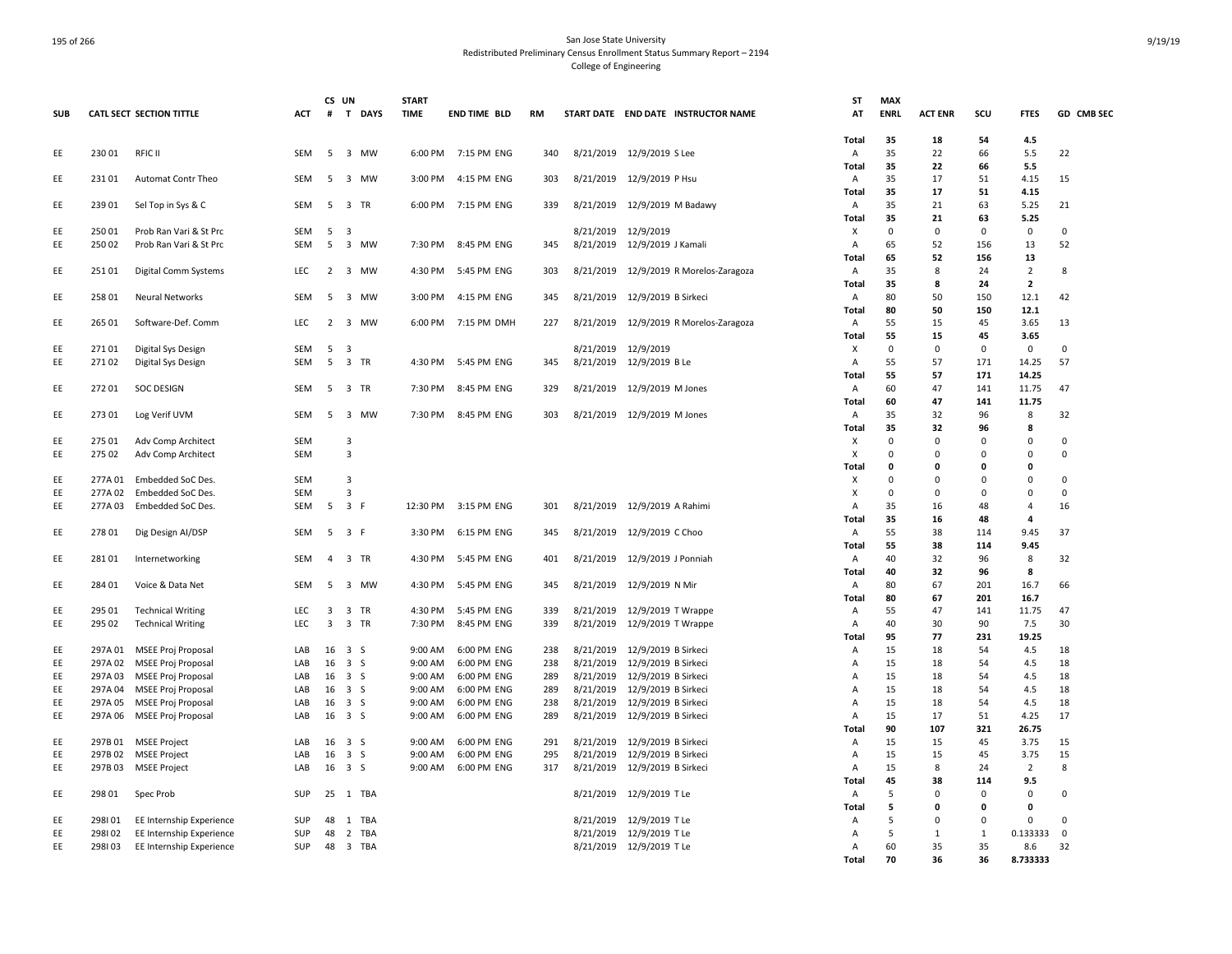|            |                |                                 |            | CS UN                   |                                 | <b>START</b> |                     |           |           |                                                 | ST             | <b>MAX</b>        |                   |                 |                    |                   |
|------------|----------------|---------------------------------|------------|-------------------------|---------------------------------|--------------|---------------------|-----------|-----------|-------------------------------------------------|----------------|-------------------|-------------------|-----------------|--------------------|-------------------|
| <b>SUB</b> |                | <b>CATL SECT SECTION TITTLE</b> | <b>ACT</b> | #                       | T DAYS                          | <b>TIME</b>  | <b>END TIME BLD</b> | <b>RM</b> |           | START DATE END DATE INSTRUCTOR NAME             | AT             | <b>ENRL</b>       | <b>ACT ENR</b>    | SCU             | <b>FTES</b>        | GD CMB SEC        |
|            |                |                                 |            |                         |                                 |              |                     |           |           |                                                 |                |                   |                   |                 |                    |                   |
|            |                |                                 |            |                         |                                 |              |                     |           |           |                                                 | Total          | 35                | 18                | 54              | 4.5                |                   |
| EE         | 23001          | <b>RFIC II</b>                  | SEM        | 5                       | 3 MW                            | 6:00 PM      | 7:15 PM ENG         | 340       |           | 8/21/2019 12/9/2019 S Lee                       | A              | 35                | 22                | 66              | 5.5                | 22                |
|            |                |                                 |            |                         |                                 |              |                     |           |           |                                                 | Total          | 35                | 22                | 66              | 5.5                |                   |
| EE         | 23101          | Automat Contr Theo              | SEM        | 5                       | 3 MW                            | 3:00 PM      | 4:15 PM ENG         | 303       |           | 8/21/2019 12/9/2019 P Hsu                       | Α<br>Total     | 35<br>35          | 17<br>17          | 51<br>51        | 4.15<br>4.15       | 15                |
| EE         | 239 01         | Sel Top in Sys & C              | SEM        | 5                       | 3 TR                            | 6:00 PM      | 7:15 PM ENG         | 339       | 8/21/2019 | 12/9/2019 M Badawy                              | Α              | 35                | 21                | 63              | 5.25               | 21                |
|            |                |                                 |            |                         |                                 |              |                     |           |           |                                                 | Total          | 35                | 21                | 63              | 5.25               |                   |
| EE         | 250 01         | Prob Ran Vari & St Prc          | SEM        | 5                       | $\overline{\mathbf{3}}$         |              |                     |           | 8/21/2019 | 12/9/2019                                       | Х              | 0                 | 0                 | $\mathbf 0$     | 0                  | 0                 |
| EE         | 250 02         | Prob Ran Vari & St Prc          | <b>SEM</b> | 5                       | 3 MW                            | 7:30 PM      | 8:45 PM ENG         | 345       | 8/21/2019 | 12/9/2019 J Kamali                              | $\overline{A}$ | 65                | 52                | 156             | 13                 | 52                |
|            |                |                                 |            |                         |                                 |              |                     |           |           |                                                 | Total          | 65                | 52                | 156             | 13                 |                   |
| EE         | 251 01         | Digital Comm Systems            | <b>LEC</b> | $\overline{2}$          | 3 MW                            | 4:30 PM      | 5:45 PM ENG         | 303       | 8/21/2019 | 12/9/2019 R Morelos-Zaragoza                    | Α              | 35                | 8                 | 24              | $\overline{2}$     | 8                 |
|            |                |                                 |            |                         |                                 |              |                     |           |           |                                                 | Total          | 35                | 8                 | 24              | $\overline{2}$     |                   |
| EE         | 258 01         | <b>Neural Networks</b>          | <b>SEM</b> | -5                      | 3 MW                            | 3:00 PM      | 4:15 PM ENG         | 345       | 8/21/2019 | 12/9/2019 B Sirkeci                             | Α              | 80                | 50                | 150             | 12.1               | 42                |
|            |                |                                 |            |                         |                                 |              |                     |           |           |                                                 | <b>Total</b>   | 80                | 50                | 150             | 12.1               |                   |
| EE         | 265 01         | Software-Def. Comm              | <b>LEC</b> |                         | 2 3 MW                          | 6:00 PM      | 7:15 PM DMH         | 227       | 8/21/2019 | 12/9/2019 R Morelos-Zaragoza                    | Α              | 55                | 15                | 45              | 3.65               | 13                |
|            |                |                                 |            |                         |                                 |              |                     |           |           |                                                 | Total          | 55                | 15                | 45              | 3.65               |                   |
| EE<br>EE   | 27101<br>27102 | Digital Sys Design              | SEM<br>SEM | 5<br>5                  | $\overline{\mathbf{3}}$<br>3 TR | 4:30 PM      | 5:45 PM ENG         |           |           | 8/21/2019 12/9/2019<br>8/21/2019 12/9/2019 B Le | х              | $\mathsf 0$<br>55 | $\mathbf 0$<br>57 | $\Omega$<br>171 | $\pmb{0}$<br>14.25 | $\mathsf 0$<br>57 |
|            |                | Digital Sys Design              |            |                         |                                 |              |                     | 345       |           |                                                 | Α<br>Total     | 55                | 57                | 171             | 14.25              |                   |
| EE         | 272 01         | <b>SOC DESIGN</b>               | SEM        |                         | 5 3 TR                          | 7:30 PM      | 8:45 PM ENG         | 329       |           | 8/21/2019 12/9/2019 M Jones                     | Α              | 60                | 47                | 141             | 11.75              | 47                |
|            |                |                                 |            |                         |                                 |              |                     |           |           |                                                 | Total          | 60                | 47                | 141             | 11.75              |                   |
| EE         | 27301          | Log Verif UVM                   | <b>SEM</b> | 5                       | 3 MW                            | 7:30 PM      | 8:45 PM ENG         | 303       |           | 8/21/2019 12/9/2019 M Jones                     | A              | 35                | 32                | 96              | 8                  | 32                |
|            |                |                                 |            |                         |                                 |              |                     |           |           |                                                 | <b>Total</b>   | 35                | 32                | 96              | 8                  |                   |
| EE         | 275 01         | Adv Comp Architect              | SEM        |                         | $\overline{3}$                  |              |                     |           |           |                                                 | х              | $\mathbf 0$       | $\overline{0}$    | 0               | $\mathbf 0$        | 0                 |
| EE         | 275 02         | Adv Comp Architect              | SEM        |                         | 3                               |              |                     |           |           |                                                 | X              | $\mathbf 0$       | 0                 | $\Omega$        | 0                  | 0                 |
|            |                |                                 |            |                         |                                 |              |                     |           |           |                                                 | Total          | 0                 | $\mathbf{0}$      | 0               | $\mathbf 0$        |                   |
| EE         | 277A 01        | Embedded SoC Des.               | <b>SEM</b> |                         | 3                               |              |                     |           |           |                                                 | х              | $\Omega$          | $\mathbf 0$       | $\Omega$        | $\mathbf 0$        | $\mathbf 0$       |
| EE         | 277A02         | Embedded SoC Des.               | <b>SEM</b> |                         | 3                               |              |                     |           |           |                                                 | X              | $\mathbf 0$       | $\mathbf 0$       | $\Omega$        | $\mathbf 0$        | $\Omega$          |
| EE         | 277A03         | Embedded SoC Des.               | SEM        | 5                       | 3 F                             | 12:30 PM     | 3:15 PM ENG         | 301       |           | 8/21/2019 12/9/2019 A Rahimi                    | Α              | 35                | 16                | 48              | $\overline{4}$     | 16                |
|            |                |                                 |            |                         |                                 |              |                     |           |           |                                                 | <b>Total</b>   | 35                | 16                | 48              | $\overline{4}$     |                   |
| EE         | 27801          | Dig Design AI/DSP               | SEM        |                         | $5 \quad 3 \quad F$             | 3:30 PM      | 6:15 PM ENG         | 345       |           | 8/21/2019 12/9/2019 C Choo                      | Α              | 55                | 38                | 114             | 9.45<br>9.45       | 37                |
| EE         | 28101          | Internetworking                 | <b>SEM</b> | $\overline{4}$          | 3 TR                            | 4:30 PM      | 5:45 PM ENG         | 401       | 8/21/2019 | 12/9/2019 J Ponniah                             | Total<br>Α     | 55<br>40          | 38<br>32          | 114<br>96       | 8                  | 32                |
|            |                |                                 |            |                         |                                 |              |                     |           |           |                                                 | Total          | 40                | 32                | 96              | 8                  |                   |
| EE         | 28401          | Voice & Data Net                | <b>SEM</b> | 5                       | 3 MW                            | 4:30 PM      | 5:45 PM ENG         | 345       |           | 8/21/2019 12/9/2019 N Mir                       | Α              | 80                | 67                | 201             | 16.7               | 66                |
|            |                |                                 |            |                         |                                 |              |                     |           |           |                                                 | Total          | 80                | 67                | 201             | 16.7               |                   |
| EE         | 295 01         | <b>Technical Writing</b>        | LEC        | 3                       | 3 TR                            | 4:30 PM      | 5:45 PM ENG         | 339       | 8/21/2019 | 12/9/2019 T Wrappe                              | Α              | 55                | 47                | 141             | 11.75              | 47                |
| EE         | 295 02         | <b>Technical Writing</b>        | <b>LEC</b> | $\overline{\mathbf{3}}$ | 3 TR                            | 7:30 PM      | 8:45 PM ENG         | 339       |           | 8/21/2019 12/9/2019 T Wrappe                    | Α              | 40                | 30                | 90              | 7.5                | 30                |
|            |                |                                 |            |                         |                                 |              |                     |           |           |                                                 | Total          | 95                | 77                | 231             | 19.25              |                   |
| EE         | 297A 01        | MSEE Proj Proposal              | LAB        | 16                      | 3 S                             | 9:00 AM      | 6:00 PM ENG         | 238       | 8/21/2019 | 12/9/2019 B Sirkeci                             | Α              | 15                | 18                | 54              | 4.5                | 18                |
| EE         | 297A 02        | <b>MSEE Proj Proposal</b>       | LAB        | 16                      | 3S                              | 9:00 AM      | 6:00 PM ENG         | 238       | 8/21/2019 | 12/9/2019 B Sirkeci                             | Α              | 15                | 18                | 54              | 4.5                | 18                |
| EE         |                | 297A 03 MSEE Proj Proposal      | LAB        |                         | 16 3 S                          | 9:00 AM      | 6:00 PM ENG         | 289       | 8/21/2019 | 12/9/2019 B Sirkeci                             | A              | 15                | 18                | 54              | 4.5                | 18                |
| EE         |                | 297A 04 MSEE Proj Proposal      | LAB        |                         | 16 3 S                          | 9:00 AM      | 6:00 PM ENG         | 289       | 8/21/2019 | 12/9/2019 B Sirkeci                             | A              | 15                | 18                | 54              | 4.5                | 18                |
| EE         |                | 297A 05 MSEE Proj Proposal      | LAB        |                         | 16 3 S                          | 9:00 AM      | 6:00 PM ENG         | 238       | 8/21/2019 | 12/9/2019 B Sirkeci                             | $\overline{A}$ | 15                | 18                | 54              | 4.5                | 18<br>17          |
| EE         | 297A 06        | MSEE Proj Proposal              | LAB        |                         | 16 3 S                          | 9:00 AM      | 6:00 PM ENG         | 289       | 8/21/2019 | 12/9/2019 B Sirkeci                             | Α<br>Total     | 15<br>90          | 17<br>107         | 51<br>321       | 4.25<br>26.75      |                   |
| EE         | 297B01         | <b>MSEE Project</b>             | LAB        |                         | 16 3 S                          | 9:00 AM      | 6:00 PM ENG         | 291       | 8/21/2019 | 12/9/2019 B Sirkeci                             | Α              | 15                | 15                | 45              | 3.75               | 15                |
| EE         | 297B02         | <b>MSEE Project</b>             | LAB        | 16                      | 3S                              | 9:00 AM      | 6:00 PM ENG         | 295       | 8/21/2019 | 12/9/2019 B Sirkeci                             | Α              | 15                | 15                | 45              | 3.75               | 15                |
| EE         | 297B03         | <b>MSEE Project</b>             | LAB        |                         | 16 3 S                          | 9:00 AM      | 6:00 PM ENG         | 317       | 8/21/2019 | 12/9/2019 B Sirkeci                             | Α              | 15                | 8                 | 24              | $\overline{2}$     | 8                 |
|            |                |                                 |            |                         |                                 |              |                     |           |           |                                                 | Total          | 45                | 38                | 114             | 9.5                |                   |
| EE         | 298 01         | Spec Prob                       | SUP        | 25                      | 1 TBA                           |              |                     |           | 8/21/2019 | 12/9/2019 T Le                                  | Α              | 5                 | 0                 | $\mathbf 0$     | $\mathbf 0$        | $\mathsf 0$       |
|            |                |                                 |            |                         |                                 |              |                     |           |           |                                                 | Total          | 5                 | 0                 | 0               | $\mathbf 0$        |                   |
| EE         | 298101         | EE Internship Experience        | SUP        | 48                      | 1 TBA                           |              |                     |           | 8/21/2019 | 12/9/2019 T Le                                  | A              | 5                 | $\mathbf 0$       | $\mathbf 0$     | $\mathbf 0$        | $\mathsf 0$       |
| EE         | 298102         | EE Internship Experience        | SUP        | 48                      | 2 TBA                           |              |                     |           | 8/21/2019 | 12/9/2019 T Le                                  | A              | 5                 | 1                 | $\mathbf{1}$    | 0.133333           | $\mathbf 0$       |
| EE         | 298103         | EE Internship Experience        | SUP        | 48                      | 3 TBA                           |              |                     |           |           | 8/21/2019 12/9/2019 T Le                        | Α              | 60                | 35                | 35              | 8.6                | 32                |
|            |                |                                 |            |                         |                                 |              |                     |           |           |                                                 | Total          | 70                | 36                | 36              | 8.733333           |                   |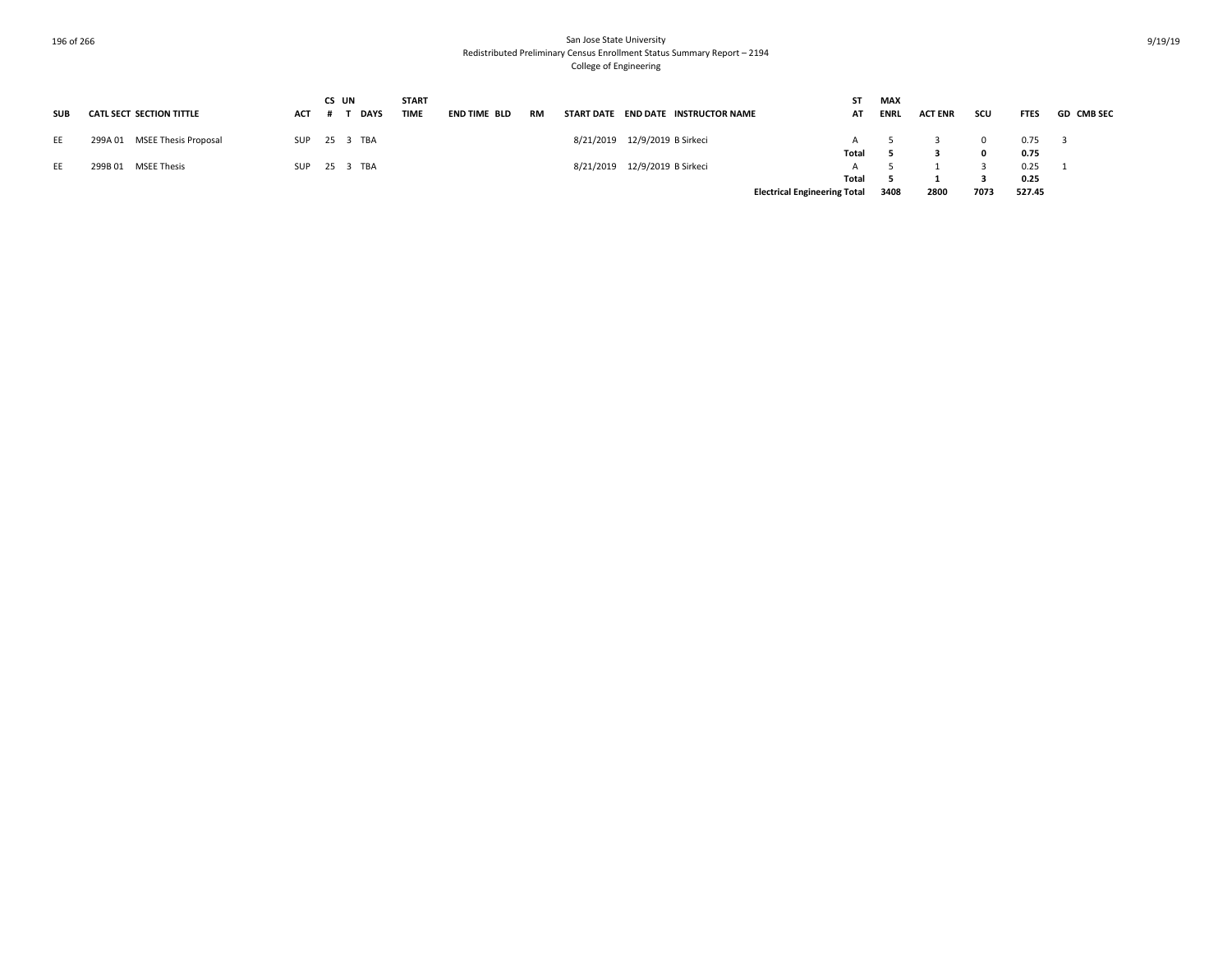| <b>SUB</b> | <b>CATL SECT SECTION TITTLE</b> | ACT | CS UN<br><b>DAYS</b> | <b>START</b><br><b>TIME</b> | END TIME BLD | <b>RM</b> | START DATE END DATE INSTRUCTOR NAME | AT                                  | <b>MAX</b><br><b>ENRL</b> | <b>ACT ENR</b> | scu  | <b>FTES</b> | <b>GD CMB SEC</b> |
|------------|---------------------------------|-----|----------------------|-----------------------------|--------------|-----------|-------------------------------------|-------------------------------------|---------------------------|----------------|------|-------------|-------------------|
| EE         | 299A 01 MSEE Thesis Proposal    |     | SUP 25 3 TBA         |                             |              |           | 8/21/2019 12/9/2019 B Sirkeci       |                                     |                           |                |      | 0.75        |                   |
|            |                                 |     |                      |                             |              |           |                                     | Total                               |                           |                |      | 0.75        |                   |
| EE         | 299B 01 MSEE Thesis             |     | SUP 25 3 TBA         |                             |              |           | 8/21/2019 12/9/2019 B Sirkeci       |                                     |                           |                |      | 0.25        |                   |
|            |                                 |     |                      |                             |              |           |                                     | Total                               |                           |                |      | 0.25        |                   |
|            |                                 |     |                      |                             |              |           |                                     | <b>Electrical Engineering Total</b> | 3408                      | 2800           | 7073 | 527.45      |                   |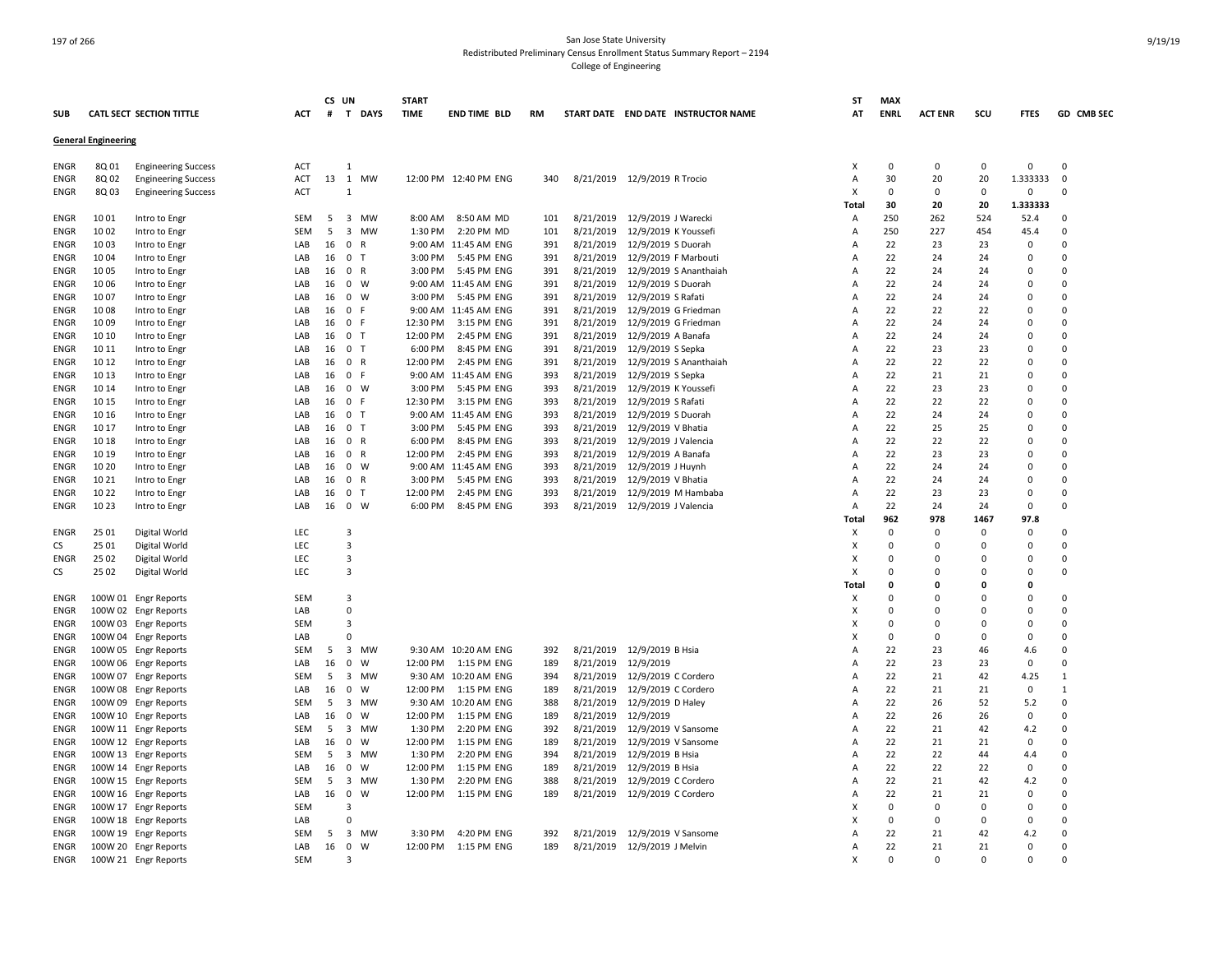|             |                            |                                 |            |    | CS UN                   |              | <b>START</b> |                       |           |           |                                     | ST                        | MAX         |                |             |             |              |
|-------------|----------------------------|---------------------------------|------------|----|-------------------------|--------------|--------------|-----------------------|-----------|-----------|-------------------------------------|---------------------------|-------------|----------------|-------------|-------------|--------------|
| <b>SUB</b>  |                            | <b>CATL SECT SECTION TITTLE</b> | ACT        |    |                         | # T DAYS     | <b>TIME</b>  | <b>END TIME BLD</b>   | <b>RM</b> |           | START DATE END DATE INSTRUCTOR NAME | AT                        | <b>ENRL</b> | <b>ACT ENR</b> | scu         | <b>FTES</b> | GD CMB SEC   |
|             | <b>General Engineering</b> |                                 |            |    |                         |              |              |                       |           |           |                                     |                           |             |                |             |             |              |
| ENGR        | 8Q 01                      | <b>Engineering Success</b>      | ACT        |    | $\mathbf{1}$            |              |              |                       |           |           |                                     | $\boldsymbol{\mathsf{x}}$ | 0           | 0              | 0           | 0           | $\mathbf 0$  |
| ENGR        | 8Q 02                      | <b>Engineering Success</b>      | ACT        | 13 |                         | 1 MW         |              | 12:00 PM 12:40 PM ENG | 340       |           | 8/21/2019 12/9/2019 R Trocio        | Α                         | 30          | 20             | 20          | 1.333333    | 0            |
| ENGR        | 8Q 03                      | <b>Engineering Success</b>      | <b>ACT</b> |    | $\mathbf{1}$            |              |              |                       |           |           |                                     | X                         | $\Omega$    | $\Omega$       | $\mathbf 0$ | 0           | $\Omega$     |
|             |                            |                                 |            |    |                         |              |              |                       |           |           |                                     | Total                     | 30          | 20             | 20          | 1.333333    |              |
| <b>ENGR</b> | 1001                       | Intro to Engr                   | <b>SEM</b> | -5 |                         | 3 MW         | 8:00 AM      | 8:50 AM MD            | 101       | 8/21/2019 | 12/9/2019 J Warecki                 | $\overline{A}$            | 250         | 262            | 524         | 52.4        | $\Omega$     |
| ENGR        | 10 02                      | Intro to Engr                   | SEM        | 5  | $\overline{3}$          | MW           | 1:30 PM      | 2:20 PM MD            | 101       | 8/21/2019 | 12/9/2019 K Youssefi                | Α                         | 250         | 227            | 454         | 45.4        | $\Omega$     |
|             | 10 03                      |                                 |            |    | $\mathbf 0$             | R            |              | 9:00 AM 11:45 AM ENG  | 391       |           |                                     |                           | 22          | 23             | 23          | 0           | $\Omega$     |
| ENGR        |                            | Intro to Engr                   | LAB<br>LAB | 16 |                         | T            |              |                       |           | 8/21/2019 | 12/9/2019 S Duorah                  | Α<br>$\overline{A}$       | 22          | 24             | 24          | $\mathbf 0$ | $\Omega$     |
| ENGR        | 10 04                      | Intro to Engr                   |            | 16 | $\mathbf 0$             | $\mathsf{R}$ | 3:00 PM      | 5:45 PM ENG           | 391       | 8/21/2019 | 12/9/2019 F Marbouti                |                           | 22          | 24             | 24          | $\Omega$    | $\Omega$     |
| ENGR        | 10 05                      | Intro to Engr                   | LAB        | 16 | $\mathbf 0$             |              | 3:00 PM      | 5:45 PM ENG           | 391       | 8/21/2019 | 12/9/2019 S Ananthaiah              | Α                         |             |                |             |             |              |
| ENGR        | 10 06                      | Intro to Engr                   | LAB        | 16 | $\mathbf 0$             | W            |              | 9:00 AM 11:45 AM ENG  | 391       | 8/21/2019 | 12/9/2019 S Duorah                  | Α                         | 22          | 24             | 24          | $\mathbf 0$ | $\Omega$     |
| ENGR        | 10 07                      | Intro to Engr                   | LAB        | 16 | $\mathbf 0$             | W            | 3:00 PM      | 5:45 PM ENG           | 391       | 8/21/2019 | 12/9/2019 S Rafati                  | Α                         | 22          | 24             | 24          | $\mathbf 0$ | $\Omega$     |
| ENGR        | 1008                       | Intro to Engr                   | LAB        | 16 | $\mathbf 0$             | E            |              | 9:00 AM 11:45 AM ENG  | 391       | 8/21/2019 | 12/9/2019 G Friedman                | $\overline{A}$            | 22          | 22             | 22          | 0           | $\Omega$     |
| ENGR        | 1009                       | Intro to Engr                   | LAB        | 16 | $\mathbf 0$             | F.           | 12:30 PM     | 3:15 PM ENG           | 391       | 8/21/2019 | 12/9/2019 G Friedman                | A                         | 22          | 24             | 24          | 0           | 0            |
| ENGR        | 10 10                      | Intro to Engr                   | LAB        | 16 | 0 <sub>T</sub>          |              | 12:00 PM     | 2:45 PM ENG           | 391       | 8/21/2019 | 12/9/2019 A Banafa                  | A                         | 22          | 24             | 24          | 0           | $\Omega$     |
| ENGR        | 10 11                      | Intro to Engr                   | LAB        | 16 | 0 <sub>T</sub>          |              | 6:00 PM      | 8:45 PM ENG           | 391       | 8/21/2019 | 12/9/2019 S Sepka                   | Α                         | 22          | 23             | 23          | 0           | 0            |
| ENGR        | 10 12                      | Intro to Engr                   | LAB        | 16 | $\mathbf 0$             | $\mathsf{R}$ | 12:00 PM     | 2:45 PM ENG           | 391       | 8/21/2019 | 12/9/2019 S Ananthaiah              | $\overline{A}$            | 22          | 22             | 22          | $\mathbf 0$ | $\Omega$     |
| ENGR        | 10 13                      | Intro to Engr                   | LAB        | 16 | $\mathbf 0$             | $\mathsf{F}$ | 9:00 AM      | 11:45 AM ENG          | 393       | 8/21/2019 | 12/9/2019 S Sepka                   | Α                         | 22          | 21             | 21          | 0           | 0            |
| ENGR        | 10 14                      | Intro to Engr                   | LAB        | 16 | $\mathbf 0$             | W            | 3:00 PM      | 5:45 PM ENG           | 393       | 8/21/2019 | 12/9/2019 K Youssefi                | A                         | 22          | 23             | 23          | 0           | 0            |
| ENGR        | 10 15                      | Intro to Engr                   | LAB        | 16 | $\mathbf 0$             | F.           | 12:30 PM     | 3:15 PM ENG           | 393       | 8/21/2019 | 12/9/2019 S Rafati                  | A                         | 22          | 22             | 22          | 0           | $\mathbf 0$  |
| ENGR        | 10 16                      | Intro to Engr                   | LAB        | 16 | $\mathbf 0$             | $\mathsf{T}$ | 9:00 AM      | 11:45 AM ENG          | 393       | 8/21/2019 | 12/9/2019 S Duorah                  | Α                         | 22          | 24             | 24          | $\Omega$    | $\Omega$     |
| ENGR        | 10 17                      | Intro to Engr                   | LAB        | 16 | $\mathbf 0$             | $\mathsf{T}$ | 3:00 PM      | 5:45 PM ENG           | 393       | 8/21/2019 | 12/9/2019 V Bhatia                  | Α                         | 22          | 25             | 25          | $\mathbf 0$ | $\Omega$     |
| ENGR        | 10 18                      | Intro to Engr                   | LAB        | 16 | 0 R                     |              | 6:00 PM      | 8:45 PM ENG           | 393       | 8/21/2019 | 12/9/2019 J Valencia                | Α                         | 22          | 22             | 22          | 0           | 0            |
| ENGR        | 10 19                      | Intro to Engr                   | LAB        | 16 | $\mathbf 0$             | R            | 12:00 PM     | 2:45 PM ENG           | 393       | 8/21/2019 | 12/9/2019 A Banafa                  | Α                         | 22          | 23             | 23          | 0           | 0            |
| ENGR        | 10 20                      | Intro to Engr                   | LAB        | 16 | $\mathbf 0$             | W            |              | 9:00 AM 11:45 AM ENG  | 393       | 8/21/2019 | 12/9/2019 J Huynh                   | Α                         | 22          | 24             | 24          | 0           | $\Omega$     |
| ENGR        | 10 21                      | Intro to Engr                   | LAB        | 16 | 0 R                     |              | 3:00 PM      | 5:45 PM ENG           | 393       | 8/21/2019 | 12/9/2019 V Bhatia                  | $\overline{A}$            | 22          | 24             | 24          | $\mathbf 0$ | 0            |
| <b>ENGR</b> | 10 22                      | Intro to Engr                   | LAB        | 16 | 0 <sub>T</sub>          |              | 12:00 PM     | 2:45 PM ENG           | 393       | 8/21/2019 | 12/9/2019 M Hambaba                 | A                         | 22          | 23             | 23          | $\Omega$    | 0            |
| ENGR        | 10 23                      | Intro to Engr                   | LAB        |    | 16 0                    | W            | 6:00 PM      | 8:45 PM ENG           | 393       | 8/21/2019 | 12/9/2019 J Valencia                | Α                         | 22          | 24             | 24          | $\Omega$    | $\Omega$     |
|             |                            |                                 |            |    |                         |              |              |                       |           |           |                                     | Total                     | 962         | 978            | 1467        | 97.8        |              |
| ENGR        | 25 01                      | Digital World                   | LEC        |    | 3                       |              |              |                       |           |           |                                     | X                         | $\Omega$    | 0              | $\Omega$    | 0           | $\Omega$     |
| <b>CS</b>   | 25 01                      | Digital World                   | LEC        |    | $\overline{3}$          |              |              |                       |           |           |                                     | $\boldsymbol{\mathsf{x}}$ | $\Omega$    | 0              | $\Omega$    | 0           | $\Omega$     |
| ENGR        | 25 02                      | Digital World                   | LEC        |    | $\overline{\mathbf{3}}$ |              |              |                       |           |           |                                     | $\boldsymbol{\mathsf{x}}$ | $\Omega$    | $\Omega$       | $\Omega$    | $\mathbf 0$ | $\Omega$     |
| <b>CS</b>   | 25 02                      | Digital World                   | LEC        |    | $\overline{3}$          |              |              |                       |           |           |                                     | X                         | $\Omega$    | 0              | $\Omega$    | 0           | $\Omega$     |
|             |                            |                                 |            |    |                         |              |              |                       |           |           |                                     | Total                     | n           | 0              | $\Omega$    | $\Omega$    |              |
|             |                            | 100W 01 Engr Reports            | <b>SEM</b> |    | 3                       |              |              |                       |           |           |                                     | X                         | $\Omega$    | 0              | 0           | 0           | $\mathbf 0$  |
| ENGR        |                            |                                 |            |    | $\Omega$                |              |              |                       |           |           |                                     |                           |             |                | $\Omega$    |             | $\Omega$     |
| ENGR        |                            | 100W 02 Engr Reports            | LAB        |    |                         |              |              |                       |           |           |                                     | X                         | $\Omega$    | $\mathbf 0$    |             | 0           |              |
| ENGR        |                            | 100W 03 Engr Reports            | <b>SEM</b> |    | $\overline{\mathbf{3}}$ |              |              |                       |           |           |                                     | $\times$                  | $\Omega$    | 0              | $\Omega$    | 0           | $\Omega$     |
| ENGR        |                            | 100W 04 Engr Reports            | LAB        |    | $\Omega$                |              |              |                       |           |           |                                     | X                         | $\Omega$    | 0              | $\Omega$    | $\mathbf 0$ | $\Omega$     |
| ENGR        |                            | 100W 05 Engr Reports            | <b>SEM</b> | 5  | 3                       | MW           |              | 9:30 AM 10:20 AM ENG  | 392       | 8/21/2019 | 12/9/2019 B Hsia                    | Α                         | 22          | 23             | 46          | 4.6         | 0            |
| ENGR        |                            | 100W 06 Engr Reports            | LAB        | 16 | $\mathbf 0$             | W            | 12:00 PM     | 1:15 PM ENG           | 189       | 8/21/2019 | 12/9/2019                           | Α                         | 22          | 23             | 23          | 0           | 0            |
| ENGR        |                            | 100W 07 Engr Reports            | SEM        | -5 | $\overline{\mathbf{3}}$ | <b>MW</b>    |              | 9:30 AM 10:20 AM ENG  | 394       | 8/21/2019 | 12/9/2019 C Cordero                 | Α                         | 22          | 21             | 42          | 4.25        | $\mathbf{1}$ |
| ENGR        |                            | 100W 08 Engr Reports            | LAB        | 16 | $\mathbf 0$             | W            | 12:00 PM     | 1:15 PM ENG           | 189       | 8/21/2019 | 12/9/2019 C Cordero                 | Α                         | 22          | 21             | 21          | $\mathbf 0$ | $\mathbf{1}$ |
| <b>ENGR</b> |                            | 100W 09 Engr Reports            | <b>SEM</b> | -5 | $\overline{\mathbf{3}}$ | <b>MW</b>    |              | 9:30 AM 10:20 AM ENG  | 388       | 8/21/2019 | 12/9/2019 D Haley                   | $\overline{A}$            | 22          | 26             | 52          | 5.2         | $\Omega$     |
| ENGR        |                            | 100W 10 Engr Reports            | LAB        | 16 | 0                       | W            | 12:00 PM     | 1:15 PM ENG           | 189       | 8/21/2019 | 12/9/2019                           | Α                         | 22          | 26             | 26          | 0           | $\Omega$     |
| ENGR        |                            | 100W 11 Engr Reports            | SEM        | -5 | $\overline{3}$          | MW           | 1:30 PM      | 2:20 PM ENG           | 392       | 8/21/2019 | 12/9/2019 V Sansome                 | Α                         | 22          | 21             | 42          | 4.2         | 0            |
| ENGR        |                            | 100W 12 Engr Reports            | LAB        | 16 | $\mathbf 0$             | W            | 12:00 PM     | 1:15 PM ENG           | 189       | 8/21/2019 | 12/9/2019 V Sansome                 | Α                         | 22          | 21             | 21          | 0           | $\Omega$     |
| ENGR        |                            | 100W 13 Engr Reports            | SEM        | -5 | $\overline{\mathbf{3}}$ | <b>MW</b>    | 1:30 PM      | 2:20 PM ENG           | 394       | 8/21/2019 | 12/9/2019 B Hsia                    | $\overline{A}$            | 22          | 22             | 44          | 4.4         | $\Omega$     |
| ENGR        |                            | 100W 14 Engr Reports            | LAB        | 16 | $\mathbf 0$             | W            | 12:00 PM     | 1:15 PM ENG           | 189       | 8/21/2019 | 12/9/2019 B Hsia                    | Α                         | 22          | 22             | 22          | $\mathbf 0$ | $\Omega$     |
| ENGR        |                            | 100W 15 Engr Reports            | SEM        | 5  | $\overline{\mathbf{3}}$ | <b>MW</b>    | 1:30 PM      | 2:20 PM ENG           | 388       | 8/21/2019 | 12/9/2019 C Cordero                 | Α                         | 22          | 21             | 42          | 4.2         | $\Omega$     |
| ENGR        |                            | 100W 16 Engr Reports            | LAB        |    | 16 0                    | W            | 12:00 PM     | 1:15 PM ENG           | 189       | 8/21/2019 | 12/9/2019 C Cordero                 | Α                         | 22          | 21             | 21          | 0           | 0            |
| ENGR        |                            | 100W 17 Engr Reports            | <b>SEM</b> |    | 3                       |              |              |                       |           |           |                                     | X                         | $\mathbf 0$ | 0              | 0           | 0           | $\Omega$     |
| ENGR        |                            | 100W 18 Engr Reports            | LAB        |    | $\mathbf 0$             |              |              |                       |           |           |                                     | X                         | $\Omega$    | $\mathbf 0$    | $\Omega$    | 0           | $\Omega$     |
| <b>ENGR</b> |                            | 100W 19 Engr Reports            | <b>SEM</b> | 5  | $\overline{\mathbf{3}}$ | <b>MW</b>    | 3:30 PM      | 4:20 PM ENG           | 392       | 8/21/2019 | 12/9/2019 V Sansome                 | A                         | 22          | 21             | 42          | 4.2         | $\Omega$     |
| ENGR        |                            | 100W 20 Engr Reports            | LAB        | 16 | $\mathbf 0$             | W            | 12:00 PM     | 1:15 PM ENG           | 189       |           | 8/21/2019 12/9/2019 J Melvin        | Α                         | 22          | 21             | 21          | 0           | $\Omega$     |
| ENGR        |                            | 100W 21 Engr Reports            | SEM        |    | $\overline{3}$          |              |              |                       |           |           |                                     | X                         | $\Omega$    | $\mathbf 0$    | $\mathbf 0$ | $\Omega$    | $\Omega$     |
|             |                            |                                 |            |    |                         |              |              |                       |           |           |                                     |                           |             |                |             |             |              |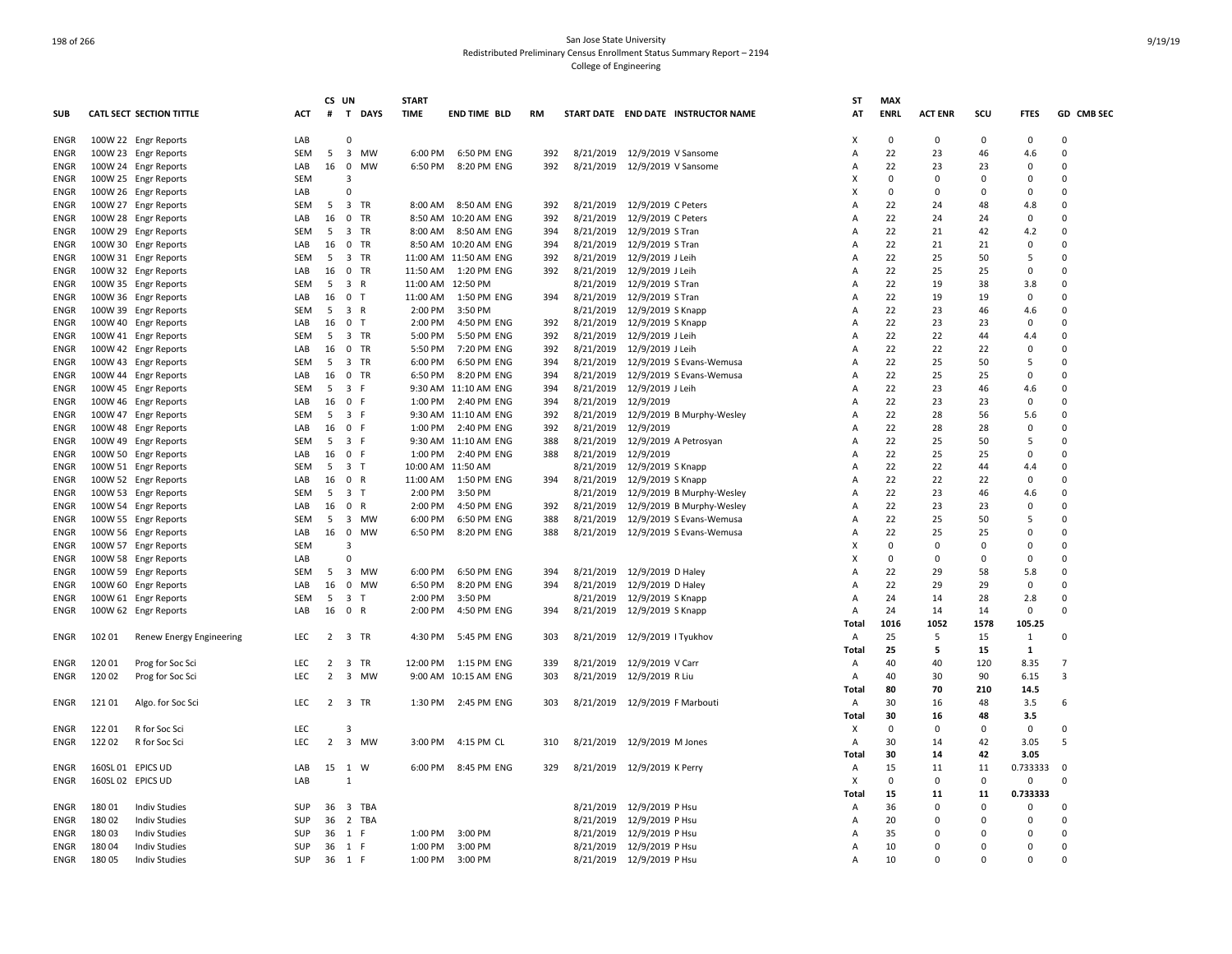|             |                   |                                 |            | CS UN          |                               | <b>START</b> |                       |           |           |                                |                                     | ST           | <b>MAX</b>  |                |          |             |                |
|-------------|-------------------|---------------------------------|------------|----------------|-------------------------------|--------------|-----------------------|-----------|-----------|--------------------------------|-------------------------------------|--------------|-------------|----------------|----------|-------------|----------------|
| <b>SUB</b>  |                   | <b>CATL SECT SECTION TITTLE</b> | <b>ACT</b> | #              | T DAYS                        | <b>TIME</b>  | <b>END TIME BLD</b>   | <b>RM</b> |           |                                | START DATE END DATE INSTRUCTOR NAME | AT           | <b>ENRL</b> | <b>ACT ENR</b> | SCU      | <b>FTES</b> | GD CMB SEC     |
| ENGR        |                   | 100W 22 Engr Reports            | LAB        |                | 0                             |              |                       |           |           |                                |                                     | X            | 0           | 0              | 0        | 0           | 0              |
| <b>ENGR</b> |                   | 100W 23 Engr Reports            | <b>SEM</b> | 5              | 3 MW                          | 6:00 PM      | 6:50 PM ENG           | 392       |           | 8/21/2019 12/9/2019 V Sansome  |                                     | Α            | 22          | 23             | 46       | 4.6         | $\Omega$       |
| <b>ENGR</b> |                   | 100W 24 Engr Reports            | LAB        | 16             | $\mathbf 0$<br><b>MW</b>      | 6:50 PM      | 8:20 PM ENG           | 392       | 8/21/2019 | 12/9/2019 V Sansome            |                                     | Α            | 22          | 23             | 23       | 0           | $\Omega$       |
| ENGR        |                   | 100W 25 Engr Reports            | <b>SEM</b> |                | 3                             |              |                       |           |           |                                |                                     | x            | $\Omega$    | $\Omega$       | O        | $\Omega$    | $\Omega$       |
| <b>ENGR</b> |                   | 100W 26 Engr Reports            | LAB        |                | $\Omega$                      |              |                       |           |           |                                |                                     | X            | $\Omega$    | $\Omega$       | O        | $\Omega$    | $\Omega$       |
| <b>ENGR</b> |                   | 100W 27 Engr Reports            | <b>SEM</b> | 5              | 3 TR                          | 8:00 AM      | 8:50 AM ENG           | 392       | 8/21/2019 | 12/9/2019 C Peters             |                                     | Α            | 22          | 24             | 48       | 4.8         | $\mathbf 0$    |
| ENGR        |                   | 100W 28 Engr Reports            | LAB        | 16             | $^{\circ}$<br>TR              |              | 8:50 AM 10:20 AM ENG  | 392       | 8/21/2019 | 12/9/2019 C Peters             |                                     | Α            | 22          | 24             | 24       | $\Omega$    | $\Omega$       |
| ENGR        |                   | 100W 29 Engr Reports            | <b>SEM</b> | 5              | $\overline{\mathbf{3}}$<br>TR | 8:00 AM      | 8:50 AM ENG           | 394       | 8/21/2019 | 12/9/2019 S Tran               |                                     | Α            | 22          | 21             | 42       | 4.2         | $\Omega$       |
| ENGR        |                   | 100W 30 Engr Reports            | LAB        | 16             | 0 TR                          |              | 8:50 AM 10:20 AM ENG  | 394       | 8/21/2019 | 12/9/2019 S Tran               |                                     | A            | 22          | 21             | 21       | $\mathbf 0$ | $\Omega$       |
| <b>ENGR</b> |                   | 100W 31 Engr Reports            | <b>SEM</b> | 5              | 3 TR                          |              | 11:00 AM 11:50 AM ENG | 392       | 8/21/2019 | 12/9/2019 J Leih               |                                     | Α            | 22          | 25             | 50       | 5           | $\Omega$       |
| ENGR        |                   | 100W 32 Engr Reports            | LAB        | 16             | $\mathbf 0$<br><b>TR</b>      | 11:50 AM     | 1:20 PM ENG           | 392       | 8/21/2019 | 12/9/2019 J Leih               |                                     | A            | 22          | 25             | 25       | $\Omega$    | $\Omega$       |
| ENGR        |                   | 100W 35 Engr Reports            | SEM        | 5              | 3 R                           | 11:00 AM     | 12:50 PM              |           | 8/21/2019 | 12/9/2019 S Tran               |                                     | А            | 22          | 19             | 38       | 3.8         | $\overline{0}$ |
| ENGR        |                   | 100W 36 Engr Reports            | LAB        | 16             | 0 <sub>T</sub>                | 11:00 AM     | 1:50 PM ENG           | 394       | 8/21/2019 | 12/9/2019 S Tran               |                                     | А            | 22          | 19             | 19       | $\mathbf 0$ | $\Omega$       |
| <b>ENGR</b> |                   | 100W 39 Engr Reports            | <b>SEM</b> | 5              | 3 R                           | 2:00 PM      | 3:50 PM               |           | 8/21/2019 | 12/9/2019 S Knapp              |                                     | Α            | 22          | 23             | 46       | 4.6         | 0              |
| <b>ENGR</b> |                   | 100W 40 Engr Reports            | LAB        | 16             | $\mathbf 0$<br>ਾ              | 2:00 PM      | 4:50 PM ENG           | 392       | 8/21/2019 | 12/9/2019 S Knapp              |                                     | Α            | 22          | 23             | 23       | $\mathbf 0$ | $\Omega$       |
| ENGR        |                   | 100W 41 Engr Reports            | <b>SEM</b> | 5              | 3 TR                          | 5:00 PM      | 5:50 PM ENG           | 392       | 8/21/2019 | 12/9/2019 J Leih               |                                     | A            | 22          | 22             | 44       | 4.4         | $\Omega$       |
| ENGR        |                   | 100W 42 Engr Reports            | LAB        | 16             | 0 TR                          | 5:50 PM      | 7:20 PM ENG           | 392       | 8/21/2019 | 12/9/2019 J Leih               |                                     | A            | 22          | 22             | 22       | 0           | $\overline{0}$ |
|             |                   |                                 |            |                |                               |              |                       |           | 8/21/2019 |                                |                                     | Α            | 22          |                |          | 5           | $\Omega$       |
| ENGR        |                   | 100W 43 Engr Reports            | <b>SEM</b> | 5              | $\overline{\mathbf{3}}$<br>TR | 6:00 PM      | 6:50 PM ENG           | 394       |           |                                | 12/9/2019 S Evans-Wemusa            |              |             | 25             | 50       |             |                |
| <b>ENGR</b> |                   | 100W 44 Engr Reports            | LAB        | 16             | $\mathbf 0$<br>TR             | 6:50 PM      | 8:20 PM ENG           | 394       | 8/21/2019 |                                | 12/9/2019 S Evans-Wemusa            | Α            | 22          | 25             | 25       | $\Omega$    | $\Omega$       |
| <b>ENGR</b> |                   | 100W 45 Engr Reports            | <b>SEM</b> | 5              | 3 F                           |              | 9:30 AM 11:10 AM ENG  | 394       | 8/21/2019 | 12/9/2019 J Leih               |                                     | Α            | 22          | 23             | 46       | 4.6         | $\Omega$       |
| ENGR        |                   | 100W 46 Engr Reports            | LAB        | 16             | 0 F                           | 1:00 PM      | 2:40 PM ENG           | 394       | 8/21/2019 | 12/9/2019                      |                                     | Α            | 22          | 23             | 23       | $\Omega$    | $\Omega$       |
| <b>ENGR</b> |                   | 100W 47 Engr Reports            | <b>SEM</b> | 5              | 3 F                           |              | 9:30 AM 11:10 AM ENG  | 392       | 8/21/2019 |                                | 12/9/2019 B Murphy-Wesley           | A            | 22          | 28             | 56       | 5.6         | $\Omega$       |
| <b>ENGR</b> |                   | 100W 48 Engr Reports            | LAB        | 16             | 0 F                           | 1:00 PM      | 2:40 PM ENG           | 392       | 8/21/2019 | 12/9/2019                      |                                     | A            | 22          | 28             | 28       | 0           | $\mathbf 0$    |
| ENGR        |                   | 100W 49 Engr Reports            | <b>SEM</b> | 5              | 3 F                           |              | 9:30 AM 11:10 AM ENG  | 388       | 8/21/2019 | 12/9/2019 A Petrosyan          |                                     | A            | 22          | 25             | 50       | 5           | $\Omega$       |
| ENGR        |                   | 100W 50 Engr Reports            | LAB        | 16             | 0 F                           | 1:00 PM      | 2:40 PM ENG           | 388       | 8/21/2019 | 12/9/2019                      |                                     | Α            | 22          | 25             | 25       | $\Omega$    | $\Omega$       |
| ENGR        |                   | 100W 51 Engr Reports            | <b>SEM</b> | 5              | 3 T                           |              | 10:00 AM 11:50 AM     |           | 8/21/2019 | 12/9/2019 S Knapp              |                                     | А            | 22          | 22             | 44       | 4.4         | $\Omega$       |
| ENGR        |                   | 100W 52 Engr Reports            | LAB        | 16             | 0 R                           | 11:00 AM     | 1:50 PM ENG           | 394       | 8/21/2019 | 12/9/2019 S Knapp              |                                     | A            | 22          | 22             | 22       | $\mathbf 0$ | $\Omega$       |
| ENGR        |                   | 100W 53 Engr Reports            | <b>SEM</b> | 5              | 3 <sub>T</sub>                | 2:00 PM      | 3:50 PM               |           | 8/21/2019 |                                | 12/9/2019 B Murphy-Wesley           | A            | 22          | 23             | 46       | 4.6         | $\Omega$       |
| ENGR        |                   | 100W 54 Engr Reports            | LAB        | 16             | $\mathsf{R}$<br>$\mathbf 0$   | 2:00 PM      | 4:50 PM ENG           | 392       | 8/21/2019 |                                | 12/9/2019 B Murphy-Wesley           | Α            | 22          | 23             | 23       | 0           | $\overline{0}$ |
| <b>ENGR</b> |                   | 100W 55 Engr Reports            | <b>SEM</b> | 5              | 3 MW                          | 6:00 PM      | 6:50 PM ENG           | 388       | 8/21/2019 |                                | 12/9/2019 S Evans-Wemusa            | А            | 22          | 25             | 50       | 5           | $\Omega$       |
| ENGR        |                   | 100W 56 Engr Reports            | LAB        | 16             | 0 MW                          | 6:50 PM      | 8:20 PM ENG           | 388       | 8/21/2019 |                                | 12/9/2019 S Evans-Wemusa            | А            | 22          | 25             | 25       | $\Omega$    | $\Omega$       |
| <b>ENGR</b> |                   | 100W 57 Engr Reports            | <b>SEM</b> |                | $\overline{3}$                |              |                       |           |           |                                |                                     | x            | $\Omega$    | $\Omega$       | $\Omega$ | $\Omega$    | $\Omega$       |
| <b>ENGR</b> |                   | 100W 58 Engr Reports            | LAB        |                | 0                             |              |                       |           |           |                                |                                     | X            | 0           | $\Omega$       | 0        | 0           | $\Omega$       |
| ENGR        |                   | 100W 59 Engr Reports            | <b>SEM</b> | 5              | $\overline{\mathbf{3}}$<br>MW | 6:00 PM      | 6:50 PM ENG           | 394       | 8/21/2019 | 12/9/2019 D Haley              |                                     | A            | 22          | 29             | 58       | 5.8         | $\Omega$       |
| ENGR        |                   | 100W 60 Engr Reports            | LAB        | 16             | $\mathbf 0$<br>MW             | 6:50 PM      | 8:20 PM ENG           | 394       | 8/21/2019 | 12/9/2019 D Haley              |                                     | Α            | 22          | 29             | 29       | 0           | $\overline{0}$ |
| <b>ENGR</b> |                   | 100W 61 Engr Reports            | <b>SEM</b> | 5              | 3 T                           | 2:00 PM      | 3:50 PM               |           | 8/21/2019 | 12/9/2019 S Knapp              |                                     | Α            | 24          | 14             | 28       | 2.8         | $\Omega$       |
| ENGR        |                   | 100W 62 Engr Reports            | LAB        | 16             | $\mathbf 0$<br>R              | 2:00 PM      | 4:50 PM ENG           | 394       | 8/21/2019 | 12/9/2019 S Knapp              |                                     | Α            | 24          | 14             | 14       | 0           | $\Omega$       |
|             |                   |                                 |            |                |                               |              |                       |           |           |                                |                                     | Total        | 1016        | 1052           | 1578     | 105.25      |                |
| <b>ENGR</b> | 102 01            | Renew Energy Engineering        | <b>LEC</b> |                | 2 3 TR                        | 4:30 PM      | 5:45 PM ENG           | 303       | 8/21/2019 | 12/9/2019   Tyukhov            |                                     | $\mathsf{A}$ | 25          | 5              | 15       | 1           | $\Omega$       |
|             |                   |                                 |            |                |                               |              |                       |           |           |                                |                                     | Total        | 25          | 5              | 15       | 1           |                |
| <b>ENGR</b> | 120 01            | Prog for Soc Sci                | LEC        | 2              | TR<br>$\overline{\mathbf{3}}$ | 12:00 PM     | 1:15 PM ENG           | 339       | 8/21/2019 | 12/9/2019 V Carr               |                                     | A            | 40          | 40             | 120      | 8.35        | $\overline{7}$ |
| ENGR        | 120 02            | Prog for Soc Sci                | <b>LEC</b> | $\overline{2}$ | 3 MW                          |              | 9:00 AM 10:15 AM ENG  | 303       | 8/21/2019 | 12/9/2019 R Liu                |                                     | Α            | 40          | 30             | 90       | 6.15        | $\overline{3}$ |
|             |                   |                                 |            |                |                               |              |                       |           |           |                                |                                     | Total        | 80          | 70             | 210      | 14.5        |                |
| ENGR        | 12101             | Algo. for Soc Sci               | <b>LEC</b> |                | 2 3 TR                        | 1:30 PM      | 2:45 PM ENG           | 303       |           | 8/21/2019 12/9/2019 F Marbouti |                                     | A            | 30          | 16             | 48       | 3.5         | 6              |
|             |                   |                                 |            |                |                               |              |                       |           |           |                                |                                     | Total        | 30          | 16             | 48       | 3.5         |                |
| ENGR        | 12201             | R for Soc Sci                   | LEC        |                | 3                             |              |                       |           |           |                                |                                     | X            | $\Omega$    | $\Omega$       | $\Omega$ | 0           | $\Omega$       |
| ENGR        | 122 02            | R for Soc Sci                   | <b>LEC</b> |                | 2 3 MW                        | 3:00 PM      | 4:15 PM CL            | 310       |           | 8/21/2019 12/9/2019 M Jones    |                                     | A            | 30          | 14             | 42       | 3.05        | 5              |
|             |                   |                                 |            |                |                               |              |                       |           |           |                                |                                     | Total        | 30          | 14             | 42       | 3.05        |                |
| <b>ENGR</b> | 160SL 01 EPICS UD |                                 | LAB        |                | 15 1 W                        | 6:00 PM      | 8:45 PM ENG           | 329       |           | 8/21/2019 12/9/2019 K Perry    |                                     | Α            | 15          | 11             | 11       | 0.733333    | $\Omega$       |
| <b>ENGR</b> | 160SL 02 EPICS UD |                                 | LAB        |                | $\mathbf{1}$                  |              |                       |           |           |                                |                                     | Х            | 0           | $\mathbf 0$    | 0        | 0           | $\Omega$       |
|             |                   |                                 |            |                |                               |              |                       |           |           |                                |                                     | Total        | 15          | 11             | 11       | 0.733333    |                |
| ENGR        | 18001             | <b>Indiv Studies</b>            | SUP        | 36             | 3 TBA                         |              |                       |           | 8/21/2019 | 12/9/2019 P Hsu                |                                     | Α            | 36          | 0              | 0        | 0           | 0              |
| <b>ENGR</b> | 18002             | <b>Indiv Studies</b>            | SUP        | 36             | 2 TBA                         |              |                       |           | 8/21/2019 | 12/9/2019 P Hsu                |                                     | Α            | 20          | 0              | 0        | 0           | 0              |
| <b>ENGR</b> | 18003             | <b>Indiv Studies</b>            | SUP        | 36             | 1 F                           | 1:00 PM      | 3:00 PM               |           | 8/21/2019 | 12/9/2019 P Hsu                |                                     | Α            | 35          | $\Omega$       | 0        | $\Omega$    | $\Omega$       |
| <b>ENGR</b> | 18004             | <b>Indiv Studies</b>            | SUP        | 36             | 1 F                           | 1:00 PM      | 3:00 PM               |           | 8/21/2019 | 12/9/2019 P Hsu                |                                     | Α            | 10          | 0              | 0        | $\Omega$    | $\Omega$       |
| <b>ENGR</b> | 18005             | <b>Indiv Studies</b>            | SUP        | 36             | 1 F                           | 1:00 PM      | 3:00 PM               |           |           | 8/21/2019 12/9/2019 P Hsu      |                                     | Α            | 10          | $\Omega$       | 0        | $\Omega$    | $\Omega$       |
|             |                   |                                 |            |                |                               |              |                       |           |           |                                |                                     |              |             |                |          |             |                |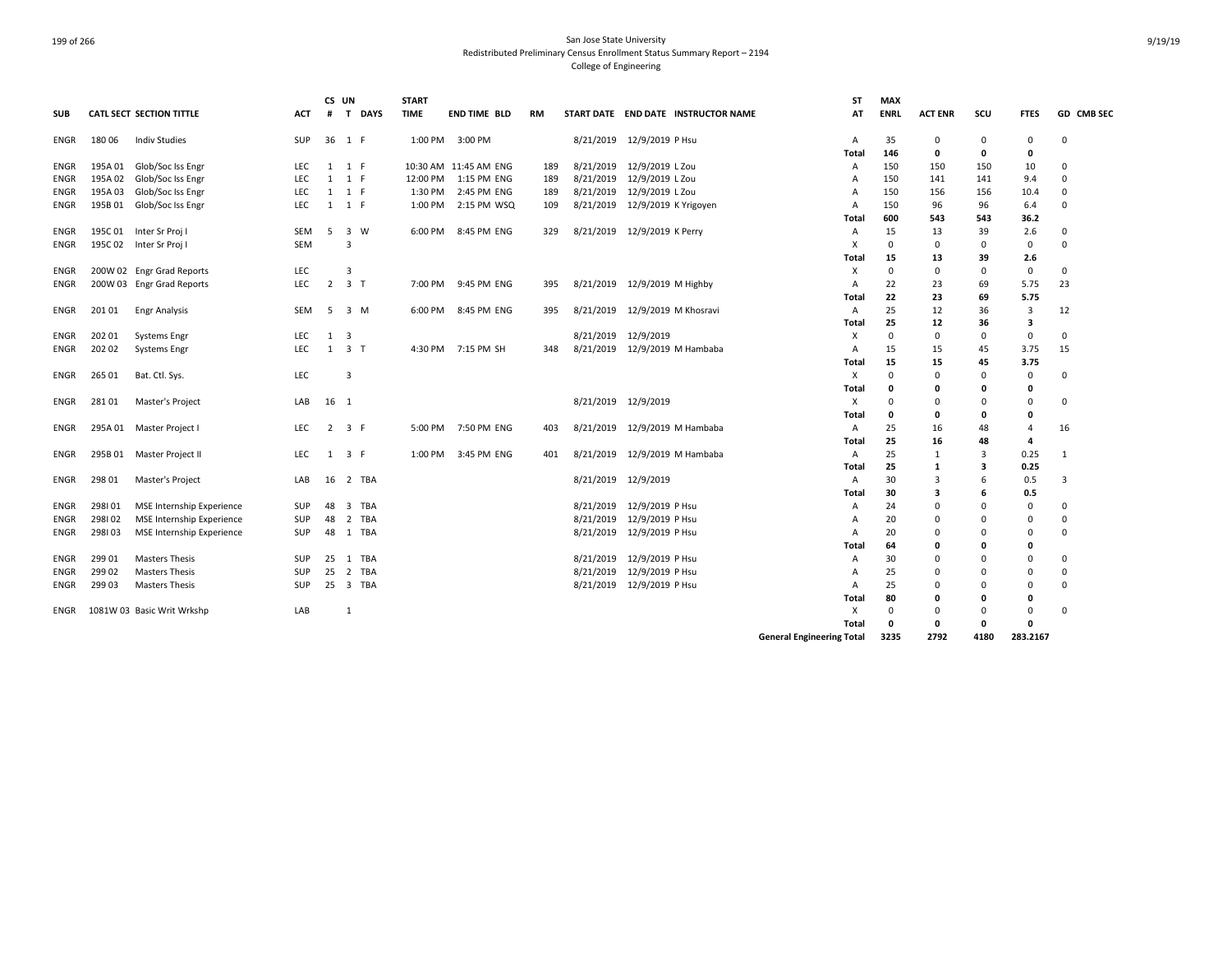|             |         |                                 |            | CS UN          |                              | <b>START</b> |                       |           |           |                                     | <b>ST</b>                        | <b>MAX</b>  |                |          |             |             |
|-------------|---------|---------------------------------|------------|----------------|------------------------------|--------------|-----------------------|-----------|-----------|-------------------------------------|----------------------------------|-------------|----------------|----------|-------------|-------------|
| <b>SUB</b>  |         | <b>CATL SECT SECTION TITTLE</b> | <b>ACT</b> | #              | T DAYS                       | <b>TIME</b>  | <b>END TIME BLD</b>   | <b>RM</b> |           | START DATE END DATE INSTRUCTOR NAME | AT                               | <b>ENRL</b> | <b>ACT ENR</b> | scu      | <b>FTES</b> | GD CMB SEC  |
| <b>ENGR</b> | 18006   | Indiv Studies                   | SUP        |                | 36 1 F                       | 1:00 PM      | 3:00 PM               |           | 8/21/2019 | 12/9/2019 P Hsu                     | A                                | 35          | 0              | 0        | 0           | 0           |
|             |         |                                 |            |                |                              |              |                       |           |           |                                     | Total                            | 146         | 0              | 0        | 0           |             |
| <b>ENGR</b> |         | 195A 01 Glob/Soc Iss Engr       | <b>LEC</b> |                | 1 1 F                        |              | 10:30 AM 11:45 AM ENG | 189       | 8/21/2019 | 12/9/2019 L Zou                     | A                                | 150         | 150            | 150      | 10          | $\Omega$    |
| <b>ENGR</b> | 195A 02 | Glob/Soc Iss Engr               | LEC        | 1              | 1 F                          | 12:00 PM     | 1:15 PM ENG           | 189       | 8/21/2019 | 12/9/2019 L Zou                     | A                                | 150         | 141            | 141      | 9.4         | 0           |
| <b>ENGR</b> | 195A 03 | Glob/Soc Iss Engr               | <b>LEC</b> | 1              | 1 F                          | 1:30 PM      | 2:45 PM ENG           | 189       | 8/21/2019 | 12/9/2019 L Zou                     | A                                | 150         | 156            | 156      | 10.4        | 0           |
| <b>ENGR</b> | 195B 01 | Glob/Soc Iss Engr               | <b>LEC</b> |                | $1 \quad 1 \quad F$          | 1:00 PM      | 2:15 PM WSQ           | 109       | 8/21/2019 | 12/9/2019 K Yrigoyen                | Α                                | 150         | 96             | 96       | 6.4         | 0           |
|             |         |                                 |            |                |                              |              |                       |           |           |                                     | Total                            | 600         | 543            | 543      | 36.2        |             |
| <b>ENGR</b> |         | 195C 01 Inter Sr Proj I         | <b>SEM</b> | 5              | $\overline{\mathbf{3}}$<br>W | 6:00 PM      | 8:45 PM ENG           | 329       | 8/21/2019 | 12/9/2019 K Perry                   | Α                                | 15          | 13             | 39       | 2.6         | $\mathbf 0$ |
| <b>ENGR</b> |         | 195C 02 Inter Sr Proj I         | <b>SEM</b> |                | 3                            |              |                       |           |           |                                     | X                                | $\mathbf 0$ | 0              | $\Omega$ | 0           | $\Omega$    |
|             |         |                                 |            |                |                              |              |                       |           |           |                                     | Total                            | 15          | 13             | 39       | 2.6         |             |
| <b>ENGR</b> |         | 200W 02 Engr Grad Reports       | LEC        |                | 3                            |              |                       |           |           |                                     | X                                | $\Omega$    | 0              | $\Omega$ | $\mathsf 0$ | 0           |
| <b>ENGR</b> |         | 200W 03 Engr Grad Reports       | LEC        | $\overline{2}$ | 3 <sub>1</sub>               | 7:00 PM      | 9:45 PM ENG           | 395       |           | 8/21/2019 12/9/2019 M Highby        | A                                | 22          | 23             | 69       | 5.75        | 23          |
|             |         |                                 |            |                |                              |              |                       |           |           |                                     | <b>Total</b>                     | 22          | 23             | 69       | 5.75        |             |
| <b>ENGR</b> | 20101   | <b>Engr Analysis</b>            | <b>SEM</b> | -5             | 3 M                          | 6:00 PM      | 8:45 PM ENG           | 395       | 8/21/2019 | 12/9/2019 M Khosravi                | A                                | 25          | 12             | 36       | 3           | 12          |
|             |         |                                 |            |                |                              |              |                       |           |           |                                     | Total                            | 25          | 12             | 36       | 3           |             |
| <b>ENGR</b> | 202 01  | Systems Engr                    | <b>LEC</b> | 1              | 3                            |              |                       |           | 8/21/2019 | 12/9/2019                           | X                                | $\Omega$    | $\Omega$       | $\Omega$ | $\mathbf 0$ | $\Omega$    |
| ENGR        | 202 02  | Systems Engr                    | <b>LEC</b> | 1              | 3 <sub>T</sub>               | 4:30 PM      | 7:15 PM SH            | 348       |           | 8/21/2019 12/9/2019 M Hambaba       | A                                | 15          | 15             | 45       | 3.75        | 15          |
|             |         |                                 |            |                |                              |              |                       |           |           |                                     | Total                            | 15          | 15             | 45       | 3.75        |             |
| <b>ENGR</b> | 265 01  | Bat. Ctl. Sys.                  | LEC        |                | 3                            |              |                       |           |           |                                     | Χ                                | $\Omega$    | 0              | $\Omega$ | $\mathbf 0$ | 0           |
|             |         |                                 |            |                |                              |              |                       |           |           |                                     | Total                            | 0           | 0              | O        | 0           |             |
| <b>ENGR</b> | 28101   | Master's Project                | LAB        | 16 1           |                              |              |                       |           |           | 8/21/2019 12/9/2019                 | Χ                                | $\Omega$    | 0              |          | 0           | 0           |
|             |         |                                 |            |                |                              |              |                       |           |           |                                     | Total                            | 0           | 0              | O        | 0           |             |
| <b>ENGR</b> |         | 295A 01 Master Project I        | LEC        |                | $2 \quad 3 \quad F$          | 5:00 PM      | 7:50 PM ENG           | 403       | 8/21/2019 | 12/9/2019 M Hambaba                 | A                                | 25          | 16             | 48       | 4           | 16          |
|             |         |                                 |            |                |                              |              |                       |           |           |                                     | Total                            | 25          | 16             | 48       | 4           |             |
| <b>ENGR</b> |         | 295B 01 Master Project II       | <b>LEC</b> | 1              | 3 F                          | 1:00 PM      | 3:45 PM ENG           | 401       | 8/21/2019 | 12/9/2019 M Hambaba                 | A                                | 25          | 1              | 3        | 0.25        | 1           |
|             |         |                                 |            |                |                              |              |                       |           |           |                                     | Total                            | 25          | 1              | 3        | 0.25        |             |
| <b>ENGR</b> | 298 01  | Master's Project                | LAB        | 16             | 2 TBA                        |              |                       |           | 8/21/2019 | 12/9/2019                           | A                                | 30          | 3              |          | 0.5         | 3           |
|             |         |                                 |            |                |                              |              |                       |           |           |                                     | Total                            | 30          | 3              | ь        | 0.5         |             |
| <b>ENGR</b> | 298101  | MSE Internship Experience       | SUP        | 48             | 3 TBA                        |              |                       |           | 8/21/2019 | 12/9/2019 P Hsu                     | A                                | 24          | $\Omega$       | n        | 0           | $\Omega$    |
| ENGR        | 298102  | MSE Internship Experience       | SUP        | 48             | 2 TBA                        |              |                       |           | 8/21/2019 | 12/9/2019 P Hsu                     | A                                | 20          | $\Omega$       | n        | 0           | 0           |
| <b>ENGR</b> | 298103  | MSE Internship Experience       | SUP        | 48             | 1 TBA                        |              |                       |           | 8/21/2019 | 12/9/2019 P Hsu                     | A                                | 20          | $\Omega$       |          | 0           | $\Omega$    |
|             |         |                                 |            |                |                              |              |                       |           |           |                                     | Total                            | 64          | 0              | n        | 0           |             |
| <b>ENGR</b> | 299 01  | <b>Masters Thesis</b>           | <b>SUP</b> | 25             | 1 TBA                        |              |                       |           | 8/21/2019 | 12/9/2019 P Hsu                     | A                                | 30          | $\Omega$       |          | 0           | 0           |
| <b>ENGR</b> | 299 02  | <b>Masters Thesis</b>           | SUP        | 25             | 2 TBA                        |              |                       |           | 8/21/2019 | 12/9/2019 P Hsu                     | A                                | 25          | 0              | n        | 0           | 0           |
| <b>ENGR</b> | 299 03  | <b>Masters Thesis</b>           | <b>SUP</b> | 25             | 3 TBA                        |              |                       |           |           | 8/21/2019 12/9/2019 P Hsu           | A                                | 25          | 0              |          | 0           | 0           |
|             |         |                                 |            |                |                              |              |                       |           |           |                                     | <b>Total</b>                     | 80          | 0              | O        | 0           |             |
| ENGR        |         | 1081W 03 Basic Writ Wrkshp      | LAB        |                | 1                            |              |                       |           |           |                                     | X                                | $\Omega$    | $\Omega$       | $\Omega$ | 0           | $\Omega$    |
|             |         |                                 |            |                |                              |              |                       |           |           |                                     | Total                            | $\Omega$    | 0              | O        | 0           |             |
|             |         |                                 |            |                |                              |              |                       |           |           |                                     | <b>General Engineering Total</b> | 3235        | 2792           | 4180     | 283.2167    |             |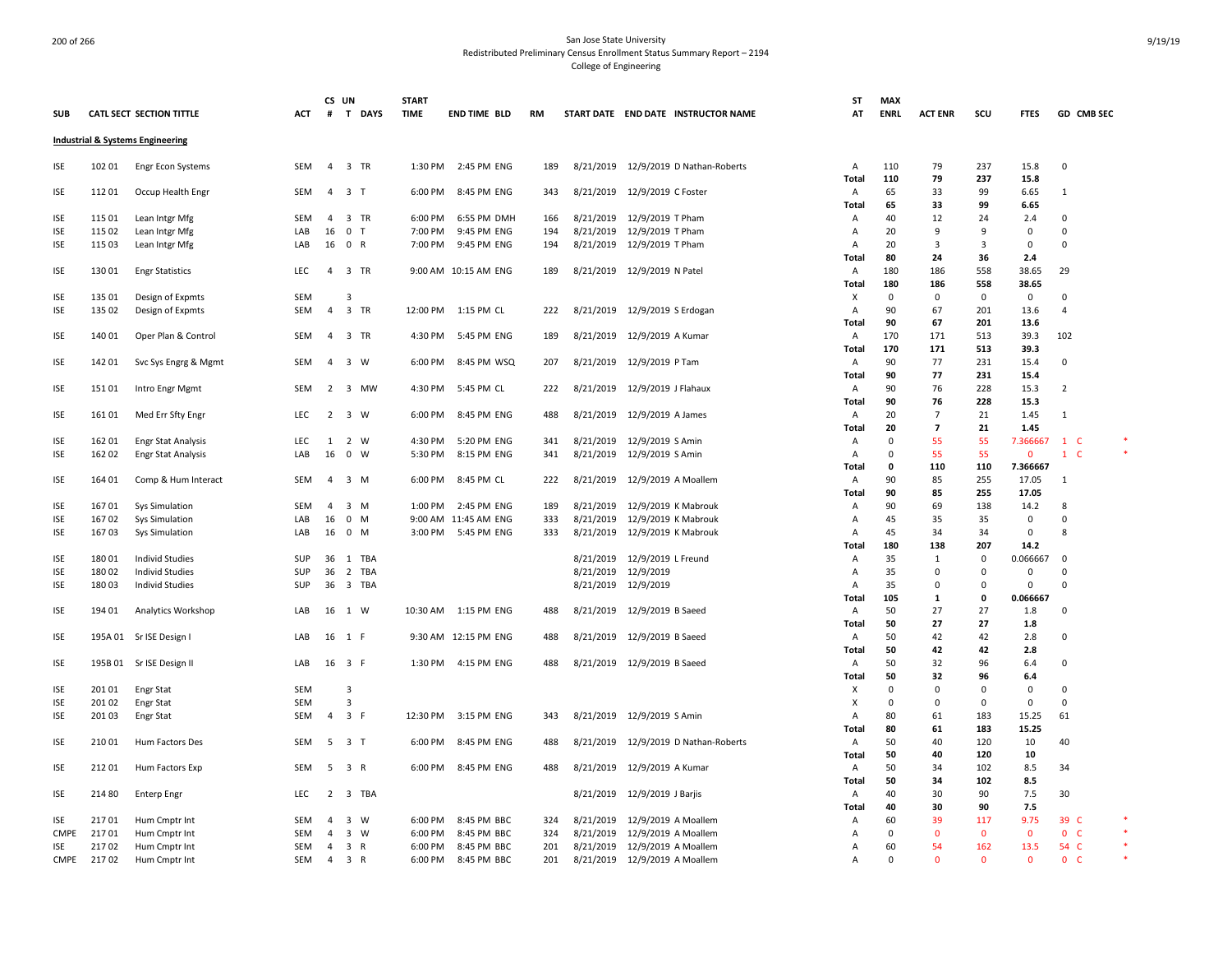|                          |        |                                                        |            | CS UN          |                       | <b>START</b> |                      |            |           |                                                          | ST           | <b>MAX</b>  |                         |              |                     |                     |  |
|--------------------------|--------|--------------------------------------------------------|------------|----------------|-----------------------|--------------|----------------------|------------|-----------|----------------------------------------------------------|--------------|-------------|-------------------------|--------------|---------------------|---------------------|--|
| SUB                      |        | CATL SECT SECTION TITTLE                               | ACT        | #              | T DAYS                | <b>TIME</b>  | END TIME BLD         | RM         |           | START DATE END DATE INSTRUCTOR NAME                      | AT           | <b>ENRL</b> | <b>ACT ENR</b>          | scu          | <b>FTES</b>         | GD CMB SEC          |  |
|                          |        | Industrial & Systems Engineering                       |            |                |                       |              |                      |            |           |                                                          |              |             |                         |              |                     |                     |  |
| <b>ISE</b>               | 102 01 | <b>Engr Econ Systems</b>                               | SEM        | $\overline{4}$ | 3 TR                  | 1:30 PM      | 2:45 PM ENG          | 189        |           | 8/21/2019 12/9/2019 D Nathan-Roberts                     | Α            | 110         | 79                      | 237          | 15.8                | 0                   |  |
|                          |        |                                                        |            |                |                       |              |                      |            |           |                                                          | <b>Total</b> | 110         | 79                      | 237          | 15.8                |                     |  |
| <b>ISE</b>               | 11201  | Occup Health Engr                                      | SEM        | $\overline{4}$ | 3 T                   | 6:00 PM      | 8:45 PM ENG          | 343        |           | 8/21/2019 12/9/2019 C Foster                             | Α            | 65          | 33                      | 99           | 6.65                | 1                   |  |
|                          |        |                                                        |            |                |                       |              |                      |            |           |                                                          | Total        | 65          | 33                      | 99           | 6.65                |                     |  |
| <b>ISE</b>               | 115 01 | Lean Intgr Mfg                                         | <b>SEM</b> | $\overline{4}$ | 3 TR                  | 6:00 PM      | 6:55 PM DMH          | 166        |           | 8/21/2019 12/9/2019 T Pham                               | Α            | 40          | 12                      | 24           | 2.4                 | 0                   |  |
| <b>ISE</b>               | 115 02 | Lean Intgr Mfg                                         | LAB        | 16             | 0 <sub>T</sub>        | 7:00 PM      | 9:45 PM ENG          | 194        |           | 8/21/2019 12/9/2019 T Pham                               | A            | 20          | 9                       | 9            | $\mathbf 0$         | $\mathbf 0$         |  |
| <b>ISE</b>               | 115 03 | Lean Intgr Mfg                                         | LAB        | 16             | 0 R                   | 7:00 PM      | 9:45 PM ENG          | 194        |           | 8/21/2019 12/9/2019 T Pham                               | Α            | 20          | $\overline{3}$          | 3            | $\mathsf{O}\xspace$ | $\mathsf 0$         |  |
|                          |        |                                                        |            |                |                       |              |                      |            |           |                                                          | <b>Total</b> | 80          | 24                      | 36           | 2.4                 |                     |  |
| <b>ISE</b>               | 130 01 | <b>Engr Statistics</b>                                 | LEC        |                | 4 3 TR                |              | 9:00 AM 10:15 AM ENG | 189        |           | 8/21/2019 12/9/2019 N Patel                              | Α            | 180         | 186                     | 558          | 38.65               | 29                  |  |
|                          |        |                                                        |            |                |                       |              |                      |            |           |                                                          | Total        | 180         | 186                     | 558          | 38.65               |                     |  |
| <b>ISE</b>               | 135 01 | Design of Expmts                                       | SEM        |                | 3                     |              |                      |            |           |                                                          | X            | $\mathbf 0$ | 0                       | $\mathsf 0$  | 0                   | 0                   |  |
| <b>ISE</b>               | 135 02 | Design of Expmts                                       | SEM        | $\overline{4}$ | 3 TR                  | 12:00 PM     | 1:15 PM CL           | 222        |           | 8/21/2019 12/9/2019 S Erdogan                            | Α            | 90          | 67                      | 201          | 13.6                | $\overline{4}$      |  |
|                          |        |                                                        |            |                |                       |              |                      |            |           |                                                          | Total        | 90          | 67                      | 201          | 13.6                |                     |  |
| <b>ISE</b>               | 140 01 | Oper Plan & Control                                    | <b>SEM</b> | $\overline{4}$ | 3 TR                  | 4:30 PM      | 5:45 PM ENG          | 189        |           | 8/21/2019 12/9/2019 A Kumar                              | Α            | 170         | 171                     | 513          | 39.3                | 102                 |  |
|                          |        |                                                        |            |                |                       |              |                      |            |           |                                                          | Total        | 170         | 171                     | 513          | 39.3                |                     |  |
| <b>ISE</b>               | 142 01 | Svc Sys Engrg & Mgmt                                   | SEM        | $\overline{4}$ | 3 W                   | 6:00 PM      | 8:45 PM WSQ          | 207        |           | 8/21/2019 12/9/2019 P Tam                                | Α            | 90          | 77                      | 231          | 15.4                | 0                   |  |
|                          |        |                                                        |            |                |                       |              |                      |            |           |                                                          | Total        | 90          | 77                      | 231          | 15.4                |                     |  |
| <b>ISE</b>               | 15101  | Intro Engr Mgmt                                        | SEM        |                | 2 3 MW                | 4:30 PM      | 5:45 PM CL           | 222        |           | 8/21/2019 12/9/2019 J Flahaux                            | A<br>Total   | 90<br>90    | 76<br>76                | 228<br>228   | 15.3<br>15.3        | $\overline{2}$      |  |
|                          | 16101  |                                                        | <b>LEC</b> | $\overline{2}$ | 3 W                   | 6:00 PM      | 8:45 PM ENG          |            |           |                                                          | A            | 20          | $\overline{7}$          | 21           | 1.45                | 1                   |  |
| <b>ISE</b>               |        | Med Err Sfty Engr                                      |            |                |                       |              |                      | 488        |           | 8/21/2019 12/9/2019 A James                              | Total        | 20          | $\overline{\mathbf{z}}$ | 21           | 1.45                |                     |  |
|                          | 162 01 |                                                        | <b>LEC</b> |                | 2 W                   | 4:30 PM      | 5:20 PM ENG          |            |           |                                                          |              | $\mathbf 0$ | 55                      | 55           | 7.366667            | $1\,c$              |  |
| <b>ISE</b><br><b>ISE</b> | 162 02 | <b>Engr Stat Analysis</b><br><b>Engr Stat Analysis</b> | LAB        | 1<br>16        | $0 \quad W$           | 5:30 PM      | 8:15 PM ENG          | 341<br>341 |           | 8/21/2019 12/9/2019 S Amin<br>8/21/2019 12/9/2019 S Amin | Α<br>Α       | $\mathbf 0$ | 55                      | 55           | $\mathbf 0$         | $\mathbf{1}$<br>-C  |  |
|                          |        |                                                        |            |                |                       |              |                      |            |           |                                                          | Total        | 0           | 110                     | 110          | 7.366667            |                     |  |
| <b>ISE</b>               | 164 01 | Comp & Hum Interact                                    | SEM        | $\overline{4}$ | 3 M                   | 6:00 PM      | 8:45 PM CL           | 222        |           | 8/21/2019 12/9/2019 A Moallem                            | Α            | 90          | 85                      | 255          | 17.05               | 1                   |  |
|                          |        |                                                        |            |                |                       |              |                      |            |           |                                                          | Total        | 90          | 85                      | 255          | 17.05               |                     |  |
| <b>ISE</b>               | 16701  | Sys Simulation                                         | SEM        | -4             | 3 M                   | 1:00 PM      | 2:45 PM ENG          | 189        |           | 8/21/2019 12/9/2019 K Mabrouk                            | Α            | 90          | 69                      | 138          | 14.2                | 8                   |  |
| <b>ISE</b>               | 16702  | Sys Simulation                                         | LAB        | 16             | $0$ M                 |              | 9:00 AM 11:45 AM ENG | 333        |           | 8/21/2019 12/9/2019 K Mabrouk                            | Α            | 45          | 35                      | 35           | $\mathsf{O}\xspace$ | $\mathbf 0$         |  |
| <b>ISE</b>               | 16703  | <b>Sys Simulation</b>                                  | LAB        |                | 16 0 M                |              | 3:00 PM 5:45 PM ENG  | 333        |           | 8/21/2019 12/9/2019 K Mabrouk                            | Α            | 45          | 34                      | 34           | 0                   | 8                   |  |
|                          |        |                                                        |            |                |                       |              |                      |            |           |                                                          | Total        | 180         | 138                     | 207          | 14.2                |                     |  |
| <b>ISE</b>               | 18001  | <b>Individ Studies</b>                                 | SUP        |                | 36 1 TBA              |              |                      |            |           | 8/21/2019 12/9/2019 L Freund                             | Α            | 35          | 1                       | $\mathbf 0$  | 0.066667            | 0                   |  |
| <b>ISE</b>               | 18002  | <b>Individ Studies</b>                                 | SUP        | 36             | $\overline{2}$<br>TBA |              |                      |            |           | 8/21/2019 12/9/2019                                      | A            | 35          | $\Omega$                | $\mathbf 0$  | 0                   | $\Omega$            |  |
| <b>ISE</b>               | 18003  | <b>Individ Studies</b>                                 | SUP        |                | 36 3 TBA              |              |                      |            |           | 8/21/2019 12/9/2019                                      | Α            | 35          | $\Omega$                | $\Omega$     | 0                   | $\Omega$            |  |
|                          |        |                                                        |            |                |                       |              |                      |            |           |                                                          | <b>Total</b> | 105         | $\mathbf{1}$            | 0            | 0.066667            |                     |  |
| <b>ISE</b>               | 194 01 | Analytics Workshop                                     | LAB        |                | 16 1 W                | 10:30 AM     | 1:15 PM ENG          | 488        |           | 8/21/2019 12/9/2019 B Saeed                              | A            | 50          | 27                      | 27           | 1.8                 | $\mathbf 0$         |  |
|                          |        |                                                        |            |                |                       |              |                      |            |           |                                                          | Total        | 50          | 27                      | 27           | 1.8                 |                     |  |
| <b>ISE</b>               |        | 195A 01 Sr ISE Design I                                | LAB        |                | 16 1 F                |              | 9:30 AM 12:15 PM ENG | 488        |           | 8/21/2019 12/9/2019 B Saeed                              | A            | 50          | 42                      | 42           | 2.8                 | 0                   |  |
|                          |        |                                                        |            |                |                       |              |                      |            |           |                                                          | Total        | 50          | 42                      | 42           | 2.8                 |                     |  |
| <b>ISE</b>               |        | 195B 01 Sr ISE Design II                               | LAB        |                | 16 3 F                |              | 1:30 PM 4:15 PM ENG  | 488        |           | 8/21/2019 12/9/2019 B Saeed                              | Α            | 50          | 32                      | 96           | 6.4                 | $\Omega$            |  |
|                          |        |                                                        |            |                |                       |              |                      |            |           |                                                          | Total        | 50          | 32                      | 96           | 6.4                 |                     |  |
| ISE                      | 20101  | <b>Engr Stat</b>                                       | SEM        |                | 3                     |              |                      |            |           |                                                          | х            | $\mathbf 0$ | $\Omega$                | 0            | 0                   | $\mathbf 0$         |  |
| <b>ISE</b>               | 20102  | <b>Engr Stat</b>                                       | SEM        |                | $\overline{3}$        |              |                      |            |           |                                                          | X            | $\mathbf 0$ | $\Omega$                | $\mathbf 0$  | $\mathbf 0$         | $\mathbf 0$         |  |
| <b>ISE</b>               | 20103  | <b>Engr Stat</b>                                       | SEM        | $\overline{4}$ | 3 F                   | 12:30 PM     | 3:15 PM ENG          | 343        |           | 8/21/2019 12/9/2019 S Amin                               | Α            | 80          | 61                      | 183          | 15.25               | 61                  |  |
|                          |        |                                                        |            |                |                       |              |                      |            |           |                                                          | Total        | 80          | 61                      | 183          | 15.25               |                     |  |
| <b>ISE</b>               | 21001  | Hum Factors Des                                        | SEM        | -5             | 3 <sub>1</sub>        | 6:00 PM      | 8:45 PM ENG          | 488        |           | 8/21/2019 12/9/2019 D Nathan-Roberts                     | Α            | 50          | 40                      | 120          | 10                  | 40                  |  |
|                          |        |                                                        |            |                |                       |              |                      |            |           |                                                          | <b>Total</b> | 50          | 40                      | 120          | 10                  |                     |  |
| <b>ISE</b>               | 21201  | Hum Factors Exp                                        | SEM        |                | 5 3 R                 | 6:00 PM      | 8:45 PM ENG          | 488        |           | 8/21/2019 12/9/2019 A Kumar                              | Α            | 50          | 34                      | 102          | 8.5                 | 34                  |  |
|                          |        |                                                        |            |                |                       |              |                      |            |           |                                                          | Total        | 50          | 34                      | 102          | 8.5                 |                     |  |
| <b>ISE</b>               | 214 80 | <b>Enterp Engr</b>                                     | LEC        | 2              | 3 TBA                 |              |                      |            |           | 8/21/2019 12/9/2019 J Barjis                             | Α            | 40          | 30                      | 90           | 7.5                 | 30                  |  |
|                          |        |                                                        |            |                |                       |              |                      |            |           |                                                          | <b>Total</b> | 40          | 30                      | 90           | 7.5                 |                     |  |
| <b>ISE</b>               | 21701  | Hum Cmptr Int                                          | SEM        | $\overline{4}$ | 3 W                   | 6:00 PM      | 8:45 PM BBC          | 324        |           | 8/21/2019 12/9/2019 A Moallem                            | Α            | 60          | 39                      | 117          | 9.75                | 39 C                |  |
| <b>CMPE</b>              | 21701  | Hum Cmptr Int                                          | SEM        | 4              | 3 W                   | 6:00 PM      | 8:45 PM BBC          | 324        | 8/21/2019 | 12/9/2019 A Moallem                                      | Α            | $\Omega$    | $\Omega$                | $\mathbf 0$  | $\mathbf 0$         | 0 <sub>c</sub>      |  |
| ISE                      | 21702  | Hum Cmptr Int                                          | SEM        | $\overline{4}$ | 3 R                   | 6:00 PM      | 8:45 PM BBC          | 201        |           | 8/21/2019 12/9/2019 A Moallem                            | Α            | 60          | 54                      | 162          | 13.5                | 54 C                |  |
| CMPE                     | 21702  | Hum Cmptr Int                                          | SEM        |                | 4 3 R                 | 6:00 PM      | 8:45 PM BBC          | 201        |           | 8/21/2019 12/9/2019 A Moallem                            | Α            | $\mathbf 0$ | $\Omega$                | $\mathbf{0}$ | $\mathbf{0}$        | $\mathbf{0}$<br>- C |  |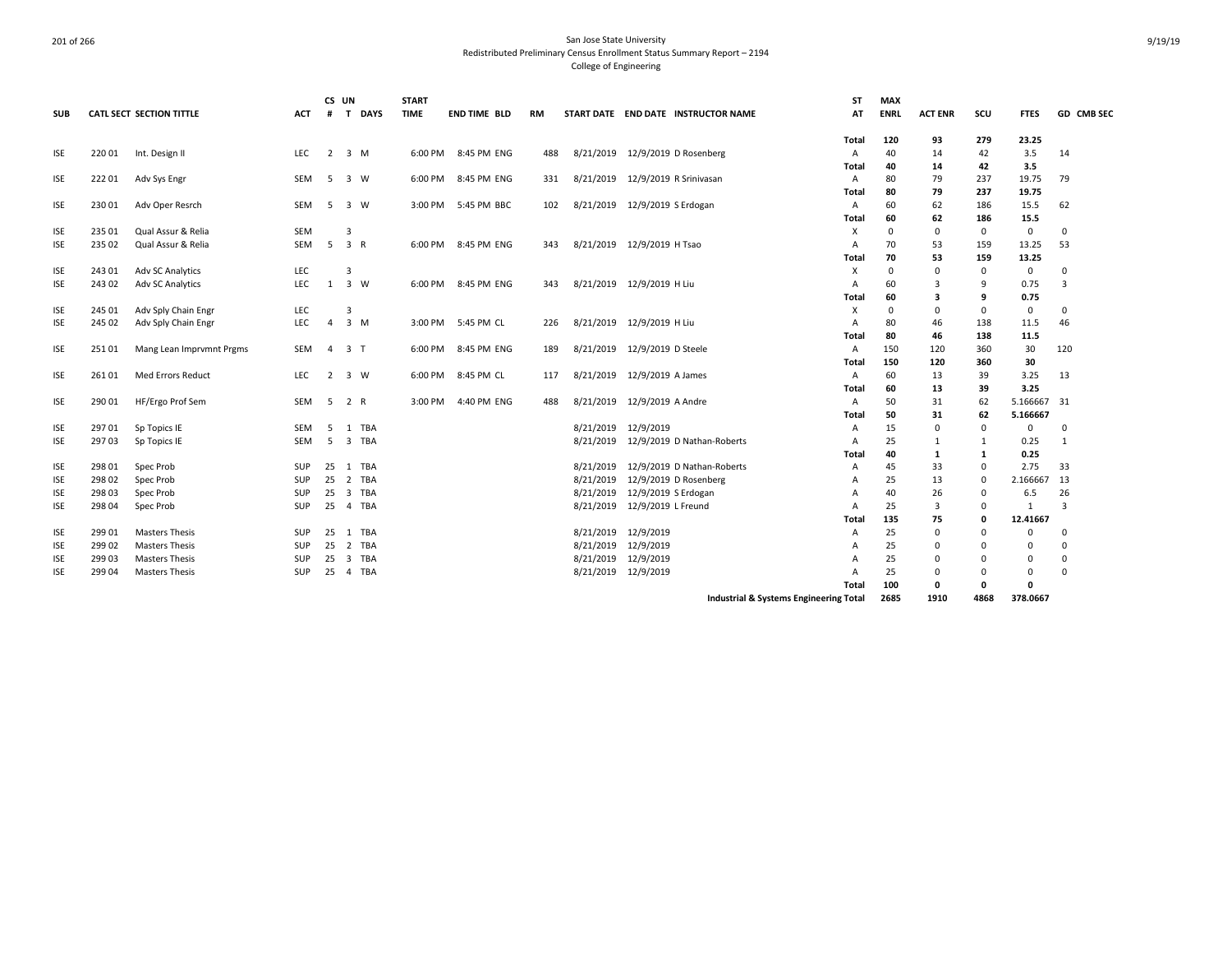|            |        |                                 |            | CS UN          |                                |             | <b>START</b> |                     |     |           |                           |                                        | <b>ST</b>    | <b>MAX</b>  |                |             |              |                   |
|------------|--------|---------------------------------|------------|----------------|--------------------------------|-------------|--------------|---------------------|-----|-----------|---------------------------|----------------------------------------|--------------|-------------|----------------|-------------|--------------|-------------------|
| <b>SUB</b> |        | <b>CATL SECT SECTION TITTLE</b> | <b>ACT</b> | #              | $\mathbf{T}$                   | <b>DAYS</b> | <b>TIME</b>  | <b>END TIME BLD</b> | RM  |           |                           | START DATE END DATE INSTRUCTOR NAME    | AT           | <b>ENRL</b> | <b>ACT ENR</b> | scu         | <b>FTES</b>  | <b>GD CMB SEC</b> |
|            |        |                                 |            |                |                                |             |              |                     |     |           |                           |                                        | Total        | 120         | 93             | 279         | 23.25        |                   |
| <b>ISE</b> | 22001  | Int. Design II                  | <b>LEC</b> | 2              | 3 M                            |             | 6:00 PM      | 8:45 PM ENG         | 488 | 8/21/2019 | 12/9/2019 D Rosenberg     |                                        | Α            | 40          | 14             | 42          | 3.5          | 14                |
|            |        |                                 |            |                |                                |             |              |                     |     |           |                           |                                        | Total        | 40          | 14             | 42          | 3.5          |                   |
| <b>ISE</b> | 22201  | Adv Sys Engr                    | <b>SEM</b> | 5              | 3 W                            |             | 6:00 PM      | 8:45 PM ENG         | 331 | 8/21/2019 | 12/9/2019 R Srinivasan    |                                        | Α            | 80          | 79             | 237         | 19.75        | 79                |
|            |        |                                 |            |                |                                |             |              |                     |     |           |                           |                                        | Total        | 80          | 79             | 237         | 19.75        |                   |
| <b>ISE</b> | 23001  | Adv Oper Resrch                 | <b>SEM</b> | -5             | 3 W                            |             |              | 3:00 PM 5:45 PM BBC | 102 | 8/21/2019 | 12/9/2019 S Erdogan       |                                        | A            | 60          | 62             | 186         | 15.5         | 62                |
|            |        |                                 |            |                |                                |             |              |                     |     |           |                           |                                        | Total        | 60          | 62             | 186         | 15.5         |                   |
| <b>ISE</b> | 235 01 | Qual Assur & Relia              | SEM        |                | 3                              |             |              |                     |     |           |                           |                                        | X            | 0           | 0              | 0           | 0            | $\mathbf 0$       |
| <b>ISE</b> | 235 02 | Qual Assur & Relia              | SEM        | 5              | 3 R                            |             | 6:00 PM      | 8:45 PM ENG         | 343 | 8/21/2019 | 12/9/2019 H Tsao          |                                        | Α            | 70          | 53             | 159         | 13.25        | 53                |
|            |        |                                 |            |                |                                |             |              |                     |     |           |                           |                                        | Total        | 70          | 53             | 159         | 13.25        |                   |
| <b>ISE</b> | 243 01 | <b>Adv SC Analytics</b>         | LEC        |                | 3                              |             |              |                     |     |           |                           |                                        | X            | $\Omega$    | 0              | 0           | 0            | $\mathbf 0$       |
| <b>ISE</b> | 243 02 | Adv SC Analytics                | <b>LEC</b> | 1              | 3 W                            |             | 6:00 PM      | 8:45 PM ENG         | 343 |           | 8/21/2019 12/9/2019 H Liu |                                        | A            | 60          | 3              | 9           | 0.75         | 3                 |
|            |        |                                 |            |                |                                |             |              |                     |     |           |                           |                                        | Total        | 60          | 3              | 9           | 0.75         |                   |
| <b>ISE</b> | 245 01 | Adv Sply Chain Engr             | LEC        |                | 3                              |             |              |                     |     |           |                           |                                        | X            | $\Omega$    | 0              | 0           | 0            | $\mathbf 0$       |
| <b>ISE</b> | 245 02 | Adv Sply Chain Engr             | LEC        | $\overline{4}$ | $3 \, M$                       |             |              | 3:00 PM 5:45 PM CL  | 226 |           | 8/21/2019 12/9/2019 H Liu |                                        | Α            | 80          | 46             | 138         | 11.5         | 46                |
|            |        |                                 |            |                |                                |             |              |                     |     |           |                           |                                        | Total        | 80          | 46             | 138         | 11.5         |                   |
| <b>ISE</b> | 25101  | Mang Lean Imprvmnt Prgms        | <b>SEM</b> |                | 4 3 T                          |             | 6:00 PM      | 8:45 PM ENG         | 189 | 8/21/2019 | 12/9/2019 D Steele        |                                        | Α            | 150         | 120            | 360         | 30           | 120               |
|            |        |                                 |            |                |                                |             |              |                     |     |           |                           |                                        | <b>Total</b> | 150         | 120            | 360         | 30           |                   |
| <b>ISE</b> | 26101  | <b>Med Errors Reduct</b>        | <b>LEC</b> | $\overline{2}$ | 3 W                            |             |              | 6:00 PM 8:45 PM CL  | 117 | 8/21/2019 | 12/9/2019 A James         |                                        | $\mathsf{A}$ | 60          | 13             | 39          | 3.25         | 13                |
|            |        |                                 |            |                |                                |             |              |                     |     |           |                           |                                        | Total        | 60          | 13             | 39          | 3.25         |                   |
| <b>ISE</b> | 290 01 | HF/Ergo Prof Sem                | <b>SEM</b> | 5              | 2 R                            |             | 3:00 PM      | 4:40 PM ENG         | 488 | 8/21/2019 | 12/9/2019 A Andre         |                                        | Α            | 50          | 31             | 62          | 5.166667     | 31                |
|            |        |                                 |            |                |                                |             |              |                     |     |           |                           |                                        | Total        | 50          | 31             | 62          | 5.166667     |                   |
| <b>ISE</b> | 29701  | Sp Topics IE                    | <b>SEM</b> | -5             | 1 TBA                          |             |              |                     |     | 8/21/2019 | 12/9/2019                 |                                        | Α            | 15          | 0              | $\mathbf 0$ | $\mathbf 0$  | $\mathbf 0$       |
| <b>ISE</b> | 29703  | Sp Topics IE                    | <b>SEM</b> | -5             | 3 TBA                          |             |              |                     |     | 8/21/2019 |                           | 12/9/2019 D Nathan-Roberts             | A            | 25          | 1              | 1           | 0.25         | 1                 |
|            |        |                                 |            |                |                                |             |              |                     |     |           |                           |                                        | Total        | 40          | $\mathbf{1}$   | 1           | 0.25         |                   |
| <b>ISE</b> | 298 01 | Spec Prob                       | SUP        | 25             | 1 TBA                          |             |              |                     |     | 8/21/2019 |                           | 12/9/2019 D Nathan-Roberts             | Α            | 45          | 33             | $\mathbf 0$ | 2.75         | 33                |
| <b>ISE</b> | 298 02 | Spec Prob                       | SUP        | 25             | 2 TBA                          |             |              |                     |     | 8/21/2019 | 12/9/2019 D Rosenberg     |                                        | Α            | 25          | 13             | 0           | 2.166667     | 13                |
| <b>ISE</b> | 298 03 | Spec Prob                       | SUP        | 25             | $\overline{\mathbf{3}}$<br>TBA |             |              |                     |     | 8/21/2019 | 12/9/2019 S Erdogan       |                                        | A            | 40          | 26             | $\mathbf 0$ | 6.5          | 26                |
| <b>ISE</b> | 298 04 | Spec Prob                       | <b>SUP</b> | 25             | 4 TBA                          |             |              |                     |     | 8/21/2019 | 12/9/2019 L Freund        |                                        | A            | 25          | 3              | 0           | $\mathbf{1}$ | $\overline{3}$    |
|            |        |                                 |            |                |                                |             |              |                     |     |           |                           |                                        | Total        | 135         | 75             | 0           | 12.41667     |                   |
| <b>ISE</b> | 299 01 | <b>Masters Thesis</b>           | <b>SUP</b> | 25             | 1 TBA                          |             |              |                     |     | 8/21/2019 | 12/9/2019                 |                                        | A            | 25          | 0              | $\Omega$    | 0            | 0                 |
| <b>ISE</b> | 299 02 | <b>Masters Thesis</b>           | SUP        | 25             | 2 TBA                          |             |              |                     |     | 8/21/2019 | 12/9/2019                 |                                        | Α            | 25          | 0              | 0           | $\Omega$     | $\Omega$          |
| <b>ISE</b> | 299 03 | <b>Masters Thesis</b>           | SUP        | 25             | 3 TBA                          |             |              |                     |     | 8/21/2019 | 12/9/2019                 |                                        | Α            | 25          | 0              | $\Omega$    | $\Omega$     | $\mathbf 0$       |
| <b>ISE</b> | 299 04 | <b>Masters Thesis</b>           | SUP        | 25             | 4 TBA                          |             |              |                     |     | 8/21/2019 | 12/9/2019                 |                                        | A            | 25          | $\Omega$       | 0           | $\Omega$     | $\Omega$          |
|            |        |                                 |            |                |                                |             |              |                     |     |           |                           |                                        | Total        | 100         | 0              | 0           | 0            |                   |
|            |        |                                 |            |                |                                |             |              |                     |     |           |                           | Industrial & Systems Engineering Total |              | 2685        | 1910           | 4868        | 378.0667     |                   |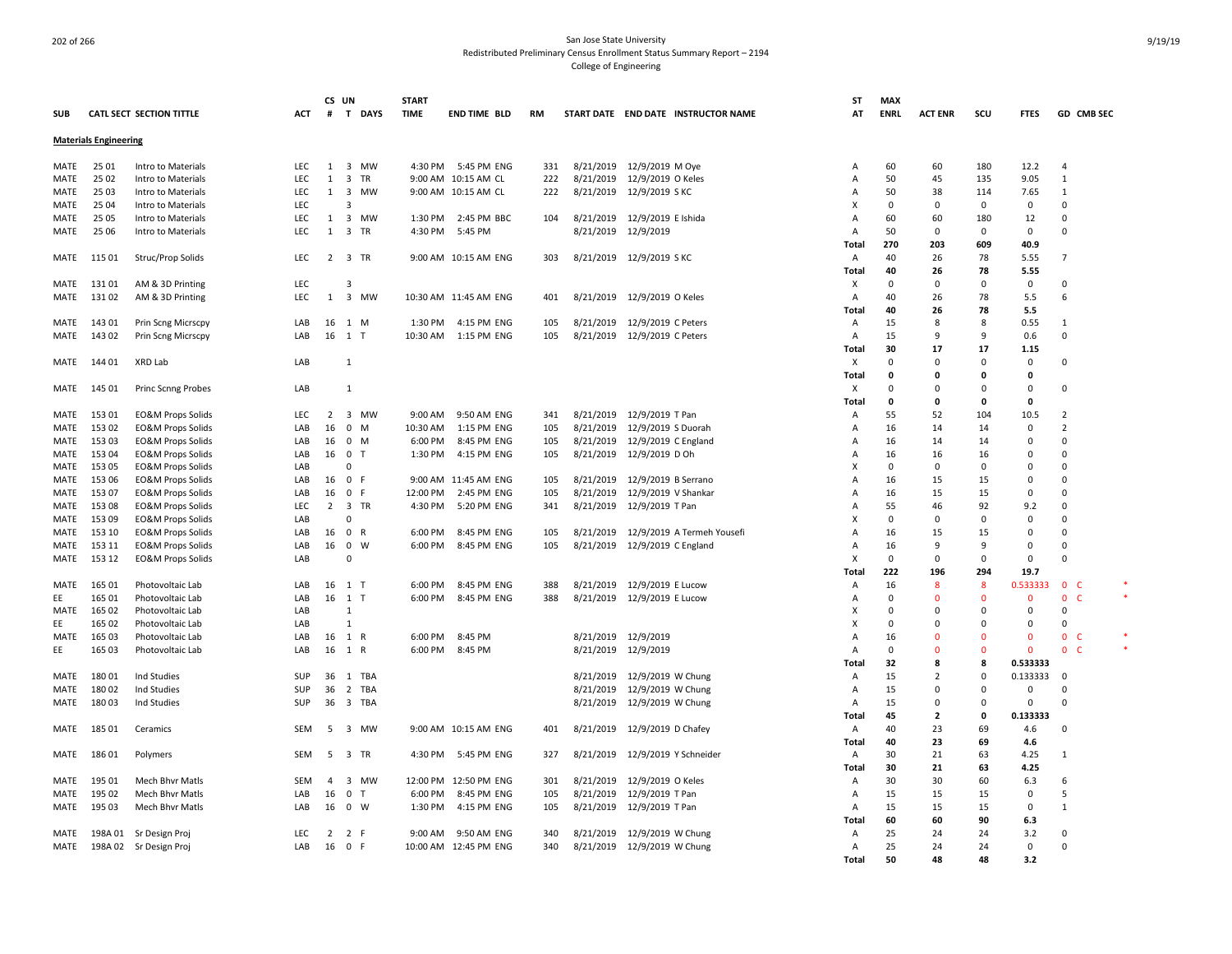|             |                              |                                 |            | CS UN          |                      | <b>START</b> |                       |           |           |                                      | ST             | <b>MAX</b>   |                |              |              |                     |  |
|-------------|------------------------------|---------------------------------|------------|----------------|----------------------|--------------|-----------------------|-----------|-----------|--------------------------------------|----------------|--------------|----------------|--------------|--------------|---------------------|--|
| <b>SUB</b>  |                              | <b>CATL SECT SECTION TITTLE</b> | <b>ACT</b> | #              | T DAYS               | <b>TIME</b>  | <b>END TIME BLD</b>   | <b>RM</b> |           | START DATE END DATE INSTRUCTOR NAME  | AT             | <b>ENRL</b>  | <b>ACT ENR</b> | SCU          | <b>FTFS</b>  | GD CMB SEC          |  |
|             |                              |                                 |            |                |                      |              |                       |           |           |                                      |                |              |                |              |              |                     |  |
|             | <b>Materials Engineering</b> |                                 |            |                |                      |              |                       |           |           |                                      |                |              |                |              |              |                     |  |
|             |                              |                                 |            |                |                      |              |                       |           |           |                                      |                |              |                |              |              |                     |  |
| MATE        | 25 01                        | Intro to Materials              | <b>LEC</b> | 1              | 3 MW                 | 4:30 PM      | 5:45 PM ENG           | 331       |           | 8/21/2019 12/9/2019 M Oye            | A              | 60           | 60             | 180          | 12.2         | $\overline{4}$      |  |
| MATE        | 25 02                        | Intro to Materials              | LEC        | $\mathbf{1}$   | $\overline{3}$<br>TR |              | 9:00 AM 10:15 AM CL   | 222       |           | 8/21/2019 12/9/2019 O Keles          | A              | 50           | 45             | 135          | 9.05         | $\mathbf{1}$        |  |
| MATE        | 25 03                        | Intro to Materials              | <b>LEC</b> | 1              | 3 MW                 |              | 9:00 AM 10:15 AM CL   | 222       |           | 8/21/2019 12/9/2019 SKC              | A              | 50           | 38             | 114          | 7.65         | 1                   |  |
| MATE        | 25 04                        | Intro to Materials              | LEC        |                | 3                    |              |                       |           |           |                                      | X              | 0            | $\mathbf 0$    | 0            | 0            | 0                   |  |
| MATE        | 25 05                        | Intro to Materials              | LEC        | 1              | 3 MW                 | 1:30 PM      | 2:45 PM BBC           | 104       |           | 8/21/2019 12/9/2019 E Ishida         | A              | 60           | 60             | 180          | 12           | 0                   |  |
| MATE        | 25 06                        | Intro to Materials              | <b>LEC</b> | $\mathbf{1}$   | 3 TR                 | 4:30 PM      | 5:45 PM               |           |           | 8/21/2019 12/9/2019                  | $\overline{A}$ | 50           | $\Omega$       | 0            | 0            | 0                   |  |
|             |                              |                                 |            |                |                      |              |                       |           |           |                                      | <b>Total</b>   | 270          | 203            | 609          | 40.9         |                     |  |
| MATE        | 115 01                       | Struc/Prop Solids               | <b>LEC</b> | 2              | 3 TR                 |              | 9:00 AM 10:15 AM ENG  | 303       |           | 8/21/2019 12/9/2019 SKC              | $\overline{A}$ | 40           | 26             | 78           | 5.55         | $\overline{7}$      |  |
|             |                              |                                 |            |                |                      |              |                       |           |           |                                      | Total          | 40           | 26             | 78           | 5.55         |                     |  |
| MATE        | 13101                        | AM & 3D Printing                | LEC        |                | 3                    |              |                       |           |           |                                      | X              | $\mathbf 0$  | $\Omega$       | $\mathbf 0$  | $\mathbf 0$  | $\Omega$            |  |
| MATE        | 13102                        | AM & 3D Printing                | LEC        | 1              | 3 MW                 |              | 10:30 AM 11:45 AM ENG | 401       |           | 8/21/2019 12/9/2019 O Keles          | Α              | 40           | 26             | 78           | 5.5          | 6                   |  |
|             |                              |                                 |            |                |                      |              |                       |           |           |                                      | Total          | 40           | 26             | 78           | 5.5          |                     |  |
| MATE        | 143 01                       | Prin Scng Micrscpy              | LAB        | 16             | 1 M                  | 1:30 PM      | 4:15 PM ENG           | 105       |           | 8/21/2019 12/9/2019 C Peters         | Α              | 15           | 8              | 8            | 0.55         | 1                   |  |
| MATE        | 143 02                       | Prin Scng Micrscpy              | LAB        |                | 16 1 T               | 10:30 AM     | 1:15 PM ENG           | 105       |           | 8/21/2019 12/9/2019 C Peters         | $\overline{A}$ | 15           | q              | 9            | 0.6          | $\Omega$            |  |
|             |                              |                                 |            |                |                      |              |                       |           |           |                                      |                |              |                |              |              |                     |  |
|             |                              |                                 |            |                |                      |              |                       |           |           |                                      | Total          | 30           | 17             | 17           | 1.15         |                     |  |
| MATE        | 144 01                       | XRD Lab                         | LAB        |                | $\mathbf{1}$         |              |                       |           |           |                                      | х              | $\mathbf 0$  | $\Omega$       | $\Omega$     | $\mathbf 0$  | 0                   |  |
|             |                              |                                 |            |                |                      |              |                       |           |           |                                      | Total          | $\mathbf{0}$ | 0              | 0            | 0            |                     |  |
| MATE        | 145 01                       | Princ Scnng Probes              | LAB        |                | 1                    |              |                       |           |           |                                      | X              | $\Omega$     | $\Omega$       | $\Omega$     | 0            | $\mathbf 0$         |  |
|             |                              |                                 |            |                |                      |              |                       |           |           |                                      | Total          | $\mathbf{0}$ | 0              | 0            | 0            |                     |  |
| <b>MATE</b> | 153 01                       | <b>EO&amp;M Props Solids</b>    | <b>LEC</b> | $\overline{2}$ | 3 MW                 | 9:00 AM      | 9:50 AM ENG           | 341       |           | 8/21/2019 12/9/2019 T Pan            | Α              | 55           | 52             | 104          | 10.5         | 2                   |  |
| MATE        | 153 02                       | <b>EO&amp;M Props Solids</b>    | LAB        | 16             | 0<br>M               | 10:30 AM     | 1:15 PM ENG           | 105       |           | 8/21/2019 12/9/2019 S Duorah         | A              | 16           | 14             | 14           | $\Omega$     | $\overline{2}$      |  |
| MATE        | 153 03                       | <b>EO&amp;M Props Solids</b>    | LAB        | 16             | 0<br>M               | 6:00 PM      | 8:45 PM ENG           | 105       | 8/21/2019 | 12/9/2019 C England                  | A              | 16           | 14             | 14           | 0            | 0                   |  |
| MATE        | 153 04                       | <b>EO&amp;M Props Solids</b>    | LAB        | 16             | 0<br>$\mathsf{T}$    | 1:30 PM      | 4:15 PM ENG           | 105       |           | 8/21/2019 12/9/2019 D Oh             | A              | 16           | 16             | 16           | 0            | 0                   |  |
| MATE        | 153 05                       | <b>EO&amp;M Props Solids</b>    | LAB        |                | $\Omega$             |              |                       |           |           |                                      | x              | $\mathbf 0$  | $\Omega$       | $\Omega$     | $\Omega$     | 0                   |  |
| MATE        | 153 06                       | <b>EO&amp;M Props Solids</b>    | LAB        | 16             | 0 F                  |              | 9:00 AM 11:45 AM ENG  | 105       |           | 8/21/2019 12/9/2019 B Serrano        | A              | 16           | 15             | 15           | $\Omega$     | $\Omega$            |  |
| MATE        | 15307                        | <b>EO&amp;M Props Solids</b>    | LAB        | 16             | 0 F                  | 12:00 PM     | 2:45 PM ENG           | 105       | 8/21/2019 | 12/9/2019 V Shankar                  | A              | 16           | 15             | 15           | $\Omega$     | $\Omega$            |  |
| MATE        | 153 08                       | <b>EO&amp;M Props Solids</b>    | LEC        | $\overline{2}$ | 3 TR                 | 4:30 PM      | 5:20 PM ENG           | 341       |           | 8/21/2019 12/9/2019 T Pan            | A              | 55           | 46             | 92           | 9.2          | $\Omega$            |  |
| MATE        | 153 09                       | <b>EO&amp;M Props Solids</b>    | LAB        |                | $\Omega$             |              |                       |           |           |                                      | X              | $\mathbf 0$  | $\Omega$       | $\Omega$     | 0            | $\Omega$            |  |
| MATE        | 153 10                       | <b>EO&amp;M Props Solids</b>    | LAB        | 16             | 0 R                  | 6:00 PM      | 8:45 PM ENG           | 105       |           | 8/21/2019 12/9/2019 A Termeh Yousefi | A              | 16           | 15             | 15           | $\Omega$     | $\Omega$            |  |
|             |                              |                                 | LAB        | 16             | $\mathbf 0$<br>W     | 6:00 PM      | 8:45 PM ENG           | 105       | 8/21/2019 | 12/9/2019 C England                  | Α              | 16           | 9              | 9            | 0            | 0                   |  |
| MATE        | 153 11                       | <b>EO&amp;M Props Solids</b>    | LAB        |                | $\Omega$             |              |                       |           |           |                                      | $\times$       | $\mathbf 0$  | $\Omega$       | $\mathbf 0$  | $\mathbf 0$  | $\Omega$            |  |
| MATE        | 153 12                       | <b>EO&amp;M Props Solids</b>    |            |                |                      |              |                       |           |           |                                      |                |              |                |              |              |                     |  |
|             |                              |                                 |            |                |                      |              |                       |           |           |                                      | Total          | 222          | 196            | 294          | 19.7         |                     |  |
| MATE        | 165 01                       | Photovoltaic Lab                | LAB        | 16 1 T         |                      | 6:00 PM      | 8:45 PM ENG           | 388       |           | 8/21/2019 12/9/2019 E Lucow          | A              | 16           | 8              | 8            | 0.533333     | $\mathbf{0}$<br>- C |  |
| EE          | 165 01                       | Photovoltaic Lab                | LAB        | 16             | $1$ T                | 6:00 PM      | 8:45 PM ENG           | 388       |           | 8/21/2019 12/9/2019 E Lucow          | Α              | 0            | $\Omega$       | $\Omega$     | $\Omega$     | $\mathbf 0$<br>C    |  |
| MATE        | 165 02                       | Photovoltaic Lab                | LAB        |                | 1                    |              |                       |           |           |                                      | X              | $\Omega$     | $\Omega$       | $\Omega$     | $\mathbf 0$  | 0                   |  |
| EE          | 165 02                       | Photovoltaic Lab                | LAB        |                | $\mathbf{1}$         |              |                       |           |           |                                      | X              | $\Omega$     | $\Omega$       | $\mathbf 0$  | 0            | 0                   |  |
| MATE        | 165 03                       | Photovoltaic Lab                | LAB        | 16             | 1 R                  | 6:00 PM      | 8:45 PM               |           |           | 8/21/2019 12/9/2019                  | A              | 16           | $\Omega$       | $\Omega$     | $\Omega$     | $\mathbf{0}$<br>C.  |  |
| EE          | 165 03                       | Photovoltaic Lab                | LAB        | 16             | 1 R                  | 6:00 PM      | 8:45 PM               |           | 8/21/2019 | 12/9/2019                            | A              | $\mathbf 0$  | $\Omega$       | $\mathbf{0}$ | $\mathbf{0}$ | $\mathbf{0}$        |  |
|             |                              |                                 |            |                |                      |              |                       |           |           |                                      | Tota           | 32           | 8              | 8            | 0.533333     |                     |  |
| MATE        | 18001                        | Ind Studies                     | SUP        | 36             | 1 TBA                |              |                       |           |           | 8/21/2019 12/9/2019 W Chung          | A              | 15           | $\overline{2}$ | $\Omega$     | 0.133333     | $\Omega$            |  |
| MATE        | 18002                        | Ind Studies                     | SUP        | 36             | 2 TBA                |              |                       |           | 8/21/2019 | 12/9/2019 W Chung                    | Α              | 15           | $\mathbf 0$    | 0            | 0            | 0                   |  |
| MATE        | 18003                        | Ind Studies                     | SUP        | 36             | 3 TBA                |              |                       |           |           | 8/21/2019 12/9/2019 W Chung          | $\overline{A}$ | 15           | $\Omega$       | $\mathbf 0$  | $\mathbf 0$  | $\Omega$            |  |
|             |                              |                                 |            |                |                      |              |                       |           |           |                                      | <b>Total</b>   | 45           | $\overline{2}$ | 0            | 0.133333     |                     |  |
| MATE        | 185 01                       | Ceramics                        | <b>SEM</b> | -5             | 3 MW                 |              | 9:00 AM 10:15 AM ENG  | 401       |           | 8/21/2019 12/9/2019 D Chafey         | $\overline{A}$ | 40           | 23             | 69           | 4.6          | $\Omega$            |  |
|             |                              |                                 |            |                |                      |              |                       |           |           |                                      | Total          | 40           | 23             | 69           | 4.6          |                     |  |
| MATE        | 186 01                       |                                 | <b>SEM</b> | -5             | 3 TR                 | 4:30 PM      | 5:45 PM ENG           | 327       |           | 8/21/2019 12/9/2019 Y Schneider      | $\overline{A}$ | 30           | 21             | 63           | 4.25         | 1                   |  |
|             |                              | Polymers                        |            |                |                      |              |                       |           |           |                                      |                |              | 21             |              |              |                     |  |
|             |                              |                                 |            |                |                      |              |                       |           |           |                                      | Total          | 30           |                | 63           | 4.25         |                     |  |
| MATE        | 195 01                       | Mech Bhvr Matls                 | SEM        | $\overline{4}$ | 3 MW                 |              | 12:00 PM 12:50 PM ENG | 301       |           | 8/21/2019 12/9/2019 O Keles          | A              | 30           | 30             | 60           | 6.3          | 6                   |  |
| MATE        | 195 02                       | Mech Bhvr Matls                 | LAB        | 16             | 0<br>$\mathsf{T}$    | 6:00 PM      | 8:45 PM ENG           | 105       | 8/21/2019 | 12/9/2019 T Pan                      | A              | 15           | 15             | 15           | 0            | 5                   |  |
| MATE        | 195 03                       | Mech Bhvr Matls                 | LAB        | 16             | $0 \quad W$          | 1:30 PM      | 4:15 PM ENG           | 105       |           | 8/21/2019 12/9/2019 T Pan            | Α              | 15           | 15             | 15           | $\mathsf 0$  | 1                   |  |
|             |                              |                                 |            |                |                      |              |                       |           |           |                                      | Total          | 60           | 60             | 90           | 6.3          |                     |  |
| MATE        | 198A 01                      | Sr Design Proj                  | <b>LEC</b> | 2              | 2 F                  | 9:00 AM      | 9:50 AM ENG           | 340       | 8/21/2019 | 12/9/2019 W Chung                    | Α              | 25           | 24             | 24           | 3.2          | $\Omega$            |  |
| MATE        |                              | 198A 02 Sr Design Proj          | LAB        | 16             | 0 F                  |              | 10:00 AM 12:45 PM ENG | 340       |           | 8/21/2019 12/9/2019 W Chung          | Α              | 25           | 24             | 24           | $\mathsf 0$  | $\mathbf 0$         |  |
|             |                              |                                 |            |                |                      |              |                       |           |           |                                      | Total          | 50           | 48             | 48           | 3.2          |                     |  |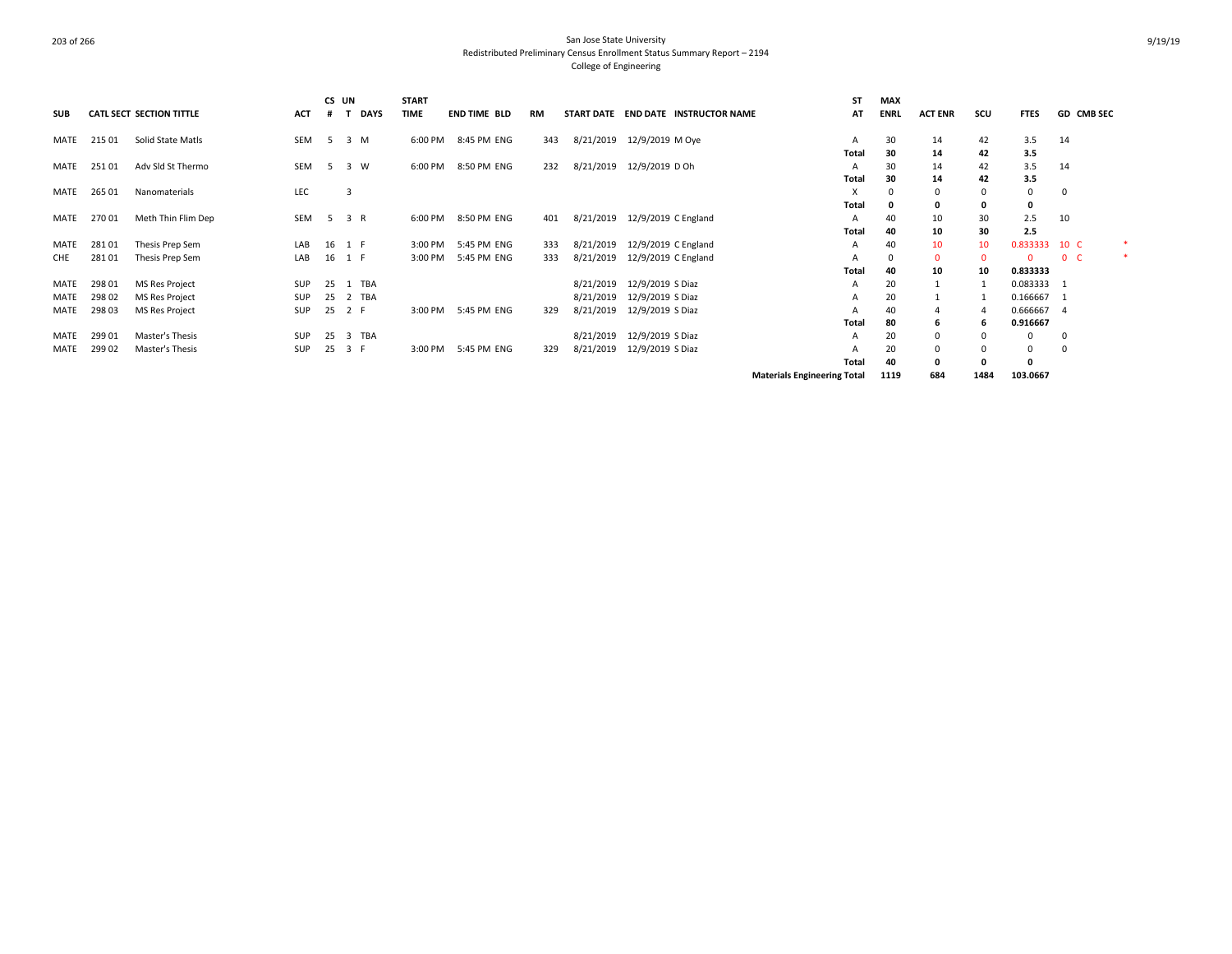|            |        |                                 |            | CS UN |                 | <b>START</b> |                     |           |           |                                     | <b>ST</b>                          | <b>MAX</b>  |                |          |             |                |  |
|------------|--------|---------------------------------|------------|-------|-----------------|--------------|---------------------|-----------|-----------|-------------------------------------|------------------------------------|-------------|----------------|----------|-------------|----------------|--|
| <b>SUB</b> |        | <b>CATL SECT SECTION TITTLE</b> | <b>ACT</b> |       | <b>DAYS</b>     | <b>TIME</b>  | <b>END TIME BLD</b> | <b>RM</b> |           | START DATE END DATE INSTRUCTOR NAME | AT                                 | <b>ENRL</b> | <b>ACT ENR</b> | scu      | <b>FTES</b> | GD CMB SEC     |  |
| MATE       | 215 01 | Solid State Matls               | SEM        | - 5   | 3 M             | 6:00 PM      | 8:45 PM ENG         | 343       | 8/21/2019 | 12/9/2019 M Oye                     | A                                  | 30          | 14             | 42       | 3.5         | 14             |  |
|            |        |                                 |            |       |                 |              |                     |           |           |                                     | <b>Total</b>                       | 30          | 14             | 42       | 3.5         |                |  |
| MATE       | 25101  | Adv Sld St Thermo               | SEM        | - 5   | 3 W             | 6:00 PM      | 8:50 PM ENG         | 232       | 8/21/2019 | 12/9/2019 D Oh                      | A                                  | 30          | 14             | 42       | 3.5         | 14             |  |
|            |        |                                 |            |       |                 |              |                     |           |           |                                     | Total                              | 30          | 14             | 42       | 3.5         |                |  |
| MATE       | 265 01 | Nanomaterials                   | LEC        |       | 3               |              |                     |           |           |                                     | X                                  | 0           | 0              |          | 0           | 0              |  |
|            |        |                                 |            |       |                 |              |                     |           |           |                                     | Total                              |             | 0              |          | 0           |                |  |
| MATE       | 27001  | Meth Thin Flim Dep              | SEM        | - 5   | 3 R             | 6:00 PM      | 8:50 PM ENG         | 401       | 8/21/2019 | 12/9/2019 C England                 | A                                  | 40          | 10             | 30       | 2.5         | 10             |  |
|            |        |                                 |            |       |                 |              |                     |           |           |                                     | Total                              | 40          | 10             | 30       | 2.5         |                |  |
| MATE       | 28101  | Thesis Prep Sem                 | LAB        |       | 16 1 F          | 3:00 PM      | 5:45 PM ENG         | 333       | 8/21/2019 | 12/9/2019 C England                 | Α                                  | 40          | 10             | 10       | 0.833333    | 10 C           |  |
| CHE        | 28101  | Thesis Prep Sem                 | LAB        |       | 16 1 F          | 3:00 PM      | 5:45 PM ENG         | 333       | 8/21/2019 | 12/9/2019 C England                 | А                                  | $\Omega$    | $\mathbf 0$    | $\Omega$ | $\Omega$    | 0 <sub>c</sub> |  |
|            |        |                                 |            |       |                 |              |                     |           |           |                                     | Total                              | 40          | 10             | 10       | 0.833333    |                |  |
| MATE       | 298 01 | <b>MS Res Project</b>           | SUP        | 25    | <b>TBA</b><br>1 |              |                     |           |           | 8/21/2019 12/9/2019 S Diaz          | Α                                  | 20          |                |          | 0.083333    | -1             |  |
| MATE       | 298 02 | <b>MS Res Project</b>           | SUP        | 25    | 2 TBA           |              |                     |           | 8/21/2019 | 12/9/2019 S Diaz                    | A                                  | 20          |                |          | 0.166667 1  |                |  |
| MATE       | 298 03 | MS Res Project                  | SUP        |       | 25 2 F          | 3:00 PM      | 5:45 PM ENG         | 329       | 8/21/2019 | 12/9/2019 S Diaz                    |                                    | 40          |                |          | 0.666667    | $\overline{4}$ |  |
|            |        |                                 |            |       |                 |              |                     |           |           |                                     | Total                              | 80          | 6              | -6       | 0.916667    |                |  |
| MATE       | 299 01 | Master's Thesis                 | SUP        | 25    | 3 TBA           |              |                     |           | 8/21/2019 | 12/9/2019 S Diaz                    | A                                  | 20          | $\Omega$       |          | 0           | $\mathbf{0}$   |  |
| MATE       | 299 02 | Master's Thesis                 | SUP        | 25    | 3 F             | 3:00 PM      | 5:45 PM ENG         | 329       | 8/21/2019 | 12/9/2019 S Diaz                    |                                    | 20          | $\mathbf 0$    |          | 0           | 0              |  |
|            |        |                                 |            |       |                 |              |                     |           |           |                                     | Total                              | 40          | 0              |          | 0           |                |  |
|            |        |                                 |            |       |                 |              |                     |           |           |                                     | <b>Materials Engineering Total</b> | 1119        | 684            | 1484     | 103.0667    |                |  |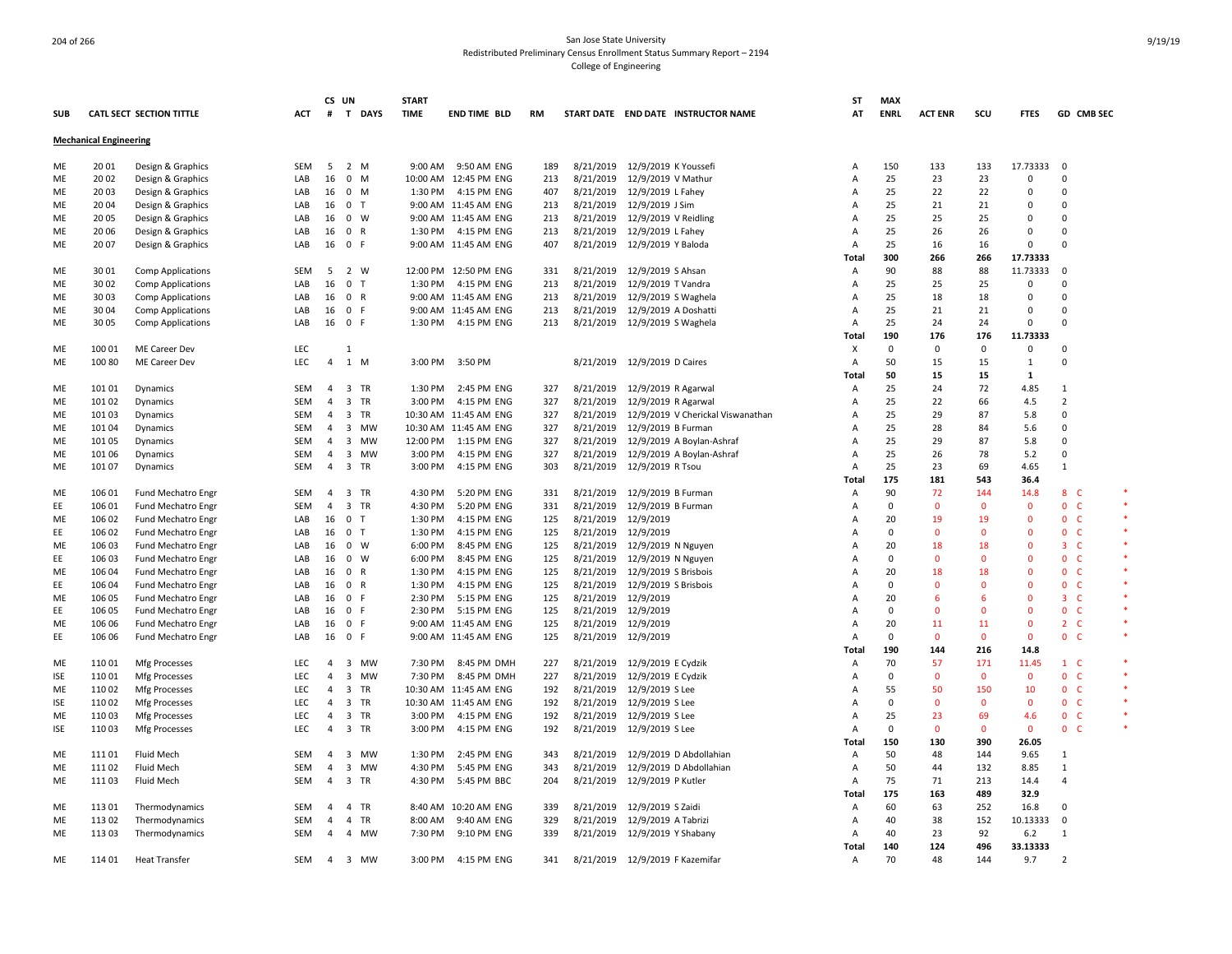|            |                               |                                       |            | CS UN          |                                      | <b>START</b> |                       |     |           |                                             | <b>ST</b>      | <b>MAX</b>  |                |              |                |                                     |        |
|------------|-------------------------------|---------------------------------------|------------|----------------|--------------------------------------|--------------|-----------------------|-----|-----------|---------------------------------------------|----------------|-------------|----------------|--------------|----------------|-------------------------------------|--------|
| <b>SUB</b> |                               | CATL SECT SECTION TITTLE              | ACT        | #              | $\mathbf{T}$<br><b>DAYS</b>          | <b>TIME</b>  | <b>END TIME BLD</b>   | RM  |           | START DATE END DATE INSTRUCTOR NAME         | AT             | <b>ENRL</b> | <b>ACT ENR</b> | scu          | <b>FTES</b>    | GD CMB SEC                          |        |
|            | <b>Mechanical Engineering</b> |                                       |            |                |                                      |              |                       |     |           |                                             |                |             |                |              |                |                                     |        |
| ME         | 20 01                         | Design & Graphics                     | <b>SEM</b> | 5              | 2 M                                  |              | 9:00 AM 9:50 AM ENG   | 189 |           | 8/21/2019 12/9/2019 K Youssef               | Α              | 150         | 133            | 133          | 17.73333       | 0                                   |        |
| ME         | 20 02                         | Design & Graphics                     | LAB        | 16             | $0 \quad M$                          |              | 10:00 AM 12:45 PM ENG | 213 |           | 8/21/2019 12/9/2019 V Mathur                | A              | 25          | 23             | 23           | $\Omega$       | $\Omega$                            |        |
| ME         | 20 03                         | Design & Graphics                     | LAB        | 16             | $0 \mathsf{M}$                       |              | 1:30 PM 4:15 PM ENG   | 407 |           | 8/21/2019 12/9/2019 L Fahey                 | A              | 25          | 22             | 22           | $\Omega$       | $\Omega$                            |        |
| ME         | 20 04                         | Design & Graphics                     | LAB        | 16             | 0 <sub>T</sub>                       |              | 9:00 AM 11:45 AM ENG  | 213 |           | 8/21/2019 12/9/2019 J Sim                   | A              | 25          | 21             | 21           | $\Omega$       | $\Omega$                            |        |
| ME         | 2005                          | Design & Graphics                     | LAB        | 16             | $0 \quad W$                          |              | 9:00 AM 11:45 AM ENG  | 213 |           | 8/21/2019 12/9/2019 V Reidling              | A              | 25          | 25             | 25           | 0              | $\Omega$                            |        |
| ME         | 20 06                         | Design & Graphics                     | LAB        | 16             | 0 R                                  |              | 1:30 PM 4:15 PM ENG   | 213 |           | 8/21/2019 12/9/2019 L Fahey                 | A              | 25          | 26             | 26           | 0              | $\Omega$                            |        |
| ME         | 2007                          | Design & Graphics                     | LAB        | 16             | 0 F                                  |              | 9:00 AM 11:45 AM ENG  | 407 |           | 8/21/2019 12/9/2019 Y Baloda                | A              | 25          | 16             | 16           | $\Omega$       | $\Omega$                            |        |
|            |                               |                                       |            |                |                                      |              |                       |     |           |                                             | Total          | 300         | 266            | 266          | 17.73333       |                                     |        |
| ME         | 30 01                         | Comp Applications                     | <b>SEM</b> | -5             | 2 W                                  |              | 12:00 PM 12:50 PM ENG | 331 |           | 8/21/2019 12/9/2019 S Ahsan                 | Α              | 90          | 88             | 88           | 11.73333       | $\Omega$                            |        |
| ME         | 30 02                         | <b>Comp Applications</b>              | LAB        | 16             | 0 <sub>T</sub>                       | 1:30 PM      | 4:15 PM ENG           | 213 |           | 8/21/2019 12/9/2019 T Vandra                | A              | 25          | 25             | 25           | 0              | $\mathbf 0$                         |        |
| ME         | 30 03                         | <b>Comp Applications</b>              | LAB        | 16             | 0 R                                  |              | 9:00 AM 11:45 AM ENG  | 213 | 8/21/2019 | 12/9/2019 S Waghela                         | A              | 25          | 18             | 18           | $\mathbf 0$    | $\mathbf 0$                         |        |
| ME         | 3004                          | <b>Comp Applications</b>              | LAB        | 16             | 0 F                                  |              | 9:00 AM 11:45 AM ENG  | 213 |           | 8/21/2019 12/9/2019 A Doshatti              | A              | 25          | 21             | 21           | $\Omega$       | $\Omega$                            |        |
| ME         | 3005                          | <b>Comp Applications</b>              | LAB        | 16             | 0 F                                  |              | 1:30 PM 4:15 PM ENG   | 213 |           | 8/21/2019 12/9/2019 S Waghela               | A              | 25          | 24             | 24           | 0              | $\Omega$                            |        |
|            |                               |                                       |            |                |                                      |              |                       |     |           |                                             | Total          | 190         | 176            | 176          | 11.73333       |                                     |        |
|            | 100 01                        |                                       | LEC        |                | 1                                    |              |                       |     |           |                                             | X              | 0           | $\mathbf 0$    | 0            | 0              | $\mathbf 0$                         |        |
| ME<br>ME   | 100 80                        | ME Career Dev<br><b>ME Career Dev</b> | LEC        | 4              | $1 \, M$                             | 3:00 PM      | 3:50 PM               |     |           | 8/21/2019 12/9/2019 D Caires                | A              | 50          | 15             | 15           | $\mathbf{1}$   | $\mathbf 0$                         |        |
|            |                               |                                       |            |                |                                      |              |                       |     |           |                                             |                |             |                |              |                |                                     |        |
|            |                               |                                       |            |                |                                      |              |                       |     |           |                                             | Total          | 50          | 15             | 15           | $\mathbf{1}$   |                                     |        |
| ME         | 101 01                        | Dynamics                              | <b>SEM</b> | $\overline{4}$ | 3 TR                                 | 1:30 PM      | 2:45 PM ENG           | 327 |           | 8/21/2019 12/9/2019 R Agarwal               | Α              | 25          | 24             | 72           | 4.85           | 1                                   |        |
| ME         | 101 02                        | Dynamics                              | <b>SEM</b> | $\overline{4}$ | 3 TR                                 | 3:00 PM      | 4:15 PM ENG           | 327 | 8/21/2019 | 12/9/2019 R Agarwal                         | A              | 25          | 22             | 66           | 4.5            | $\overline{2}$                      |        |
| ME         | 101 03                        | Dynamics                              | <b>SEM</b> | $\overline{4}$ | 3 TR                                 |              | 10:30 AM 11:45 AM ENG | 327 |           | 8/21/2019 12/9/2019 V Cherickal Viswanathan | A              | 25          | 29             | 87           | 5.8            | 0                                   |        |
| ME         | 101 04                        | Dynamics                              | SEM        | $\overline{a}$ | $\overline{3}$<br>MW                 |              | 10:30 AM 11:45 AM ENG | 327 |           | 8/21/2019 12/9/2019 B Furman                | A              | 25          | 28             | 84           | 5.6            | $\mathbf 0$                         |        |
| ME         | 101 05                        | Dynamics                              | <b>SEM</b> | $\overline{4}$ | $\overline{\mathbf{3}}$<br><b>MW</b> | 12:00 PM     | 1:15 PM ENG           | 327 | 8/21/2019 | 12/9/2019 A Boylan-Ashraf                   | A              | 25          | 29             | 87           | 5.8            | 0                                   |        |
| ME         | 101 06                        | Dynamics                              | <b>SEM</b> | $\overline{4}$ | $\overline{3}$<br><b>MW</b>          | 3:00 PM      | 4:15 PM ENG           | 327 |           | 8/21/2019 12/9/2019 A Boylan-Ashraf         | $\overline{A}$ | 25          | 26             | 78           | 5.2            | $\Omega$                            |        |
| ME         | 101 07                        | Dynamics                              | <b>SEM</b> | $\overline{4}$ | 3 TR                                 | 3:00 PM      | 4:15 PM ENG           | 303 |           | 8/21/2019 12/9/2019 R Tsou                  | A              | 25          | 23             | 69           | 4.65           | $\mathbf{1}$                        |        |
|            |                               |                                       |            |                |                                      |              |                       |     |           |                                             | Total          | 175         | 181            | 543          | 36.4           |                                     |        |
| ME         | 106 01                        | Fund Mechatro Engr                    | SEM        | $\overline{4}$ | 3 TR                                 | 4:30 PM      | 5:20 PM ENG           | 331 |           | 8/21/2019 12/9/2019 B Furman                | A              | 90          | 72             | 144          | 14.8           | 8 C                                 | $\ast$ |
| EE         | 106 01                        | Fund Mechatro Engr                    | <b>SEM</b> | $\overline{4}$ | 3 TR                                 | 4:30 PM      | 5:20 PM ENG           | 331 |           | 8/21/2019 12/9/2019 B Furman                | A              | $\Omega$    | $\mathbf{0}$   | $\Omega$     | $\mathbf{0}$   | $\overline{0}$<br>- C               |        |
| ME         | 106 02                        | Fund Mechatro Engr                    | LAB        | 16             | 0 <sub>T</sub>                       | 1:30 PM      | 4:15 PM ENG           | 125 |           | 8/21/2019 12/9/2019                         | A              | 20          | 19             | 19           | $\mathbf 0$    | $\overline{0}$<br><b>C</b>          |        |
| EE         | 106 02                        | Fund Mechatro Engr                    | LAB        | 16             | 0 <sub>T</sub>                       | 1:30 PM      | 4:15 PM ENG           | 125 |           | 8/21/2019 12/9/2019                         | A              | $\Omega$    | $\Omega$       | $\Omega$     | $\Omega$       | 0 <sub>c</sub>                      |        |
| ME         | 106 03                        | <b>Fund Mechatro Engr</b>             | LAB        | 16             | $0 \quad W$                          | 6:00 PM      | 8:45 PM ENG           | 125 | 8/21/2019 | 12/9/2019 N Nguyen                          | A              | 20          | 18             | 18           | $\mathbf 0$    | $\overline{\mathbf{3}}$<br><b>C</b> |        |
| EE         | 106 03                        | Fund Mechatro Engr                    | LAB        | 16             | $0 \quad W$                          | 6:00 PM      | 8:45 PM ENG           | 125 |           | 8/21/2019 12/9/2019 N Nguyer                | A              | $\Omega$    | $\mathbf{0}$   | $\Omega$     | $\Omega$       | $\mathbf{0}$<br>- C                 |        |
| ME         | 106 04                        | <b>Fund Mechatro Engr</b>             | LAB        | 16             | $\mathbf 0$<br>$\mathsf{R}$          | 1:30 PM      | 4:15 PM ENG           | 125 | 8/21/2019 | 12/9/2019 S Brisbois                        | A              | 20          | 18             | 18           | $\mathbf 0$    | $\overline{0}$<br><b>C</b>          |        |
| EE         | 106 04                        | <b>Fund Mechatro Engr</b>             | LAB        | 16             | 0 R                                  | 1:30 PM      | 4:15 PM ENG           | 125 |           | 8/21/2019 12/9/2019 S Brisbois              | A              | $\Omega$    | $\Omega$       | $\Omega$     | $\Omega$       | $\overline{0}$<br><b>C</b>          |        |
| ME         | 106 05                        | Fund Mechatro Engr                    | LAB        | 16             | 0 F                                  | 2:30 PM      | 5:15 PM ENG           | 125 |           | 8/21/2019 12/9/2019                         | Α              | 20          | 6              | 6            | $\Omega$       | $\overline{\mathbf{3}}$<br>-C       |        |
| EE         | 106 05                        | <b>Fund Mechatro Engr</b>             | LAB        | 16             | 0 F                                  | 2:30 PM      | 5:15 PM ENG           | 125 |           | 8/21/2019 12/9/2019                         | A              | $\Omega$    | $\mathbf 0$    | $\Omega$     | $\overline{0}$ | 0 <sub>c</sub>                      |        |
| ME         | 106 06                        | <b>Fund Mechatro Engr</b>             | LAB        | 16             | 0 F                                  |              | 9:00 AM 11:45 AM ENG  | 125 |           | 8/21/2019 12/9/2019                         | A              | 20          | 11             | 11           | $\mathbf 0$    | $2^{\circ}$<br>- C                  |        |
| EE         | 106 06                        | Fund Mechatro Engr                    | LAB        | 16             | $\mathbf 0$<br>F.                    |              | 9:00 AM 11:45 AM ENG  | 125 |           | 8/21/2019 12/9/2019                         | A              | $\Omega$    | $\mathbf{0}$   | $\mathbf{0}$ | $\mathbf{0}$   | $\mathbf{0}$<br>- C                 |        |
|            |                               |                                       |            |                |                                      |              |                       |     |           |                                             | <b>Total</b>   | 190         | 144            | 216          | 14.8           |                                     |        |
| ME         | 11001                         | Mfg Processes                         | LEC        | 4              | 3 MW                                 | 7:30 PM      | 8:45 PM DMH           | 227 |           | 8/21/2019 12/9/2019 E Cydzik                | A              | 70          | 57             | 171          | 11.45          | $1\quad C$                          |        |
| <b>ISE</b> | 11001                         | Mfg Processes                         | <b>LEC</b> | $\overline{4}$ | $\overline{3}$<br>MW                 | 7:30 PM      | 8:45 PM DMH           | 227 | 8/21/2019 | 12/9/2019 E Cydzik                          | A              | $\Omega$    | $\mathbf 0$    | $\mathbf 0$  | $\mathbf 0$    | $\mathbf{0}$<br>- C                 |        |
| ME         | 11002                         | Mfg Processes                         | LEC        | $\overline{a}$ | 3 TR                                 |              | 10:30 AM 11:45 AM ENG | 192 |           | 8/21/2019 12/9/2019 S Lee                   | A              | 55          | 50             | 150          | 10             | 0 <sub>c</sub>                      |        |
| <b>ISE</b> | 11002                         | Mfg Processes                         | <b>LEC</b> | $\overline{4}$ | 3 TR                                 |              | 10:30 AM 11:45 AM ENG | 192 |           | 8/21/2019 12/9/2019 S Lee                   | $\overline{A}$ | $\Omega$    | $\Omega$       | $\mathbf{0}$ | $\Omega$       | $\mathbf{0}$<br>- C                 |        |
| ME         | 11003                         | Mfg Processes                         | <b>LEC</b> | $\overline{4}$ | 3 TR                                 | 3:00 PM      | 4:15 PM ENG           | 192 |           | 8/21/2019 12/9/2019 S Lee                   | $\overline{A}$ | 25          | 23             | 69           | 4.6            | 0 <sup>o</sup>                      |        |
| <b>ISE</b> | 11003                         | Mfg Processes                         | LEC        | $\overline{4}$ | 3 TR                                 | 3:00 PM      | 4:15 PM ENG           | 192 |           | 8/21/2019 12/9/2019 S Lee                   | Α              | $\Omega$    | $\Omega$       | $\mathbf 0$  | $\mathbf 0$    | $\mathbf{0}$<br><b>C</b>            |        |
|            |                               |                                       |            |                |                                      |              |                       |     |           |                                             | Total          | 150         | 130            | 390          | 26.05          |                                     |        |
| ME         | 11101                         | <b>Fluid Mech</b>                     | <b>SEM</b> | $\overline{4}$ | $\overline{\mathbf{3}}$<br><b>MW</b> | 1:30 PM      | 2:45 PM ENG           | 343 |           | 8/21/2019 12/9/2019 D Abdollahian           | A              | 50          | 48             | 144          | 9.65           | 1                                   |        |
| ME         | 111 02                        | <b>Fluid Mech</b>                     | SEM        | 4              | $\overline{3}$<br>MW                 | 4:30 PM      | 5:45 PM ENG           | 343 | 8/21/2019 | 12/9/2019 D Abdollahian                     | A              | 50          | 44             | 132          | 8.85           | $\mathbf{1}$                        |        |
| ME         | 11103                         | Fluid Mech                            | <b>SEM</b> | $\overline{4}$ | 3 TR                                 | 4:30 PM      | 5:45 PM BBC           | 204 |           | 8/21/2019 12/9/2019 P Kutler                | $\overline{A}$ | 75          | 71             | 213          | 14.4           | $\overline{a}$                      |        |
|            |                               |                                       |            |                |                                      |              |                       |     |           |                                             | <b>Total</b>   | 175         | 163            | 489          | 32.9           |                                     |        |
|            |                               |                                       |            |                |                                      |              |                       |     |           |                                             |                |             |                |              |                |                                     |        |
| ME         | 113 01                        | Thermodynamics                        | SEM        | $\overline{a}$ | 4 TR                                 |              | 8:40 AM 10:20 AM ENG  | 339 |           | 8/21/2019 12/9/2019 S Zaidi                 | Α              | 60          | 63             | 252          | 16.8           | 0                                   |        |
| ME         | 11302                         | Thermodynamics                        | SEM        | 4              | $\overline{4}$<br>TR                 | 8:00 AM      | 9:40 AM ENG           | 329 |           | 8/21/2019 12/9/2019 A Tabrizi               | A              | 40          | 38             | 152          | 10.13333       | 0                                   |        |
| ME         | 11303                         | Thermodynamics                        | <b>SEM</b> | $\overline{4}$ | $\overline{a}$<br>MW                 | 7:30 PM      | 9:10 PM ENG           | 339 |           | 8/21/2019 12/9/2019 Y Shabany               | A              | 40          | 23             | 92           | 6.2            | $\mathbf{1}$                        |        |
|            |                               |                                       |            |                |                                      |              |                       |     |           |                                             | Total          | 140         | 124            | 496          | 33.13333       |                                     |        |
| ME         | 114 01                        | <b>Heat Transfer</b>                  | SEM        | 4              | 3 MW                                 | 3:00 PM      | 4:15 PM ENG           | 341 |           | 8/21/2019 12/9/2019 F Kazemifar             | A              | 70          | 48             | 144          | 9.7            | $\overline{2}$                      |        |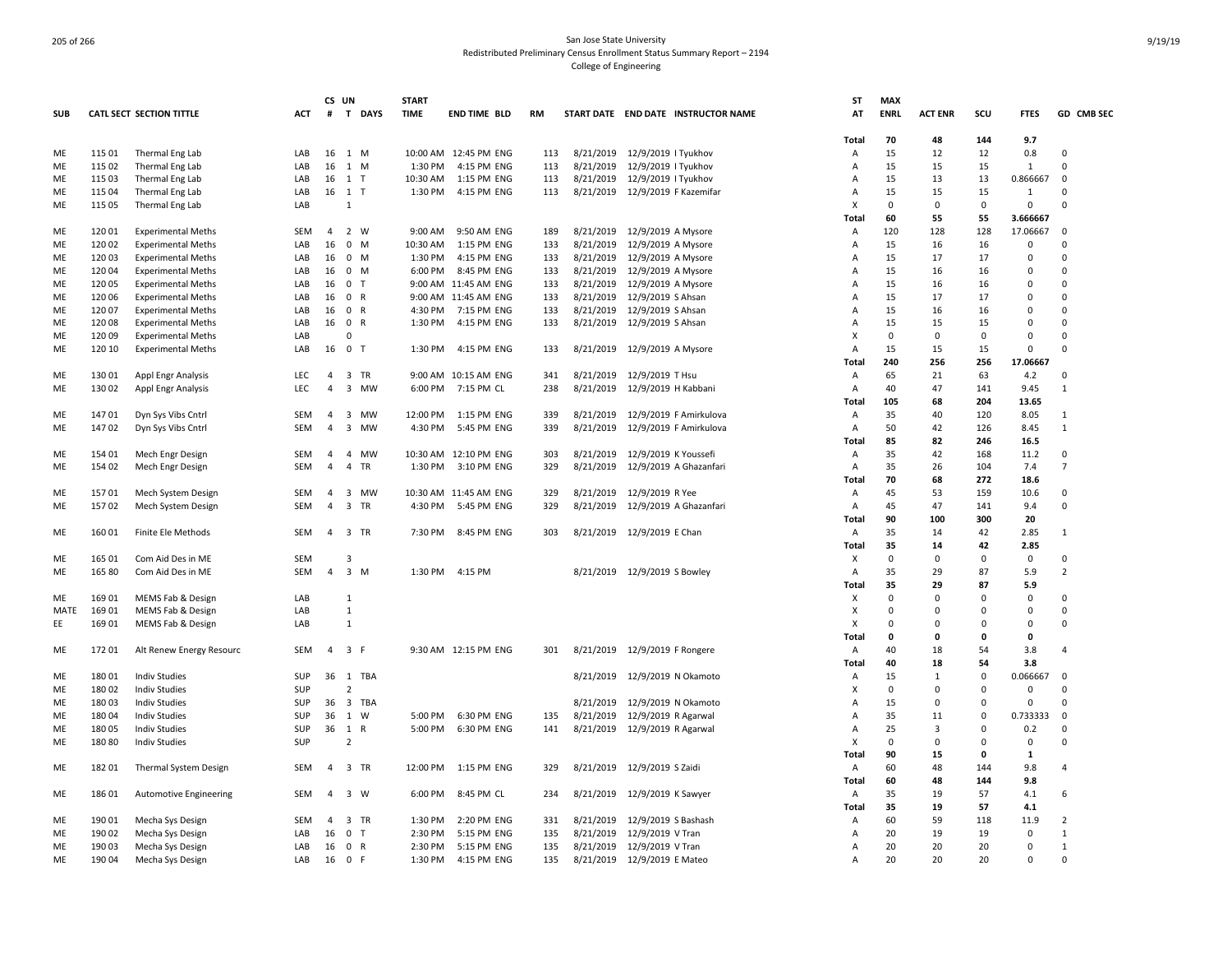|            |        |                                 |            |                | CS UN                | <b>START</b> |                       |            |           |                              |                                     | <b>ST</b>      | <b>MAX</b>  |                |                |              |                |
|------------|--------|---------------------------------|------------|----------------|----------------------|--------------|-----------------------|------------|-----------|------------------------------|-------------------------------------|----------------|-------------|----------------|----------------|--------------|----------------|
| <b>SUB</b> |        | <b>CATL SECT SECTION TITTLE</b> | ACT        | #              | T DAYS               | <b>TIME</b>  | <b>END TIME BLD</b>   | RM         |           |                              | START DATE END DATE INSTRUCTOR NAME | AT             | <b>ENRL</b> | <b>ACT ENR</b> | SCU            | <b>FTES</b>  | GD CMB SEC     |
|            |        |                                 |            |                |                      |              |                       |            |           |                              |                                     | Total          | 70          | 48             | 144            | 9.7          |                |
| ME         | 115 01 | Thermal Eng Lab                 | LAB        |                | 16 1 M               |              | 10:00 AM 12:45 PM ENG | 113        | 8/21/2019 | 12/9/2019   Tyukhov          |                                     | Α              | 15          | 12             | 12             | 0.8          | $\Omega$       |
| ME         | 115 02 | Thermal Eng Lab                 | LAB        | 16             | 1 M                  | 1:30 PM      | 4:15 PM ENG           | 113        | 8/21/2019 | 12/9/2019   Tyukhov          |                                     | Α              | 15          | 15             | 15             | $\mathbf{1}$ | $\Omega$       |
| ME         | 115 03 | Thermal Eng Lab                 | LAB        |                | 16 1 T               | 10:30 AM     | 1:15 PM ENG           | 113        | 8/21/2019 | 12/9/2019   Tyukhov          |                                     | A              | 15          | 13             | 13             | 0.866667     | $\Omega$       |
| ME         | 115 04 | Thermal Eng Lab                 | LAB        |                | 16 1 T               | 1:30 PM      | 4:15 PM ENG           | 113        | 8/21/2019 |                              | 12/9/2019 F Kazemifar               | Α              | 15          | 15             | 15             | 1            | $\Omega$       |
| ME         | 115 05 | Thermal Eng Lab                 | LAB        |                | $\mathbf{1}$         |              |                       |            |           |                              |                                     | X              | $\Omega$    | 0              | $\overline{0}$ | 0            | $\Omega$       |
|            |        |                                 |            |                |                      |              |                       |            |           |                              |                                     | Total          | 60          | 55             | 55             | 3.666667     |                |
| ME         | 120 01 | <b>Experimental Meths</b>       | SEM        | $\overline{4}$ | 2 W                  | 9:00 AM      | 9:50 AM ENG           | 189        | 8/21/2019 | 12/9/2019 A Mysore           |                                     | A              | 120         | 128            | 128            | 17.06667     | $\Omega$       |
| ME         | 120 02 | <b>Experimental Meths</b>       | LAB        | 16             | $0$ M                | 10:30 AM     | 1:15 PM ENG           | 133        | 8/21/2019 | 12/9/2019 A Mysore           |                                     | A              | 15          | 16             | 16             | 0            | 0              |
| ME         | 12003  | <b>Experimental Meths</b>       | LAB        | 16             | 0 M                  | 1:30 PM      | 4:15 PM ENG           | 133        | 8/21/2019 | 12/9/2019 A Mysore           |                                     | Α              | 15          | 17             | 17             | 0            | 0              |
| ME         | 12004  | <b>Experimental Meths</b>       | LAB        | 16             | 0 M                  | 6:00 PM      | 8:45 PM ENG           | 133        | 8/21/2019 | 12/9/2019 A Mysore           |                                     | Α              | 15          | 16             | 16             | 0            | $\Omega$       |
| ME         | 120 05 | <b>Experimental Meths</b>       | LAB        | 16             | 0 <sub>T</sub>       |              | 9:00 AM 11:45 AM ENG  | 133        | 8/21/2019 | 12/9/2019 A Mysore           |                                     | A              | 15          | 16             | 16             | $\mathbf 0$  | $\Omega$       |
| ME         | 120 06 | <b>Experimental Meths</b>       | LAB        | 16             | 0 R                  |              | 9:00 AM 11:45 AM ENG  | 133        | 8/21/2019 | 12/9/2019 S Ahsan            |                                     | A              | 15          | 17             | 17             | $\Omega$     | $\Omega$       |
| ME         | 120 07 | <b>Experimental Meths</b>       | LAB        | 16             | 0 R                  | 4:30 PM      | 7:15 PM ENG           | 133        | 8/21/2019 | 12/9/2019 S Ahsan            |                                     | A              | 15          | 16             | 16             | $\Omega$     | $\Omega$       |
| ME         | 12008  | <b>Experimental Meths</b>       | LAB        | 16             | 0 R                  | 1:30 PM      | 4:15 PM ENG           | 133        | 8/21/2019 | 12/9/2019 S Ahsan            |                                     | A              | 15          | 15             | 15             | 0            | $\Omega$       |
| ME         | 12009  | <b>Experimental Meths</b>       | LAB        |                | 0                    |              |                       |            |           |                              |                                     | X              | $\mathbf 0$ | 0              | $\mathbf 0$    | $\mathbf 0$  | $\Omega$       |
| ME         | 120 10 | <b>Experimental Meths</b>       | LAB        |                | 16 0 T               | 1:30 PM      | 4:15 PM ENG           | 133        |           | 8/21/2019 12/9/2019 A Mysore |                                     | Α              | 15          | 15             | 15             | $\Omega$     | $\Omega$       |
|            |        |                                 |            |                |                      |              |                       |            |           |                              |                                     | Total          | 240         | 256            | 256            | 17.06667     |                |
| ME         | 13001  | Appl Engr Analysis              | <b>LEC</b> | $\overline{4}$ | 3 TR                 |              | 9:00 AM 10:15 AM ENG  | 341        | 8/21/2019 | 12/9/2019 T Hsu              |                                     | Α              | 65          | 21             | 63             | 4.2          | $\Omega$       |
| ME         | 130 02 | Appl Engr Analysis              | <b>LEC</b> | $\overline{a}$ | 3 MW                 | 6:00 PM      | 7:15 PM CL            | 238        | 8/21/2019 | 12/9/2019 H Kabbani          |                                     | Α              | 40          | 47             | 141            | 9.45         | $\mathbf{1}$   |
|            |        |                                 |            |                |                      |              |                       |            |           |                              |                                     | Total          | 105         | 68             | 204            | 13.65        |                |
|            |        |                                 |            | $\overline{a}$ |                      |              |                       |            | 8/21/2019 |                              |                                     |                |             |                | 120            |              |                |
| ME         | 14701  | Dyn Sys Vibs Cntrl              | SEM        |                | 3 MW                 | 12:00 PM     | 1:15 PM ENG           | 339<br>339 |           |                              | 12/9/2019 F Amirkulova              | Α              | 35          | 40             |                | 8.05         | 1              |
| ME         | 14702  | Dyn Sys Vibs Cntrl              | SEM        | $\overline{4}$ | 3 MW                 | 4:30 PM      | 5:45 PM ENG           |            | 8/21/2019 |                              | 12/9/2019 F Amirkulova              | Α              | 50          | 42             | 126            | 8.45         | $\mathbf{1}$   |
|            |        |                                 |            |                |                      |              |                       |            |           |                              |                                     | Total          | 85          | 82             | 246            | 16.5         |                |
| ME         | 154 01 | Mech Engr Design                | SEM        | $\overline{a}$ | 4 MW                 |              | 10:30 AM 12:10 PM ENG | 303        | 8/21/2019 | 12/9/2019 K Youssefi         |                                     | Α              | 35          | 42             | 168            | 11.2         | $\Omega$       |
| ME         | 154 02 | Mech Engr Design                | <b>SEM</b> | $\overline{4}$ | $\overline{4}$<br>TR | 1:30 PM      | 3:10 PM ENG           | 329        | 8/21/2019 |                              | 12/9/2019 A Ghazanfari              | A              | 35          | 26             | 104            | 7.4          | $\overline{7}$ |
|            |        |                                 |            |                |                      |              |                       |            |           |                              |                                     | Total          | 70          | 68             | 272            | 18.6         |                |
| ME         | 15701  | Mech System Design              | SEM        | 4              | 3 MW                 |              | 10:30 AM 11:45 AM ENG | 329        | 8/21/2019 | 12/9/2019 R Yee              |                                     | A              | 45          | 53             | 159            | 10.6         | 0              |
| ME         | 15702  | Mech System Design              | <b>SEM</b> | $\overline{4}$ | 3 TR                 | 4:30 PM      | 5:45 PM ENG           | 329        | 8/21/2019 |                              | 12/9/2019 A Ghazanfari              | Α              | 45          | 47             | 141            | 9.4          | $\Omega$       |
|            |        |                                 |            |                |                      |              |                       |            |           |                              |                                     | <b>Total</b>   | 90          | 100            | 300            | 20           |                |
| ME         | 160 01 | Finite Ele Methods              | SEM        |                | 4 3 TR               | 7:30 PM      | 8:45 PM ENG           | 303        |           | 8/21/2019 12/9/2019 E Chan   |                                     | Α              | 35          | 14             | 42             | 2.85         | 1              |
|            |        |                                 |            |                |                      |              |                       |            |           |                              |                                     | <b>Total</b>   | 35          | 14             | 42             | 2.85         |                |
| ME         | 165 01 | Com Aid Des in ME               | <b>SEM</b> |                | 3                    |              |                       |            |           |                              |                                     | х              | $\mathbf 0$ | $\Omega$       | $\Omega$       | 0            | $\Omega$       |
| ME         | 165 80 | Com Aid Des in ME               | <b>SEM</b> | $\overline{4}$ | $3 \, M$             | 1:30 PM      | 4:15 PM               |            | 8/21/2019 | 12/9/2019 S Bowley           |                                     | $\overline{A}$ | 35          | 29             | 87             | 5.9          | $\overline{2}$ |
|            |        |                                 |            |                |                      |              |                       |            |           |                              |                                     | Total          | 35          | 29             | 87             | 5.9          |                |
| ME         | 169 01 | MEMS Fab & Design               | LAB        |                | $\mathbf{1}$         |              |                       |            |           |                              |                                     | X              | $\Omega$    | 0              | $\overline{0}$ | $\mathbf 0$  | $\Omega$       |
| MATE       | 16901  | MEMS Fab & Design               | LAB        |                | $\mathbf{1}$         |              |                       |            |           |                              |                                     | X              | $\Omega$    | 0              | $\Omega$       | $\mathbf 0$  | $\Omega$       |
| EE         | 16901  | MEMS Fab & Design               | LAB        |                | 1                    |              |                       |            |           |                              |                                     | X              | $\Omega$    | 0              | $\Omega$       | $\mathbf 0$  | $\Omega$       |
|            |        |                                 |            |                |                      |              |                       |            |           |                              |                                     | Total          | $\Omega$    | $\mathbf{0}$   | $\Omega$       | $\mathbf{0}$ |                |
| ME         | 17201  | Alt Renew Energy Resourc        | <b>SEM</b> | $\overline{4}$ | 3 F                  |              | 9:30 AM 12:15 PM ENG  | 301        | 8/21/2019 | 12/9/2019 F Rongere          |                                     | Α              | 40          | 18             | 54             | 3.8          | $\overline{4}$ |
|            |        |                                 |            |                |                      |              |                       |            |           |                              |                                     | Total          | 40          | 18             | 54             | 3.8          |                |
| ME         | 18001  | <b>Indiv Studies</b>            | SUP        |                | 36 1 TBA             |              |                       |            | 8/21/2019 |                              | 12/9/2019 N Okamoto                 | A              | 15          | 1              | $\overline{0}$ | 0.066667     | $\Omega$       |
| ME         | 18002  | <b>Indiv Studies</b>            | SUP        |                | $\overline{2}$       |              |                       |            |           |                              |                                     | X              | $\mathbf 0$ | 0              | $\Omega$       | $\mathbf 0$  | $\Omega$       |
| ME         | 18003  | <b>Indiv Studies</b>            | SUP        | 36             | 3 TBA                |              |                       |            | 8/21/2019 |                              | 12/9/2019 N Okamoto                 | Α              | 15          | 0              | $\overline{0}$ | $\mathbf 0$  | $\Omega$       |
| ME         | 18004  | <b>Indiv Studies</b>            | SUP        |                | 36 1 W               | 5:00 PM      | 6:30 PM ENG           | 135        | 8/21/2019 | 12/9/2019 R Agarwal          |                                     | $\overline{A}$ | 35          | 11             | $\Omega$       | 0.733333     | $\mathbf 0$    |
| ME         | 18005  | <b>Indiv Studies</b>            | SUP        | 36             | 1 R                  | 5:00 PM      | 6:30 PM ENG           | 141        | 8/21/2019 | 12/9/2019 R Agarwal          |                                     | A              | 25          | 3              | $\Omega$       | 0.2          | $\Omega$       |
| ME         | 18080  | <b>Indiv Studies</b>            | SUP        |                | $\overline{2}$       |              |                       |            |           |                              |                                     | X              | $\Omega$    | 0              | $\mathbf 0$    | 0            | 0              |
|            |        |                                 |            |                |                      |              |                       |            |           |                              |                                     | Total          | 90          | 15             | 0              | 1            |                |
| ME         | 18201  | <b>Thermal System Design</b>    | SEM        | $\overline{4}$ | 3 TR                 | 12:00 PM     | 1:15 PM ENG           | 329        | 8/21/2019 | 12/9/2019 S Zaidi            |                                     | Α              | 60          | 48             | 144            | 9.8          | $\overline{4}$ |
|            |        |                                 |            |                |                      |              |                       |            |           |                              |                                     | Total          | 60          | 48             | 144            | 9.8          |                |
| ME         | 18601  | <b>Automotive Engineering</b>   | <b>SEM</b> | $\overline{4}$ | 3 W                  | 6:00 PM      | 8:45 PM CL            | 234        | 8/21/2019 | 12/9/2019 K Sawyer           |                                     | A              | 35          | 19             | 57             | 4.1          | 6              |
|            |        |                                 |            |                |                      |              |                       |            |           |                              |                                     |                | 35          | 19             | 57             | 4.1          |                |
|            |        |                                 |            |                |                      |              |                       |            |           |                              |                                     | Total          |             |                |                |              | 2              |
| ME         | 190 01 | Mecha Sys Design                | <b>SEM</b> | 4              | 3 TR                 | 1:30 PM      | 2:20 PM ENG           | 331        | 8/21/2019 | 12/9/2019 S Bashash          |                                     | A              | 60          | 59             | 118            | 11.9         |                |
| ME         | 190 02 | Mecha Sys Design                | LAB        | 16             | 0 <sub>T</sub>       | 2:30 PM      | 5:15 PM ENG           | 135        | 8/21/2019 | 12/9/2019 V Tran             |                                     | A              | 20          | 19             | 19             | $\mathbf 0$  | $\mathbf{1}$   |
| ME         | 190 03 | Mecha Sys Design                | LAB        | 16             | 0 R                  | 2:30 PM      | 5:15 PM ENG           | 135        | 8/21/2019 | 12/9/2019 V Tran             |                                     | Α              | 20          | 20             | 20             | $\Omega$     | $\mathbf{1}$   |
| ME         | 19004  | Mecha Sys Design                | LAB        |                | 16 0 F               | 1:30 PM      | 4:15 PM ENG           | 135        | 8/21/2019 | 12/9/2019 E Mateo            |                                     | A              | 20          | 20             | 20             | $\Omega$     | $\Omega$       |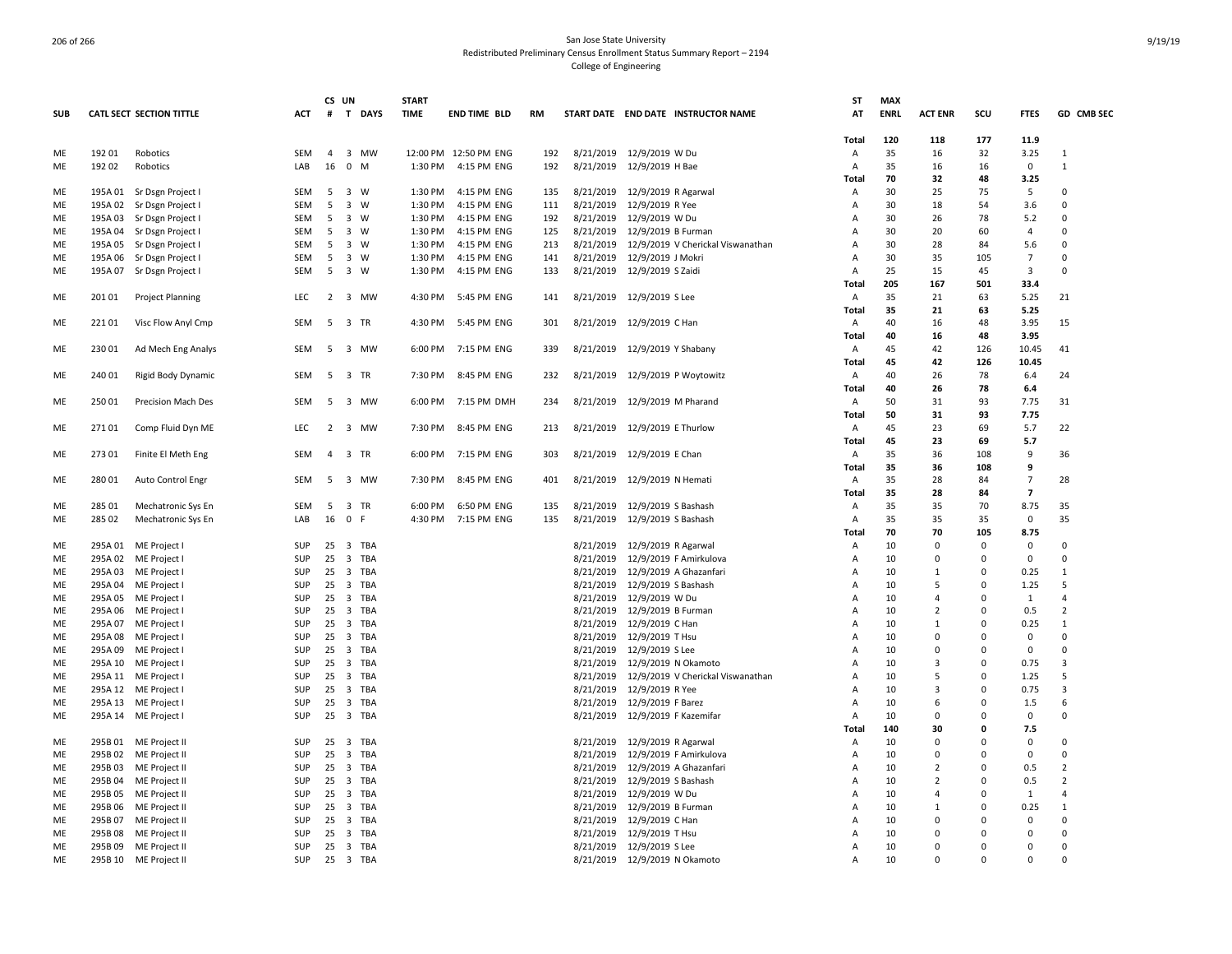|            |         |                           |            | CS UN          |                              |          | <b>START</b> |                       |     |           |                                             | ST             | <b>MAX</b>  |                      |              |                      |                      |
|------------|---------|---------------------------|------------|----------------|------------------------------|----------|--------------|-----------------------|-----|-----------|---------------------------------------------|----------------|-------------|----------------------|--------------|----------------------|----------------------|
| <b>SUB</b> |         | CATL SECT SECTION TITTLE  | ACT        |                |                              | # T DAYS | <b>TIME</b>  | <b>END TIME BLD</b>   | RM  |           | START DATE END DATE INSTRUCTOR NAME         | AT             | <b>ENRL</b> | <b>ACT ENR</b>       | scu          | <b>FTES</b>          | GD CMB SEC           |
|            |         |                           |            |                |                              |          |              |                       |     |           |                                             | Total          | 120         | 118                  | 177          | 11.9                 |                      |
| ME         | 192 01  | Robotics                  | <b>SEM</b> | $\overline{4}$ | 3 MW                         |          |              | 12:00 PM 12:50 PM ENG | 192 |           | 8/21/2019 12/9/2019 W Du                    | Α              | 35          | 16                   | 32           | 3.25                 | $\mathbf{1}$         |
| ME         | 192 02  | Robotics                  | LAB        | 16             | $\mathbf 0$<br>M             |          | 1:30 PM      | 4:15 PM ENG           | 192 |           | 8/21/2019 12/9/2019 H Bae                   | Α              | 35          | 16                   | 16           | 0                    | $\mathbf{1}$         |
|            |         |                           |            |                |                              |          |              |                       |     |           |                                             | Total          | 70          | 32                   | 48           | 3.25                 |                      |
| ME         |         | 195A 01 Sr Dsgn Project I | SEM        | 5              | 3 W                          |          | 1:30 PM      | 4:15 PM ENG           | 135 |           | 8/21/2019 12/9/2019 R Agarwal               | Α              | 30          | 25                   | 75           | 5                    | 0                    |
| ME         |         | 195A 02 Sr Dsgn Project I | <b>SEM</b> | 5              | $\overline{\mathbf{3}}$<br>W |          | 1:30 PM      | 4:15 PM ENG           | 111 | 8/21/2019 | 12/9/2019 R Yee                             | Α              | 30          | 18                   | 54           | 3.6                  | 0                    |
| ME         |         | 195A 03 Sr Dsgn Project I | <b>SEM</b> | 5              | 3 W                          |          | 1:30 PM      | 4:15 PM ENG           | 192 |           | 8/21/2019 12/9/2019 W Du                    | A              | 30          | 26                   | 78           | 5.2                  | 0                    |
| <b>ME</b>  |         | 195A 04 Sr Dsgn Project I | SEM        | -5             | 3 W                          |          | 1:30 PM      | 4:15 PM ENG           | 125 |           | 8/21/2019 12/9/2019 B Furman                | $\overline{A}$ | 30          | 20                   | 60           | 4                    | 0                    |
| ME         |         | 195A 05 Sr Dsgn Project I | SEM        | 5              | 3 W                          |          | 1:30 PM      | 4:15 PM ENG           | 213 |           | 8/21/2019 12/9/2019 V Cherickal Viswanathan | Α              | 30          | 28                   | 84           | 5.6                  | $\Omega$             |
| ME         | 195A 06 | Sr Dsgn Project I         | SEM        | 5              | $\overline{\mathbf{3}}$<br>W |          | 1:30 PM      | 4:15 PM ENG           | 141 |           | 8/21/2019 12/9/2019 J Mokri                 | Α              | 30          | 35                   | 105          | $\overline{7}$       | $\Omega$             |
| ME         |         | 195A 07 Sr Dsgn Project I | SEM        | -5             | 3 W                          |          | 1:30 PM      | 4:15 PM ENG           | 133 |           | 8/21/2019 12/9/2019 S Zaidi                 | Α              | 25          | 15                   | 45           | 3                    | 0                    |
|            |         |                           |            |                |                              |          |              |                       |     |           |                                             | Total          | 205         | 167                  | 501          | 33.4                 |                      |
| ME         | 20101   | <b>Project Planning</b>   | <b>LEC</b> |                | 2 3 MW                       |          | 4:30 PM      | 5:45 PM ENG           | 141 |           | 8/21/2019 12/9/2019 S Lee                   | Α              | 35          | 21                   | 63           | 5.25                 | 21                   |
|            |         |                           |            |                |                              |          |              |                       |     |           |                                             | Total          | 35          | 21                   | 63           | 5.25                 |                      |
| ME         | 221 01  | Visc Flow Anyl Cmp        | SEM        |                | 5 3 TR                       |          | 4:30 PM      | 5:45 PM ENG           | 301 |           | 8/21/2019 12/9/2019 C Han                   | A              | 40          | 16                   | 48           | 3.95                 | 15                   |
|            |         |                           |            |                |                              |          |              |                       |     |           |                                             | Total          | 40          | 16                   | 48           | 3.95                 |                      |
| ME         | 230 01  | Ad Mech Eng Analys        | SEM        | - 5            | 3 MW                         |          | 6:00 PM      | 7:15 PM ENG           | 339 |           | 8/21/2019 12/9/2019 Y Shabany               | Α              | 45          | 42                   | 126          | 10.45                | 41                   |
|            |         |                           |            |                |                              |          |              |                       |     |           |                                             | Total          | 45          | 42                   | 126          | 10.45                |                      |
| ME         | 240 01  | Rigid Body Dynamic        | SEM        |                | 5 3 TR                       |          | 7:30 PM      | 8:45 PM ENG           | 232 |           | 8/21/2019 12/9/2019 P Woytowitz             | Α              | 40          | 26                   | 78           | 6.4                  | 24                   |
|            |         |                           |            |                |                              |          |              |                       |     |           |                                             | Total          | 40          | 26                   | 78           | 6.4                  |                      |
| ME         | 25001   | Precision Mach Des        | <b>SEM</b> | 5              | $\overline{\mathbf{3}}$      | MW       | 6:00 PM      | 7:15 PM DMH           | 234 | 8/21/2019 | 12/9/2019 M Pharand                         | Α              | 50          | 31                   | 93           | 7.75                 | 31                   |
|            |         |                           |            |                |                              |          |              |                       |     |           |                                             | Total          | 50          | 31                   | 93           | 7.75                 |                      |
| ME         | 27101   | Comp Fluid Dyn ME         | <b>LEC</b> |                | 2 3 MW                       |          | 7:30 PM      | 8:45 PM ENG           | 213 |           | 8/21/2019 12/9/2019 E Thurlow               | Α              | 45          | 23                   | 69           | 5.7                  | 22                   |
|            |         |                           |            |                |                              |          |              |                       |     |           |                                             | Total          | 45          | 23                   | 69           | 5.7                  |                      |
| ME         | 273 01  | Finite El Meth Eng        | <b>SEM</b> |                | 4 3 TR                       |          | 6:00 PM      | 7:15 PM ENG           | 303 |           | 8/21/2019 12/9/2019 E Chan                  | $\overline{A}$ | 35          | 36                   | 108          | 9                    | 36                   |
|            |         |                           |            |                |                              |          |              |                       |     |           |                                             | <b>Total</b>   | 35          | 36                   | 108          | 9                    |                      |
| ME         | 280 01  | Auto Control Engr         | SEM        |                | 5 3 MW                       |          | 7:30 PM      | 8:45 PM ENG           | 401 |           | 8/21/2019 12/9/2019 N Hemati                | A              | 35          | 28                   | 84           | $\overline{7}$       | 28                   |
|            |         |                           |            |                |                              |          |              |                       |     |           |                                             | Total          | 35          | 28                   | 84           | $\overline{7}$       |                      |
| ME         | 285 01  | Mechatronic Sys En        | SEM        | - 5            | 3 TR                         |          | 6:00 PM      | 6:50 PM ENG           | 135 |           | 8/21/2019 12/9/2019 S Bashash               | Α              | 35          | 35                   | 70           | 8.75                 | 35                   |
| ME         | 285 02  | Mechatronic Sys En        | LAB        | 16 0 F         |                              |          | 4:30 PM      | 7:15 PM ENG           | 135 |           | 8/21/2019 12/9/2019 S Bashash               | Α              | 35          | 35                   | 35           | 0                    | 35                   |
|            |         |                           |            |                |                              |          |              |                       |     |           |                                             | Total          | 70          | 70                   | 105          | 8.75                 |                      |
| ME         | 295A 01 | ME Project I              | SUP        | 25             | 3 TBA                        |          |              |                       |     | 8/21/2019 | 12/9/2019 R Agarwal                         | Α              | 10          | $\mathbf 0$          | $\Omega$     | $\mathbf 0$          | 0                    |
| ME         | 295A 02 | ME Project                | SUP        | 25             | 3 TBA                        |          |              |                       |     |           | 8/21/2019 12/9/2019 F Amirkulova            | Α              | 10          | $\Omega$             | $\Omega$     | $\mathbf 0$          | 0                    |
| ME         | 295A 03 | ME Project I              | <b>SUP</b> | 25             | 3 TBA                        |          |              |                       |     | 8/21/2019 | 12/9/2019 A Ghazanfari                      | A              | 10          | 1                    | $\Omega$     | 0.25                 | $\mathbf{1}$         |
| ME         | 295A 04 | ME Project I              | <b>SUP</b> | 25 3 TBA       |                              |          |              |                       |     |           | 8/21/2019 12/9/2019 S Bashash               | A              | 10          | 5                    | $\Omega$     | 1.25                 | 5                    |
| ME         | 295A 05 | ME Project I              | SUP        | 25             | 3 TBA                        |          |              |                       |     | 8/21/2019 | 12/9/2019 W Du                              | Α              | 10          | $\overline{4}$       | $\Omega$     | 1                    | $\overline{4}$       |
| ME         | 295A 06 | ME Project                | <b>SUP</b> | 25             | 3 TBA                        |          |              |                       |     | 8/21/2019 | 12/9/2019 B Furman                          | Α              | 10          | $\overline{2}$       | <sup>0</sup> | 0.5                  | $\overline{2}$       |
| ME         | 295A 07 | ME Project I              | SUP        | 25             | 3 TBA                        |          |              |                       |     | 8/21/2019 | 12/9/2019 C Han                             | A              | 10          | $\mathbf{1}$         | 0            | 0.25                 | $\mathbf{1}$         |
| ME         |         | 295A 08 ME Project I      | <b>SUP</b> | 25             | 3 TBA                        |          |              |                       |     |           | 8/21/2019 12/9/2019 T Hsu                   | Α              | 10          | $\Omega$             | $\Omega$     | $\mathbf 0$          | 0                    |
| ME         | 295A 09 | ME Project I              | <b>SUP</b> | 25             | $\overline{\mathbf{3}}$      | TBA      |              |                       |     | 8/21/2019 | 12/9/2019 S Lee                             | Α              | 10          | $\Omega$             | $\Omega$     | $\Omega$             | 0                    |
| ME         |         | 295A 10 ME Project        | SUP        | 25             | 3 TBA                        |          |              |                       |     |           | 8/21/2019 12/9/2019 N Okamoto               | Α              | 10          | 3                    |              | 0.75                 | $\overline{3}$       |
| <b>ME</b>  |         | 295A 11 ME Project        | SUP        | 25             | 3 TBA                        |          |              |                       |     | 8/21/2019 | 12/9/2019 V Cherickal Viswanathan           | $\overline{A}$ | 10          | .5                   | $\Omega$     | 1.25                 | 5                    |
| ME         |         | 295A 12 ME Project        | SUP        | 25             | 3 TBA                        |          |              |                       |     |           | 8/21/2019 12/9/2019 R Yee                   | A              | 10          | 3                    | $\Omega$     | 0.75                 | $\overline{3}$       |
| ME         |         | 295A 13 ME Project        | SUP        | 25             | 3 TBA                        |          |              |                       |     |           | 8/21/2019 12/9/2019 F Barez                 | Α              | 10          | 6                    | $\Omega$     | 1.5                  | 6                    |
| ME         |         | 295A 14 ME Project I      | SUP        | 25             | 3 TBA                        |          |              |                       |     |           | 8/21/2019 12/9/2019 F Kazemifar             | Α              | 10          | $\Omega$             | $\Omega$     | $\mathbf 0$          | 0                    |
|            |         |                           |            |                |                              |          |              |                       |     |           |                                             | <b>Total</b>   | 140         | 30                   | 0            | 7.5                  |                      |
| ME         |         | 295B 01 ME Project II     | SUP        | 25             | 3 TBA                        |          |              |                       |     | 8/21/2019 | 12/9/2019 R Agarwal                         | Α              | 10          | $\Omega$             | $\Omega$     | $\Omega$             | $\Omega$<br>$\Omega$ |
| ME         |         | 295B 02 ME Project II     | SUP        | 25             | 3 TBA                        |          |              |                       |     | 8/21/2019 | 12/9/2019 F Amirkulova                      | Α              | 10          | $\Omega$             | $\Omega$     | $\Omega$             |                      |
| ME         | 295B03  | ME Project II             | SUP        | 25             | 3 TBA                        |          |              |                       |     | 8/21/2019 | 12/9/2019 A Ghazanfari                      | Α              | 10          | $\overline{2}$       | $\Omega$     | 0.5                  | $\overline{2}$       |
| ME         | 295B 04 | ME Project II             | SUP        | 25             | 3 TBA                        |          |              |                       |     | 8/21/2019 | 12/9/2019 S Bashash                         | Α              | 10          | $\overline{2}$       | $\Omega$     | 0.5                  | $\overline{2}$       |
| ME         | 295B 05 | ME Project II             | SUP        | 25             | 3 TBA                        |          |              |                       |     | 8/21/2019 | 12/9/2019 W Du                              | Α              | 10          | $\overline{4}$       | $\Omega$     | 1                    | 4                    |
| ME         | 295B 06 | ME Project II             | SUP        | 25             | 3 TBA                        |          |              |                       |     |           | 8/21/2019 12/9/2019 B Furman                | A              | 10          | $\mathbf{1}$         | $\Omega$     | 0.25                 | $\mathbf{1}$         |
| ME         | 295B07  | ME Project II             | <b>SUP</b> | 25             | 3 TBA                        |          |              |                       |     | 8/21/2019 | 12/9/2019 C Han                             | A              | 10          | $\Omega$             | <sup>0</sup> | $\mathbf 0$          | 0                    |
| ME         |         | 295B 08 ME Project II     | <b>SUP</b> | 25             | 3 TBA                        |          |              |                       |     | 8/21/2019 | 12/9/2019 T Hsu                             | Α              | 10          | $\Omega$<br>$\Omega$ | $\Omega$     | $\Omega$<br>$\Omega$ | $\Omega$<br>$\Omega$ |
| ME         |         | 295B 09 ME Project II     | <b>SUP</b> | 25             | 3 TBA                        |          |              |                       |     | 8/21/2019 | 12/9/2019 S Lee                             | A              | 10          | $\Omega$             |              | $\Omega$             | 0                    |
| ME         |         | 295B 10 ME Project II     | SUP        | 25 3 TBA       |                              |          |              |                       |     |           | 8/21/2019 12/9/2019 N Okamoto               | Α              | 10          |                      | $\Omega$     |                      |                      |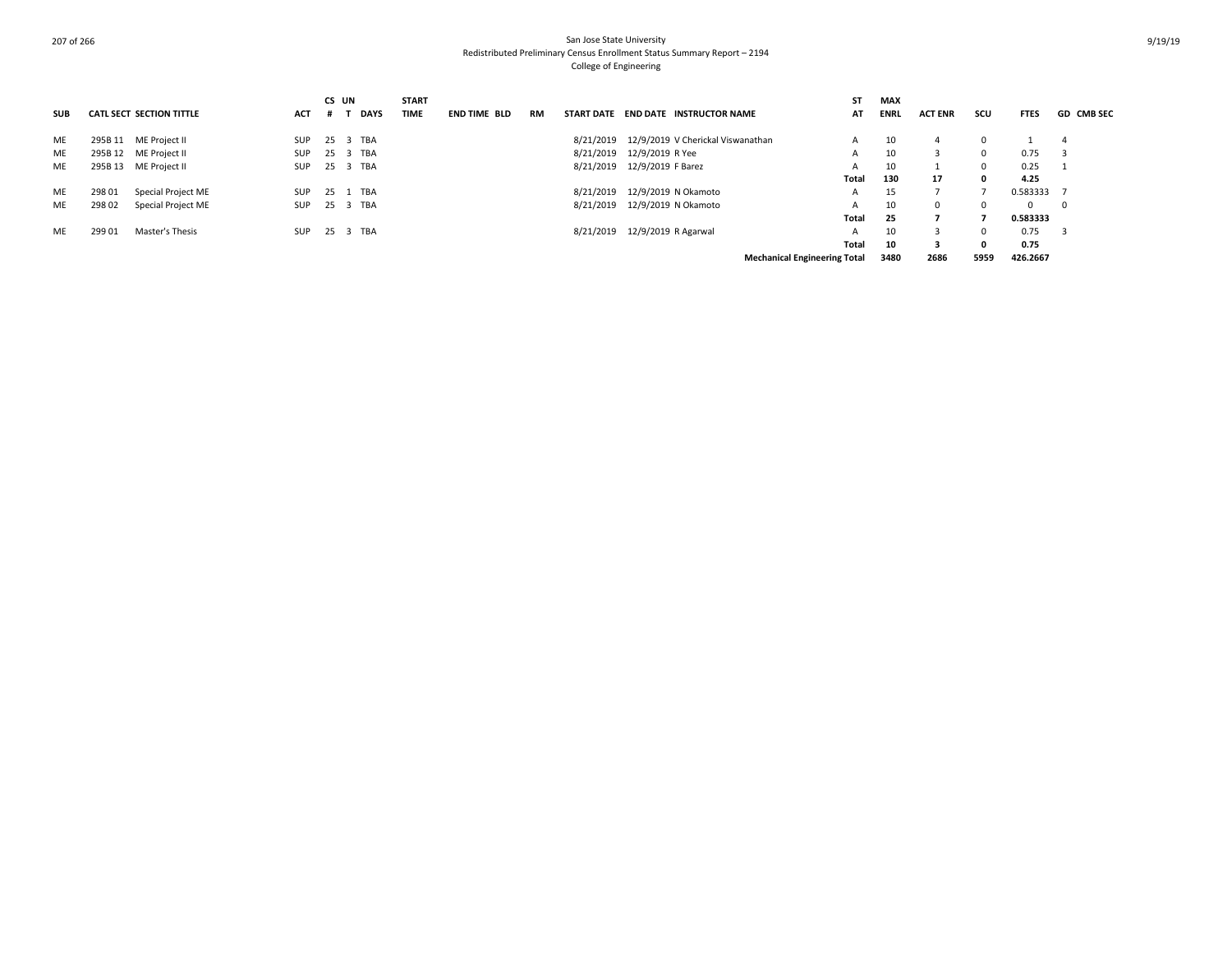|            |        |                                 |            |              | CS UN       | <b>START</b> |                     |           |           |                                     | SΤ                                  | <b>MAX</b>  |                |            |             |                   |
|------------|--------|---------------------------------|------------|--------------|-------------|--------------|---------------------|-----------|-----------|-------------------------------------|-------------------------------------|-------------|----------------|------------|-------------|-------------------|
| <b>SUB</b> |        | <b>CATL SECT SECTION TITTLE</b> | <b>ACT</b> | . #          | <b>DAYS</b> | <b>TIME</b>  | <b>END TIME BLD</b> | <b>RM</b> |           | START DATE END DATE INSTRUCTOR NAME | AT                                  | <b>ENRL</b> | <b>ACT ENR</b> | scu        | <b>FTES</b> | <b>GD CMB SEC</b> |
| ME         |        | 295B 11 ME Project II           | SUP        |              | 25 3 TBA    |              |                     |           | 8/21/2019 | 12/9/2019 V Cherickal Viswanathan   | A                                   | 10          | 4              | 0          |             | -4                |
| ME         |        | 295B 12 ME Project II           | SUP        | $25 \quad 3$ | TBA         |              |                     |           | 8/21/2019 | 12/9/2019 R Yee                     | A                                   | 10          | 3              | $^{\circ}$ | 0.75        |                   |
| <b>ME</b>  |        | 295B 13 ME Project II           | SUP        |              | 25 3 TBA    |              |                     |           | 8/21/2019 | 12/9/2019 F Barez                   | А                                   | 10          |                | 0          | 0.25        |                   |
|            |        |                                 |            |              |             |              |                     |           |           |                                     | Total                               | 130         | 17             | 0          | 4.25        |                   |
| ME         | 298 01 | Special Project ME              | SUP        | 25 1         | TBA         |              |                     |           | 8/21/2019 | 12/9/2019 N Okamoto                 | А                                   | 15          |                |            | 0.583333    |                   |
| ME         | 298 02 | Special Project ME              | SUP        | 25 3         | TBA         |              |                     |           | 8/21/2019 | 12/9/2019 N Okamoto                 | A                                   | 10          | $^{\circ}$     | $\Omega$   | $\Omega$    | $\mathbf 0$       |
|            |        |                                 |            |              |             |              |                     |           |           |                                     | Total                               | 25          |                |            | 0.583333    |                   |
| ME         | 299 01 | Master's Thesis                 | SUP        |              | 25 3 TBA    |              |                     |           | 8/21/2019 | 12/9/2019 R Agarwal                 | A                                   | 10          | 3              | 0          | 0.75        | - 3               |
|            |        |                                 |            |              |             |              |                     |           |           |                                     | Total                               | 10          | 3              | 0          | 0.75        |                   |
|            |        |                                 |            |              |             |              |                     |           |           |                                     | <b>Mechanical Engineering Total</b> | 3480        | 2686           | 5959       | 426.2667    |                   |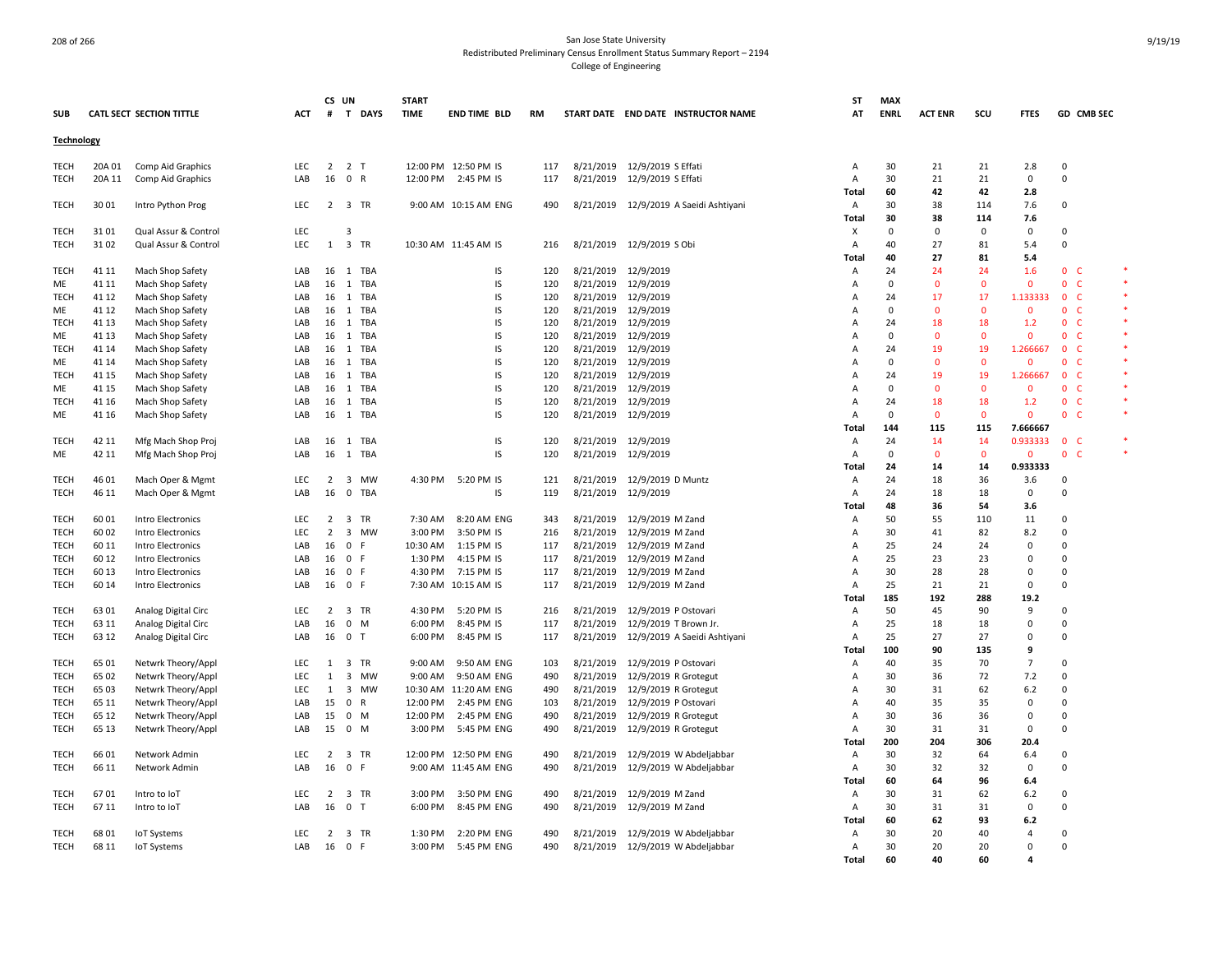|                     |                |                                          |                   |                   | CS UN               | <b>START</b>       |                            |            |                        |                                              | ST                               | <b>MAX</b>     |                |                    |                       |                                                 |  |
|---------------------|----------------|------------------------------------------|-------------------|-------------------|---------------------|--------------------|----------------------------|------------|------------------------|----------------------------------------------|----------------------------------|----------------|----------------|--------------------|-----------------------|-------------------------------------------------|--|
| <b>SUB</b>          |                | CATL SECT SECTION TITTLE                 | ACT               | #                 | T DAYS              | <b>TIME</b>        | END TIME BLD               | <b>RM</b>  |                        | START DATE END DATE INSTRUCTOR NAME          | AT                               | <b>ENRL</b>    | <b>ACT ENR</b> | scu                | <b>FTES</b>           | GD CMB SEC                                      |  |
| Technology          |                |                                          |                   |                   |                     |                    |                            |            |                        |                                              |                                  |                |                |                    |                       |                                                 |  |
| <b>TECH</b>         | 20A 01         | Comp Aid Graphics                        | <b>LEC</b>        | $\overline{2}$    | 2 <sub>T</sub>      |                    | 12:00 PM 12:50 PM IS       | 117        |                        | 8/21/2019 12/9/2019 S Effati                 | Α                                | 30             | 21             | 21                 | 2.8                   | 0                                               |  |
| <b>TECH</b>         | 20A 11         | Comp Aid Graphics                        | LAB               |                   | 16 0 R              |                    | 12:00 PM 2:45 PM IS        | 117        |                        | 8/21/2019 12/9/2019 S Effati                 | $\overline{A}$                   | 30             | 21             | 21                 | $\mathbf 0$           | $\mathbf 0$                                     |  |
|                     |                |                                          |                   |                   |                     |                    |                            |            |                        |                                              | Total                            | 60             | 42             | 42                 | 2.8                   |                                                 |  |
| <b>TECH</b>         | 30 01          | Intro Python Prog                        | <b>LEC</b>        |                   | 2 3 TR              |                    | 9:00 AM 10:15 AM ENG       | 490        |                        | 8/21/2019 12/9/2019 A Saeidi Ashtiyani       | $\overline{A}$                   | 30             | 38             | 114                | 7.6                   | $\mathbf 0$                                     |  |
|                     |                |                                          |                   |                   |                     |                    |                            |            |                        |                                              | Total                            | 30             | 38             | 114                | 7.6                   |                                                 |  |
| <b>TECH</b>         | 3101           | Qual Assur & Control                     | LEC               |                   | $\overline{3}$      |                    |                            |            |                        |                                              | х                                | $\mathbf 0$    | $\Omega$       | $\mathsf 0$        | 0                     | $\mathbf 0$                                     |  |
| <b>TECH</b>         | 3102           | Qual Assur & Control                     | LEC               | $\mathbf{1}$      | 3 TR                |                    | 10:30 AM 11:45 AM IS       | 216        |                        | 8/21/2019 12/9/2019 S Obi                    | A                                | 40             | 27             | 81                 | 5.4                   | $\mathbf 0$                                     |  |
|                     |                |                                          |                   |                   |                     |                    |                            |            |                        |                                              | Total                            | 40             | 27             | 81                 | 5.4                   |                                                 |  |
| <b>TECH</b>         | 41 11          | Mach Shop Safety                         | LAB               | 16                | 1 TBA               |                    | IS                         | 120        |                        | 8/21/2019 12/9/2019                          | Α                                | 24             | 24             | 24                 | 1.6                   | $\mathbf{0}$<br>- C                             |  |
| ME<br><b>TECH</b>   | 41 11<br>41 12 | Mach Shop Safety                         | LAB<br>LAB        | 16<br>16          | 1 TBA<br>1 TBA      |                    | IS<br>IS                   | 120<br>120 |                        | 8/21/2019 12/9/2019<br>8/21/2019 12/9/2019   | $\overline{A}$<br>$\overline{A}$ | $\Omega$<br>24 | $\Omega$<br>17 | $\mathbf{0}$<br>17 | $\Omega$<br>1.133333  | $\mathbf{0}$<br><b>C</b><br>$\mathbf{0}$<br>- C |  |
| ME                  | 41 12          | Mach Shop Safety<br>Mach Shop Safety     | LAB               | 16                | 1 TBA               |                    | IS                         | 120        |                        | 8/21/2019 12/9/2019                          | A                                | $\Omega$       | $\Omega$       | $\mathbf{0}$       | $\Omega$              | $\mathbf{0}$<br>- C                             |  |
| <b>TECH</b>         | 41 13          | Mach Shop Safety                         | LAB               | 16                | $\mathbf{1}$<br>TBA |                    | IS                         | 120        |                        | 8/21/2019 12/9/2019                          | $\overline{A}$                   | 24             | 18             | 18                 | 1.2                   | $\mathbf{0}$<br>-C                              |  |
| ME                  | 41 13          | Mach Shop Safety                         | LAB               | 16                | 1 TBA               |                    | IS                         | 120        |                        | 8/21/2019 12/9/2019                          | A                                | $\Omega$       | $\mathbf 0$    | $\mathbf 0$        | $\mathbf 0$           | $\mathbf{0}$<br><b>C</b>                        |  |
| TECH                | 41 14          | Mach Shop Safety                         | LAB               | 16                | 1 TBA               |                    | IS                         | 120        | 8/21/2019              | 12/9/2019                                    | Α                                | 24             | 19             | 19                 | 1.266667              | $\mathbf{0}$<br>-C                              |  |
| ME                  | 41 14          | Mach Shop Safety                         | LAB               | 16                | 1 TBA               |                    | IS                         | 120        |                        | 8/21/2019 12/9/2019                          | $\overline{A}$                   | $\Omega$       | $\Omega$       | $\mathbf 0$        | $\Omega$              | $\mathbf{0}$<br>- C                             |  |
| <b>TECH</b>         | 41 15          | Mach Shop Safety                         | LAB               |                   | 16 1 TBA            |                    | IS                         | 120        |                        | 8/21/2019 12/9/2019                          | $\overline{A}$                   | 24             | 19             | 19                 | 1.266667              | 0 <sup>o</sup>                                  |  |
| ME                  | 41 15          | Mach Shop Safety                         | LAB               | 16                | 1 TBA               |                    | IS                         | 120        |                        | 8/21/2019 12/9/2019                          | $\overline{A}$                   | $\Omega$       | $\Omega$       | $\mathbf{0}$       | $\Omega$              | $\mathbf{0}$<br>- C                             |  |
| <b>TECH</b>         | 41 16          | Mach Shop Safety                         | LAB               | 16                | 1 TBA               |                    | IS                         | 120        |                        | 8/21/2019 12/9/2019                          | $\overline{A}$                   | 24             | 18             | 18                 | 1.2                   | $\overline{0}$<br>- C                           |  |
| ME                  | 41 16          | Mach Shop Safety                         | LAB               |                   | 16 1 TBA            |                    | IS                         | 120        |                        | 8/21/2019 12/9/2019                          | A                                | $\mathbf 0$    | $\Omega$       | $\mathbf{0}$       | $\mathbf{0}$          | 0 <sub>c</sub>                                  |  |
|                     |                |                                          |                   |                   |                     |                    |                            |            |                        |                                              | Total                            | 144            | 115            | 115                | 7.666667              |                                                 |  |
| <b>TECH</b>         | 42 11          | Mfg Mach Shop Proj                       | LAB               | 16                | 1 TBA               |                    | IS                         | 120        |                        | 8/21/2019 12/9/2019                          | A                                | 24             | 14             | 14                 | 0.933333              | 0 <sub>c</sub>                                  |  |
| ME                  | 42 11          | Mfg Mach Shop Proj                       | LAB               | 16                | 1 TBA               |                    | IS                         | 120        |                        | 8/21/2019 12/9/2019                          | Α                                | $\mathbf 0$    | $\Omega$       | $\mathbf 0$        | $\mathbf 0$           | $\mathbf{0}$<br><b>C</b>                        |  |
|                     |                |                                          |                   |                   |                     |                    |                            |            |                        |                                              | Total                            | 24             | 14             | 14                 | 0.933333              |                                                 |  |
| TECH                | 46 01<br>46 11 | Mach Oper & Mgmt                         | LEC               | 2<br>16           | 3 MW<br>$\mathbf 0$ |                    | 4:30 PM 5:20 PM IS<br>IS   | 121<br>119 |                        | 8/21/2019 12/9/2019 D Muntz                  | Α                                | 24<br>24       | 18             | 36<br>18           | 3.6<br>0              | 0<br>0                                          |  |
| <b>TECH</b>         |                | Mach Oper & Mgmt                         | LAB               |                   | TBA                 |                    |                            |            | 8/21/2019              | 12/9/2019                                    | Α<br>Total                       | 48             | 18<br>36       | 54                 | 3.6                   |                                                 |  |
| <b>TECH</b>         | 60 01          | Intro Electronics                        | LEC               | 2                 | 3 TR                | 7:30 AM            | 8:20 AM ENG                | 343        |                        | 8/21/2019 12/9/2019 M Zand                   | Α                                | 50             | 55             | 110                | 11                    | $\Omega$                                        |  |
| <b>TECH</b>         | 60 02          | Intro Electronics                        | <b>LEC</b>        | 2                 | 3 MW                | 3:00 PM            | 3:50 PM IS                 | 216        | 8/21/2019              | 12/9/2019 M Zand                             | Α                                | 30             | 41             | 82                 | 8.2                   | $\Omega$                                        |  |
| <b>TECH</b>         | 60 11          | Intro Electronics                        | LAB               | 16                | 0 F                 | 10:30 AM           | 1:15 PM IS                 | 117        | 8/21/2019              | 12/9/2019 M Zand                             | $\overline{A}$                   | 25             | 24             | 24                 | $\Omega$              | $\Omega$                                        |  |
| <b>TECH</b>         | 60 12          | Intro Electronics                        | LAB               | 16                | 0 F                 | 1:30 PM            | 4:15 PM IS                 | 117        | 8/21/2019              | 12/9/2019 M Zand                             | Α                                | 25             | 23             | 23                 | $\Omega$              | $\Omega$                                        |  |
| TECH                | 60 13          | Intro Electronics                        | LAB               | 16                | 0 F                 |                    | 4:30 PM 7:15 PM IS         | 117        |                        | 8/21/2019 12/9/2019 M Zand                   | Α                                | 30             | 28             | 28                 | $\Omega$              | $\mathbf 0$                                     |  |
| <b>TECH</b>         | 60 14          | Intro Electronics                        | LAB               | 16                | 0 F                 |                    | 7:30 AM 10:15 AM IS        | 117        |                        | 8/21/2019 12/9/2019 M Zand                   | $\overline{A}$                   | 25             | 21             | 21                 | $\Omega$              | 0                                               |  |
|                     |                |                                          |                   |                   |                     |                    |                            |            |                        |                                              | Total                            | 185            | 192            | 288                | 19.2                  |                                                 |  |
| <b>TECH</b>         | 63 01          | Analog Digital Circ                      | LEC               | $\overline{2}$    | 3 TR                | 4:30 PM            | 5:20 PM IS                 | 216        | 8/21/2019              | 12/9/2019 P Ostovari                         | Α                                | 50             | 45             | 90                 | 9                     | $\mathbf 0$                                     |  |
| <b>TECH</b>         | 63 11          | Analog Digital Circ                      | LAB               | 16                | $0$ M               | 6:00 PM            | 8:45 PM IS                 | 117        | 8/21/2019              | 12/9/2019 T Brown Jr.                        | Α                                | 25             | 18             | 18                 | $\mathbf 0$           | $\Omega$                                        |  |
| <b>TECH</b>         | 63 12          | Analog Digital Circ                      | LAB               | 16                | 0 <sub>T</sub>      | 6:00 PM            | 8:45 PM IS                 | 117        | 8/21/2019              | 12/9/2019 A Saeidi Ashtiyani                 | Α                                | 25             | 27             | 27                 | 0                     | $\Omega$                                        |  |
|                     |                |                                          |                   |                   |                     |                    |                            |            |                        |                                              | Total                            | 100            | 90             | 135                | 9                     | $\mathbf 0$                                     |  |
| <b>TECH</b>         | 65 01<br>65 02 | Netwrk Theory/Appl                       | <b>LEC</b><br>LEC | 1<br>$\mathbf{1}$ | 3 TR<br>3 MW        | 9:00 AM<br>9:00 AM | 9:50 AM ENG<br>9:50 AM ENG | 103<br>490 | 8/21/2019              | 12/9/2019 P Ostovari                         | Α                                | 40<br>30       | 35<br>36       | 70<br>72           | $\overline{7}$<br>7.2 | $\mathbf 0$                                     |  |
| <b>TECH</b><br>TECH | 65 03          | Netwrk Theory/Appl<br>Netwrk Theory/Appl | LEC               | 1                 | 3 MW                |                    | 10:30 AM 11:20 AM ENG      | 490        | 8/21/2019<br>8/21/2019 | 12/9/2019 R Grotegut<br>12/9/2019 R Grotegut | A<br>Α                           | 30             | 31             | 62                 | $6.2$                 | $\mathbf 0$                                     |  |
| TECH                | 65 11          | Netwrk Theory/Appl                       | LAB               | 15                | 0 R                 | 12:00 PM           | 2:45 PM ENG                | 103        | 8/21/2019              | 12/9/2019 P Ostovari                         | Α                                | 40             | 35             | 35                 | $\mathbf 0$           | 0                                               |  |
| TECH                | 65 12          | Netwrk Theory/Appl                       | LAB               | 15                | $0 \t M$            | 12:00 PM           | 2:45 PM ENG                | 490        |                        | 8/21/2019 12/9/2019 R Grotegut               | Α                                | 30             | 36             | 36                 | $\mathbf 0$           | 0                                               |  |
| <b>TECH</b>         | 65 13          | Netwrk Theory/Appl                       | LAB               | 15                | 0 M                 | 3:00 PM            | 5:45 PM ENG                | 490        |                        | 8/21/2019 12/9/2019 R Grotegut               | Α                                | 30             | 31             | 31                 | $\Omega$              | $\mathbf 0$                                     |  |
|                     |                |                                          |                   |                   |                     |                    |                            |            |                        |                                              | Total                            | 200            | 204            | 306                | 20.4                  |                                                 |  |
| <b>TECH</b>         | 6601           | Network Admin                            | <b>LEC</b>        | 2                 | 3 TR                |                    | 12:00 PM 12:50 PM ENG      | 490        |                        | 8/21/2019 12/9/2019 W Abdeljabbar            | Α                                | 30             | 32             | 64                 | 6.4                   | $\mathbf 0$                                     |  |
| <b>TECH</b>         | 66 11          | Network Admin                            | LAB               |                   | 16 0 F              |                    | 9:00 AM 11:45 AM ENG       | 490        |                        | 8/21/2019 12/9/2019 W Abdeljabbar            | $\overline{A}$                   | 30             | 32             | 32                 | $\mathbf 0$           | $\mathbf 0$                                     |  |
|                     |                |                                          |                   |                   |                     |                    |                            |            |                        |                                              | <b>Total</b>                     | 60             | 64             | 96                 | 6.4                   |                                                 |  |
| <b>TECH</b>         | 6701           | Intro to IoT                             | LEC               | $\overline{2}$    | 3 TR                | 3:00 PM            | 3:50 PM ENG                | 490        |                        | 8/21/2019 12/9/2019 M Zand                   | Α                                | 30             | 31             | 62                 | 6.2                   | $\mathbf 0$                                     |  |
| <b>TECH</b>         | 67 11          | Intro to IoT                             | LAB               | 16                | 0 <sub>T</sub>      | 6:00 PM            | 8:45 PM ENG                | 490        |                        | 8/21/2019 12/9/2019 M Zand                   | Α                                | 30             | 31             | 31                 | 0                     | 0                                               |  |
|                     |                |                                          |                   |                   |                     |                    |                            |            |                        |                                              | Total                            | 60             | 62             | 93                 | 6.2                   |                                                 |  |
| TECH                | 68 01          | <b>IoT Systems</b>                       | LEC               | 2                 | 3 TR                | 1:30 PM            | 2:20 PM ENG                | 490        | 8/21/2019              | 12/9/2019 W Abdeljabbar                      | Α                                | 30             | 20             | 40                 | $\overline{4}$        | $\mathbf 0$                                     |  |
| <b>TECH</b>         | 68 11          | <b>IoT Systems</b>                       | LAB               | 16                | 0 F                 | 3:00 PM            | 5:45 PM ENG                | 490        |                        | 8/21/2019 12/9/2019 W Abdeljabbar            | Α                                | 30<br>60       | 20<br>40       | 20<br>60           | $\Omega$<br>Δ         | $\Omega$                                        |  |
|                     |                |                                          |                   |                   |                     |                    |                            |            |                        |                                              | Total                            |                |                |                    |                       |                                                 |  |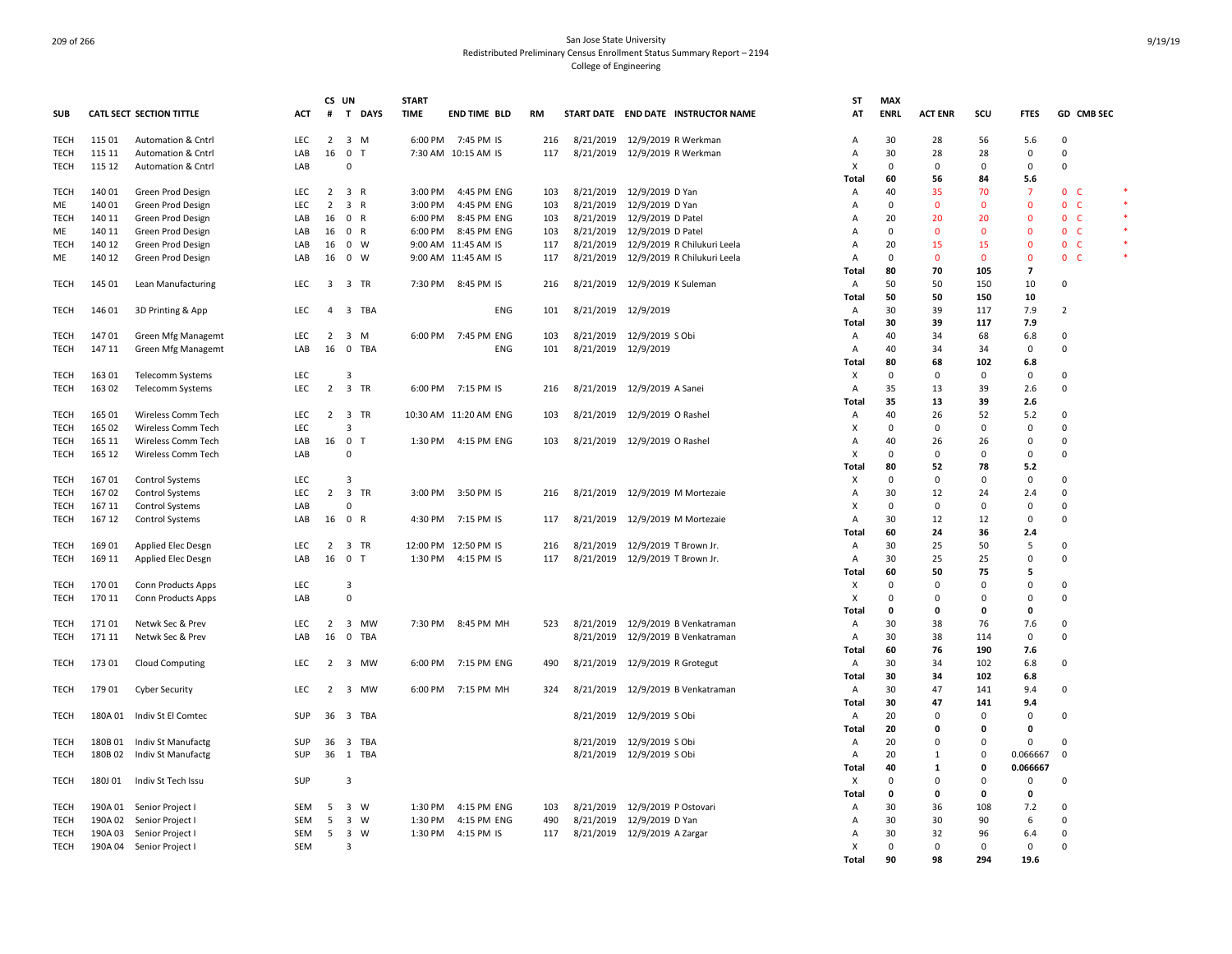|             |         |                                 |            | CS UN          |                                         | <b>START</b> |                       |            |           |                                       | <b>ST</b>      | <b>MAX</b>  |                   |                |                |                     |        |
|-------------|---------|---------------------------------|------------|----------------|-----------------------------------------|--------------|-----------------------|------------|-----------|---------------------------------------|----------------|-------------|-------------------|----------------|----------------|---------------------|--------|
| <b>SUB</b>  |         | <b>CATL SECT SECTION TITTLE</b> | ACT        | #              | T DAYS                                  | <b>TIME</b>  | <b>END TIME BLD</b>   | <b>RM</b>  |           | START DATE END DATE INSTRUCTOR NAME   | AT             | <b>ENRL</b> | <b>ACT ENR</b>    | SCU            | <b>FTES</b>    | GD CMB SEC          |        |
| TECH        | 115 01  | Automation & Cntrl              | LEC        |                | $2 \quad 3 \quad M$                     |              | 6:00 PM 7:45 PM IS    | 216        |           | 8/21/2019 12/9/2019 R Werkman         | A              | 30          | 28                | 56             | 5.6            | 0                   |        |
| TECH        | 115 11  | Automation & Cntrl              | LAB        | 16             | 0 <sub>T</sub>                          |              | 7:30 AM 10:15 AM IS   | 117        |           | 8/21/2019 12/9/2019 R Werkman         | Α              | 30          | 28                | 28             | 0              | 0                   |        |
| TECH        | 115 12  | Automation & Cntrl              | LAB        |                | $\Omega$                                |              |                       |            |           |                                       | X              | $\mathbf 0$ | 0                 | 0              | 0              | 0                   |        |
| TECH        | 140 01  | Green Prod Design               | LEC        | $\overline{2}$ | 3 R                                     | 3:00 PM      | 4:45 PM ENG           | 103        |           | 8/21/2019 12/9/2019 D Yan             | Total<br>Α     | 60<br>40    | 56<br>35          | 84<br>70       | 5.6<br>-7      | 0 <sup>o</sup>      | *      |
| ME          | 140 01  | Green Prod Design               | LEC        | $\overline{2}$ | 3 R                                     | 3:00 PM      | 4:45 PM ENG           | 103        | 8/21/2019 | 12/9/2019 D Yan                       | Α              | $\mathbf 0$ | $\Omega$          | $\mathbf 0$    | $\Omega$       | $\mathbf{0}$<br>- C | $\ast$ |
| <b>TECH</b> | 140 11  | Green Prod Design               | LAB        | 16             | 0 R                                     | 6:00 PM      | 8:45 PM ENG           | 103        |           | 8/21/2019 12/9/2019 D Patel           | $\overline{A}$ | 20          | 20                | 20             | $\Omega$       | 0 <sup>o</sup>      |        |
| ME          | 140 11  | Green Prod Design               | LAB        | 16             | 0 R                                     | 6:00 PM      | 8:45 PM ENG           | 103        |           | 8/21/2019 12/9/2019 D Patel           | $\overline{A}$ | $\mathbf 0$ | $\Omega$          | $\overline{0}$ | $\Omega$       | 0 <sub>c</sub>      |        |
|             |         |                                 | LAB        |                | 0 W                                     |              | 9:00 AM 11:45 AM IS   |            |           |                                       |                | 20          |                   | 15             | $\mathbf 0$    | 0 <sub>c</sub>      | $\ast$ |
| <b>TECH</b> | 140 12  | Green Prod Design               |            | 16<br>16       | $0 \quad W$                             |              |                       | 117<br>117 |           | 8/21/2019 12/9/2019 R Chilukuri Leela | Α              | $\mathbf 0$ | 15<br>$\mathbf 0$ | $\mathbf 0$    | $\overline{0}$ | 0 <sub>c</sub>      |        |
| ME          | 140 12  | Green Prod Design               | LAB        |                |                                         |              | 9:00 AM 11:45 AM IS   |            |           | 8/21/2019 12/9/2019 R Chilukuri Leela | Α<br>Total     | 80          | 70                | 105            | $\overline{7}$ |                     |        |
| TECH        | 145 01  | Lean Manufacturing              | LEC        |                | 3 3 TR                                  | 7:30 PM      | 8:45 PM IS            | 216        |           | 8/21/2019 12/9/2019 K Suleman         | Α              | 50          | 50                | 150            | 10             | 0                   |        |
|             |         |                                 |            |                |                                         |              |                       |            |           |                                       | Total          | 50          | 50                | 150            | 10             |                     |        |
| TECH        | 146 01  | 3D Printing & App               | LEC        | $\overline{a}$ | 3 TBA                                   |              | <b>ENG</b>            | 101        |           | 8/21/2019 12/9/2019                   | Α              | 30          | 39                | 117            | 7.9            | 2                   |        |
|             |         |                                 |            |                |                                         |              |                       |            |           |                                       | Total          | 30          | 39                | 117            | 7.9            |                     |        |
| TECH        | 14701   | Green Mfg Managemt              | LEC        | 2              | 3 M                                     | 6:00 PM      | 7:45 PM ENG           | 103        |           | 8/21/2019 12/9/2019 S Obi             | Α              | 40          | 34                | 68             | 6.8            | 0                   |        |
| TECH        | 147 11  | <b>Green Mfg Managemt</b>       | LAB        | 16             | $\mathbf 0$<br>TBA                      |              | <b>ENG</b>            | 101        |           | 8/21/2019 12/9/2019                   | Α              | 40          | 34                | 34             | 0              | 0                   |        |
|             |         |                                 |            |                |                                         |              |                       |            |           |                                       | Total          | 80          | 68                | 102            | 6.8            |                     |        |
| TECH        | 163 01  | Telecomm Systems                | LEC        |                | 3                                       |              |                       |            |           |                                       | X              | 0           | $\Omega$          | $\mathbf 0$    | $\mathbf 0$    | $\Omega$            |        |
| TECH        | 163 02  | Telecomm Systems                | LEC        | $\overline{2}$ | 3 TR                                    | 6:00 PM      | 7:15 PM IS            | 216        |           | 8/21/2019 12/9/2019 A Sanei           | Α              | 35          | 13                | 39             | 2.6            | 0                   |        |
|             |         |                                 |            |                |                                         |              |                       |            |           |                                       | Total          | 35          | 13                | 39             | 2.6            |                     |        |
| TECH        | 165 01  | Wireless Comm Tech              | LEC        | 2              | 3 TR                                    |              | 10:30 AM 11:20 AM ENG | 103        |           | 8/21/2019 12/9/2019 O Rashel          | Α              | 40          | 26                | 52             | 5.2            | $\Omega$            |        |
| TECH        | 165 02  | Wireless Comm Tech              | <b>LEC</b> |                | 3                                       |              |                       |            |           |                                       | X              | $\mathbf 0$ | $\Omega$          | 0              | 0              | 0                   |        |
| TECH        | 165 11  | Wireless Comm Tech              | LAB        | 16             | $\overline{\mathbf{0}}$<br>$\mathbf{T}$ | 1:30 PM      | 4:15 PM ENG           | 103        |           | 8/21/2019 12/9/2019 O Rashel          | Α              | 40          | 26                | 26             | $\mathbf 0$    | $\Omega$            |        |
| <b>TECH</b> | 165 12  | Wireless Comm Tech              | LAB        |                | $\mathbf 0$                             |              |                       |            |           |                                       | X              | $\mathbf 0$ | $\Omega$          | $\mathbf 0$    | $\mathbf 0$    | $\mathbf 0$         |        |
|             |         |                                 |            |                |                                         |              |                       |            |           |                                       | Total          | 80          | 52                | 78             | 5.2            |                     |        |
| TECH        | 16701   | Control Systems                 | LEC        |                | 3                                       |              |                       |            |           |                                       | X              | $\mathbf 0$ | $\Omega$          | $\mathbf 0$    | $\mathbf 0$    | 0                   |        |
| TECH        | 16702   | <b>Control Systems</b>          | LEC        | $\overline{2}$ | 3 TR                                    | 3:00 PM      | 3:50 PM IS            | 216        |           | 8/21/2019 12/9/2019 M Mortezaie       | A              | 30          | 12                | 24             | 2.4            | 0                   |        |
| <b>TECH</b> | 167 11  | <b>Control Systems</b>          | LAB        |                | $\Omega$                                |              |                       |            |           |                                       | X              | 0           | $\Omega$          | $\mathbf 0$    | 0              | $\Omega$            |        |
| <b>TECH</b> | 167 12  | Control Systems                 | LAB        | 16             | 0 R                                     | 4:30 PM      | 7:15 PM IS            | 117        |           | 8/21/2019 12/9/2019 M Mortezaie       | A              | 30          | 12                | 12             | 0              | 0                   |        |
|             |         |                                 |            |                |                                         |              |                       |            |           |                                       | Total          | 60          | 24                | 36             | 2.4            |                     |        |
| TECH        | 16901   | Applied Elec Desgn              | LEC        | 2              | 3 TR                                    |              | 12:00 PM 12:50 PM IS  | 216        |           | 8/21/2019 12/9/2019 T Brown Jr.       | Α              | 30          | 25                | 50             | 5              | 0                   |        |
| TECH        | 169 11  | Applied Elec Desgn              | LAB        | 16             | 0 <sub>T</sub>                          | 1:30 PM      | 4:15 PM IS            | 117        |           | 8/21/2019 12/9/2019 T Brown Jr.       | Α              | 30          | 25                | 25             | $\mathbf 0$    | $\Omega$            |        |
|             |         |                                 |            |                |                                         |              |                       |            |           |                                       | Total          | 60          | 50                | 75             | 5              |                     |        |
| TECH        | 17001   | <b>Conn Products Apps</b>       | LEC        |                | 3                                       |              |                       |            |           |                                       | X              | $\Omega$    | $\Omega$          | 0              | $\Omega$       | $\Omega$            |        |
| TECH        | 170 11  | <b>Conn Products Apps</b>       | LAB        |                | $\mathbf 0$                             |              |                       |            |           |                                       | X              | $\Omega$    | $\Omega$          | 0              | $\Omega$       | 0                   |        |
|             |         |                                 |            |                |                                         |              |                       |            |           |                                       | Total          | 0           | O                 | $\mathbf{0}$   | $\mathbf{0}$   |                     |        |
| TECH        | 17101   | Netwk Sec & Prev                | <b>LEC</b> | 2              | 3 MW                                    |              | 7:30 PM 8:45 PM MH    | 523        |           | 8/21/2019 12/9/2019 B Venkatraman     | Α              | 30          | 38                | 76             | 7.6            | $\mathbf 0$         |        |
| <b>TECH</b> | 171 11  | Netwk Sec & Prev                | LAB        | 16             | $\mathsf 0$<br>TBA                      |              |                       |            |           | 8/21/2019 12/9/2019 B Venkatraman     | Α              | 30          | 38                | 114            | $\mathsf 0$    | 0                   |        |
|             |         |                                 |            |                |                                         |              |                       |            |           |                                       | Total          | 60          | 76                | 190            | 7.6            |                     |        |
| TECH        | 17301   | <b>Cloud Computing</b>          | LEC        | 2              | 3 MW                                    | 6:00 PM      | 7:15 PM ENG           | 490        |           | 8/21/2019 12/9/2019 R Grotegut        | Α              | 30          | 34                | 102            | 6.8            | 0                   |        |
|             |         |                                 |            |                |                                         |              |                       |            |           |                                       | Total          | 30          | 34                | 102            | 6.8            |                     |        |
| TECH        | 179 01  | <b>Cyber Security</b>           | LEC        | 2              | 3 MW                                    | 6:00 PM      | 7:15 PM MH            | 324        |           | 8/21/2019 12/9/2019 B Venkatraman     | Α              | 30          | 47                | 141            | 9.4            | 0                   |        |
|             |         |                                 |            |                |                                         |              |                       |            |           |                                       | Total          | 30          | 47                | 141            | 9.4            |                     |        |
| TECH        |         | 180A 01 Indiv St El Comtec      | SUP        |                | 36 3 TBA                                |              |                       |            |           | 8/21/2019 12/9/2019 S Obi             | Α              | 20          | $\Omega$          | 0              | $\mathbf 0$    | 0                   |        |
|             |         |                                 |            |                |                                         |              |                       |            |           |                                       | Total          | 20          | 0                 | 0              | 0              |                     |        |
| TECH        | 180B 01 | Indiv St Manufactg              | SUP        | 36             | 3 TBA                                   |              |                       |            |           | 8/21/2019 12/9/2019 S Obi             | $\overline{A}$ | 20          | $\Omega$          | 0              | $\Omega$       | $\Omega$            |        |
| TECH        | 180B 02 | Indiv St Manufactg              | SUP        |                | 36 1 TBA                                |              |                       |            |           | 8/21/2019 12/9/2019 S Obi             | $\overline{A}$ | 20          | $\mathbf{1}$      | 0              | 0.066667       | $^{\circ}$          |        |
|             |         |                                 |            |                |                                         |              |                       |            |           |                                       | Total          | 40          | 1                 | $\mathbf 0$    | 0.066667       |                     |        |
| <b>TECH</b> | 180J 01 | Indiv St Tech Issu              | SUP        |                | 3                                       |              |                       |            |           |                                       | X              | $\Omega$    | $\Omega$          | $\mathbf 0$    | $\mathsf 0$    | 0                   |        |
|             |         |                                 |            |                |                                         |              |                       |            |           |                                       | Total          | $\mathbf 0$ | O                 | $\mathbf{0}$   | $\mathbf{0}$   |                     |        |
| TECH        | 190A 01 | Senior Project I                | SEM        | 5              | 3 W                                     | 1:30 PM      | 4:15 PM ENG           | 103        |           | 8/21/2019 12/9/2019 P Ostovari        | Α              | 30          | 36                | 108            | 7.2            | 0                   |        |
| TECH        | 190A 02 | Senior Project I                | SEM        | 5              | 3 W                                     | 1:30 PM      | 4:15 PM ENG           | 490        |           | 8/21/2019 12/9/2019 D Yan             | Α              | 30          | 30                | 90             | 6              | 0                   |        |
| TECH        | 190A 03 | Senior Project I                | SEM        | 5              | $\overline{\mathbf{3}}$<br>w            | 1:30 PM      | 4:15 PM IS            | 117        | 8/21/2019 | 12/9/2019 A Zargar                    | A              | 30          | 32                | 96             | 6.4            | 0                   |        |
| TECH        |         | 190A 04 Senior Project          | SEM        |                | 3                                       |              |                       |            |           |                                       | X              | $\mathbf 0$ | 0                 | $\mathbf 0$    | $\mathbf 0$    | $\mathbf 0$         |        |
|             |         |                                 |            |                |                                         |              |                       |            |           |                                       | Total          | 90          | 98                | 294            | 19.6           |                     |        |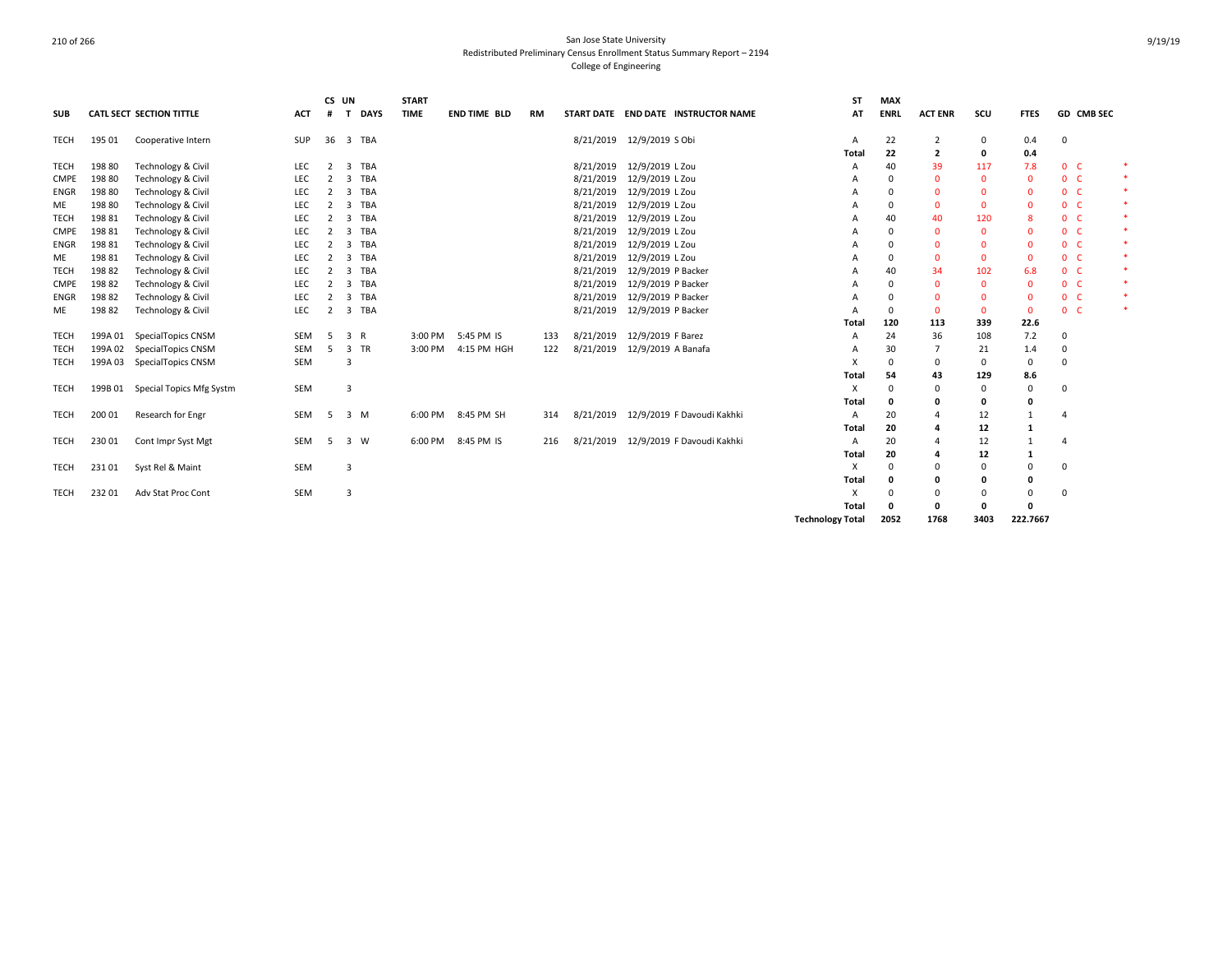| <b>SUB</b>  |         | <b>CATL SECT SECTION TITTLE</b> | <b>ACT</b> | CS UN<br>#     | <b>DAYS</b><br>$\mathbf{T}$           | <b>START</b><br><b>TIME</b> | <b>END TIME BLD</b> | <b>RM</b> |           | START DATE END DATE INSTRUCTOR NAME  | <b>ST</b><br>AT         | <b>MAX</b><br><b>ENRL</b> | <b>ACT ENR</b> | scu          | <b>FTES</b>  | GD CMB SEC     |  |
|-------------|---------|---------------------------------|------------|----------------|---------------------------------------|-----------------------------|---------------------|-----------|-----------|--------------------------------------|-------------------------|---------------------------|----------------|--------------|--------------|----------------|--|
|             |         |                                 |            |                |                                       |                             |                     |           |           |                                      |                         |                           |                |              |              |                |  |
| TECH        | 195 01  | Cooperative Intern              | SUP        | 36             | 3 TBA                                 |                             |                     |           |           | 8/21/2019 12/9/2019 S Obi            | A                       | 22                        | 2              | 0            | 0.4          | 0              |  |
|             |         |                                 |            |                |                                       |                             |                     |           |           |                                      | Total                   | 22                        | 2              | 0            | 0.4          |                |  |
| <b>TECH</b> | 198 80  | Technology & Civil              | LEC        | 2              | $\overline{3}$<br>TBA                 |                             |                     |           |           | 8/21/2019 12/9/2019 L Zou            | A                       | 40                        | 39             | 117          | 7.8          | 0 <sup>o</sup> |  |
| <b>CMPE</b> | 19880   | Technology & Civil              | LEC        | 2              | <b>TBA</b><br>3                       |                             |                     |           | 8/21/2019 | 12/9/2019 L Zou                      |                         | $\Omega$                  | $\Omega$       | $\Omega$     | $\Omega$     | 0 <sup>o</sup> |  |
| ENGR        | 198 80  | Technology & Civil              | LEC        | 2              | 3 TBA                                 |                             |                     |           | 8/21/2019 | 12/9/2019 L Zou                      | А                       | $\Omega$                  | $\Omega$       | $\Omega$     | $\Omega$     | 0 <sub>c</sub> |  |
| ME          | 198 80  | Technology & Civil              | LEC        | 2              | $\overline{\mathbf{3}}$<br><b>TBA</b> |                             |                     |           | 8/21/2019 | 12/9/2019 L Zou                      | А                       | 0                         | $\Omega$       | $\mathbf{0}$ | $\mathbf{0}$ | 0 <sub>c</sub> |  |
| <b>TECH</b> | 198 81  | <b>Technology &amp; Civil</b>   | LEC        | 2              | <b>TBA</b><br>3                       |                             |                     |           | 8/21/2019 | 12/9/2019 L Zou                      | А                       | 40                        | 40             | 120          | 8            | 0 <sup>o</sup> |  |
| <b>CMPE</b> | 198 81  | Technology & Civil              | LEC        | 2              | TBA<br>3                              |                             |                     |           | 8/21/2019 | 12/9/2019 L Zou                      |                         | $\mathbf 0$               | $\Omega$       | $\Omega$     | $\Omega$     | 0 <sub>c</sub> |  |
| ENGR        | 198 81  | Technology & Civil              | LEC        | 2              | <b>TBA</b><br>$\overline{\mathbf{3}}$ |                             |                     |           | 8/21/2019 | 12/9/2019 L Zou                      |                         | 0                         | $\Omega$       | $\mathbf{0}$ | $\Omega$     | 0 <sub>c</sub> |  |
| ME          | 19881   | Technology & Civil              | LEC        | 2              | <b>TBA</b><br>$\overline{3}$          |                             |                     |           | 8/21/2019 | 12/9/2019 L Zou                      | А                       | $\Omega$                  | $\Omega$       | $\mathbf{0}$ | $\mathbf{0}$ | 0 <sup>o</sup> |  |
| <b>TECH</b> | 19882   | Technology & Civil              | LEC        | 2              | <b>TBA</b><br>$\overline{3}$          |                             |                     |           | 8/21/2019 | 12/9/2019 P Backer                   | A                       | 40                        | 34             | 102          | 6.8          | 0 <sup>o</sup> |  |
| CMPE        | 19882   | Technology & Civil              | LEC        | 2              | TBA<br>3                              |                             |                     |           | 8/21/2019 | 12/9/2019 P Backer                   |                         | $\Omega$                  | $\Omega$       | $\Omega$     | $\Omega$     | 0 <sup>o</sup> |  |
| <b>ENGR</b> | 19882   | Technology & Civil              | LEC        | 2              | 3 TBA                                 |                             |                     |           | 8/21/2019 | 12/9/2019 P Backer                   | А                       | 0                         | $\Omega$       | $\mathbf{0}$ | $\mathbf{0}$ | $0-$           |  |
| ME          | 19882   | Technology & Civil              | LEC        | $\overline{2}$ | <b>TBA</b><br>$\overline{\mathbf{3}}$ |                             |                     |           |           | 8/21/2019 12/9/2019 P Backer         | A                       | 0                         | $\Omega$       | $\mathbf{0}$ | $\mathbf{0}$ | 0 <sub>c</sub> |  |
|             |         |                                 |            |                |                                       |                             |                     |           |           |                                      | Total                   | 120                       | 113            | 339          | 22.6         |                |  |
| <b>TECH</b> | 199A 01 | SpecialTopics CNSM              | SEM        | -5             | 3 R                                   | 3:00 PM                     | 5:45 PM IS          | 133       | 8/21/2019 | 12/9/2019 F Barez                    | А                       | 24                        | 36             | 108          | 7.2          | 0              |  |
| <b>TECH</b> | 199A 02 | SpecialTopics CNSM              | SEM        | -5             | 3 TR                                  | 3:00 PM                     | 4:15 PM HGH         | 122       | 8/21/2019 | 12/9/2019 A Banafa                   |                         | 30                        | $\overline{7}$ | 21           | 1.4          | 0              |  |
| <b>TECH</b> | 199A 03 | SpecialTopics CNSM              | SEM        |                | 3                                     |                             |                     |           |           |                                      | x                       | 0                         | $\Omega$       | $\Omega$     | 0            | $\Omega$       |  |
|             |         |                                 |            |                |                                       |                             |                     |           |           |                                      | Total                   | 54                        | 43             | 129          | 8.6          |                |  |
| <b>TECH</b> | 199B 01 | Special Topics Mfg Systm        | SEM        |                | 3                                     |                             |                     |           |           |                                      | x                       | $\Omega$                  | $\Omega$       | $\Omega$     | 0            | $\Omega$       |  |
|             |         |                                 |            |                |                                       |                             |                     |           |           |                                      | Total                   | 0                         | 0              | 0            | 0            |                |  |
| <b>TECH</b> | 200 01  | Research for Engr               | SEM        | 5              | 3 M                                   | 6:00 PM                     | 8:45 PM SH          | 314       |           | 8/21/2019 12/9/2019 F Davoudi Kakhki | A                       | 20                        | 4              | 12           | 1            | 4              |  |
|             |         |                                 |            |                |                                       |                             |                     |           |           |                                      | Total                   | 20                        | 4              | 12           | 1            |                |  |
| TECH        | 23001   | Cont Impr Syst Mgt              | SEM        | -5             | 3 W                                   | 6:00 PM                     | 8:45 PM IS          | 216       | 8/21/2019 | 12/9/2019 F Davoudi Kakhki           | A                       | 20                        | 4              | 12           | 1            |                |  |
|             |         |                                 |            |                |                                       |                             |                     |           |           |                                      | Total                   | 20                        | 4              | 12           | 1            |                |  |
| <b>TECH</b> | 23101   | Syst Rel & Maint                | SEM        |                | 3                                     |                             |                     |           |           |                                      | X                       | $\mathbf 0$               | 0              | $\Omega$     | $\Omega$     | $\Omega$       |  |
|             |         |                                 |            |                |                                       |                             |                     |           |           |                                      | Total                   | 0                         | 0              | 0            | 0            |                |  |
| TECH        | 23201   | Adv Stat Proc Cont              | SEM        |                | 3                                     |                             |                     |           |           |                                      | x                       | $\Omega$                  | $\Omega$       | $\Omega$     | $\Omega$     | 0              |  |
|             |         |                                 |            |                |                                       |                             |                     |           |           |                                      | Total                   | 0                         | 0              | 0            | 0            |                |  |
|             |         |                                 |            |                |                                       |                             |                     |           |           |                                      | <b>Technology Total</b> | 2052                      | 1768           | 3403         | 222.7667     |                |  |